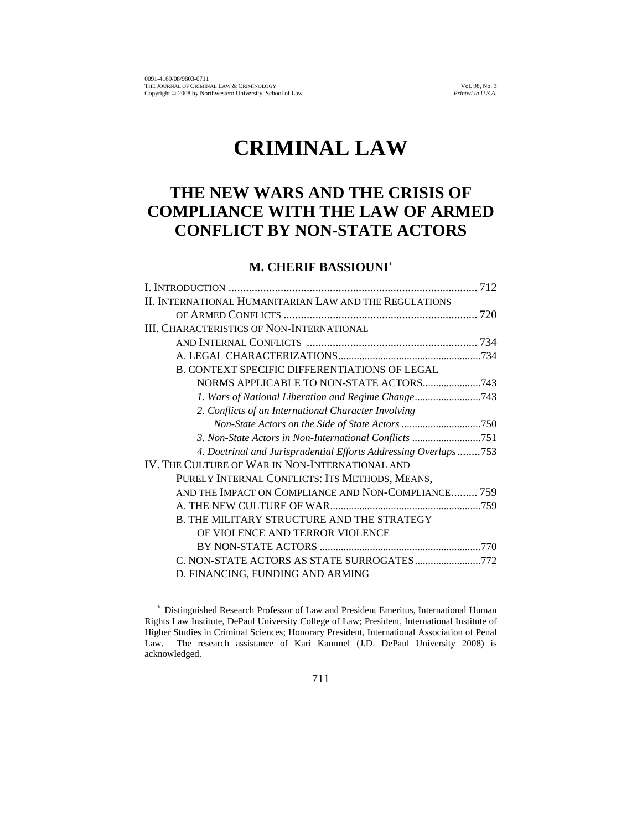# **CRIMINAL LAW**

## **THE NEW WARS AND THE CRISIS OF COMPLIANCE WITH THE LAW OF ARMED CONFLICT BY NON-STATE ACTORS**

## **M. CHERIF BASSIOUNI**<sup>∗</sup>

| II. INTERNATIONAL HUMANITARIAN LAW AND THE REGULATIONS          |
|-----------------------------------------------------------------|
|                                                                 |
| <b>III. CHARACTERISTICS OF NON-INTERNATIONAL</b>                |
|                                                                 |
|                                                                 |
| <b>B. CONTEXT SPECIFIC DIFFERENTIATIONS OF LEGAL</b>            |
|                                                                 |
| 1. Wars of National Liberation and Regime Change743             |
| 2. Conflicts of an International Character Involving            |
|                                                                 |
| 3. Non-State Actors in Non-International Conflicts 751          |
| 4. Doctrinal and Jurisprudential Efforts Addressing Overlaps753 |
| IV. THE CULTURE OF WAR IN NON-INTERNATIONAL AND                 |
| PURELY INTERNAL CONFLICTS: ITS METHODS, MEANS,                  |
| AND THE IMPACT ON COMPLIANCE AND NON-COMPLIANCE 759             |
|                                                                 |
| <b>B. THE MILITARY STRUCTURE AND THE STRATEGY</b>               |
| OF VIOLENCE AND TERROR VIOLENCE                                 |
|                                                                 |
| C. NON-STATE ACTORS AS STATE SURROGATES772                      |
| D. FINANCING, FUNDING AND ARMING                                |

<sup>∗</sup> Distinguished Research Professor of Law and President Emeritus, International Human Rights Law Institute, DePaul University College of Law; President, International Institute of Higher Studies in Criminal Sciences; Honorary President, International Association of Penal Law. The research assistance of Kari Kammel (J.D. DePaul University 2008) is acknowledged.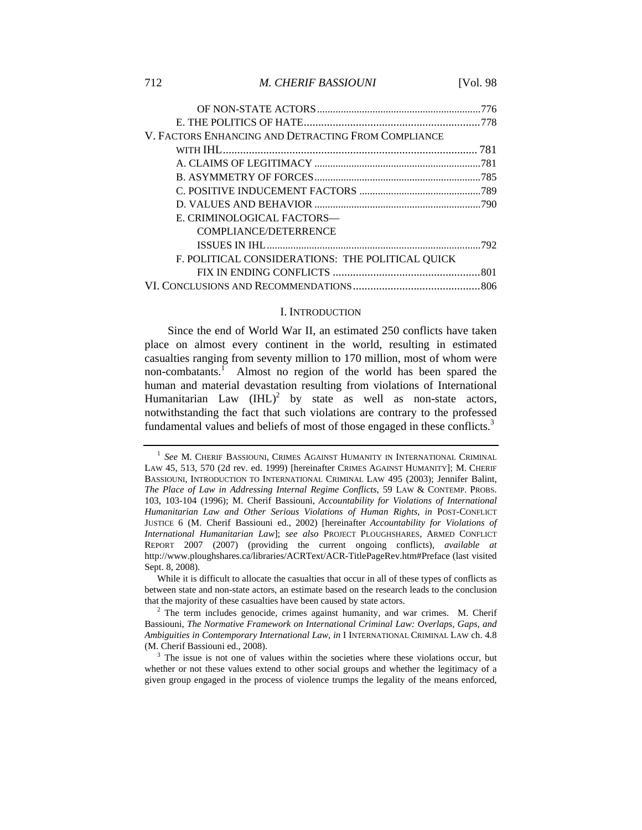#### 712 *M. CHERIF BASSIOUNI* [Vol. 98

| V. FACTORS ENHANCING AND DETRACTING FROM COMPLIANCE |  |
|-----------------------------------------------------|--|
|                                                     |  |
|                                                     |  |
|                                                     |  |
|                                                     |  |
|                                                     |  |
| E. CRIMINOLOGICAL FACTORS—                          |  |
| <b>COMPLIANCE/DETERRENCE</b>                        |  |
|                                                     |  |
| F. POLITICAL CONSIDERATIONS: THE POLITICAL QUICK    |  |
|                                                     |  |
|                                                     |  |
|                                                     |  |

#### I. INTRODUCTION

Since the end of World War II, an estimated 250 conflicts have taken place on almost every continent in the world, resulting in estimated casualties ranging from seventy million to 170 million, most of whom were non-combatants.<sup>1</sup> Almost no region of the world has been spared the human and material devastation resulting from violations of International Humanitarian Law  $(HIL)^2$  by state as well as non-state actors, notwithstanding the fact that such violations are contrary to the professed fundamental values and beliefs of most of those engaged in these conflicts.<sup>3</sup>

<sup>&</sup>lt;sup>1</sup> See M. CHERIF BASSIOUNI, CRIMES AGAINST HUMANITY IN INTERNATIONAL CRIMINAL LAW 45, 513, 570 (2d rev. ed. 1999) [hereinafter CRIMES AGAINST HUMANITY]; M. CHERIF BASSIOUNI, INTRODUCTION TO INTERNATIONAL CRIMINAL LAW 495 (2003); Jennifer Balint, *The Place of Law in Addressing Internal Regime Conflicts*, 59 LAW & CONTEMP. PROBS. 103, 103-104 (1996); M. Cherif Bassiouni, *Accountability for Violations of International Humanitarian Law and Other Serious Violations of Human Rights*, *in* POST-CONFLICT JUSTICE 6 (M. Cherif Bassiouni ed., 2002) [hereinafter *Accountability for Violations of International Humanitarian Law*]; *see also* PROJECT PLOUGHSHARES, ARMED CONFLICT REPORT 2007 (2007) (providing the current ongoing conflicts), *available at*  http://www.ploughshares.ca/libraries/ACRText/ACR-TitlePageRev.htm#Preface (last visited Sept. 8, 2008).

While it is difficult to allocate the casualties that occur in all of these types of conflicts as between state and non-state actors, an estimate based on the research leads to the conclusion that the majority of these casualties have been caused by state actors.<br><sup>2</sup> The term includes genocide, crimes against humanity, and war crimes. M. Cherif

Bassiouni, *The Normative Framework on International Criminal Law: Overlaps, Gaps, and Ambiguities in Contemporary International Law, in I INTERNATIONAL CRIMINAL LAW ch. 4.8* (M. Cherif Bassiouni ed., 2008).

 $<sup>3</sup>$  The issue is not one of values within the societies where these violations occur, but</sup> whether or not these values extend to other social groups and whether the legitimacy of a given group engaged in the process of violence trumps the legality of the means enforced,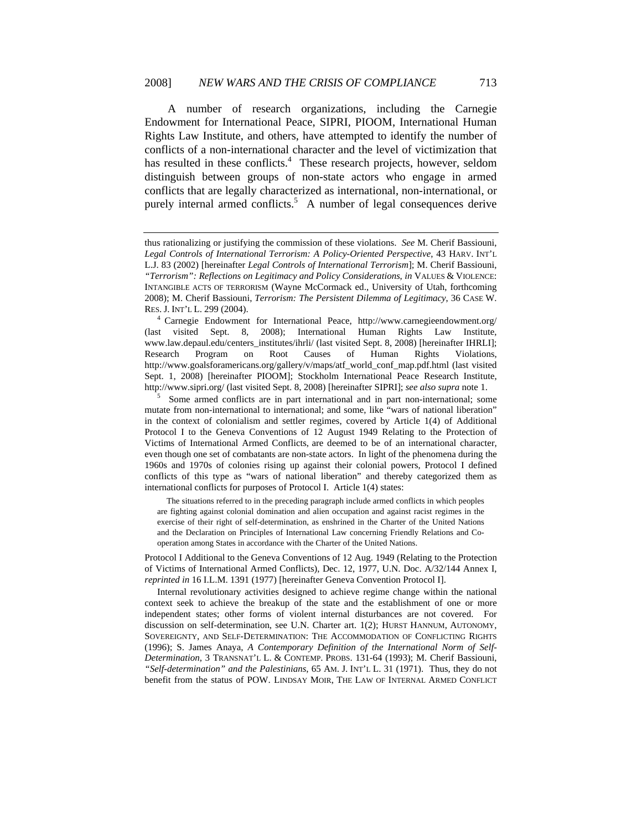A number of research organizations, including the Carnegie Endowment for International Peace, SIPRI, PIOOM, International Human Rights Law Institute, and others, have attempted to identify the number of conflicts of a non-international character and the level of victimization that has resulted in these conflicts.<sup>4</sup> These research projects, however, seldom distinguish between groups of non-state actors who engage in armed conflicts that are legally characterized as international, non-international, or purely internal armed conflicts.<sup>5</sup> A number of legal consequences derive

<sup>5</sup> Some armed conflicts are in part international and in part non-international; some mutate from non-international to international; and some, like "wars of national liberation" in the context of colonialism and settler regimes, covered by Article 1(4) of Additional Protocol I to the Geneva Conventions of 12 August 1949 Relating to the Protection of Victims of International Armed Conflicts, are deemed to be of an international character, even though one set of combatants are non-state actors. In light of the phenomena during the 1960s and 1970s of colonies rising up against their colonial powers, Protocol I defined conflicts of this type as "wars of national liberation" and thereby categorized them as international conflicts for purposes of Protocol I. Article 1(4) states:

 The situations referred to in the preceding paragraph include armed conflicts in which peoples are fighting against colonial domination and alien occupation and against racist regimes in the exercise of their right of self-determination, as enshrined in the Charter of the United Nations and the Declaration on Principles of International Law concerning Friendly Relations and Cooperation among States in accordance with the Charter of the United Nations.

Protocol I Additional to the Geneva Conventions of 12 Aug. 1949 (Relating to the Protection of Victims of International Armed Conflicts), Dec. 12, 1977, U.N. Doc. A/32/144 Annex I, *reprinted in* 16 I.L.M. 1391 (1977) [hereinafter Geneva Convention Protocol I].

 Internal revolutionary activities designed to achieve regime change within the national context seek to achieve the breakup of the state and the establishment of one or more independent states; other forms of violent internal disturbances are not covered. For discussion on self-determination, see U.N. Charter art. 1(2); HURST HANNUM, AUTONOMY, SOVEREIGNTY, AND SELF-DETERMINATION: THE ACCOMMODATION OF CONFLICTING RIGHTS (1996); S. James Anaya, *A Contemporary Definition of the International Norm of Self-Determination*, 3 TRANSNAT'L L. & CONTEMP. PROBS. 131-64 (1993); M. Cherif Bassiouni, *"Self-determination" and the Palestinians*, 65 AM. J. INT'L L. 31 (1971). Thus, they do not benefit from the status of POW. LINDSAY MOIR, THE LAW OF INTERNAL ARMED CONFLICT

thus rationalizing or justifying the commission of these violations. *See* M. Cherif Bassiouni, *Legal Controls of International Terrorism: A Policy-Oriented Perspective*, 43 HARV. INT'L L.J. 83 (2002) [hereinafter *Legal Controls of International Terrorism*]; M. Cherif Bassiouni, *"Terrorism": Reflections on Legitimacy and Policy Considerations*, *in* VALUES & VIOLENCE: INTANGIBLE ACTS OF TERRORISM (Wayne McCormack ed., University of Utah, forthcoming 2008); M. Cherif Bassiouni, *Terrorism: The Persistent Dilemma of Legitimacy*, 36 CASE W.

RES. J. INT'L L. 299 (2004). 4 Carnegie Endowment for International Peace, http://www.carnegieendowment.org/ (last visited Sept. 8, 2008); International Human Rights Law Institute, www.law.depaul.edu/centers\_institutes/ihrli/ (last visited Sept. 8, 2008) [hereinafter IHRLI]; Research Program on Root Causes of Human Rights Violations, http://www.goalsforamericans.org/gallery/v/maps/atf\_world\_conf\_map.pdf.html (last visited Sept. 1, 2008) [hereinafter PIOOM]; Stockholm International Peace Research Institute, http://www.sipri.org/ (last visited Sept. 8, 2008) [hereinafter SIPRI]; *see also supra* note 1.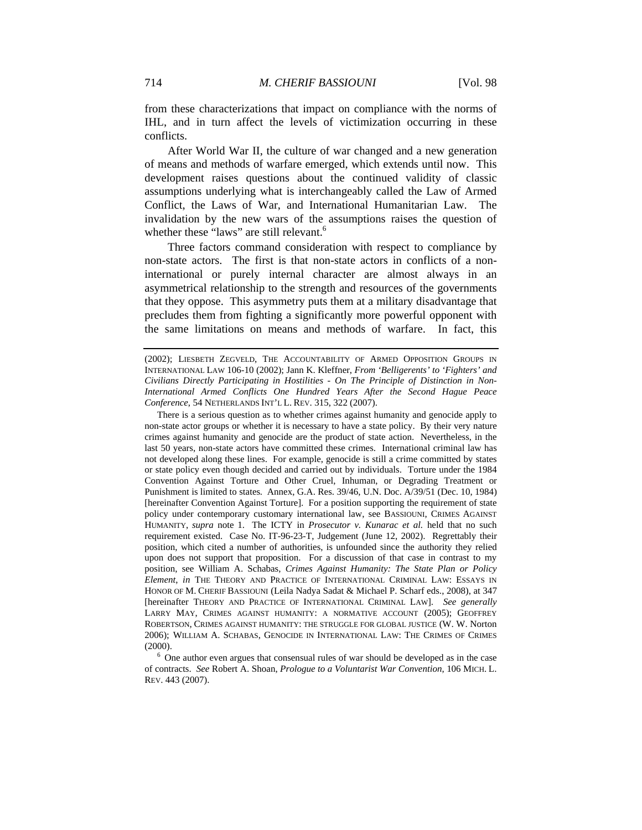from these characterizations that impact on compliance with the norms of IHL, and in turn affect the levels of victimization occurring in these conflicts.

After World War II, the culture of war changed and a new generation of means and methods of warfare emerged, which extends until now. This development raises questions about the continued validity of classic assumptions underlying what is interchangeably called the Law of Armed Conflict, the Laws of War, and International Humanitarian Law. The invalidation by the new wars of the assumptions raises the question of whether these "laws" are still relevant.<sup>6</sup>

Three factors command consideration with respect to compliance by non-state actors. The first is that non-state actors in conflicts of a noninternational or purely internal character are almost always in an asymmetrical relationship to the strength and resources of the governments that they oppose. This asymmetry puts them at a military disadvantage that precludes them from fighting a significantly more powerful opponent with the same limitations on means and methods of warfare. In fact, this

 There is a serious question as to whether crimes against humanity and genocide apply to non-state actor groups or whether it is necessary to have a state policy. By their very nature crimes against humanity and genocide are the product of state action. Nevertheless, in the last 50 years, non-state actors have committed these crimes. International criminal law has not developed along these lines. For example, genocide is still a crime committed by states or state policy even though decided and carried out by individuals. Torture under the 1984 Convention Against Torture and Other Cruel, Inhuman, or Degrading Treatment or Punishment is limited to states. Annex, G.A. Res. 39/46, U.N. Doc. A/39/51 (Dec. 10, 1984) [hereinafter Convention Against Torture]. For a position supporting the requirement of state policy under contemporary customary international law, see BASSIOUNI, CRIMES AGAINST HUMANITY, *supra* note 1. The ICTY in *Prosecutor v. Kunarac et al.* held that no such requirement existed. Case No. IT-96-23-T, Judgement (June 12, 2002). Regrettably their position, which cited a number of authorities, is unfounded since the authority they relied upon does not support that proposition. For a discussion of that case in contrast to my position, see William A. Schabas, *Crimes Against Humanity: The State Plan or Policy Element*, *in* THE THEORY AND PRACTICE OF INTERNATIONAL CRIMINAL LAW: ESSAYS IN HONOR OF M. CHERIF BASSIOUNI (Leila Nadya Sadat & Michael P. Scharf eds., 2008), at 347 [hereinafter THEORY AND PRACTICE OF INTERNATIONAL CRIMINAL LAW]. *See generally* LARRY MAY, CRIMES AGAINST HUMANITY: A NORMATIVE ACCOUNT (2005); GEOFFREY ROBERTSON, CRIMES AGAINST HUMANITY: THE STRUGGLE FOR GLOBAL JUSTICE (W. W. Norton 2006); WILLIAM A. SCHABAS, GENOCIDE IN INTERNATIONAL LAW: THE CRIMES OF CRIMES

(2000).  $\frac{6}{6}$  One author even argues that consensual rules of war should be developed as in the case of contracts. *See* Robert A. Shoan, *Prologue to a Voluntarist War Convention*, 106 MICH. L. REV. 443 (2007).

<sup>(2002);</sup> LIESBETH ZEGVELD, THE ACCOUNTABILITY OF ARMED OPPOSITION GROUPS IN INTERNATIONAL LAW 106-10 (2002); Jann K. Kleffner, *From 'Belligerents' to 'Fighters' and Civilians Directly Participating in Hostilities - On The Principle of Distinction in Non-International Armed Conflicts One Hundred Years After the Second Hague Peace Conference*, 54 NETHERLANDS INT'L L. REV. 315, 322 (2007).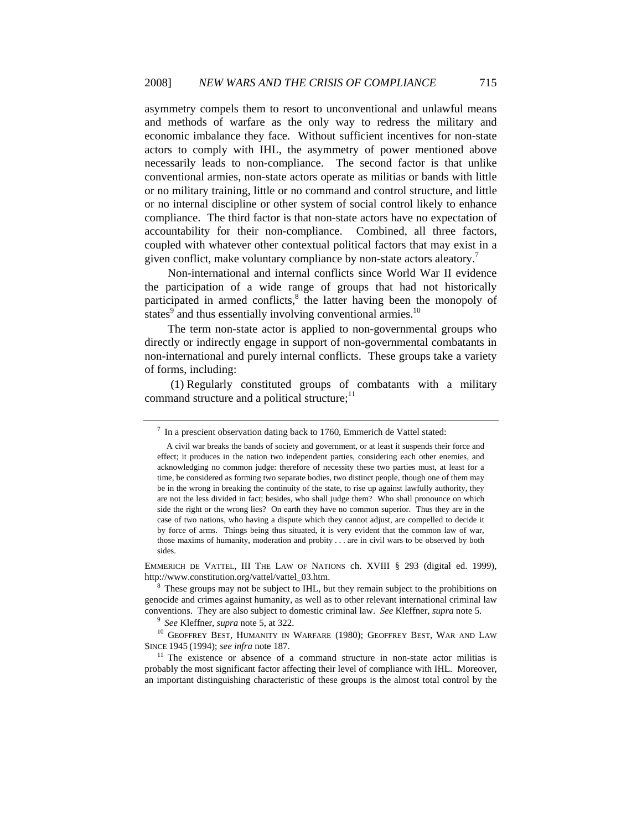asymmetry compels them to resort to unconventional and unlawful means and methods of warfare as the only way to redress the military and economic imbalance they face. Without sufficient incentives for non-state actors to comply with IHL, the asymmetry of power mentioned above necessarily leads to non-compliance. The second factor is that unlike conventional armies, non-state actors operate as militias or bands with little or no military training, little or no command and control structure, and little or no internal discipline or other system of social control likely to enhance compliance. The third factor is that non-state actors have no expectation of accountability for their non-compliance. Combined, all three factors, coupled with whatever other contextual political factors that may exist in a given conflict, make voluntary compliance by non-state actors aleatory.<sup>7</sup>

Non-international and internal conflicts since World War II evidence the participation of a wide range of groups that had not historically participated in armed conflicts,<sup>8</sup> the latter having been the monopoly of states $\degree$  and thus essentially involving conventional armies.<sup>10</sup>

The term non-state actor is applied to non-governmental groups who directly or indirectly engage in support of non-governmental combatants in non-international and purely internal conflicts. These groups take a variety of forms, including:

 (1) Regularly constituted groups of combatants with a military command structure and a political structure;<sup>11</sup>

EMMERICH DE VATTEL, III THE LAW OF NATIONS ch. XVIII § 293 (digital ed. 1999), http://www.constitution.org/vattel/vattel\_03.htm.

 $7$  In a prescient observation dating back to 1760, Emmerich de Vattel stated:

A civil war breaks the bands of society and government, or at least it suspends their force and effect; it produces in the nation two independent parties, considering each other enemies, and acknowledging no common judge: therefore of necessity these two parties must, at least for a time, be considered as forming two separate bodies, two distinct people, though one of them may be in the wrong in breaking the continuity of the state, to rise up against lawfully authority, they are not the less divided in fact; besides, who shall judge them? Who shall pronounce on which side the right or the wrong lies? On earth they have no common superior. Thus they are in the case of two nations, who having a dispute which they cannot adjust, are compelled to decide it by force of arms. Things being thus situated, it is very evident that the common law of war, those maxims of humanity, moderation and probity . . . are in civil wars to be observed by both sides.

 $8$  These groups may not be subject to IHL, but they remain subject to the prohibitions on genocide and crimes against humanity, as well as to other relevant international criminal law

conventions. They are also subject to domestic criminal law. *See* Kleffner, *supra* note 5.<br><sup>9</sup> See Kleffner, *supra* note 5, at 322.<br><sup>10</sup> GEOFFREY BEST, HUMANITY IN WARFARE (1980); GEOFFREY BEST, WAR AND LAW<br>SINCE 1945 (

<sup>&</sup>lt;sup>11</sup> The existence or absence of a command structure in non-state actor militias is probably the most significant factor affecting their level of compliance with IHL. Moreover, an important distinguishing characteristic of these groups is the almost total control by the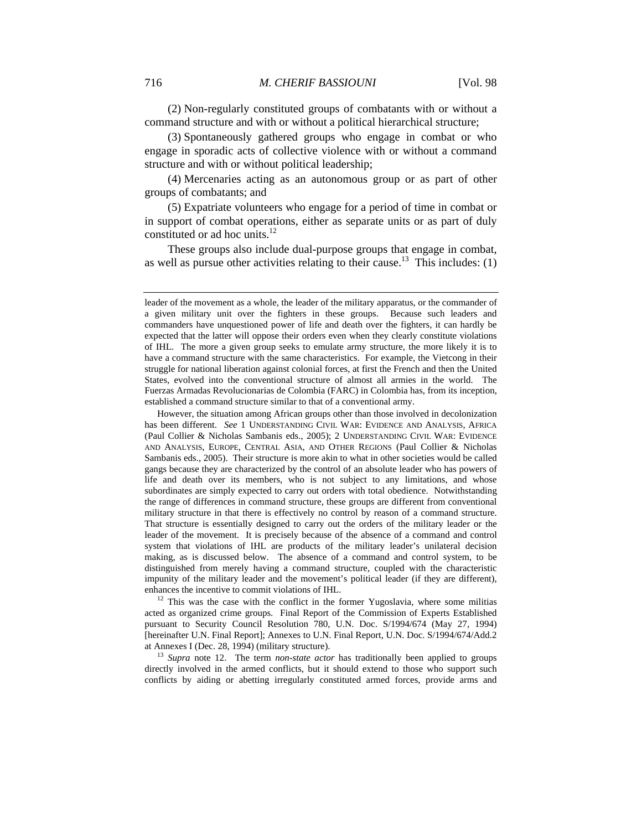(2) Non-regularly constituted groups of combatants with or without a command structure and with or without a political hierarchical structure;

(3) Spontaneously gathered groups who engage in combat or who engage in sporadic acts of collective violence with or without a command structure and with or without political leadership;

(4) Mercenaries acting as an autonomous group or as part of other groups of combatants; and

(5) Expatriate volunteers who engage for a period of time in combat or in support of combat operations, either as separate units or as part of duly constituted or ad hoc units.<sup>12</sup>

These groups also include dual-purpose groups that engage in combat, as well as pursue other activities relating to their cause.<sup>13</sup> This includes: (1)

 However, the situation among African groups other than those involved in decolonization has been different. *See* 1 UNDERSTANDING CIVIL WAR: EVIDENCE AND ANALYSIS, AFRICA (Paul Collier & Nicholas Sambanis eds., 2005); 2 UNDERSTANDING CIVIL WAR: EVIDENCE AND ANALYSIS, EUROPE, CENTRAL ASIA, AND OTHER REGIONS (Paul Collier & Nicholas Sambanis eds., 2005). Their structure is more akin to what in other societies would be called gangs because they are characterized by the control of an absolute leader who has powers of life and death over its members, who is not subject to any limitations, and whose subordinates are simply expected to carry out orders with total obedience. Notwithstanding the range of differences in command structure, these groups are different from conventional military structure in that there is effectively no control by reason of a command structure. That structure is essentially designed to carry out the orders of the military leader or the leader of the movement. It is precisely because of the absence of a command and control system that violations of IHL are products of the military leader's unilateral decision making, as is discussed below. The absence of a command and control system, to be distinguished from merely having a command structure, coupled with the characteristic impunity of the military leader and the movement's political leader (if they are different), enhances the incentive to commit violations of IHL.<br><sup>12</sup> This was the case with the conflict in the former Yugoslavia, where some militias

acted as organized crime groups. Final Report of the Commission of Experts Established pursuant to Security Council Resolution 780, U.N. Doc. S/1994/674 (May 27, 1994) [hereinafter U.N. Final Report]; Annexes to U.N. Final Report, U.N. Doc. S/1994/674/Add.2 at Annexes I (Dec. 28, 1994) (military structure). 13 *Supra* note 12.The term *non-state actor* has traditionally been applied to groups

directly involved in the armed conflicts, but it should extend to those who support such conflicts by aiding or abetting irregularly constituted armed forces, provide arms and

leader of the movement as a whole, the leader of the military apparatus, or the commander of a given military unit over the fighters in these groups. Because such leaders and commanders have unquestioned power of life and death over the fighters, it can hardly be expected that the latter will oppose their orders even when they clearly constitute violations of IHL. The more a given group seeks to emulate army structure, the more likely it is to have a command structure with the same characteristics. For example, the Vietcong in their struggle for national liberation against colonial forces, at first the French and then the United States, evolved into the conventional structure of almost all armies in the world. The Fuerzas Armadas Revolucionarias de Colombia (FARC) in Colombia has, from its inception, established a command structure similar to that of a conventional army.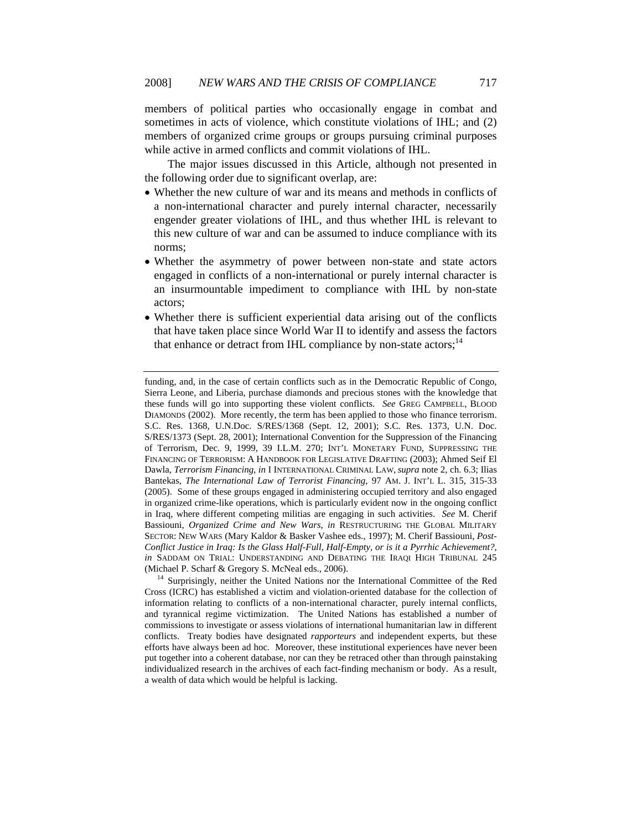members of political parties who occasionally engage in combat and sometimes in acts of violence, which constitute violations of IHL; and (2) members of organized crime groups or groups pursuing criminal purposes while active in armed conflicts and commit violations of IHL.

The major issues discussed in this Article, although not presented in the following order due to significant overlap, are:

- Whether the new culture of war and its means and methods in conflicts of a non-international character and purely internal character, necessarily engender greater violations of IHL, and thus whether IHL is relevant to this new culture of war and can be assumed to induce compliance with its norms;
- Whether the asymmetry of power between non-state and state actors engaged in conflicts of a non-international or purely internal character is an insurmountable impediment to compliance with IHL by non-state actors;
- Whether there is sufficient experiential data arising out of the conflicts that have taken place since World War II to identify and assess the factors that enhance or detract from IHL compliance by non-state actors;<sup>14</sup>

funding, and, in the case of certain conflicts such as in the Democratic Republic of Congo, Sierra Leone, and Liberia, purchase diamonds and precious stones with the knowledge that these funds will go into supporting these violent conflicts. *See* GREG CAMPBELL, BLOOD DIAMONDS (2002). More recently, the term has been applied to those who finance terrorism. S.C. Res. 1368, U.N.Doc. S/RES/1368 (Sept. 12, 2001); S.C. Res. 1373, U.N. Doc. S/RES/1373 (Sept. 28, 2001); International Convention for the Suppression of the Financing of Terrorism, Dec. 9, 1999, 39 I.L.M. 270; INT'L MONETARY FUND, SUPPRESSING THE FINANCING OF TERRORISM: A HANDBOOK FOR LEGISLATIVE DRAFTING (2003); Ahmed Seif El Dawla, *Terrorism Financing*, *in* I INTERNATIONAL CRIMINAL LAW, *supra* note 2, ch. 6.3; Ilias Bantekas, *The International Law of Terrorist Financing*, 97 AM. J. INT'L L. 315, 315-33 (2005). Some of these groups engaged in administering occupied territory and also engaged in organized crime-like operations, which is particularly evident now in the ongoing conflict in Iraq, where different competing militias are engaging in such activities. *See* M. Cherif Bassiouni, *Organized Crime and New Wars*, *in* RESTRUCTURING THE GLOBAL MILITARY SECTOR: NEW WARS (Mary Kaldor & Basker Vashee eds., 1997); M. Cherif Bassiouni, *Post-Conflict Justice in Iraq: Is the Glass Half-Full, Half-Empty, or is it a Pyrrhic Achievement?*, *in* SADDAM ON TRIAL: UNDERSTANDING AND DEBATING THE IRAQI HIGH TRIBUNAL 245 (Michael P. Scharf & Gregory S. McNeal eds., 2006). 14 Surprisingly, neither the United Nations nor the International Committee of the Red

Cross (ICRC) has established a victim and violation-oriented database for the collection of information relating to conflicts of a non-international character, purely internal conflicts, and tyrannical regime victimization. The United Nations has established a number of commissions to investigate or assess violations of international humanitarian law in different conflicts. Treaty bodies have designated *rapporteurs* and independent experts, but these efforts have always been ad hoc*.* Moreover, these institutional experiences have never been put together into a coherent database, nor can they be retraced other than through painstaking individualized research in the archives of each fact-finding mechanism or body. As a result, a wealth of data which would be helpful is lacking.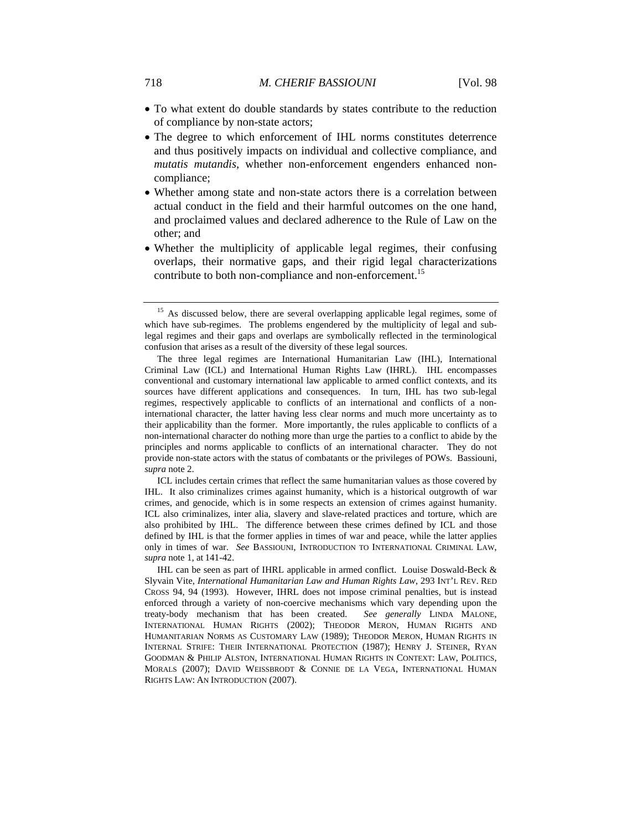- To what extent do double standards by states contribute to the reduction of compliance by non-state actors;
- The degree to which enforcement of IHL norms constitutes deterrence and thus positively impacts on individual and collective compliance, and *mutatis mutandis,* whether non-enforcement engenders enhanced noncompliance;
- Whether among state and non-state actors there is a correlation between actual conduct in the field and their harmful outcomes on the one hand, and proclaimed values and declared adherence to the Rule of Law on the other; and
- Whether the multiplicity of applicable legal regimes, their confusing overlaps, their normative gaps, and their rigid legal characterizations contribute to both non-compliance and non-enforcement.<sup>15</sup>

 ICL includes certain crimes that reflect the same humanitarian values as those covered by IHL. It also criminalizes crimes against humanity, which is a historical outgrowth of war crimes, and genocide, which is in some respects an extension of crimes against humanity. ICL also criminalizes, inter alia, slavery and slave-related practices and torture, which are also prohibited by IHL. The difference between these crimes defined by ICL and those defined by IHL is that the former applies in times of war and peace, while the latter applies only in times of war. *See* BASSIOUNI, INTRODUCTION TO INTERNATIONAL CRIMINAL LAW, *supra* note 1, at 141-42.

<sup>&</sup>lt;sup>15</sup> As discussed below, there are several overlapping applicable legal regimes, some of which have sub-regimes. The problems engendered by the multiplicity of legal and sublegal regimes and their gaps and overlaps are symbolically reflected in the terminological confusion that arises as a result of the diversity of these legal sources.

The three legal regimes are International Humanitarian Law (IHL), International Criminal Law (ICL) and International Human Rights Law (IHRL). IHL encompasses conventional and customary international law applicable to armed conflict contexts, and its sources have different applications and consequences. In turn, IHL has two sub-legal regimes, respectively applicable to conflicts of an international and conflicts of a noninternational character, the latter having less clear norms and much more uncertainty as to their applicability than the former. More importantly, the rules applicable to conflicts of a non-international character do nothing more than urge the parties to a conflict to abide by the principles and norms applicable to conflicts of an international character. They do not provide non-state actors with the status of combatants or the privileges of POWs. Bassiouni, *supra* note 2.

IHL can be seen as part of IHRL applicable in armed conflict. Louise Doswald-Beck & Slyvain Vite, *International Humanitarian Law and Human Rights Law*, 293 INT'L REV. RED CROSS 94, 94 (1993). However, IHRL does not impose criminal penalties, but is instead enforced through a variety of non-coercive mechanisms which vary depending upon the treaty-body mechanism that has been created. *See generally* LINDA MALONE, INTERNATIONAL HUMAN RIGHTS (2002); THEODOR MERON, HUMAN RIGHTS AND HUMANITARIAN NORMS AS CUSTOMARY LAW (1989); THEODOR MERON, HUMAN RIGHTS IN INTERNAL STRIFE: THEIR INTERNATIONAL PROTECTION (1987); HENRY J. STEINER, RYAN GOODMAN & PHILIP ALSTON, INTERNATIONAL HUMAN RIGHTS IN CONTEXT: LAW, POLITICS, MORALS (2007); DAVID WEISSBRODT & CONNIE DE LA VEGA, INTERNATIONAL HUMAN RIGHTS LAW: AN INTRODUCTION (2007).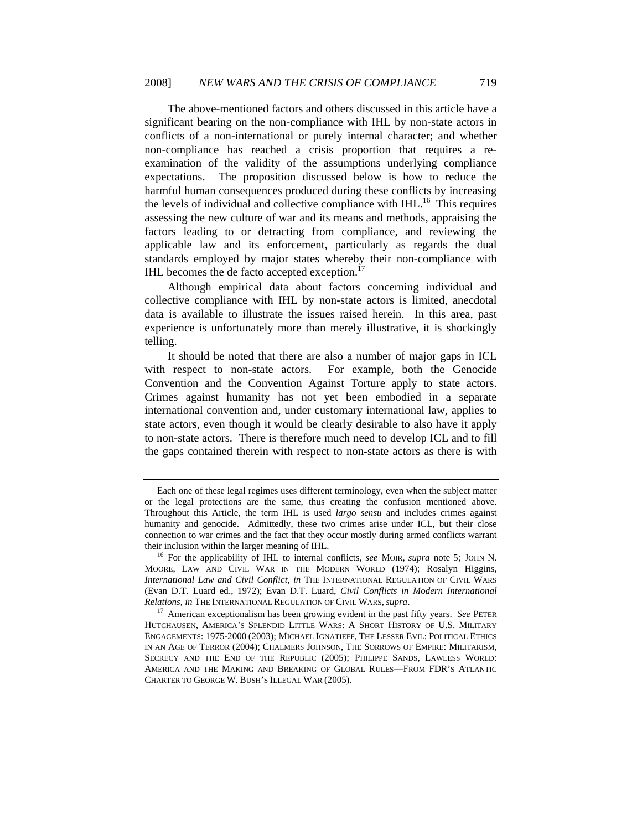The above-mentioned factors and others discussed in this article have a significant bearing on the non-compliance with IHL by non-state actors in conflicts of a non-international or purely internal character; and whether non-compliance has reached a crisis proportion that requires a reexamination of the validity of the assumptions underlying compliance expectations. The proposition discussed below is how to reduce the harmful human consequences produced during these conflicts by increasing the levels of individual and collective compliance with IHL.<sup>16</sup> This requires assessing the new culture of war and its means and methods, appraising the factors leading to or detracting from compliance, and reviewing the applicable law and its enforcement, particularly as regards the dual standards employed by major states whereby their non-compliance with IHL becomes the de facto accepted exception.<sup>17</sup>

Although empirical data about factors concerning individual and collective compliance with IHL by non-state actors is limited, anecdotal data is available to illustrate the issues raised herein. In this area, past experience is unfortunately more than merely illustrative, it is shockingly telling.

It should be noted that there are also a number of major gaps in ICL with respect to non-state actors. For example, both the Genocide Convention and the Convention Against Torture apply to state actors. Crimes against humanity has not yet been embodied in a separate international convention and, under customary international law, applies to state actors, even though it would be clearly desirable to also have it apply to non-state actors. There is therefore much need to develop ICL and to fill the gaps contained therein with respect to non-state actors as there is with

Each one of these legal regimes uses different terminology, even when the subject matter or the legal protections are the same, thus creating the confusion mentioned above. Throughout this Article, the term IHL is used *largo sensu* and includes crimes against humanity and genocide. Admittedly, these two crimes arise under ICL, but their close connection to war crimes and the fact that they occur mostly during armed conflicts warrant their inclusion within the larger meaning of IHL. 16 For the applicability of IHL to internal conflicts, *see* MOIR, *supra* note 5; JOHN N.

MOORE, LAW AND CIVIL WAR IN THE MODERN WORLD (1974); Rosalyn Higgins, *International Law and Civil Conflict*, *in* THE INTERNATIONAL REGULATION OF CIVIL WARS (Evan D.T. Luard ed., 1972); Evan D.T. Luard, *Civil Conflicts in Modern International Relations*, *in* THE INTERNATIONAL REGULATION OF CIVIL WARS, *supra*. 17 American exceptionalism has been growing evident in the past fifty years. *See* PETER

HUTCHAUSEN, AMERICA'S SPLENDID LITTLE WARS: A SHORT HISTORY OF U.S. MILITARY ENGAGEMENTS: 1975-2000 (2003); MICHAEL IGNATIEFF, THE LESSER EVIL: POLITICAL ETHICS IN AN AGE OF TERROR (2004); CHALMERS JOHNSON, THE SORROWS OF EMPIRE: MILITARISM, SECRECY AND THE END OF THE REPUBLIC (2005); PHILIPPE SANDS, LAWLESS WORLD: AMERICA AND THE MAKING AND BREAKING OF GLOBAL RULES—FROM FDR'S ATLANTIC CHARTER TO GEORGE W. BUSH'S ILLEGAL WAR (2005).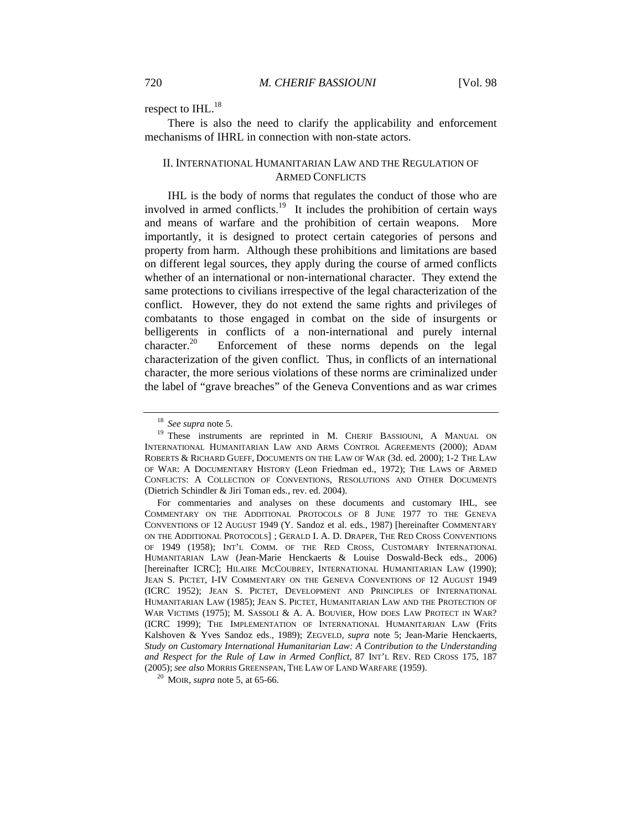respect to IHL.<sup>18</sup>

There is also the need to clarify the applicability and enforcement mechanisms of IHRL in connection with non-state actors.

## II. INTERNATIONAL HUMANITARIAN LAW AND THE REGULATION OF ARMED CONFLICTS

IHL is the body of norms that regulates the conduct of those who are involved in armed conflicts.<sup>19</sup> It includes the prohibition of certain ways and means of warfare and the prohibition of certain weapons. More importantly, it is designed to protect certain categories of persons and property from harm. Although these prohibitions and limitations are based on different legal sources, they apply during the course of armed conflicts whether of an international or non-international character. They extend the same protections to civilians irrespective of the legal characterization of the conflict. However, they do not extend the same rights and privileges of combatants to those engaged in combat on the side of insurgents or belligerents in conflicts of a non-international and purely internal character.<sup>20</sup> Enforcement of these norms depends on the legal characterization of the given conflict. Thus, in conflicts of an international character, the more serious violations of these norms are criminalized under the label of "grave breaches" of the Geneva Conventions and as war crimes

<sup>&</sup>lt;sup>18</sup> *See supra* note 5.<br><sup>19</sup> These instruments are reprinted in M. CHERIF BASSIOUNI, A MANUAL ON INTERNATIONAL HUMANITARIAN LAW AND ARMS CONTROL AGREEMENTS (2000); ADAM ROBERTS & RICHARD GUEFF, DOCUMENTS ON THE LAW OF WAR (3d. ed. 2000); 1-2 THE LAW OF WAR: A DOCUMENTARY HISTORY (Leon Friedman ed., 1972); THE LAWS OF ARMED CONFLICTS: A COLLECTION OF CONVENTIONS, RESOLUTIONS AND OTHER DOCUMENTS (Dietrich Schindler & Jiri Toman eds., rev. ed. 2004).

For commentaries and analyses on these documents and customary IHL, see COMMENTARY ON THE ADDITIONAL PROTOCOLS OF 8 JUNE 1977 TO THE GENEVA CONVENTIONS OF 12 AUGUST 1949 (Y. Sandoz et al. eds., 1987) [hereinafter COMMENTARY ON THE ADDITIONAL PROTOCOLS] ; GERALD I. A. D. DRAPER, THE RED CROSS CONVENTIONS OF 1949 (1958); INT'L COMM. OF THE RED CROSS, CUSTOMARY INTERNATIONAL HUMANITARIAN LAW (Jean-Marie Henckaerts & Louise Doswald-Beck eds., 2006) [hereinafter ICRC]; HILAIRE MCCOUBREY, INTERNATIONAL HUMANITARIAN LAW (1990); JEAN S. PICTET, I-IV COMMENTARY ON THE GENEVA CONVENTIONS OF 12 AUGUST 1949 (ICRC 1952); JEAN S. PICTET, DEVELOPMENT AND PRINCIPLES OF INTERNATIONAL HUMANITARIAN LAW (1985); JEAN S. PICTET, HUMANITARIAN LAW AND THE PROTECTION OF WAR VICTIMS (1975); M. SASSOLI & A. A. BOUVIER, HOW DOES LAW PROTECT IN WAR? (ICRC 1999); THE IMPLEMENTATION OF INTERNATIONAL HUMANITARIAN LAW (Frits Kalshoven & Yves Sandoz eds., 1989); ZEGVELD, *supra* note 5; Jean-Marie Henckaerts, *Study on Customary International Humanitarian Law: A Contribution to the Understanding and Respect for the Rule of Law in Armed Conflict*, 87 INT'L REV. RED CROSS 175, 187 (2005); *See also* MORRIS GREENSPAN, THE LAW OF LAND WARFARE (1959). 20 MOIR, *supra* note 5, at 65-66.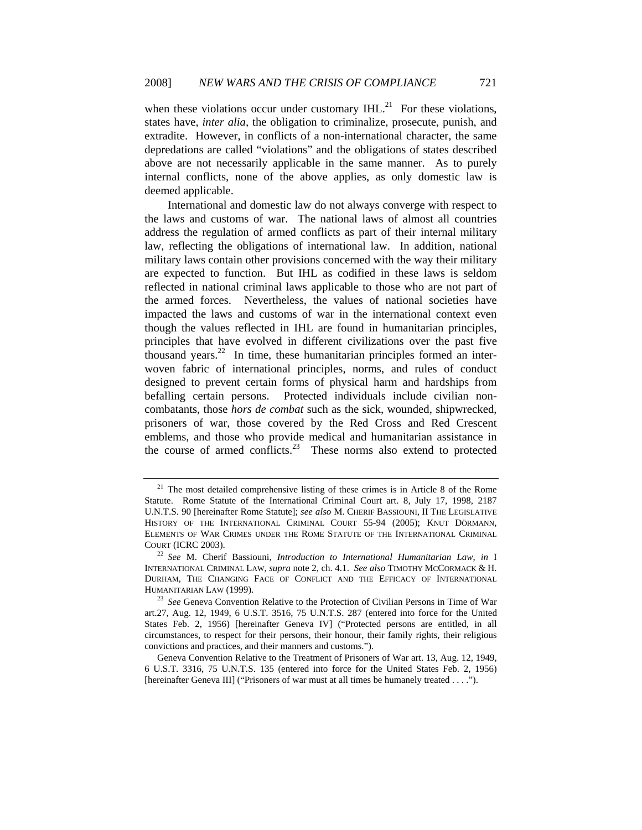when these violations occur under customary  $IHL$ <sup>21</sup> For these violations, states have, *inter alia,* the obligation to criminalize, prosecute, punish, and extradite. However, in conflicts of a non-international character, the same depredations are called "violations" and the obligations of states described above are not necessarily applicable in the same manner. As to purely internal conflicts, none of the above applies, as only domestic law is deemed applicable.

International and domestic law do not always converge with respect to the laws and customs of war. The national laws of almost all countries address the regulation of armed conflicts as part of their internal military law, reflecting the obligations of international law. In addition, national military laws contain other provisions concerned with the way their military are expected to function. But IHL as codified in these laws is seldom reflected in national criminal laws applicable to those who are not part of the armed forces. Nevertheless, the values of national societies have impacted the laws and customs of war in the international context even though the values reflected in IHL are found in humanitarian principles, principles that have evolved in different civilizations over the past five thousand years. $22$  In time, these humanitarian principles formed an interwoven fabric of international principles, norms, and rules of conduct designed to prevent certain forms of physical harm and hardships from befalling certain persons. Protected individuals include civilian noncombatants, those *hors de combat* such as the sick, wounded, shipwrecked, prisoners of war, those covered by the Red Cross and Red Crescent emblems, and those who provide medical and humanitarian assistance in the course of armed conflicts.<sup>23</sup> These norms also extend to protected

 $21$  The most detailed comprehensive listing of these crimes is in Article 8 of the Rome Statute. Rome Statute of the International Criminal Court art. 8, July 17, 1998, 2187 U.N.T.S. 90 [hereinafter Rome Statute]; *see also* M. CHERIF BASSIOUNI, II THE LEGISLATIVE HISTORY OF THE INTERNATIONAL CRIMINAL COURT 55-94 (2005); KNUT DÖRMANN, ELEMENTS OF WAR CRIMES UNDER THE ROME STATUTE OF THE INTERNATIONAL CRIMINAL COURT (ICRC 2003). 22 *See* M. Cherif Bassiouni, *Introduction to International Humanitarian Law*, *in* <sup>I</sup>

INTERNATIONAL CRIMINAL LAW, *supra* note 2, ch. 4.1. *See also* TIMOTHY MCCORMACK & H. DURHAM, THE CHANGING FACE OF CONFLICT AND THE EFFICACY OF INTERNATIONAL HUMANITARIAN LAW (1999). 23 *See* Geneva Convention Relative to the Protection of Civilian Persons in Time of War

art.27, Aug. 12, 1949, 6 U.S.T. 3516, 75 U.N.T.S. 287 (entered into force for the United States Feb. 2, 1956) [hereinafter Geneva IV] ("Protected persons are entitled, in all circumstances, to respect for their persons, their honour, their family rights, their religious convictions and practices, and their manners and customs.").

Geneva Convention Relative to the Treatment of Prisoners of War art. 13, Aug. 12, 1949, 6 U.S.T. 3316, 75 U.N.T.S. 135 (entered into force for the United States Feb. 2, 1956) [hereinafter Geneva III] ("Prisoners of war must at all times be humanely treated . . . .").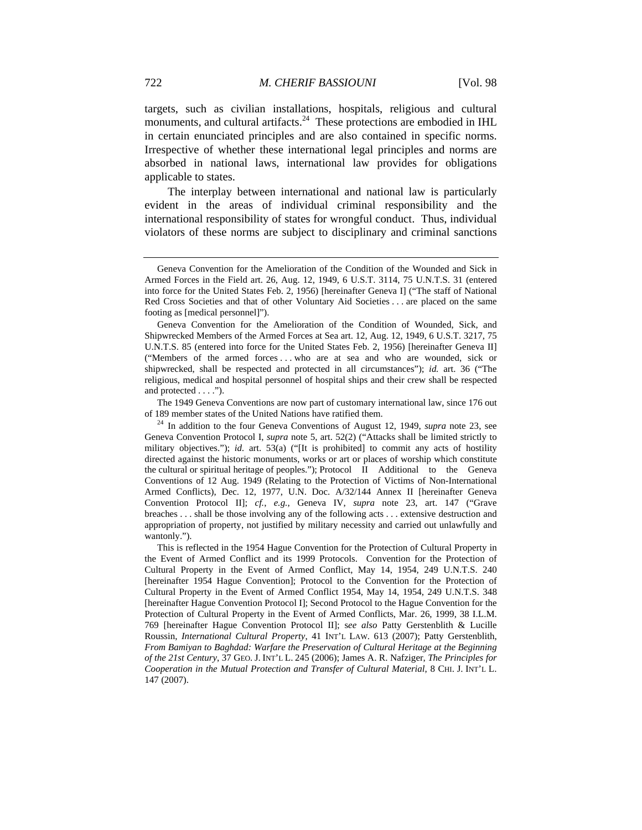targets, such as civilian installations, hospitals, religious and cultural monuments, and cultural artifacts. $24$  These protections are embodied in IHL in certain enunciated principles and are also contained in specific norms. Irrespective of whether these international legal principles and norms are absorbed in national laws, international law provides for obligations applicable to states.

The interplay between international and national law is particularly evident in the areas of individual criminal responsibility and the international responsibility of states for wrongful conduct. Thus, individual violators of these norms are subject to disciplinary and criminal sanctions

The 1949 Geneva Conventions are now part of customary international law, since 176 out

 This is reflected in the 1954 Hague Convention for the Protection of Cultural Property in the Event of Armed Conflict and its 1999 Protocols. Convention for the Protection of Cultural Property in the Event of Armed Conflict, May 14, 1954, 249 U.N.T.S. 240 [hereinafter 1954 Hague Convention]; Protocol to the Convention for the Protection of Cultural Property in the Event of Armed Conflict 1954, May 14, 1954, 249 U.N.T.S. 348 [hereinafter Hague Convention Protocol I]; Second Protocol to the Hague Convention for the Protection of Cultural Property in the Event of Armed Conflicts, Mar. 26, 1999, 38 I.L.M. 769 [hereinafter Hague Convention Protocol II]; s*ee also* Patty Gerstenblith & Lucille Roussin, *International Cultural Property*, 41 INT'L LAW. 613 (2007); Patty Gerstenblith, *From Bamiyan to Baghdad: Warfare the Preservation of Cultural Heritage at the Beginning of the 21st Century*, 37 GEO. J. INT'L L. 245 (2006); James A. R. Nafziger, *The Principles for Cooperation in the Mutual Protection and Transfer of Cultural Material*, 8 CHI. J. INT'L L. 147 (2007).

Geneva Convention for the Amelioration of the Condition of the Wounded and Sick in Armed Forces in the Field art. 26, Aug. 12, 1949, 6 U.S.T. 3114, 75 U.N.T.S. 31 (entered into force for the United States Feb. 2, 1956) [hereinafter Geneva I] ("The staff of National Red Cross Societies and that of other Voluntary Aid Societies . . . are placed on the same footing as [medical personnel]").

Geneva Convention for the Amelioration of the Condition of Wounded, Sick, and Shipwrecked Members of the Armed Forces at Sea art. 12, Aug. 12, 1949, 6 U.S.T. 3217, 75 U.N.T.S. 85 (entered into force for the United States Feb. 2, 1956) [hereinafter Geneva II] ("Members of the armed forces . . . who are at sea and who are wounded, sick or shipwrecked, shall be respected and protected in all circumstances"); *id.* art. 36 ("The religious, medical and hospital personnel of hospital ships and their crew shall be respected and protected . . . .").

of 189 member states of the United Nations have ratified them. 24 In addition to the four Geneva Conventions of August 12, 1949, *supra* note 23, see Geneva Convention Protocol I, *supra* note 5, art. 52(2) ("Attacks shall be limited strictly to military objectives."); *id.* art. 53(a) ("[It is prohibited] to commit any acts of hostility directed against the historic monuments, works or art or places of worship which constitute the cultural or spiritual heritage of peoples."); Protocol II Additional to the Geneva Conventions of 12 Aug. 1949 (Relating to the Protection of Victims of Non-International Armed Conflicts), Dec. 12, 1977, U.N. Doc. A/32/144 Annex II [hereinafter Geneva Convention Protocol II]; *cf.*, *e.g.*, Geneva IV, *supra* note 23, art. 147 ("Grave breaches . . . shall be those involving any of the following acts . . . extensive destruction and appropriation of property, not justified by military necessity and carried out unlawfully and wantonly.").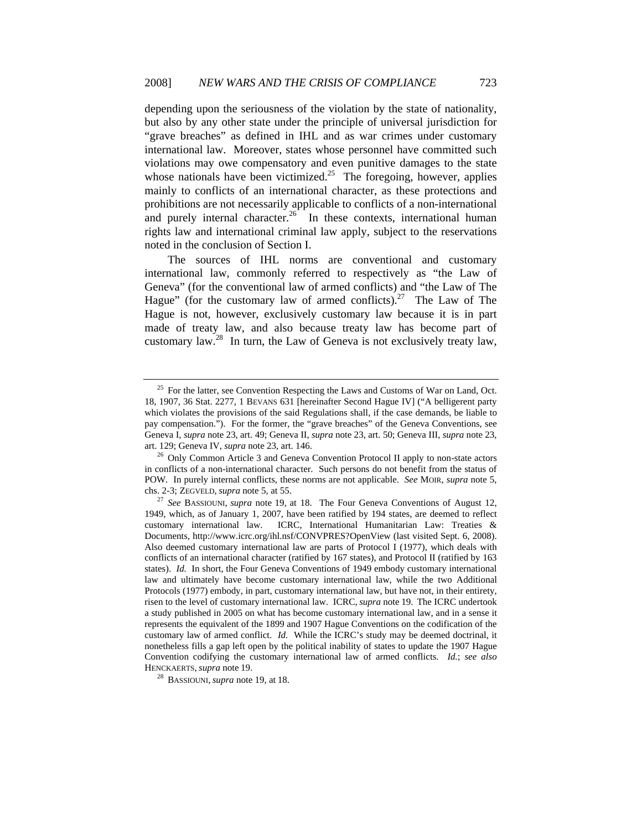depending upon the seriousness of the violation by the state of nationality, but also by any other state under the principle of universal jurisdiction for "grave breaches" as defined in IHL and as war crimes under customary international law. Moreover, states whose personnel have committed such violations may owe compensatory and even punitive damages to the state whose nationals have been victimized.<sup>25</sup> The foregoing, however, applies mainly to conflicts of an international character, as these protections and prohibitions are not necessarily applicable to conflicts of a non-international and purely internal character.<sup>26</sup> In these contexts, international human rights law and international criminal law apply, subject to the reservations noted in the conclusion of Section I.

The sources of IHL norms are conventional and customary international law, commonly referred to respectively as "the Law of Geneva" (for the conventional law of armed conflicts) and "the Law of The Hague" (for the customary law of armed conflicts).<sup>27</sup> The Law of The Hague is not, however, exclusively customary law because it is in part made of treaty law, and also because treaty law has become part of customary law.<sup>28</sup> In turn, the Law of Geneva is not exclusively treaty law,

 $25$  For the latter, see Convention Respecting the Laws and Customs of War on Land, Oct. 18, 1907, 36 Stat. 2277, 1 BEVANS 631 [hereinafter Second Hague IV] ("A belligerent party which violates the provisions of the said Regulations shall, if the case demands, be liable to pay compensation."). For the former, the "grave breaches" of the Geneva Conventions, see Geneva I, *supra* note 23, art. 49; Geneva II, *supra* note 23, art. 50; Geneva III, *supra* note 23, art. 129; Geneva IV, *supra* note 23, art. 146.<br><sup>26</sup> Only Common Article 3 and Geneva Convention Protocol II apply to non-state actors

in conflicts of a non-international character. Such persons do not benefit from the status of POW. In purely internal conflicts, these norms are not applicable. *See* MOIR, *supra* note 5,

chs. 2-3; ZEGVELD, *supra* note 5, at 55. 27 *See* BASSIOUNI, *supra* note 19, at 18. The Four Geneva Conventions of August 12, 1949, which, as of January 1, 2007, have been ratified by 194 states, are deemed to reflect customary international law. ICRC, International Humanitarian Law: Treaties & Documents, http://www.icrc.org/ihl.nsf/CONVPRES?OpenView (last visited Sept. 6, 2008). Also deemed customary international law are parts of Protocol I (1977), which deals with conflicts of an international character (ratified by 167 states), and Protocol II (ratified by 163 states). *Id.* In short, the Four Geneva Conventions of 1949 embody customary international law and ultimately have become customary international law, while the two Additional Protocols (1977) embody, in part, customary international law, but have not, in their entirety, risen to the level of customary international law. ICRC, *supra* note 19. The ICRC undertook a study published in 2005 on what has become customary international law, and in a sense it represents the equivalent of the 1899 and 1907 Hague Conventions on the codification of the customary law of armed conflict. *Id.* While the ICRC's study may be deemed doctrinal, it nonetheless fills a gap left open by the political inability of states to update the 1907 Hague Convention codifying the customary international law of armed conflicts. *Id.*; *see also*  HENCKAERTS, *supra* note 19. 28 BASSIOUNI, *supra* note 19, at 18.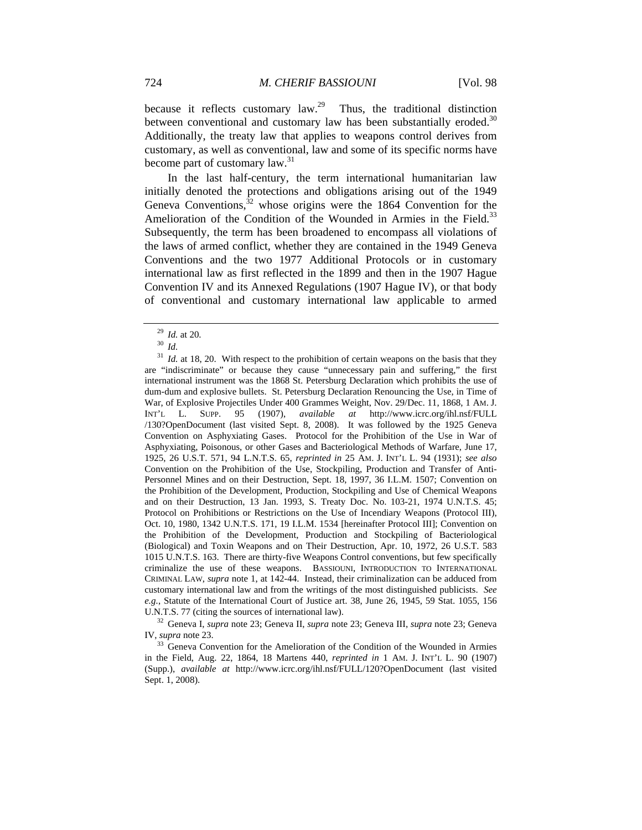because it reflects customary law.<sup>29</sup> Thus, the traditional distinction between conventional and customary law has been substantially eroded.<sup>30</sup> Additionally, the treaty law that applies to weapons control derives from customary, as well as conventional, law and some of its specific norms have become part of customary law.<sup>31</sup>

In the last half-century, the term international humanitarian law initially denoted the protections and obligations arising out of the 1949 Geneva Conventions, $32$  whose origins were the 1864 Convention for the Amelioration of the Condition of the Wounded in Armies in the Field.<sup>33</sup> Subsequently, the term has been broadened to encompass all violations of the laws of armed conflict, whether they are contained in the 1949 Geneva Conventions and the two 1977 Additional Protocols or in customary international law as first reflected in the 1899 and then in the 1907 Hague Convention IV and its Annexed Regulations (1907 Hague IV), or that body of conventional and customary international law applicable to armed

IV, *supra* note 23.

<sup>29</sup> *Id.* at 20. 30 *Id.*

<sup>&</sup>lt;sup>31</sup> *Id.* at 18, 20. With respect to the prohibition of certain weapons on the basis that they are "indiscriminate" or because they cause "unnecessary pain and suffering," the first international instrument was the 1868 St. Petersburg Declaration which prohibits the use of dum-dum and explosive bullets. St. Petersburg Declaration Renouncing the Use, in Time of War, of Explosive Projectiles Under 400 Grammes Weight, Nov. 29/Dec. 11, 1868, 1 AM. J. INT'L L. SUPP. 95 (1907), *available at* http://www.icrc.org/ihl.nsf/FULL /130?OpenDocument (last visited Sept. 8, 2008). It was followed by the 1925 Geneva Convention on Asphyxiating Gases. Protocol for the Prohibition of the Use in War of Asphyxiating, Poisonous, or other Gases and Bacteriological Methods of Warfare, June 17, 1925, 26 U.S.T. 571, 94 L.N.T.S. 65, *reprinted in* 25 AM. J. INT'L L. 94 (1931); *see also*  Convention on the Prohibition of the Use, Stockpiling, Production and Transfer of Anti-Personnel Mines and on their Destruction, Sept. 18, 1997, 36 I.L.M. 1507; Convention on the Prohibition of the Development, Production, Stockpiling and Use of Chemical Weapons and on their Destruction, 13 Jan. 1993, S. Treaty Doc. No. 103-21, 1974 U.N.T.S. 45; Protocol on Prohibitions or Restrictions on the Use of Incendiary Weapons (Protocol III), Oct. 10, 1980, 1342 U.N.T.S. 171, 19 I.L.M. 1534 [hereinafter Protocol III]; Convention on the Prohibition of the Development, Production and Stockpiling of Bacteriological (Biological) and Toxin Weapons and on Their Destruction, Apr. 10, 1972, 26 U.S.T. 583 1015 U.N.T.S. 163. There are thirty-five Weapons Control conventions, but few specifically criminalize the use of these weapons. BASSIOUNI, INTRODUCTION TO INTERNATIONAL CRIMINAL LAW, *supra* note 1, at 142-44. Instead, their criminalization can be adduced from customary international law and from the writings of the most distinguished publicists. *See e.g.*, Statute of the International Court of Justice art. 38, June 26, 1945, 59 Stat. 1055, 156 U.N.T.S. 77 (citing the sources of international law). 32 Geneva I, *supra* note 23; Geneva II, *supra* note 23; Geneva III, *supra* note 23; Geneva

<sup>&</sup>lt;sup>33</sup> Geneva Convention for the Amelioration of the Condition of the Wounded in Armies in the Field, Aug. 22, 1864, 18 Martens 440, *reprinted in* 1 AM. J. INT'L L. 90 (1907) (Supp.), *available at* http://www.icrc.org/ihl.nsf/FULL/120?OpenDocument (last visited Sept. 1, 2008).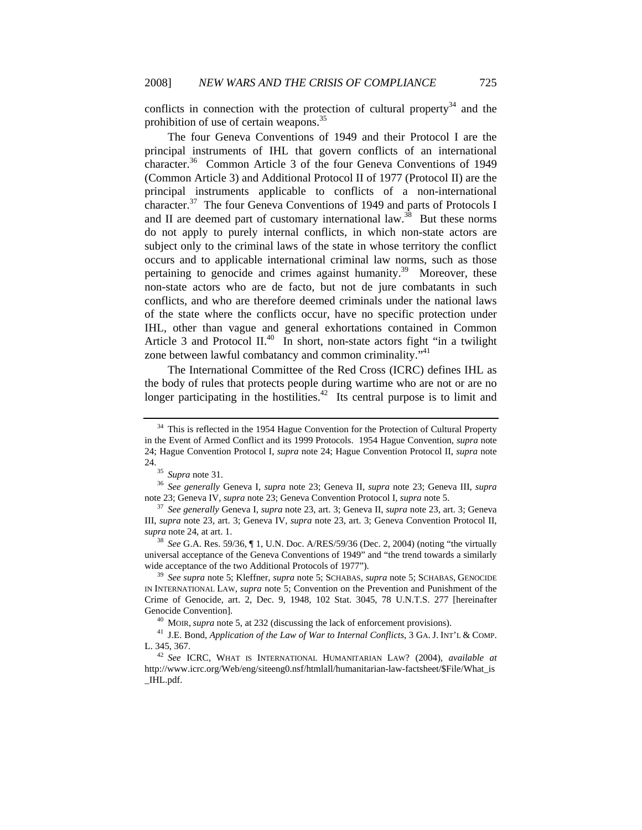conflicts in connection with the protection of cultural property<sup>34</sup> and the prohibition of use of certain weapons.35

The four Geneva Conventions of 1949 and their Protocol I are the principal instruments of IHL that govern conflicts of an international character.<sup>36</sup> Common Article 3 of the four Geneva Conventions of 1949 (Common Article 3) and Additional Protocol II of 1977 (Protocol II) are the principal instruments applicable to conflicts of a non-international character.<sup>37</sup> The four Geneva Conventions of 1949 and parts of Protocols I and II are deemed part of customary international law.<sup>38</sup> But these norms do not apply to purely internal conflicts, in which non-state actors are subject only to the criminal laws of the state in whose territory the conflict occurs and to applicable international criminal law norms, such as those pertaining to genocide and crimes against humanity.<sup>39</sup> Moreover, these non-state actors who are de facto*,* but not de jure combatants in such conflicts, and who are therefore deemed criminals under the national laws of the state where the conflicts occur, have no specific protection under IHL, other than vague and general exhortations contained in Common Article 3 and Protocol  $II^{40}$  In short, non-state actors fight "in a twilight" zone between lawful combatancy and common criminality."<sup>41</sup>

The International Committee of the Red Cross (ICRC) defines IHL as the body of rules that protects people during wartime who are not or are no longer participating in the hostilities.<sup>42</sup> Its central purpose is to limit and

 $34$  This is reflected in the 1954 Hague Convention for the Protection of Cultural Property in the Event of Armed Conflict and its 1999 Protocols. 1954 Hague Convention, *supra* note 24; Hague Convention Protocol I, *supra* note 24; Hague Convention Protocol II, *supra* note 24.  $35$ 

<sup>35</sup> *Supra* note 31. 36 *See generally* Geneva I, *supra* note 23; Geneva II, *supra* note 23; Geneva III, *supra*

note 23; Geneva IV, *supra* note 23; Geneva Convention Protocol I, *supra* note 5. 37 *See generally* Geneva I, *supra* note 23, art. 3; Geneva II, *supra* note 23, art. 3; Geneva III, *supra* note 23, art. 3; Geneva IV, *supra* note 23, art. 3; Geneva Convention Protocol II, *supra* note 24, at art. 1. 38 *See* G.A. Res. 59/36, ¶ 1, U.N. Doc. A/RES/59/36 (Dec. 2, 2004) (noting "the virtually

universal acceptance of the Geneva Conventions of 1949" and "the trend towards a similarly wide acceptance of the two Additional Protocols of 1977"). 39 *See supra* note 5; Kleffner, *supra* note 5; SCHABAS, *supra* note 5; SCHABAS, GENOCIDE

IN INTERNATIONAL LAW, *supra* note 5; Convention on the Prevention and Punishment of the Crime of Genocide, art. 2, Dec. 9, 1948, 102 Stat. 3045, 78 U.N.T.S. 277 [hereinafter

Genocide Convention].<br><sup>40</sup> MOIR, *supra* note 5, at 232 (discussing the lack of enforcement provisions).<br><sup>41</sup> J.E. Bond, *Application of the Law of War to Internal Conflicts*, 3 GA. J. INT'L & COMP.<br>L. 345, 367.

L. 345, 367. 42 *See* ICRC, WHAT IS INTERNATIONAL HUMANITARIAN LAW? (2004), *available at* http://www.icrc.org/Web/eng/siteeng0.nsf/htmlall/humanitarian-law-factsheet/\$File/What\_is \_IHL.pdf.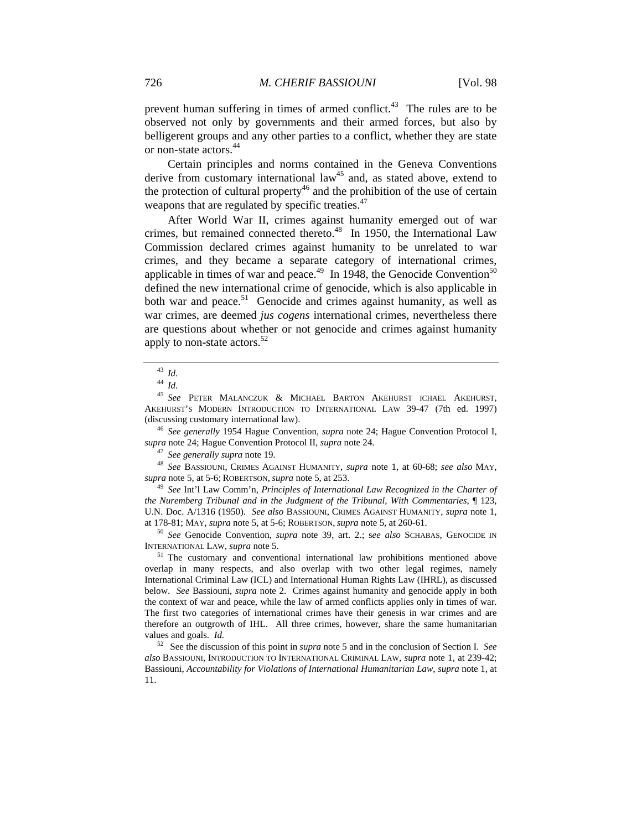prevent human suffering in times of armed conflict. $43$  The rules are to be observed not only by governments and their armed forces, but also by belligerent groups and any other parties to a conflict, whether they are state or non-state actors.<sup>44</sup>

Certain principles and norms contained in the Geneva Conventions derive from customary international law<sup>45</sup> and, as stated above, extend to the protection of cultural property<sup>46</sup> and the prohibition of the use of certain weapons that are regulated by specific treaties.<sup>47</sup>

After World War II, crimes against humanity emerged out of war crimes, but remained connected thereto.<sup>48</sup> In 1950, the International Law Commission declared crimes against humanity to be unrelated to war crimes, and they became a separate category of international crimes, applicable in times of war and peace.<sup>49</sup> In 1948, the Genocide Convention<sup>50</sup> defined the new international crime of genocide, which is also applicable in both war and peace.<sup>51</sup> Genocide and crimes against humanity, as well as war crimes, are deemed *jus cogens* international crimes, nevertheless there are questions about whether or not genocide and crimes against humanity apply to non-state actors.<sup>52</sup>

<sup>45</sup> *See* PETER MALANCZUK & MICHAEL BARTON AKEHURST ICHAEL AKEHURST, AKEHURST'S MODERN INTRODUCTION TO INTERNATIONAL LAW 39-47 (7th ed. 1997) (discussing customary international law). 46 *See generally* 1954 Hague Convention, *supra* note 24; Hague Convention Protocol I,

*supra* note 24; Hague Convention Protocol II, *supra* note 24.<br><sup>47</sup> *See generally supra* note 19.<br><sup>48</sup> *See* BASSIOUNI, CRIMES AGAINST HUMANITY, *supra* note 1, at 60-68; *see also* MAY, *supra* note 5, at 5-6; ROBERTSON

<sup>49</sup> See Int'l Law Comm'n, *Principles of International Law Recognized in the Charter of the Nuremberg Tribunal and in the Judgment of the Tribunal, With Commentaries*, ¶ 123, U.N. Doc. A/1316 (1950). *See also* BASSIOUNI, CRIMES AGAINST HUMANITY, *supra* note 1, at 178-81; MAY, *supra* note 5, at 5-6; ROBERTSON, *supra* note 5, at 260-61. 50 *See* Genocide Convention, *supra* note 39, art. 2.; s*ee also* SCHABAS, GENOCIDE IN

INTERNATIONAL LAW, *supra* note 5.<br><sup>51</sup> The customary and conventional international law prohibitions mentioned above

overlap in many respects, and also overlap with two other legal regimes, namely International Criminal Law (ICL) and International Human Rights Law (IHRL), as discussed below. *See* Bassiouni, *supra* note 2. Crimes against humanity and genocide apply in both the context of war and peace, while the law of armed conflicts applies only in times of war. The first two categories of international crimes have their genesis in war crimes and are therefore an outgrowth of IHL. All three crimes, however, share the same humanitarian values and goals. *Id.* 

52 See the discussion of this point in *supra* note 5 and in the conclusion of Section I. *See also* BASSIOUNI, INTRODUCTION TO INTERNATIONAL CRIMINAL LAW, *supra* note 1, at 239-42; Bassiouni, *Accountability for Violations of International Humanitarian Law*, *supra* note 1, at 11.

<sup>43</sup> *Id.*

<sup>44</sup> *Id.*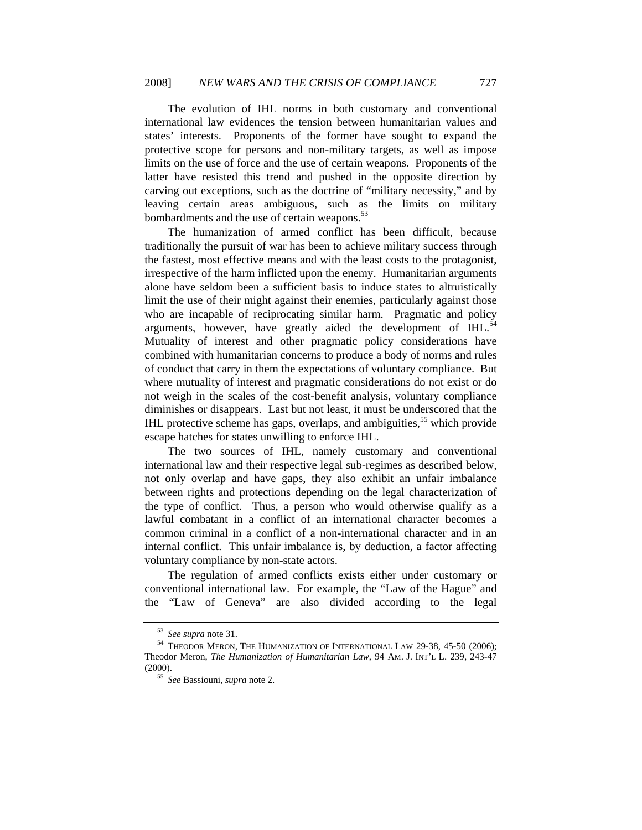The evolution of IHL norms in both customary and conventional international law evidences the tension between humanitarian values and states' interests. Proponents of the former have sought to expand the protective scope for persons and non-military targets, as well as impose limits on the use of force and the use of certain weapons. Proponents of the latter have resisted this trend and pushed in the opposite direction by carving out exceptions, such as the doctrine of "military necessity," and by leaving certain areas ambiguous, such as the limits on military bombardments and the use of certain weapons.<sup>53</sup>

The humanization of armed conflict has been difficult, because traditionally the pursuit of war has been to achieve military success through the fastest, most effective means and with the least costs to the protagonist, irrespective of the harm inflicted upon the enemy. Humanitarian arguments alone have seldom been a sufficient basis to induce states to altruistically limit the use of their might against their enemies, particularly against those who are incapable of reciprocating similar harm. Pragmatic and policy arguments, however, have greatly aided the development of  $IHL$ <sup>54</sup> Mutuality of interest and other pragmatic policy considerations have combined with humanitarian concerns to produce a body of norms and rules of conduct that carry in them the expectations of voluntary compliance. But where mutuality of interest and pragmatic considerations do not exist or do not weigh in the scales of the cost-benefit analysis, voluntary compliance diminishes or disappears. Last but not least, it must be underscored that the IHL protective scheme has gaps, overlaps, and ambiguities,<sup>55</sup> which provide escape hatches for states unwilling to enforce IHL.

The two sources of IHL, namely customary and conventional international law and their respective legal sub-regimes as described below, not only overlap and have gaps, they also exhibit an unfair imbalance between rights and protections depending on the legal characterization of the type of conflict. Thus, a person who would otherwise qualify as a lawful combatant in a conflict of an international character becomes a common criminal in a conflict of a non-international character and in an internal conflict. This unfair imbalance is, by deduction, a factor affecting voluntary compliance by non-state actors.

The regulation of armed conflicts exists either under customary or conventional international law. For example, the "Law of the Hague" and the "Law of Geneva" are also divided according to the legal

<sup>53</sup> *See supra* note 31. 54 THEODOR MERON, THE HUMANIZATION OF INTERNATIONAL LAW 29-38, 45-50 (2006); Theodor Meron, *The Humanization of Humanitarian Law*, 94 AM. J. INT'L L. 239, 243-47 (2000). 55 *See* Bassiouni, *supra* note 2.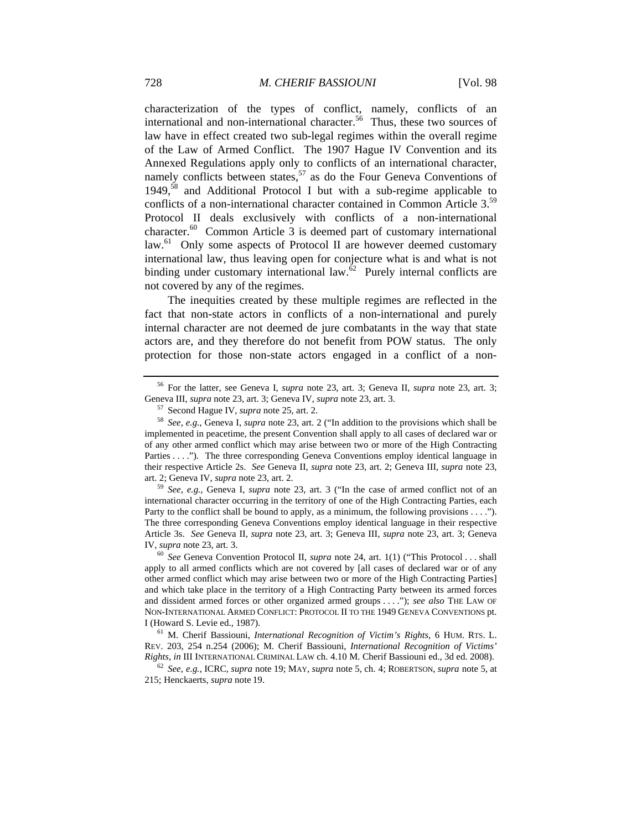characterization of the types of conflict, namely, conflicts of an international and non-international character.<sup>56</sup> Thus, these two sources of law have in effect created two sub-legal regimes within the overall regime of the Law of Armed Conflict. The 1907 Hague IV Convention and its Annexed Regulations apply only to conflicts of an international character, namely conflicts between states,  $57$  as do the Four Geneva Conventions of 1949,<sup>58</sup> and Additional Protocol I but with a sub-regime applicable to conflicts of a non-international character contained in Common Article 3.<sup>59</sup> Protocol II deals exclusively with conflicts of a non-international character.60 Common Article 3 is deemed part of customary international law.<sup>61</sup> Only some aspects of Protocol II are however deemed customary international law, thus leaving open for conjecture what is and what is not binding under customary international law. $62$  Purely internal conflicts are not covered by any of the regimes.

The inequities created by these multiple regimes are reflected in the fact that non-state actors in conflicts of a non-international and purely internal character are not deemed de jure combatants in the way that state actors are, and they therefore do not benefit from POW status. The only protection for those non-state actors engaged in a conflict of a non-

international character occurring in the territory of one of the High Contracting Parties, each Party to the conflict shall be bound to apply, as a minimum, the following provisions . . . ."). The three corresponding Geneva Conventions employ identical language in their respective Article 3s. *See* Geneva II, *supra* note 23, art. 3; Geneva III, *supra* note 23, art. 3; Geneva IV, *supra* note 23, art. 3. 60 *See* Geneva Convention Protocol II, *supra* note 24, art. 1(1) ("This Protocol . . . shall

apply to all armed conflicts which are not covered by [all cases of declared war or of any other armed conflict which may arise between two or more of the High Contracting Parties] and which take place in the territory of a High Contracting Party between its armed forces and dissident armed forces or other organized armed groups . . . ."); *see also* THE LAW OF NON-INTERNATIONAL ARMED CONFLICT: PROTOCOL II TO THE 1949 GENEVA CONVENTIONS pt. I (Howard S. Levie ed., 1987). 61 M. Cherif Bassiouni, *International Recognition of Victim's Rights*, 6 HUM. RTS. L.

REV. 203, 254 n.254 (2006); M. Cherif Bassiouni, *International Recognition of Victims' Rights, in* III INTERNATIONAL CRIMINAL LAW ch. 4.10 M. Cherif Bassiouni ed., 3d ed. 2008).<br><sup>62</sup> *See, e.g.,* ICRC, *supra* note 19; MAY, *supra* note 5, ch. 4; ROBERTSON, *supra* note 5, at

215; Henckaerts, *supra* note 19.

<sup>56</sup> For the latter, see Geneva I, *supra* note 23, art. 3; Geneva II, *supra* note 23, art. 3;

<sup>&</sup>lt;sup>57</sup> Second Hague IV, *supra* note 25, art. 2.<br><sup>58</sup> See, e.g., Geneva I, *supra* note 23, art. 2 ("In addition to the provisions which shall be implemented in peacetime, the present Convention shall apply to all cases of declared war or of any other armed conflict which may arise between two or more of the High Contracting Parties . . . ."). The three corresponding Geneva Conventions employ identical language in their respective Article 2s. *See* Geneva II, *supra* note 23, art. 2; Geneva III, *supra* note 23, art. 2; Geneva IV, *supra* note 23, art. 2.<br><sup>59</sup> *See*, *e.g.*, Geneva I, *supra* note 23, art. 3 ("In the case of armed conflict not of an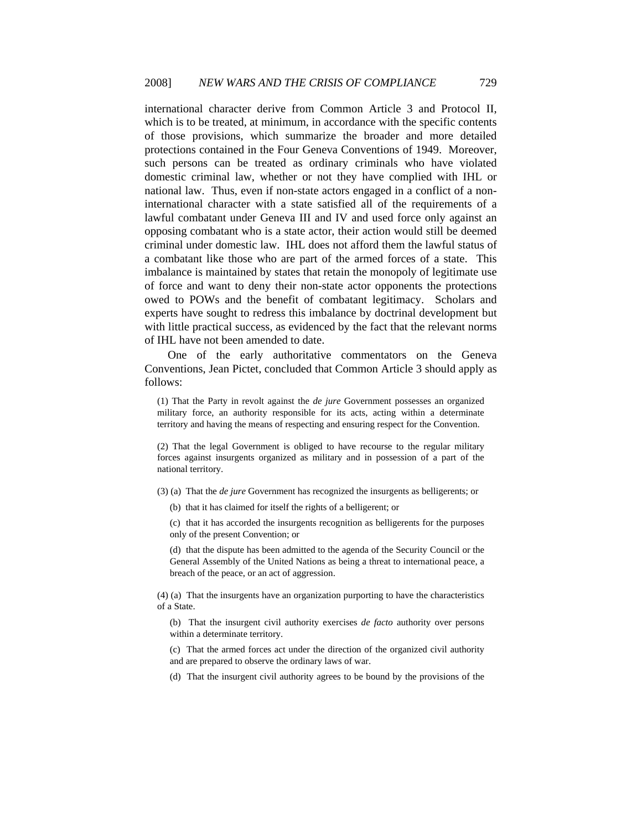international character derive from Common Article 3 and Protocol II, which is to be treated, at minimum, in accordance with the specific contents of those provisions, which summarize the broader and more detailed protections contained in the Four Geneva Conventions of 1949. Moreover, such persons can be treated as ordinary criminals who have violated domestic criminal law, whether or not they have complied with IHL or national law. Thus, even if non-state actors engaged in a conflict of a noninternational character with a state satisfied all of the requirements of a lawful combatant under Geneva III and IV and used force only against an opposing combatant who is a state actor, their action would still be deemed criminal under domestic law. IHL does not afford them the lawful status of a combatant like those who are part of the armed forces of a state. This imbalance is maintained by states that retain the monopoly of legitimate use of force and want to deny their non-state actor opponents the protections owed to POWs and the benefit of combatant legitimacy. Scholars and experts have sought to redress this imbalance by doctrinal development but with little practical success, as evidenced by the fact that the relevant norms of IHL have not been amended to date.

One of the early authoritative commentators on the Geneva Conventions, Jean Pictet, concluded that Common Article 3 should apply as follows:

(1) That the Party in revolt against the *de jure* Government possesses an organized military force, an authority responsible for its acts, acting within a determinate territory and having the means of respecting and ensuring respect for the Convention.

(2) That the legal Government is obliged to have recourse to the regular military forces against insurgents organized as military and in possession of a part of the national territory.

(3) (a) That the *de jure* Government has recognized the insurgents as belligerents; or

(b) that it has claimed for itself the rights of a belligerent; or

(c) that it has accorded the insurgents recognition as belligerents for the purposes only of the present Convention; or

(d) that the dispute has been admitted to the agenda of the Security Council or the General Assembly of the United Nations as being a threat to international peace, a breach of the peace, or an act of aggression.

(4) (a) That the insurgents have an organization purporting to have the characteristics of a State.

(b) That the insurgent civil authority exercises *de facto* authority over persons within a determinate territory.

(c) That the armed forces act under the direction of the organized civil authority and are prepared to observe the ordinary laws of war.

(d) That the insurgent civil authority agrees to be bound by the provisions of the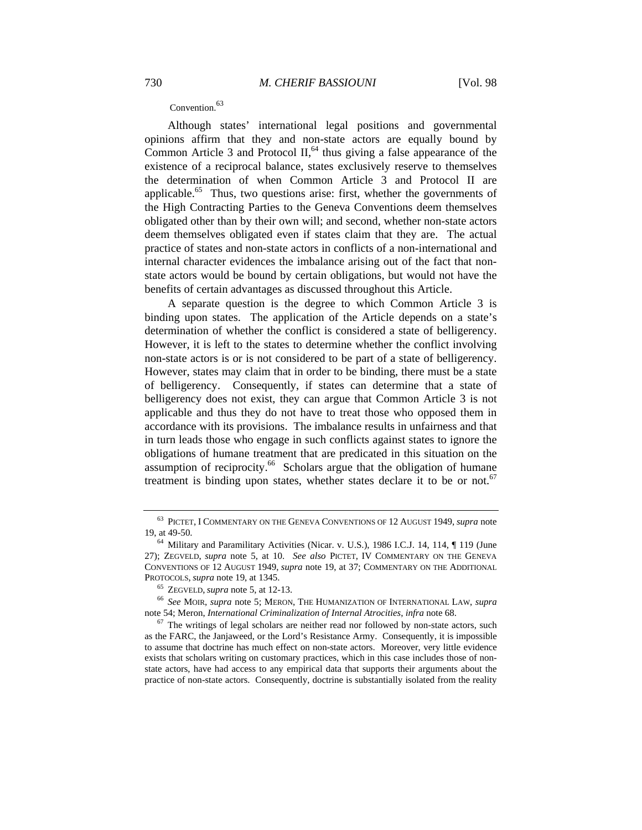## Convention.<sup>63</sup>

Although states' international legal positions and governmental opinions affirm that they and non-state actors are equally bound by Common Article 3 and Protocol  $II<sub>1</sub><sup>64</sup>$  thus giving a false appearance of the existence of a reciprocal balance, states exclusively reserve to themselves the determination of when Common Article 3 and Protocol II are applicable. $65$  Thus, two questions arise: first, whether the governments of the High Contracting Parties to the Geneva Conventions deem themselves obligated other than by their own will; and second, whether non-state actors deem themselves obligated even if states claim that they are. The actual practice of states and non-state actors in conflicts of a non-international and internal character evidences the imbalance arising out of the fact that nonstate actors would be bound by certain obligations, but would not have the benefits of certain advantages as discussed throughout this Article.

A separate question is the degree to which Common Article 3 is binding upon states. The application of the Article depends on a state's determination of whether the conflict is considered a state of belligerency. However, it is left to the states to determine whether the conflict involving non-state actors is or is not considered to be part of a state of belligerency. However, states may claim that in order to be binding, there must be a state of belligerency. Consequently, if states can determine that a state of belligerency does not exist, they can argue that Common Article 3 is not applicable and thus they do not have to treat those who opposed them in accordance with its provisions. The imbalance results in unfairness and that in turn leads those who engage in such conflicts against states to ignore the obligations of humane treatment that are predicated in this situation on the assumption of reciprocity.<sup>66</sup> Scholars argue that the obligation of humane treatment is binding upon states, whether states declare it to be or not.<sup>67</sup>

<sup>63</sup> PICTET, I COMMENTARY ON THE GENEVA CONVENTIONS OF 12 AUGUST 1949, *supra* note 19, at 49-50.<br><sup>64</sup> Military and Paramilitary Activities (Nicar. v. U.S.), 1986 I.C.J. 14, 114, ¶ 119 (June

<sup>27);</sup> ZEGVELD, *supra* note 5, at 10. *See also* PICTET, IV COMMENTARY ON THE GENEVA CONVENTIONS OF 12 AUGUST 1949, *supra* note 19, at 37; COMMENTARY ON THE ADDITIONAL

PROTOCOLS, *supra* note 19, at 1345. 65 ZEGVELD, *supra* note 5, at 12-13. 66 *See* MOIR, *supra* note 5; MERON, THE HUMANIZATION OF INTERNATIONAL LAW, *supra*  note 54; Meron, *International Criminalization of Internal Atrocities*, *infra* note 68. <sup>67</sup> The writings of legal scholars are neither read nor followed by non-state actors, such

as the FARC, the Janjaweed, or the Lord's Resistance Army. Consequently, it is impossible to assume that doctrine has much effect on non-state actors. Moreover, very little evidence exists that scholars writing on customary practices, which in this case includes those of nonstate actors, have had access to any empirical data that supports their arguments about the practice of non-state actors. Consequently, doctrine is substantially isolated from the reality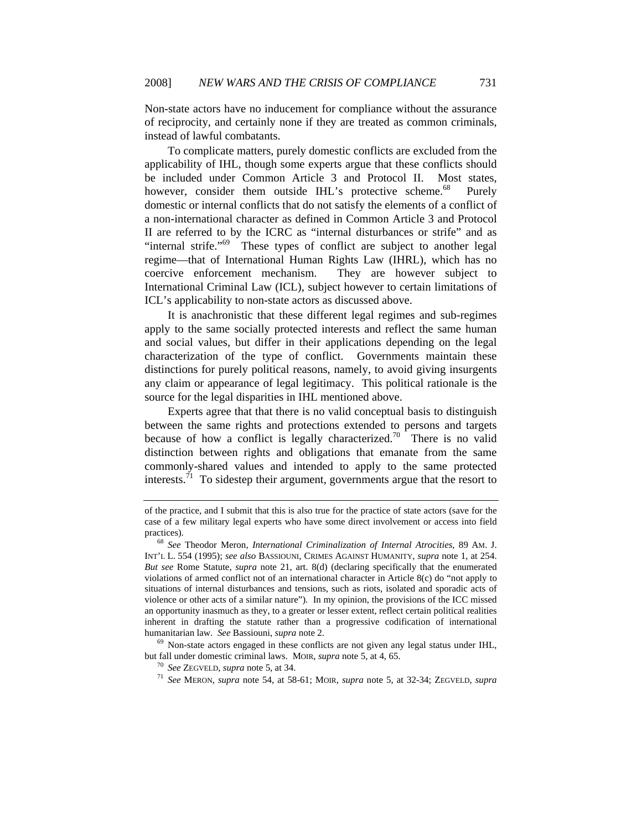Non-state actors have no inducement for compliance without the assurance of reciprocity, and certainly none if they are treated as common criminals, instead of lawful combatants.

To complicate matters, purely domestic conflicts are excluded from the applicability of IHL, though some experts argue that these conflicts should be included under Common Article 3 and Protocol II. Most states, however, consider them outside IHL's protective scheme.<sup>68</sup> Purely domestic or internal conflicts that do not satisfy the elements of a conflict of a non-international character as defined in Common Article 3 and Protocol II are referred to by the ICRC as "internal disturbances or strife" and as "internal strife."<sup>69</sup> These types of conflict are subject to another legal regime—that of International Human Rights Law (IHRL), which has no coercive enforcement mechanism. They are however subject to International Criminal Law (ICL), subject however to certain limitations of ICL's applicability to non-state actors as discussed above.

It is anachronistic that these different legal regimes and sub-regimes apply to the same socially protected interests and reflect the same human and social values, but differ in their applications depending on the legal characterization of the type of conflict. Governments maintain these distinctions for purely political reasons, namely, to avoid giving insurgents any claim or appearance of legal legitimacy. This political rationale is the source for the legal disparities in IHL mentioned above.

Experts agree that that there is no valid conceptual basis to distinguish between the same rights and protections extended to persons and targets because of how a conflict is legally characterized.<sup>70</sup> There is no valid distinction between rights and obligations that emanate from the same commonly-shared values and intended to apply to the same protected interests.<sup>71</sup> To sidestep their argument, governments argue that the resort to

but fall under domestic criminal laws. MOIR, *supra* note 5, at 4, 65.<br><sup>70</sup> See ZEGVELD, *supra* note 5, at 34.<br><sup>71</sup> See MERON, *supra* note 54, at 58-61; MOIR, *supra* note 5, at 32-34; ZEGVELD, *supra* 

of the practice, and I submit that this is also true for the practice of state actors (save for the case of a few military legal experts who have some direct involvement or access into field practices). 68 *See* Theodor Meron, *International Criminalization of Internal Atrocities*, 89 AM. J.

INT'L L. 554 (1995); *see also* BASSIOUNI, CRIMES AGAINST HUMANITY, *supra* note 1, at 254. *But see* Rome Statute, *supra* note 21, art. 8(d) (declaring specifically that the enumerated violations of armed conflict not of an international character in Article 8(c) do "not apply to situations of internal disturbances and tensions, such as riots, isolated and sporadic acts of violence or other acts of a similar nature"). In my opinion, the provisions of the ICC missed an opportunity inasmuch as they, to a greater or lesser extent, reflect certain political realities inherent in drafting the statute rather than a progressive codification of international humanitarian law. *See* Bassiouni, *supra* note 2.<br><sup>69</sup> Non-state actors engaged in these conflicts are not given any legal status under IHL,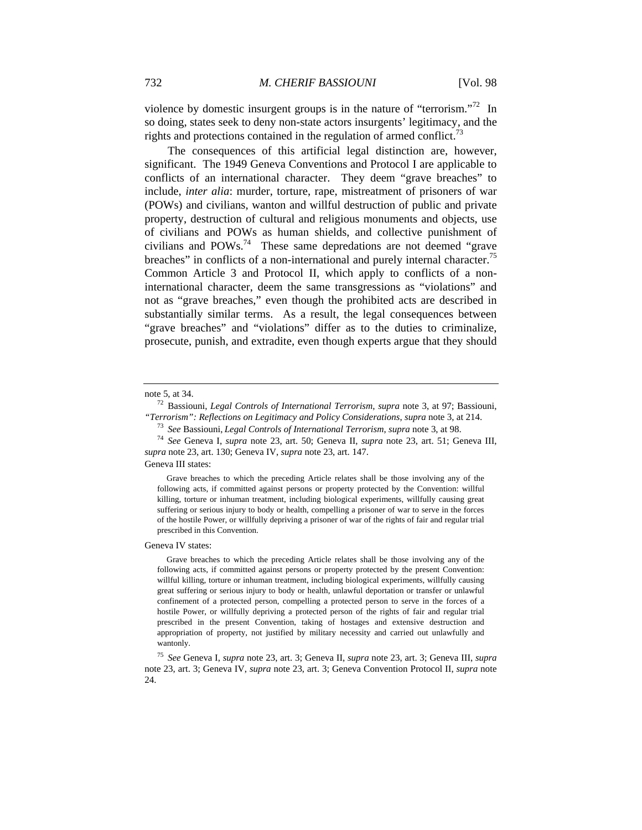violence by domestic insurgent groups is in the nature of "terrorism."<sup>72</sup> In so doing, states seek to deny non-state actors insurgents' legitimacy, and the rights and protections contained in the regulation of armed conflict.<sup>73</sup>

The consequences of this artificial legal distinction are, however, significant. The 1949 Geneva Conventions and Protocol I are applicable to conflicts of an international character. They deem "grave breaches" to include, *inter alia*: murder, torture, rape, mistreatment of prisoners of war (POWs) and civilians, wanton and willful destruction of public and private property, destruction of cultural and religious monuments and objects, use of civilians and POWs as human shields, and collective punishment of civilians and POWs.74 These same depredations are not deemed "grave breaches" in conflicts of a non-international and purely internal character.<sup>75</sup> Common Article 3 and Protocol II, which apply to conflicts of a noninternational character, deem the same transgressions as "violations" and not as "grave breaches," even though the prohibited acts are described in substantially similar terms. As a result, the legal consequences between "grave breaches" and "violations" differ as to the duties to criminalize, prosecute, punish, and extradite, even though experts argue that they should

Geneva III states:

 Grave breaches to which the preceding Article relates shall be those involving any of the following acts, if committed against persons or property protected by the Convention: willful killing, torture or inhuman treatment, including biological experiments, willfully causing great suffering or serious injury to body or health, compelling a prisoner of war to serve in the forces of the hostile Power, or willfully depriving a prisoner of war of the rights of fair and regular trial prescribed in this Convention.

Geneva IV states:

 Grave breaches to which the preceding Article relates shall be those involving any of the following acts, if committed against persons or property protected by the present Convention: willful killing, torture or inhuman treatment, including biological experiments, willfully causing great suffering or serious injury to body or health, unlawful deportation or transfer or unlawful confinement of a protected person, compelling a protected person to serve in the forces of a hostile Power, or willfully depriving a protected person of the rights of fair and regular trial prescribed in the present Convention, taking of hostages and extensive destruction and appropriation of property, not justified by military necessity and carried out unlawfully and wantonly.

<sup>75</sup> *See* Geneva I, *supra* note 23, art. 3; Geneva II, *supra* note 23, art. 3; Geneva III, *supra* note 23, art. 3; Geneva IV, *supra* note 23, art. 3; Geneva Convention Protocol II, *supra* note 24.

note 5, at 34. 72 Bassiouni, *Legal Controls of International Terrorism*, *supra* note 3, at 97; Bassiouni, "Terrorism": Reflections on Legitimacy and Policy Considerations, supra note 3, at 214.<br><sup>73</sup> See Bassiouni, Legal Controls of International Terrorism, supra note 3, at 98.<br><sup>74</sup> See Geneva I, *supra* note 23, art. 50; Genev

*supra* note 23, art. 130; Geneva IV, *supra* note 23, art. 147.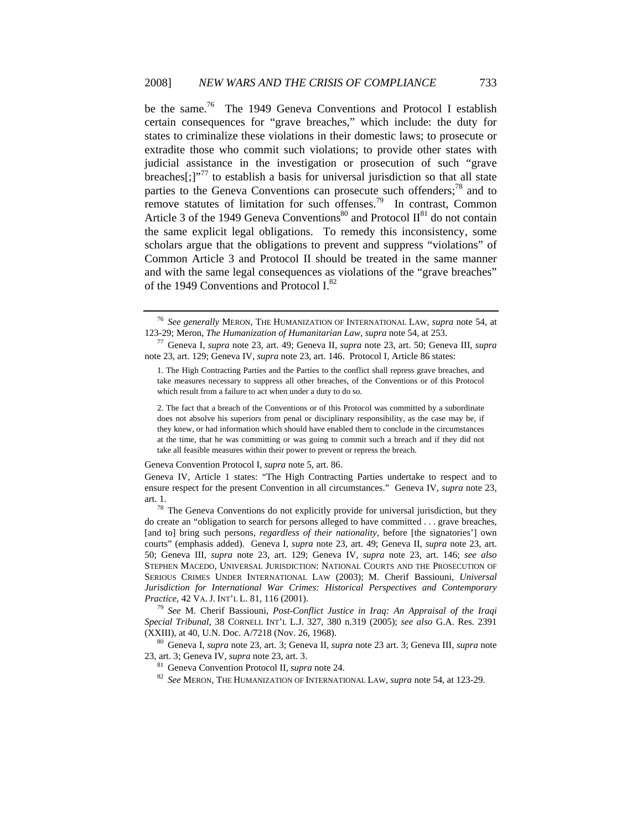be the same.<sup>76</sup> The 1949 Geneva Conventions and Protocol I establish certain consequences for "grave breaches," which include: the duty for states to criminalize these violations in their domestic laws; to prosecute or extradite those who commit such violations; to provide other states with judicial assistance in the investigation or prosecution of such "grave breaches<sup>[:1]</sup><sup>,77</sup> to establish a basis for universal jurisdiction so that all state parties to the Geneva Conventions can prosecute such offenders;<sup>78</sup> and to remove statutes of limitation for such offenses.<sup>79</sup> In contrast, Common Article 3 of the 1949 Geneva Conventions<sup>80</sup> and Protocol  $II^{81}$  do not contain the same explicit legal obligations. To remedy this inconsistency, some scholars argue that the obligations to prevent and suppress "violations" of Common Article 3 and Protocol II should be treated in the same manner and with the same legal consequences as violations of the "grave breaches" of the 1949 Conventions and Protocol I.<sup>82</sup>

#### Geneva Convention Protocol I, *supra* note 5, art. 86.

<sup>79</sup> *See* M. Cherif Bassiouni, *Post-Conflict Justice in Iraq: An Appraisal of the Iraqi Special Tribunal*, 38 CORNELL INT'L L.J. 327, 380 n.319 (2005); *see also* G.A. Res. 2391

(XXIII), at 40, U.N. Doc. A/7218 (Nov. 26, 1968). 80 Geneva I, *supra* note 23, art. 3; Geneva II, *supra* note 23 art. 3; Geneva III, *supra* note

<sup>81</sup> Geneva Convention Protocol II, *supra* note 24.

<sup>82</sup> *See* MERON, THE HUMANIZATION OF INTERNATIONAL LAW, *supra* note 54, at 123-29.

<sup>76</sup> *See generally* MERON, THE HUMANIZATION OF INTERNATIONAL LAW, *supra* note 54, at 123-29; Meron, *The Humanization of Humanitarian Law, supra* note 54, at 253. 77 Geneva I, *supra* note 23, art. 49; Geneva II, *supra* note 23, art. 50; Geneva III, *supra*

note 23, art. 129; Geneva IV, *supra* note 23, art. 146. Protocol I, Article 86 states:

<sup>1.</sup> The High Contracting Parties and the Parties to the conflict shall repress grave breaches, and take measures necessary to suppress all other breaches, of the Conventions or of this Protocol which result from a failure to act when under a duty to do so.

<sup>2.</sup> The fact that a breach of the Conventions or of this Protocol was committed by a subordinate does not absolve his superiors from penal or disciplinary responsibility, as the case may be, if they knew, or had information which should have enabled them to conclude in the circumstances at the time, that he was committing or was going to commit such a breach and if they did not take all feasible measures within their power to prevent or repress the breach.

Geneva IV, Article 1 states: "The High Contracting Parties undertake to respect and to ensure respect for the present Convention in all circumstances." Geneva IV, *supra* note 23, art. 1.<br><sup>78</sup> The Geneva Conventions do not explicitly provide for universal jurisdiction, but they

do create an "obligation to search for persons alleged to have committed . . . grave breaches, [and to] bring such persons, *regardless of their nationality*, before [the signatories'] own courts" (emphasis added). Geneva I, *supra* note 23, art. 49; Geneva II, *supra* note 23, art. 50; Geneva III, *supra* note 23, art. 129; Geneva IV, *supra* note 23, art. 146; *see also* STEPHEN MACEDO, UNIVERSAL JURISDICTION: NATIONAL COURTS AND THE PROSECUTION OF SERIOUS CRIMES UNDER INTERNATIONAL LAW (2003); M. Cherif Bassiouni, *Universal Jurisdiction for International War Crimes: Historical Perspectives and Contemporary Practice*, 42 VA.J. INT'L L. 81, 116 (2001).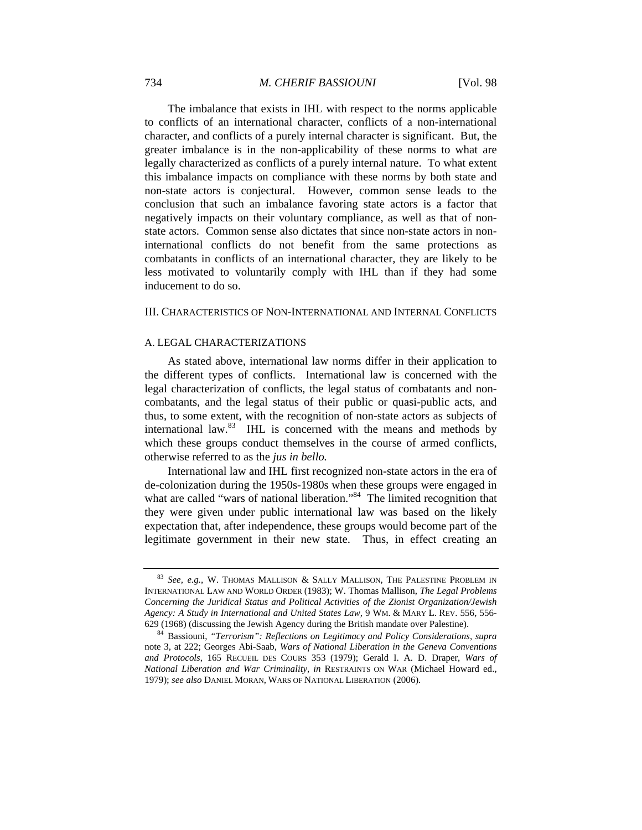The imbalance that exists in IHL with respect to the norms applicable to conflicts of an international character, conflicts of a non-international character, and conflicts of a purely internal character is significant. But, the greater imbalance is in the non-applicability of these norms to what are legally characterized as conflicts of a purely internal nature. To what extent this imbalance impacts on compliance with these norms by both state and non-state actors is conjectural. However, common sense leads to the conclusion that such an imbalance favoring state actors is a factor that negatively impacts on their voluntary compliance, as well as that of nonstate actors. Common sense also dictates that since non-state actors in noninternational conflicts do not benefit from the same protections as combatants in conflicts of an international character, they are likely to be less motivated to voluntarily comply with IHL than if they had some inducement to do so.

#### III. CHARACTERISTICS OF NON-INTERNATIONAL AND INTERNAL CONFLICTS

## A. LEGAL CHARACTERIZATIONS

As stated above, international law norms differ in their application to the different types of conflicts. International law is concerned with the legal characterization of conflicts, the legal status of combatants and noncombatants, and the legal status of their public or quasi*-*public acts, and thus, to some extent, with the recognition of non-state actors as subjects of international law.83 IHL is concerned with the means and methods by which these groups conduct themselves in the course of armed conflicts, otherwise referred to as the *jus in bello.*

International law and IHL first recognized non-state actors in the era of de-colonization during the 1950s-1980s when these groups were engaged in what are called "wars of national liberation."<sup>84</sup> The limited recognition that they were given under public international law was based on the likely expectation that, after independence, these groups would become part of the legitimate government in their new state. Thus, in effect creating an

<sup>83</sup> *See, e.g.*, W. THOMAS MALLISON & SALLY MALLISON, THE PALESTINE PROBLEM IN INTERNATIONAL LAW AND WORLD ORDER (1983); W. Thomas Mallison, *The Legal Problems Concerning the Juridical Status and Political Activities of the Zionist Organization/Jewish Agency: A Study in International and United States Law,* 9 WM. & MARY L. REV. 556, 556- 629 (1968) (discussing the Jewish Agency during the British mandate over Palestine). 84 Bassiouni, *"Terrorism": Reflections on Legitimacy and Policy Considerations, supra* 

note 3, at 222; Georges Abi-Saab, *Wars of National Liberation in the Geneva Conventions and Protocols*, 165 RECUEIL DES COURS 353 (1979); Gerald I. A. D. Draper, *Wars of National Liberation and War Criminality*, *in* RESTRAINTS ON WAR (Michael Howard ed., 1979); *see also* DANIEL MORAN, WARS OF NATIONAL LIBERATION (2006).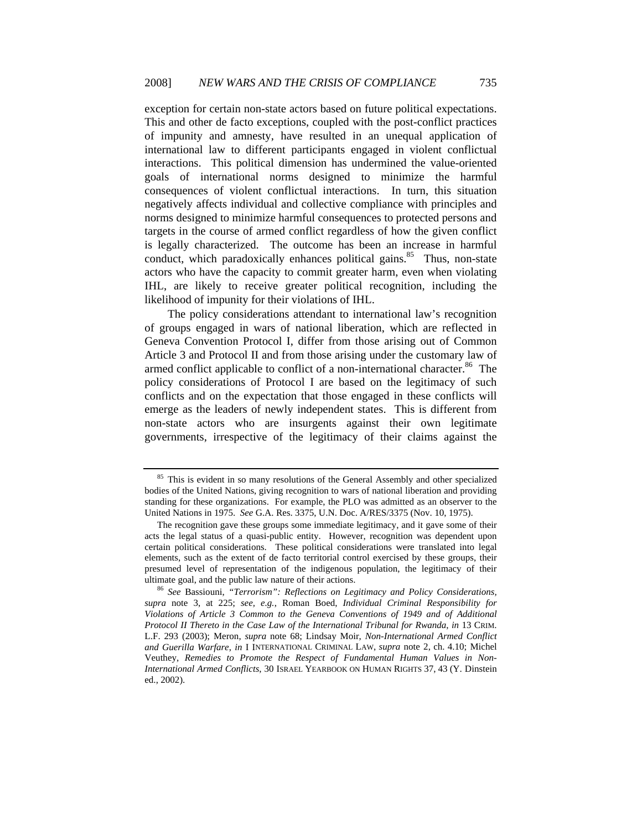exception for certain non-state actors based on future political expectations. This and other de facto exceptions, coupled with the post-conflict practices of impunity and amnesty, have resulted in an unequal application of international law to different participants engaged in violent conflictual interactions. This political dimension has undermined the value-oriented goals of international norms designed to minimize the harmful consequences of violent conflictual interactions. In turn, this situation negatively affects individual and collective compliance with principles and norms designed to minimize harmful consequences to protected persons and targets in the course of armed conflict regardless of how the given conflict is legally characterized. The outcome has been an increase in harmful conduct, which paradoxically enhances political gains. $85$  Thus, non-state actors who have the capacity to commit greater harm, even when violating IHL, are likely to receive greater political recognition, including the likelihood of impunity for their violations of IHL.

The policy considerations attendant to international law's recognition of groups engaged in wars of national liberation, which are reflected in Geneva Convention Protocol I, differ from those arising out of Common Article 3 and Protocol II and from those arising under the customary law of armed conflict applicable to conflict of a non-international character.<sup>86</sup> The policy considerations of Protocol I are based on the legitimacy of such conflicts and on the expectation that those engaged in these conflicts will emerge as the leaders of newly independent states. This is different from non-state actors who are insurgents against their own legitimate governments, irrespective of the legitimacy of their claims against the

<sup>&</sup>lt;sup>85</sup> This is evident in so many resolutions of the General Assembly and other specialized bodies of the United Nations, giving recognition to wars of national liberation and providing standing for these organizations. For example, the PLO was admitted as an observer to the United Nations in 1975. *See* G.A. Res. 3375, U.N. Doc. A/RES/3375 (Nov. 10, 1975).

The recognition gave these groups some immediate legitimacy, and it gave some of their acts the legal status of a quasi-public entity. However, recognition was dependent upon certain political considerations. These political considerations were translated into legal elements, such as the extent of de facto territorial control exercised by these groups, their presumed level of representation of the indigenous population, the legitimacy of their ultimate goal, and the public law nature of their actions. 86 *See* Bassiouni, *"Terrorism": Reflections on Legitimacy and Policy Considerations,* 

*supra* note 3, at 225; *see, e.g.*, Roman Boed, *Individual Criminal Responsibility for Violations of Article 3 Common to the Geneva Conventions of 1949 and of Additional Protocol II Thereto in the Case Law of the International Tribunal for Rwanda*, *in* 13 CRIM. L.F. 293 (2003); Meron, *supra* note 68; Lindsay Moir, *Non-International Armed Conflict and Guerilla Warfare*, *in* I INTERNATIONAL CRIMINAL LAW, *supra* note 2, ch. 4.10; Michel Veuthey, *Remedies to Promote the Respect of Fundamental Human Values in Non-International Armed Conflicts*, 30 ISRAEL YEARBOOK ON HUMAN RIGHTS 37, 43 (Y. Dinstein ed., 2002).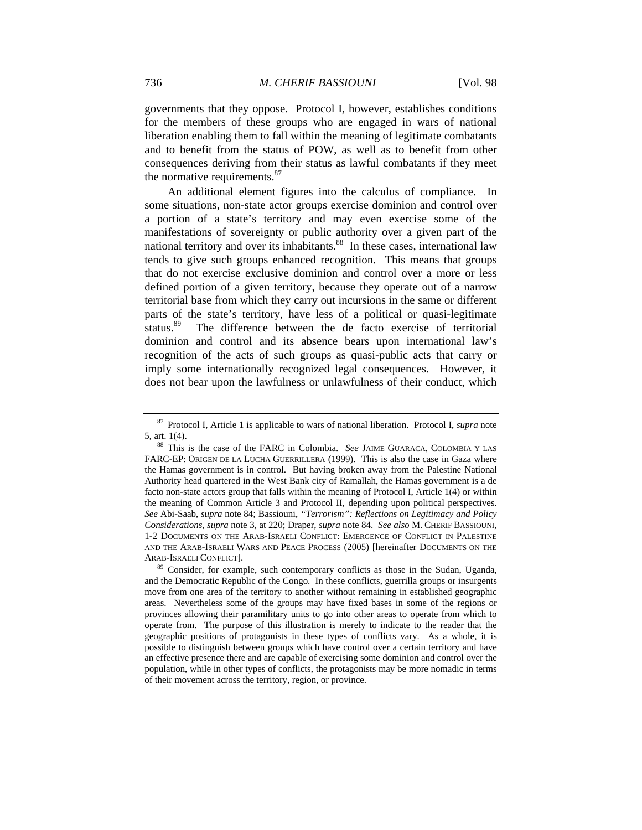governments that they oppose. Protocol I, however, establishes conditions for the members of these groups who are engaged in wars of national liberation enabling them to fall within the meaning of legitimate combatants and to benefit from the status of POW, as well as to benefit from other consequences deriving from their status as lawful combatants if they meet the normative requirements.<sup>87</sup>

An additional element figures into the calculus of compliance. In some situations, non-state actor groups exercise dominion and control over a portion of a state's territory and may even exercise some of the manifestations of sovereignty or public authority over a given part of the national territory and over its inhabitants.<sup>88</sup> In these cases, international law tends to give such groups enhanced recognition. This means that groups that do not exercise exclusive dominion and control over a more or less defined portion of a given territory, because they operate out of a narrow territorial base from which they carry out incursions in the same or different parts of the state's territory, have less of a political or quasi-legitimate status.<sup>89</sup> The difference between the de facto exercise of territorial dominion and control and its absence bears upon international law's recognition of the acts of such groups as quasi-public acts that carry or imply some internationally recognized legal consequences. However, it does not bear upon the lawfulness or unlawfulness of their conduct, which

<sup>87</sup> Protocol I, Article 1 is applicable to wars of national liberation. Protocol I, *supra* note

<sup>5,</sup> art. 1(4). 88 This is the case of the FARC in Colombia. *See* JAIME GUARACA, COLOMBIA Y LAS FARC-EP: ORIGEN DE LA LUCHA GUERRILLERA (1999). This is also the case in Gaza where the Hamas government is in control. But having broken away from the Palestine National Authority head quartered in the West Bank city of Ramallah, the Hamas government is a de facto non-state actors group that falls within the meaning of Protocol I, Article 1(4) or within the meaning of Common Article 3 and Protocol II, depending upon political perspectives. *See* Abi-Saab, *supra* note 84; Bassiouni, *"Terrorism": Reflections on Legitimacy and Policy Considerations, supra* note 3, at 220; Draper, *supra* note 84. *See also* M. CHERIF BASSIOUNI, 1-2 DOCUMENTS ON THE ARAB-ISRAELI CONFLICT: EMERGENCE OF CONFLICT IN PALESTINE AND THE ARAB-ISRAELI WARS AND PEACE PROCESS (2005) [hereinafter DOCUMENTS ON THE

ARAB-ISRAELI CONFLICT]. 89 Consider, for example, such contemporary conflicts as those in the Sudan, Uganda, and the Democratic Republic of the Congo. In these conflicts, guerrilla groups or insurgents move from one area of the territory to another without remaining in established geographic areas. Nevertheless some of the groups may have fixed bases in some of the regions or provinces allowing their paramilitary units to go into other areas to operate from which to operate from. The purpose of this illustration is merely to indicate to the reader that the geographic positions of protagonists in these types of conflicts vary. As a whole, it is possible to distinguish between groups which have control over a certain territory and have an effective presence there and are capable of exercising some dominion and control over the population, while in other types of conflicts, the protagonists may be more nomadic in terms of their movement across the territory, region, or province.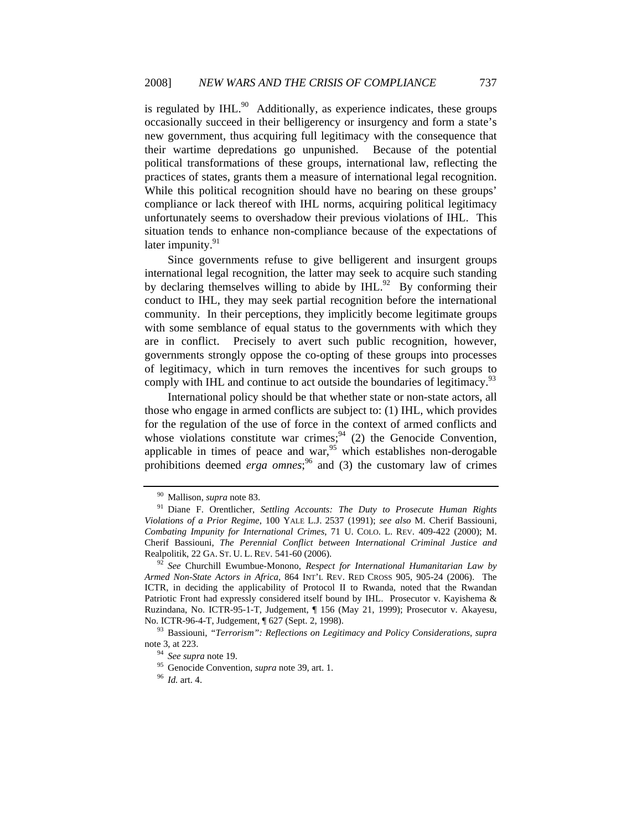is regulated by  $IHL$ <sup>90</sup> Additionally, as experience indicates, these groups occasionally succeed in their belligerency or insurgency and form a state's new government, thus acquiring full legitimacy with the consequence that their wartime depredations go unpunished. Because of the potential political transformations of these groups, international law, reflecting the practices of states, grants them a measure of international legal recognition. While this political recognition should have no bearing on these groups' compliance or lack thereof with IHL norms, acquiring political legitimacy unfortunately seems to overshadow their previous violations of IHL. This situation tends to enhance non-compliance because of the expectations of later impunity. $91$ 

Since governments refuse to give belligerent and insurgent groups international legal recognition, the latter may seek to acquire such standing by declaring themselves willing to abide by  $IHL$ .<sup>92</sup> By conforming their conduct to IHL, they may seek partial recognition before the international community. In their perceptions, they implicitly become legitimate groups with some semblance of equal status to the governments with which they are in conflict. Precisely to avert such public recognition, however, governments strongly oppose the co-opting of these groups into processes of legitimacy, which in turn removes the incentives for such groups to comply with IHL and continue to act outside the boundaries of legitimacy.<sup>93</sup>

International policy should be that whether state or non-state actors, all those who engage in armed conflicts are subject to: (1) IHL, which provides for the regulation of the use of force in the context of armed conflicts and whose violations constitute war crimes;<sup>94</sup> (2) the Genocide Convention, applicable in times of peace and war,<sup>95</sup> which establishes non-derogable prohibitions deemed *erga omnes*;<sup>96</sup> and (3) the customary law of crimes

<sup>&</sup>lt;sup>90</sup> Mallison, *supra* note 83.<br><sup>91</sup> Diane F. Orentlicher, *Settling Accounts: The Duty to Prosecute Human Rights Violations of a Prior Regime*, 100 YALE L.J. 2537 (1991); *see also* M. Cherif Bassiouni, *Combating Impunity for International Crimes*, 71 U. COLO. L. REV. 409-422 (2000); M. Cherif Bassiouni, *The Perennial Conflict between International Criminal Justice and*  Realpolitik, 22 GA. ST. U. L. REV. 541-60 (2006). 92 *See* Churchill Ewumbue-Monono, *Respect for International Humanitarian Law by* 

*Armed Non-State Actors in Africa*, 864 INT'L REV. RED CROSS 905, 905-24 (2006). The ICTR, in deciding the applicability of Protocol II to Rwanda, noted that the Rwandan Patriotic Front had expressly considered itself bound by IHL. Prosecutor v. Kayishema & Ruzindana, No. ICTR-95-1-T, Judgement, ¶ 156 (May 21, 1999); Prosecutor v. Akayesu*,*  No. ICTR-96-4-T, Judgement, ¶ 627 (Sept. 2, 1998). 93 Bassiouni, *"Terrorism": Reflections on Legitimacy and Policy Considerations*, *supra* 

note 3, at 223. 94 *See supra* note 19. 95 Genocide Convention, *supra* note 39, art. 1. 96 *Id.* art. 4.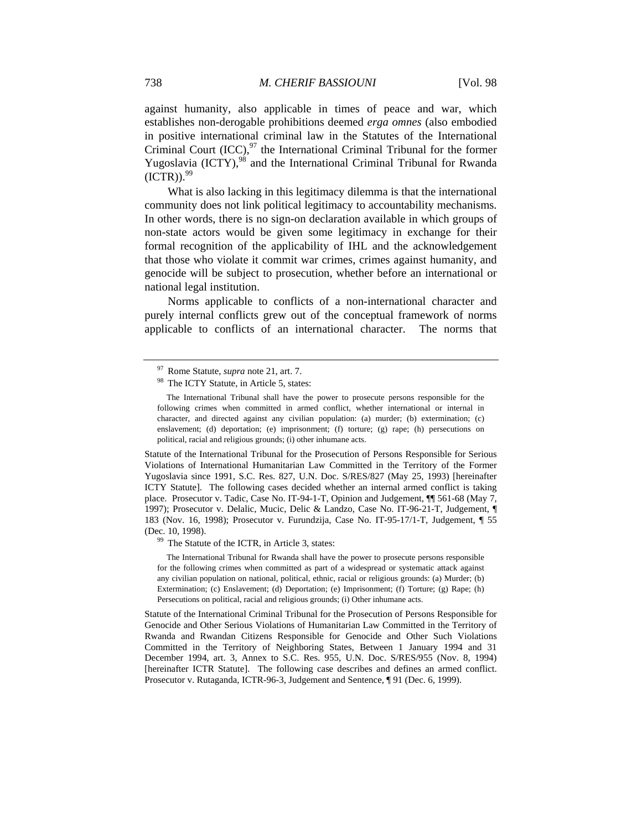against humanity, also applicable in times of peace and war, which establishes non-derogable prohibitions deemed *erga omnes* (also embodied in positive international criminal law in the Statutes of the International Criminal Court  $(ICC)$ ,  $97$  the International Criminal Tribunal for the former Yugoslavia (ICTY),<sup>98</sup> and the International Criminal Tribunal for Rwanda  $(ICTR)$ .  $99$ 

What is also lacking in this legitimacy dilemma is that the international community does not link political legitimacy to accountability mechanisms. In other words, there is no sign-on declaration available in which groups of non-state actors would be given some legitimacy in exchange for their formal recognition of the applicability of IHL and the acknowledgement that those who violate it commit war crimes, crimes against humanity, and genocide will be subject to prosecution, whether before an international or national legal institution.

Norms applicable to conflicts of a non-international character and purely internal conflicts grew out of the conceptual framework of norms applicable to conflicts of an international character. The norms that

Statute of the International Tribunal for the Prosecution of Persons Responsible for Serious Violations of International Humanitarian Law Committed in the Territory of the Former Yugoslavia since 1991, S.C. Res. 827, U.N. Doc. S/RES/827 (May 25, 1993) [hereinafter ICTY Statute]. The following cases decided whether an internal armed conflict is taking place.Prosecutor v. Tadic, Case No. IT-94-1-T, Opinion and Judgement, ¶¶ 561-68 (May 7, 1997); Prosecutor v. Delalic, Mucic, Delic & Landzo, Case No. IT-96-21-T, Judgement, ¶ 183 (Nov. 16, 1998); Prosecutor v. Furundzija, Case No. IT-95-17/1-T, Judgement, ¶ 55 (Dec. 10, 1998).<br><sup>99</sup> The Statute of the ICTR, in Article 3, states:

 The International Tribunal for Rwanda shall have the power to prosecute persons responsible for the following crimes when committed as part of a widespread or systematic attack against any civilian population on national, political, ethnic, racial or religious grounds: (a) Murder; (b) Extermination; (c) Enslavement; (d) Deportation; (e) Imprisonment; (f) Torture; (g) Rape; (h) Persecutions on political, racial and religious grounds; (i) Other inhumane acts.

Statute of the International Criminal Tribunal for the Prosecution of Persons Responsible for Genocide and Other Serious Violations of Humanitarian Law Committed in the Territory of Rwanda and Rwandan Citizens Responsible for Genocide and Other Such Violations Committed in the Territory of Neighboring States, Between 1 January 1994 and 31 December 1994, art. 3, Annex to S.C. Res. 955, U.N. Doc. S/RES/955 (Nov. 8, 1994) [hereinafter ICTR Statute]. The following case describes and defines an armed conflict. Prosecutor v. Rutaganda, ICTR-96-3, Judgement and Sentence, ¶ 91 (Dec. 6, 1999).

<sup>&</sup>lt;sup>97</sup> Rome Statute, *supra* note 21, art. 7.<br><sup>98</sup> The ICTY Statute, in Article 5, states:

The International Tribunal shall have the power to prosecute persons responsible for the following crimes when committed in armed conflict, whether international or internal in character, and directed against any civilian population: (a) murder; (b) extermination; (c) enslavement; (d) deportation; (e) imprisonment; (f) torture; (g) rape; (h) persecutions on political, racial and religious grounds; (i) other inhumane acts.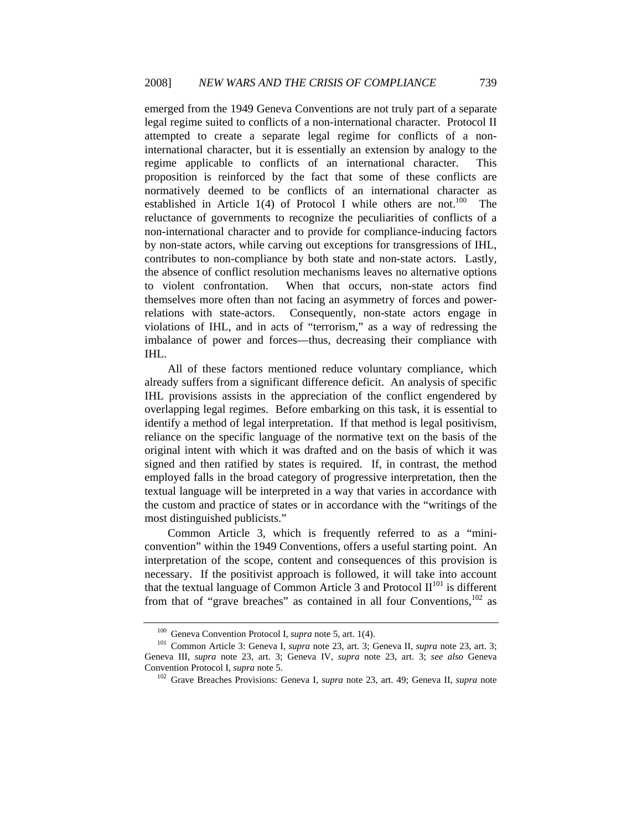emerged from the 1949 Geneva Conventions are not truly part of a separate legal regime suited to conflicts of a non-international character. Protocol II attempted to create a separate legal regime for conflicts of a noninternational character, but it is essentially an extension by analogy to the regime applicable to conflicts of an international character. This proposition is reinforced by the fact that some of these conflicts are normatively deemed to be conflicts of an international character as established in Article  $1(4)$  of Protocol I while others are not.<sup>100</sup> The reluctance of governments to recognize the peculiarities of conflicts of a non-international character and to provide for compliance-inducing factors by non-state actors, while carving out exceptions for transgressions of IHL, contributes to non-compliance by both state and non-state actors. Lastly, the absence of conflict resolution mechanisms leaves no alternative options to violent confrontation. When that occurs, non-state actors find themselves more often than not facing an asymmetry of forces and powerrelations with state-actors. Consequently, non-state actors engage in violations of IHL, and in acts of "terrorism," as a way of redressing the imbalance of power and forces—thus, decreasing their compliance with IHL.

All of these factors mentioned reduce voluntary compliance, which already suffers from a significant difference deficit. An analysis of specific IHL provisions assists in the appreciation of the conflict engendered by overlapping legal regimes. Before embarking on this task, it is essential to identify a method of legal interpretation. If that method is legal positivism, reliance on the specific language of the normative text on the basis of the original intent with which it was drafted and on the basis of which it was signed and then ratified by states is required. If, in contrast, the method employed falls in the broad category of progressive interpretation, then the textual language will be interpreted in a way that varies in accordance with the custom and practice of states or in accordance with the "writings of the most distinguished publicists."

 Common Article 3, which is frequently referred to as a "miniconvention" within the 1949 Conventions, offers a useful starting point. An interpretation of the scope, content and consequences of this provision is necessary. If the positivist approach is followed, it will take into account that the textual language of Common Article 3 and Protocol  $II^{101}$  is different from that of "grave breaches" as contained in all four Conventions, $102$  as

<sup>&</sup>lt;sup>100</sup> Geneva Convention Protocol I, *supra* note 5, art. 1(4).<br><sup>101</sup> Common Article 3: Geneva I, *supra* note 23, art. 3; Geneva II, *supra* note 23, art. 3; Geneva III, *supra* note 23, art. 3; Geneva IV, *supra* note 23, art. 3; *see also* Geneva Convention Protocol I, *supra* note 5.<br><sup>102</sup> Grave Breaches Provisions: Geneva I, *supra* note 23, art. 49; Geneva II, *supra* note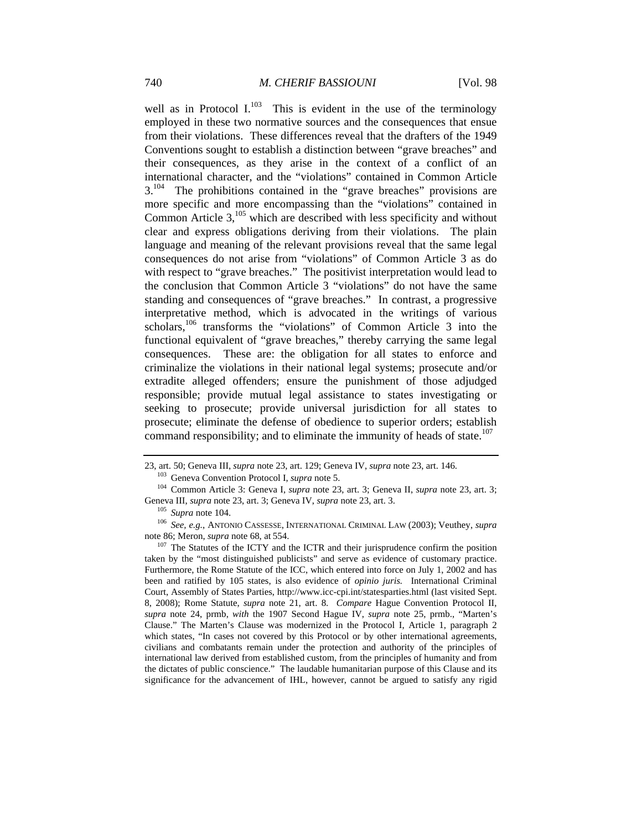well as in Protocol I. $^{103}$  This is evident in the use of the terminology employed in these two normative sources and the consequences that ensue from their violations. These differences reveal that the drafters of the 1949 Conventions sought to establish a distinction between "grave breaches" and their consequences, as they arise in the context of a conflict of an international character, and the "violations" contained in Common Article 3.<sup>104</sup> The prohibitions contained in the "grave breaches" provisions are more specific and more encompassing than the "violations" contained in Common Article  $3$ <sup>105</sup>, which are described with less specificity and without clear and express obligations deriving from their violations. The plain language and meaning of the relevant provisions reveal that the same legal consequences do not arise from "violations" of Common Article 3 as do with respect to "grave breaches." The positivist interpretation would lead to the conclusion that Common Article 3 "violations" do not have the same standing and consequences of "grave breaches." In contrast, a progressive interpretative method, which is advocated in the writings of various scholars,<sup>106</sup> transforms the "violations" of Common Article 3 into the functional equivalent of "grave breaches," thereby carrying the same legal consequences. These are: the obligation for all states to enforce and criminalize the violations in their national legal systems; prosecute and/or extradite alleged offenders; ensure the punishment of those adjudged responsible; provide mutual legal assistance to states investigating or seeking to prosecute; provide universal jurisdiction for all states to prosecute; eliminate the defense of obedience to superior orders; establish command responsibility; and to eliminate the immunity of heads of state.<sup>107</sup>

<sup>23,</sup> art. 50; Geneva III, *supra* note 23, art. 129; Geneva IV, *supra* note 23, art. 146.<br>
<sup>103</sup> Geneva Convention Protocol I, *supra* note 5.<br>
<sup>104</sup> Common Article 3: Geneva I, *supra* note 23, art. 3; Geneva II, *supra* 

<sup>&</sup>lt;sup>105</sup> Supra note 104.<br><sup>106</sup> *See, e.g.*, ANTONIO CASSESSE, INTERNATIONAL CRIMINAL LAW (2003); Veuthey, *supra* note 86; Meron, *supra* note 68, at 554.

<sup>&</sup>lt;sup>107</sup> The Statutes of the ICTY and the ICTR and their jurisprudence confirm the position taken by the "most distinguished publicists" and serve as evidence of customary practice. Furthermore, the Rome Statute of the ICC, which entered into force on July 1, 2002 and has been and ratified by 105 states, is also evidence of *opinio juris.* International Criminal Court, Assembly of States Parties, http://www.icc-cpi.int/statesparties.html (last visited Sept. 8, 2008); Rome Statute, *supra* note 21, art. 8. *Compare* Hague Convention Protocol II, *supra* note 24, prmb, *with* the 1907 Second Hague IV, *supra* note 25, prmb., "Marten's Clause." The Marten's Clause was modernized in the Protocol I, Article 1, paragraph 2 which states, "In cases not covered by this Protocol or by other international agreements, civilians and combatants remain under the protection and authority of the principles of international law derived from established custom, from the principles of humanity and from the dictates of public conscience." The laudable humanitarian purpose of this Clause and its significance for the advancement of IHL, however, cannot be argued to satisfy any rigid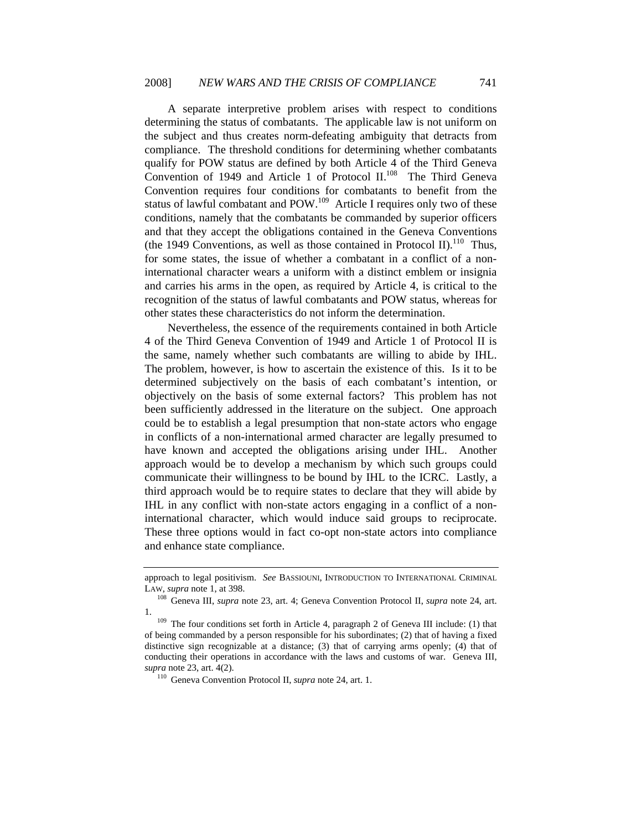A separate interpretive problem arises with respect to conditions determining the status of combatants. The applicable law is not uniform on the subject and thus creates norm-defeating ambiguity that detracts from compliance. The threshold conditions for determining whether combatants qualify for POW status are defined by both Article 4 of the Third Geneva Convention of 1949 and Article 1 of Protocol II.<sup>108</sup> The Third Geneva Convention requires four conditions for combatants to benefit from the status of lawful combatant and POW.<sup>109</sup> Article I requires only two of these conditions, namely that the combatants be commanded by superior officers and that they accept the obligations contained in the Geneva Conventions (the 1949 Conventions, as well as those contained in Protocol II).<sup>110</sup> Thus, for some states, the issue of whether a combatant in a conflict of a noninternational character wears a uniform with a distinct emblem or insignia and carries his arms in the open, as required by Article 4, is critical to the recognition of the status of lawful combatants and POW status, whereas for other states these characteristics do not inform the determination.

Nevertheless, the essence of the requirements contained in both Article 4 of the Third Geneva Convention of 1949 and Article 1 of Protocol II is the same, namely whether such combatants are willing to abide by IHL. The problem, however, is how to ascertain the existence of this. Is it to be determined subjectively on the basis of each combatant's intention, or objectively on the basis of some external factors? This problem has not been sufficiently addressed in the literature on the subject. One approach could be to establish a legal presumption that non-state actors who engage in conflicts of a non-international armed character are legally presumed to have known and accepted the obligations arising under IHL. Another approach would be to develop a mechanism by which such groups could communicate their willingness to be bound by IHL to the ICRC. Lastly, a third approach would be to require states to declare that they will abide by IHL in any conflict with non-state actors engaging in a conflict of a noninternational character, which would induce said groups to reciprocate. These three options would in fact co-opt non-state actors into compliance and enhance state compliance.

approach to legal positivism. *See* BASSIOUNI, INTRODUCTION TO INTERNATIONAL CRIMINAL LAW, *supra* note 1, at 398.<br><sup>108</sup> Geneva III, *supra* note 23, art. 4; Geneva Convention Protocol II, *supra* note 24, art.

 $109$  The four conditions set forth in Article 4, paragraph 2 of Geneva III include: (1) that of being commanded by a person responsible for his subordinates; (2) that of having a fixed distinctive sign recognizable at a distance; (3) that of carrying arms openly; (4) that of conducting their operations in accordance with the laws and customs of war. Geneva III, *supra* note 23, art. 4(2). 110 Geneva Convention Protocol II, *supra* note 24, art. 1.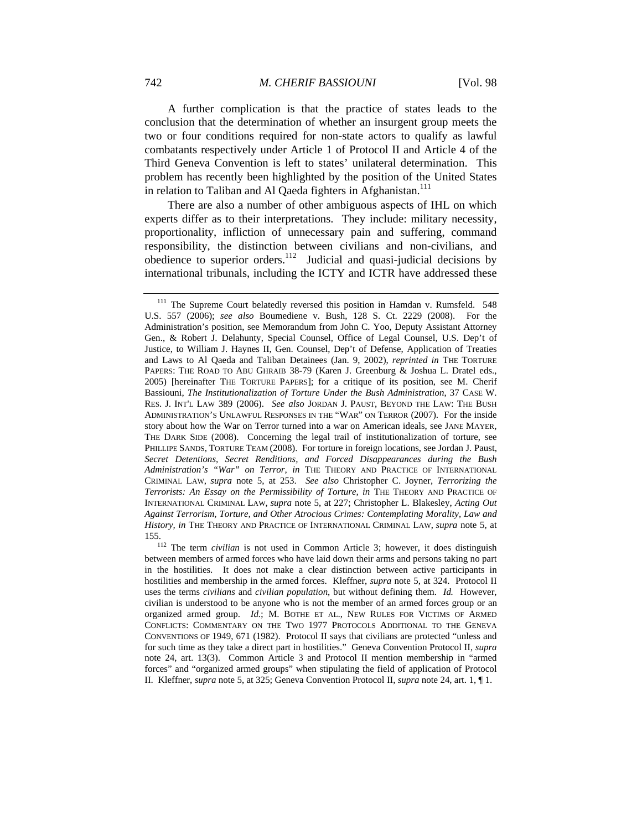A further complication is that the practice of states leads to the conclusion that the determination of whether an insurgent group meets the two or four conditions required for non-state actors to qualify as lawful combatants respectively under Article 1 of Protocol II and Article 4 of the Third Geneva Convention is left to states' unilateral determination. This problem has recently been highlighted by the position of the United States in relation to Taliban and Al Qaeda fighters in Afghanistan.<sup>111</sup>

There are also a number of other ambiguous aspects of IHL on which experts differ as to their interpretations. They include: military necessity, proportionality, infliction of unnecessary pain and suffering, command responsibility, the distinction between civilians and non-civilians, and obedience to superior orders. $112$  Judicial and quasi-judicial decisions by international tribunals, including the ICTY and ICTR have addressed these

<sup>&</sup>lt;sup>111</sup> The Supreme Court belatedly reversed this position in Hamdan v. Rumsfeld. 548 U.S. 557 (2006); *see also* Boumediene v. Bush, 128 S. Ct. 2229 (2008). For the Administration's position, see Memorandum from John C. Yoo, Deputy Assistant Attorney Gen., & Robert J. Delahunty, Special Counsel, Office of Legal Counsel, U.S. Dep't of Justice, to William J. Haynes II, Gen. Counsel, Dep't of Defense, Application of Treaties and Laws to Al Qaeda and Taliban Detainees (Jan. 9, 2002), *reprinted in* THE TORTURE PAPERS: THE ROAD TO ABU GHRAIB 38-79 (Karen J. Greenburg & Joshua L. Dratel eds., 2005) [hereinafter THE TORTURE PAPERS]; for a critique of its position, see M. Cherif Bassiouni, *The Institutionalization of Torture Under the Bush Administration*, 37 CASE W. RES. J. INT'L LAW 389 (2006). *See also* JORDAN J. PAUST, BEYOND THE LAW: THE BUSH ADMINISTRATION'S UNLAWFUL RESPONSES IN THE "WAR" ON TERROR (2007). For the inside story about how the War on Terror turned into a war on American ideals, see JANE MAYER, THE DARK SIDE (2008). Concerning the legal trail of institutionalization of torture, see PHILLIPE SANDS, TORTURE TEAM (2008). For torture in foreign locations, see Jordan J. Paust, *Secret Detentions, Secret Renditions, and Forced Disappearances during the Bush Administration's "War" on Terror, in* THE THEORY AND PRACTICE OF INTERNATIONAL CRIMINAL LAW, *supra* note 5, at 253. *See also* Christopher C. Joyner, *Terrorizing the Terrorists: An Essay on the Permissibility of Torture, in* THE THEORY AND PRACTICE OF INTERNATIONAL CRIMINAL LAW, *supra* note 5, at 227; Christopher L. Blakesley, *Acting Out Against Terrorism, Torture, and Other Atrocious Crimes: Contemplating Morality, Law and History, in* THE THEORY AND PRACTICE OF INTERNATIONAL CRIMINAL LAW, *supra* note 5, at

<sup>155. 112</sup> The term *civilian* is not used in Common Article 3; however, it does distinguish between members of armed forces who have laid down their arms and persons taking no part in the hostilities. It does not make a clear distinction between active participants in hostilities and membership in the armed forces. Kleffner, *supra* note 5, at 324. Protocol II uses the terms *civilians* and *civilian population*, but without defining them. *Id.* However, civilian is understood to be anyone who is not the member of an armed forces group or an organized armed group. *Id.*; M. BOTHE ET AL., NEW RULES FOR VICTIMS OF ARMED CONFLICTS: COMMENTARY ON THE TWO 1977 PROTOCOLS ADDITIONAL TO THE GENEVA CONVENTIONS OF 1949, 671 (1982). Protocol II says that civilians are protected "unless and for such time as they take a direct part in hostilities." Geneva Convention Protocol II, *supra*  note 24, art. 13(3). Common Article 3 and Protocol II mention membership in "armed forces" and "organized armed groups" when stipulating the field of application of Protocol II. Kleffner, *supra* note 5, at 325; Geneva Convention Protocol II, *supra* note 24, art. 1, ¶ 1.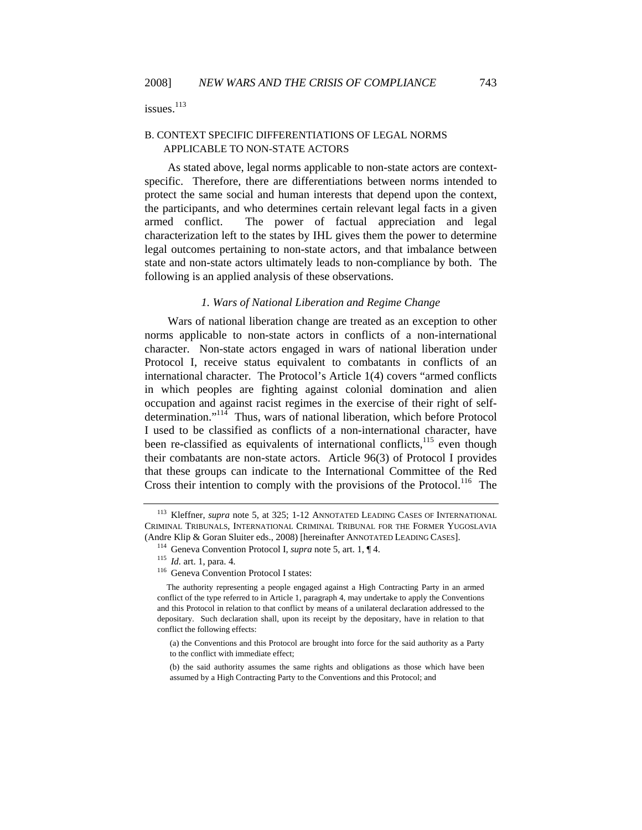issues. $113$ 

## B. CONTEXT SPECIFIC DIFFERENTIATIONS OF LEGAL NORMS APPLICABLE TO NON-STATE ACTORS

As stated above, legal norms applicable to non-state actors are contextspecific. Therefore, there are differentiations between norms intended to protect the same social and human interests that depend upon the context, the participants, and who determines certain relevant legal facts in a given armed conflict. The power of factual appreciation and legal characterization left to the states by IHL gives them the power to determine legal outcomes pertaining to non-state actors, and that imbalance between state and non-state actors ultimately leads to non-compliance by both. The following is an applied analysis of these observations.

## *1. Wars of National Liberation and Regime Change*

Wars of national liberation change are treated as an exception to other norms applicable to non-state actors in conflicts of a non-international character. Non-state actors engaged in wars of national liberation under Protocol I, receive status equivalent to combatants in conflicts of an international character. The Protocol's Article 1(4) covers "armed conflicts in which peoples are fighting against colonial domination and alien occupation and against racist regimes in the exercise of their right of selfdetermination."<sup>114</sup> Thus, wars of national liberation, which before Protocol I used to be classified as conflicts of a non-international character, have been re-classified as equivalents of international conflicts,<sup>115</sup> even though their combatants are non-state actors. Article 96(3) of Protocol I provides that these groups can indicate to the International Committee of the Red Cross their intention to comply with the provisions of the Protocol.<sup>116</sup> The

<sup>113</sup> Kleffner, *supra* note 5, at 325; 1-12 ANNOTATED LEADING CASES OF INTERNATIONAL CRIMINAL TRIBUNALS, INTERNATIONAL CRIMINAL TRIBUNAL FOR THE FORMER YUGOSLAVIA (Andre Klip & Goran Sluiter eds., 2008) [hereinafter ANNOTATED LEADING CASES]. 114 Geneva Convention Protocol I, *supra* note 5, art. 1, ¶ 4. 115 *Id.* art. 1, para. 4. 116 Geneva Convention Protocol I states:

The authority representing a people engaged against a High Contracting Party in an armed conflict of the type referred to in Article 1, paragraph 4, may undertake to apply the Conventions and this Protocol in relation to that conflict by means of a unilateral declaration addressed to the depositary. Such declaration shall, upon its receipt by the depositary, have in relation to that conflict the following effects:

<sup>(</sup>a) the Conventions and this Protocol are brought into force for the said authority as a Party to the conflict with immediate effect;

<sup>(</sup>b) the said authority assumes the same rights and obligations as those which have been assumed by a High Contracting Party to the Conventions and this Protocol; and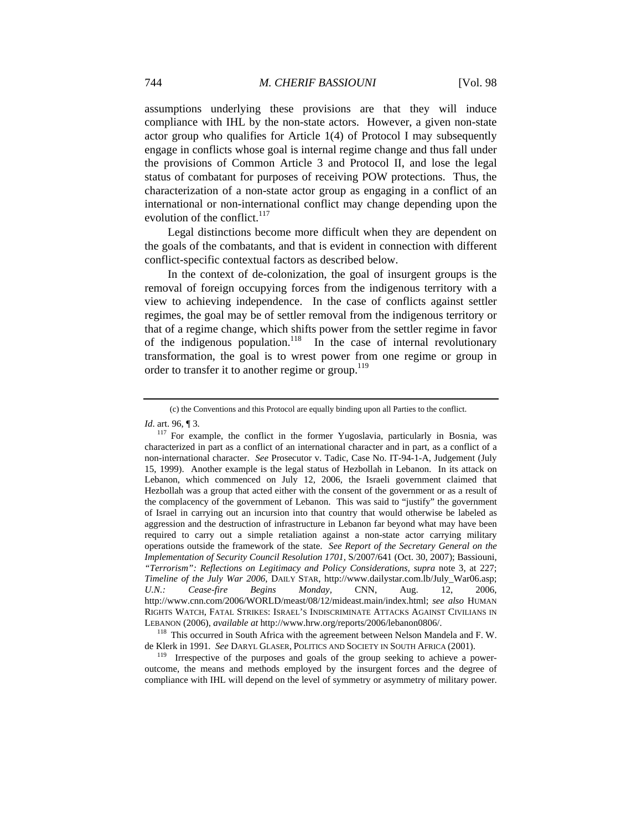assumptions underlying these provisions are that they will induce compliance with IHL by the non-state actors. However, a given non-state actor group who qualifies for Article 1(4) of Protocol I may subsequently engage in conflicts whose goal is internal regime change and thus fall under the provisions of Common Article 3 and Protocol II, and lose the legal status of combatant for purposes of receiving POW protections. Thus, the characterization of a non-state actor group as engaging in a conflict of an international or non-international conflict may change depending upon the evolution of the conflict. $117$ 

Legal distinctions become more difficult when they are dependent on the goals of the combatants, and that is evident in connection with different conflict-specific contextual factors as described below.

In the context of de-colonization, the goal of insurgent groups is the removal of foreign occupying forces from the indigenous territory with a view to achieving independence. In the case of conflicts against settler regimes, the goal may be of settler removal from the indigenous territory or that of a regime change, which shifts power from the settler regime in favor of the indigenous population.<sup>118</sup> In the case of internal revolutionary transformation, the goal is to wrest power from one regime or group in order to transfer it to another regime or group.<sup>119</sup>

<sup>(</sup>c) the Conventions and this Protocol are equally binding upon all Parties to the conflict.

*Id*. art. 96, ¶ 3.

<sup>&</sup>lt;sup>117</sup> For example, the conflict in the former Yugoslavia, particularly in Bosnia, was characterized in part as a conflict of an international character and in part, as a conflict of a non-international character. *See* Prosecutor v. Tadic, Case No. IT-94-1-A, Judgement (July 15, 1999). Another example is the legal status of Hezbollah in Lebanon. In its attack on Lebanon, which commenced on July 12, 2006, the Israeli government claimed that Hezbollah was a group that acted either with the consent of the government or as a result of the complacency of the government of Lebanon. This was said to "justify" the government of Israel in carrying out an incursion into that country that would otherwise be labeled as aggression and the destruction of infrastructure in Lebanon far beyond what may have been required to carry out a simple retaliation against a non-state actor carrying military operations outside the framework of the state. *See Report of the Secretary General on the Implementation of Security Council Resolution 1701*, S/2007/641 (Oct. 30, 2007); Bassiouni, *"Terrorism": Reflections on Legitimacy and Policy Considerations, supra* note 3, at 227; *Timeline of the July War 2006*, DAILY STAR, http://www.dailystar.com.lb/July\_War06.asp; *U.N.: Cease-fire Begins Monday,* CNN, Aug. 12, 2006, http://www.cnn.com/2006/WORLD/meast/08/12/mideast.main/index.html; *see also* HUMAN RIGHTS WATCH, FATAL STRIKES: ISRAEL'S INDISCRIMINATE ATTACKS AGAINST CIVILIANS IN LEBANON (2006), *available at* http://www.hrw.org/reports/2006/lebanon0806/. 118 This occurred in South Africa with the agreement between Nelson Mandela and F. W.

de Klerk in 1991. *See* DARYL GLASER, POLITICS AND SOCIETY IN SOUTH AFRICA (2001).

<sup>&</sup>lt;sup>119</sup> Irrespective of the purposes and goals of the group seeking to achieve a poweroutcome, the means and methods employed by the insurgent forces and the degree of compliance with IHL will depend on the level of symmetry or asymmetry of military power.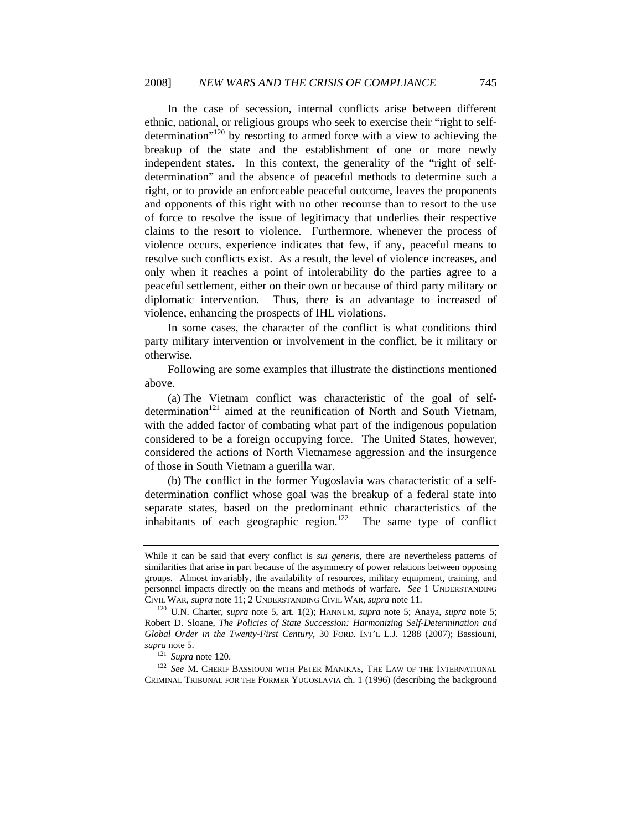In the case of secession, internal conflicts arise between different ethnic, national, or religious groups who seek to exercise their "right to selfdetermination<sup> $120$ </sup> by resorting to armed force with a view to achieving the breakup of the state and the establishment of one or more newly independent states. In this context, the generality of the "right of selfdetermination" and the absence of peaceful methods to determine such a right, or to provide an enforceable peaceful outcome, leaves the proponents and opponents of this right with no other recourse than to resort to the use of force to resolve the issue of legitimacy that underlies their respective claims to the resort to violence. Furthermore, whenever the process of violence occurs, experience indicates that few, if any, peaceful means to resolve such conflicts exist. As a result, the level of violence increases, and only when it reaches a point of intolerability do the parties agree to a peaceful settlement, either on their own or because of third party military or diplomatic intervention. Thus, there is an advantage to increased of violence, enhancing the prospects of IHL violations.

In some cases, the character of the conflict is what conditions third party military intervention or involvement in the conflict, be it military or otherwise.

Following are some examples that illustrate the distinctions mentioned above.

(a) The Vietnam conflict was characteristic of the goal of selfdetermination<sup>121</sup> aimed at the reunification of North and South Vietnam, with the added factor of combating what part of the indigenous population considered to be a foreign occupying force. The United States, however, considered the actions of North Vietnamese aggression and the insurgence of those in South Vietnam a guerilla war.

(b) The conflict in the former Yugoslavia was characteristic of a selfdetermination conflict whose goal was the breakup of a federal state into separate states, based on the predominant ethnic characteristics of the inhabitants of each geographic region.122 The same type of conflict

While it can be said that every conflict is *sui generis,* there are nevertheless patterns of similarities that arise in part because of the asymmetry of power relations between opposing groups. Almost invariably, the availability of resources, military equipment, training, and personnel impacts directly on the means and methods of warfare. *See* 1 UNDERSTANDING CIVIL WAR, *supra* note 11; 2 UNDERSTANDING CIVIL WAR, *supra* note 11. 120 U.N. Charter, *supra* note 5, art. 1(2); HANNUM, *supra* note 5; Anaya, *supra* note 5;

Robert D. Sloane, *The Policies of State Succession: Harmonizing Self-Determination and Global Order in the Twenty-First Century*, 30 FORD. INT'L L.J. 1288 (2007); Bassiouni, *supra* note 5. 121 *Supra* note 120. 122 *See* M. CHERIF BASSIOUNI WITH PETER MANIKAS, THE LAW OF THE INTERNATIONAL

CRIMINAL TRIBUNAL FOR THE FORMER YUGOSLAVIA ch. 1 (1996) (describing the background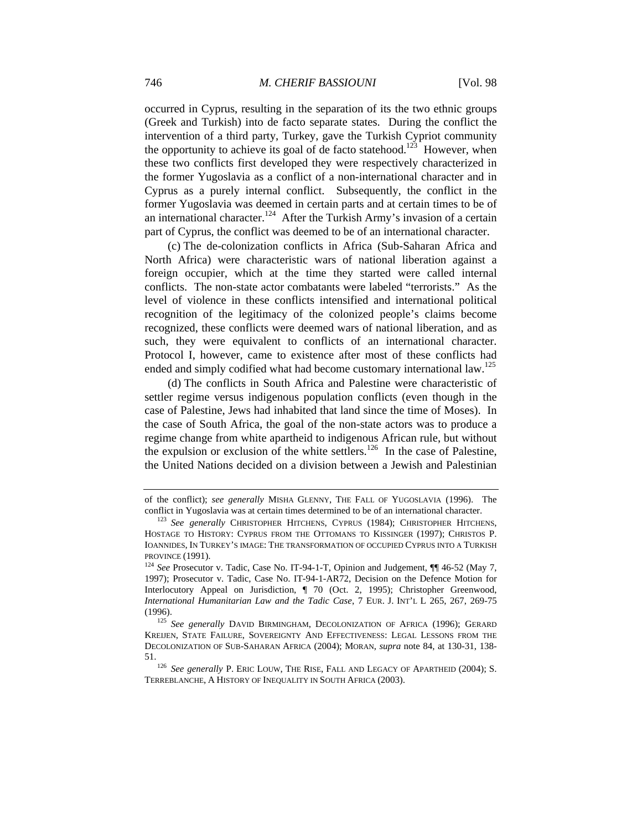occurred in Cyprus, resulting in the separation of its the two ethnic groups (Greek and Turkish) into de facto separate states. During the conflict the intervention of a third party, Turkey, gave the Turkish Cypriot community the opportunity to achieve its goal of de facto statehood.<sup>123</sup> However, when these two conflicts first developed they were respectively characterized in the former Yugoslavia as a conflict of a non-international character and in Cyprus as a purely internal conflict. Subsequently, the conflict in the former Yugoslavia was deemed in certain parts and at certain times to be of an international character.<sup>124</sup> After the Turkish Army's invasion of a certain part of Cyprus, the conflict was deemed to be of an international character.

(c) The de-colonization conflicts in Africa (Sub-Saharan Africa and North Africa) were characteristic wars of national liberation against a foreign occupier, which at the time they started were called internal conflicts. The non-state actor combatants were labeled "terrorists." As the level of violence in these conflicts intensified and international political recognition of the legitimacy of the colonized people's claims become recognized, these conflicts were deemed wars of national liberation, and as such, they were equivalent to conflicts of an international character. Protocol I, however, came to existence after most of these conflicts had ended and simply codified what had become customary international law.<sup>125</sup>

(d) The conflicts in South Africa and Palestine were characteristic of settler regime versus indigenous population conflicts (even though in the case of Palestine, Jews had inhabited that land since the time of Moses). In the case of South Africa, the goal of the non-state actors was to produce a regime change from white apartheid to indigenous African rule, but without the expulsion or exclusion of the white settlers.<sup>126</sup> In the case of Palestine, the United Nations decided on a division between a Jewish and Palestinian

of the conflict); *see generally* MISHA GLENNY, THE FALL OF YUGOSLAVIA (1996). The conflict in Yugoslavia was at certain times determined to be of an international character. 123 *See generally* CHRISTOPHER HITCHENS, CYPRUS (1984); CHRISTOPHER HITCHENS,

HOSTAGE TO HISTORY: CYPRUS FROM THE OTTOMANS TO KISSINGER (1997); CHRISTOS P. IOANNIDES, IN TURKEY'S IMAGE: THE TRANSFORMATION OF OCCUPIED CYPRUS INTO A TURKISH PROVINCE (1991).<br><sup>124</sup> *See* Prosecutor v. Tadic, Case No. IT-94-1-T, Opinion and Judgement, ¶¶ 46-52 (May 7,

<sup>1997);</sup> Prosecutor v. Tadic, Case No. IT-94-1-AR72, Decision on the Defence Motion for Interlocutory Appeal on Jurisdiction,  $\P$  70 (Oct. 2, 1995); Christopher Greenwood, *International Humanitarian Law and the Tadic Case*, 7 EUR. J. INT'L L 265, 267, 269-75 (1996). 125 *See generally* DAVID BIRMINGHAM, DECOLONIZATION OF AFRICA (1996); GERARD

KREIJEN, STATE FAILURE, SOVEREIGNTY AND EFFECTIVENESS: LEGAL LESSONS FROM THE DECOLONIZATION OF SUB-SAHARAN AFRICA (2004); MORAN, *supra* note 84, at 130-31, 138- 51. 126 *See generally* P. ERIC LOUW, THE RISE, FALL AND LEGACY OF APARTHEID (2004); S.

TERREBLANCHE, A HISTORY OF INEQUALITY IN SOUTH AFRICA (2003).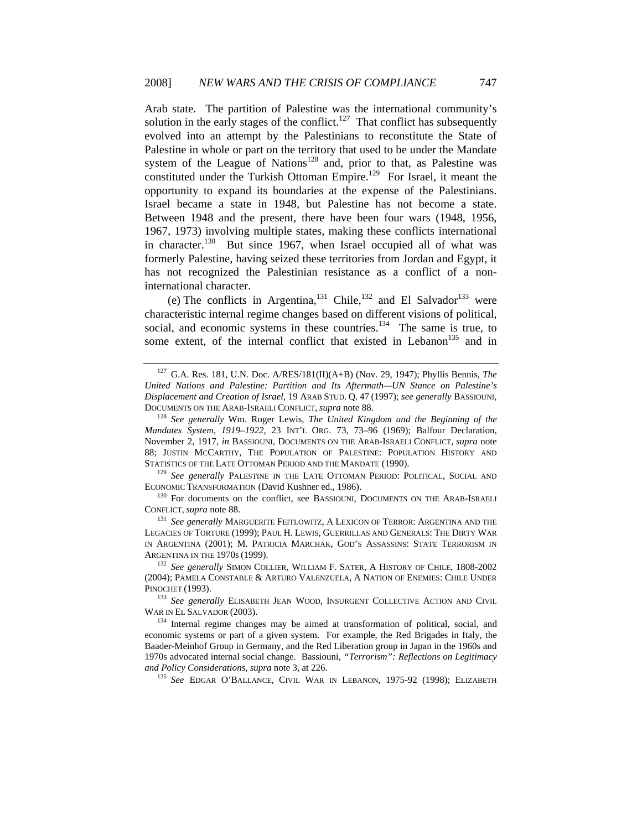Arab state. The partition of Palestine was the international community's solution in the early stages of the conflict.<sup>127</sup> That conflict has subsequently evolved into an attempt by the Palestinians to reconstitute the State of Palestine in whole or part on the territory that used to be under the Mandate system of the League of Nations<sup>128</sup> and, prior to that, as Palestine was constituted under the Turkish Ottoman Empire.<sup>129</sup> For Israel, it meant the opportunity to expand its boundaries at the expense of the Palestinians. Israel became a state in 1948, but Palestine has not become a state. Between 1948 and the present, there have been four wars (1948, 1956, 1967, 1973) involving multiple states, making these conflicts international in character.<sup>130</sup> But since 1967, when Israel occupied all of what was formerly Palestine, having seized these territories from Jordan and Egypt, it has not recognized the Palestinian resistance as a conflict of a noninternational character.

(e) The conflicts in Argentina, <sup>131</sup> Chile, <sup>132</sup> and El Salvador<sup>133</sup> were characteristic internal regime changes based on different visions of political, social, and economic systems in these countries. $134$  The same is true, to some extent, of the internal conflict that existed in Lebanon<sup>135</sup> and in

ECONOMIC TRANSFORMATION (David Kushner ed., 1986).<br><sup>130</sup> For documents on the conflict, see BASSIOUNI, DOCUMENTS ON THE ARAB-ISRAELI

CONFLICT, *supra* note 88. 131 *See generally* MARGUERITE FEITLOWITZ, <sup>A</sup> LEXICON OF TERROR: ARGENTINA AND THE

LEGACIES OF TORTURE (1999); PAUL H. LEWIS, GUERRILLAS AND GENERALS: THE DIRTY WAR IN ARGENTINA (2001); M. PATRICIA MARCHAK, GOD'S ASSASSINS: STATE TERRORISM IN ARGENTINA IN THE 1970s (1999).<br><sup>132</sup> *See generally SIMON COLLIER, WILLIAM F. SATER, A HISTORY OF CHILE, 1808-2002* 

<sup>127</sup> G.A. Res. 181, U.N. Doc. A/RES/181(II)(A+B) (Nov. 29, 1947); Phyllis Bennis, *The United Nations and Palestine: Partition and Its Aftermath—UN Stance on Palestine's Displacement and Creation of Israel*, 19 ARAB STUD. Q. 47 (1997); *see generally* BASSIOUNI, DOCUMENTS ON THE ARAB-ISRAELI CONFLICT, *supra* note 88. 128 *See generally* Wm. Roger Lewis, *The United Kingdom and the Beginning of the* 

*Mandates System, 1919–1922*, 23 INT'L ORG. 73, 73–96 (1969); Balfour Declaration, November 2, 1917, *in* BASSIOUNI, DOCUMENTS ON THE ARAB-ISRAELI CONFLICT, *supra* note 88; JUSTIN MCCARTHY, THE POPULATION OF PALESTINE: POPULATION HISTORY AND STATISTICS OF THE LATE OTTOMAN PERIOD AND THE MANDATE (1990). 129 *See generally* PALESTINE IN THE LATE OTTOMAN PERIOD: POLITICAL, SOCIAL AND

<sup>(2004);</sup> PAMELA CONSTABLE & ARTURO VALENZUELA, A NATION OF ENEMIES: CHILE UNDER

PINOCHET (1993).<br><sup>133</sup> *See generally ELISABETH JEAN WOOD, INSURGENT COLLECTIVE ACTION AND CIVIL WAR IN EL SALVADOR (2003)*.

 $134$  Internal regime changes may be aimed at transformation of political, social, and economic systems or part of a given system. For example, the Red Brigades in Italy, the Baader-Meinhof Group in Germany, and the Red Liberation group in Japan in the 1960s and 1970s advocated internal social change. Bassiouni, *"Terrorism": Reflections on Legitimacy and Policy Considerations*, *supra* note 3, at 226.<br><sup>135</sup> *See* EDGAR O'BALLANCE, CIVIL WAR IN LEBANON, 1975-92 (1998); ELIZABETH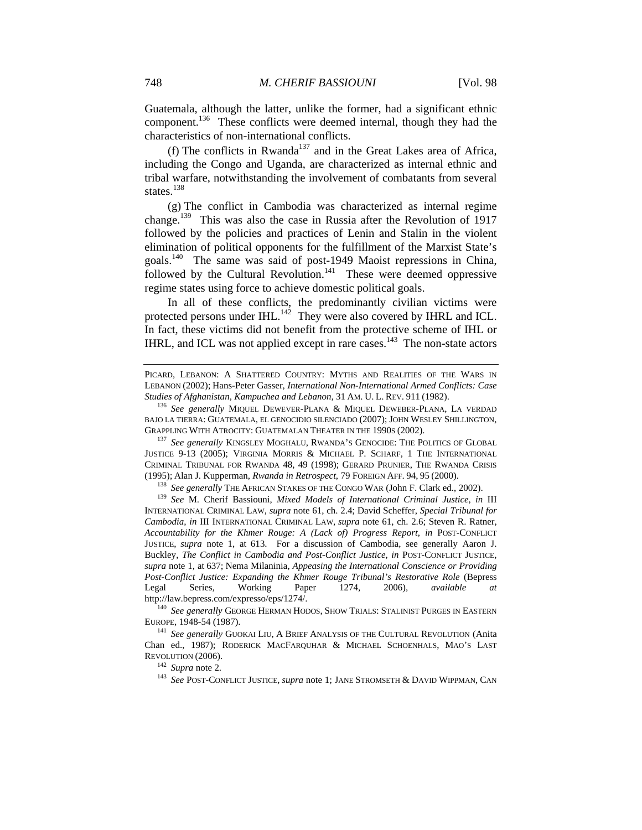Guatemala, although the latter, unlike the former, had a significant ethnic component.136 These conflicts were deemed internal, though they had the characteristics of non-international conflicts.

(f) The conflicts in Rwanda<sup>137</sup> and in the Great Lakes area of Africa, including the Congo and Uganda, are characterized as internal ethnic and tribal warfare, notwithstanding the involvement of combatants from several states.<sup>138</sup>

(g) The conflict in Cambodia was characterized as internal regime change.139 This was also the case in Russia after the Revolution of 1917 followed by the policies and practices of Lenin and Stalin in the violent elimination of political opponents for the fulfillment of the Marxist State's goals.140 The same was said of post-1949 Maoist repressions in China, followed by the Cultural Revolution.<sup>141</sup> These were deemed oppressive regime states using force to achieve domestic political goals.

In all of these conflicts, the predominantly civilian victims were protected persons under IHL. $^{142}$  They were also covered by IHRL and ICL. In fact, these victims did not benefit from the protective scheme of IHL or IHRL, and ICL was not applied except in rare cases.<sup>143</sup> The non-state actors

PICARD, LEBANON: A SHATTERED COUNTRY: MYTHS AND REALITIES OF THE WARS IN LEBANON (2002); Hans-Peter Gasser, *International Non-International Armed Conflicts: Case Studies of Afghanistan, Kampuchea and Lebanon,* <sup>31</sup> AM. U. L. REV. <sup>911</sup> (1982). 136 *See generally* MIQUEL DEWEVER-PLANA & MIQUEL DEWEBER-PLANA, LA VERDAD

BAJO LA TIERRA: GUATEMALA, EL GENOCIDIO SILENCIADO (2007); JOHN WESLEY SHILLINGTON, GRAPPLING WITH ATROCITY: GUATEMALAN THEATER IN THE 1990S (2002). 137 *See generally* KINGSLEY MOGHALU, RWANDA'S GENOCIDE: THE POLITICS OF GLOBAL

JUSTICE 9-13 (2005); VIRGINIA MORRIS & MICHAEL P. SCHARF, 1 THE INTERNATIONAL CRIMINAL TRIBUNAL FOR RWANDA 48, 49 (1998); GERARD PRUNIER, THE RWANDA CRISIS (1995); Alan J. Kupperman, *Rwanda in Retrospect*, 79 FOREIGN AFF. 94, 95 (2000).<br><sup>138</sup> *See generally* THE AFRICAN STAKES OF THE CONGO WAR (John F. Clark ed., 2002).<br><sup>139</sup> *See M.* Cherif Bassiouni, *Mixed Models of Inte* 

INTERNATIONAL CRIMINAL LAW, *supra* note 61, ch. 2.4; David Scheffer, *Special Tribunal for Cambodia*, *in* III INTERNATIONAL CRIMINAL LAW, *supra* note 61, ch. 2.6; Steven R. Ratner, *Accountability for the Khmer Rouge: A (Lack of) Progress Report*, *in* POST-CONFLICT JUSTICE, *supra* note 1, at 613. For a discussion of Cambodia, see generally Aaron J. Buckley, *The Conflict in Cambodia and Post-Conflict Justice*, *in* POST-CONFLICT JUSTICE, *supra* note 1, at 637; Nema Milaninia, *Appeasing the International Conscience or Providing Post-Conflict Justice: Expanding the Khmer Rouge Tribunal's Restorative Role* (Bepress Legal Series, Working Paper 1274, 2006), *available at* 

http://law.bepress.com/expresso/eps/1274/.<br><sup>140</sup> *See generally* GEORGE HERMAN HODOS, SHOW TRIALS: STALINIST PURGES IN EASTERN<br>EUROPE, 1948-54 (1987).

<sup>&</sup>lt;sup>141</sup> See generally GUOKAI LIU, A BRIEF ANALYSIS OF THE CULTURAL REVOLUTION (Anita Chan ed., 1987); RODERICK MACFARQUHAR & MICHAEL SCHOENHALS, MAO'S LAST REVOLUTION (2006).<br><sup>142</sup> *Supra* note 2.<br><sup>143</sup> *See* POST-CONFLICT JUSTICE, *supra* note 1; JANE STROMSETH & DAVID WIPPMAN, CAN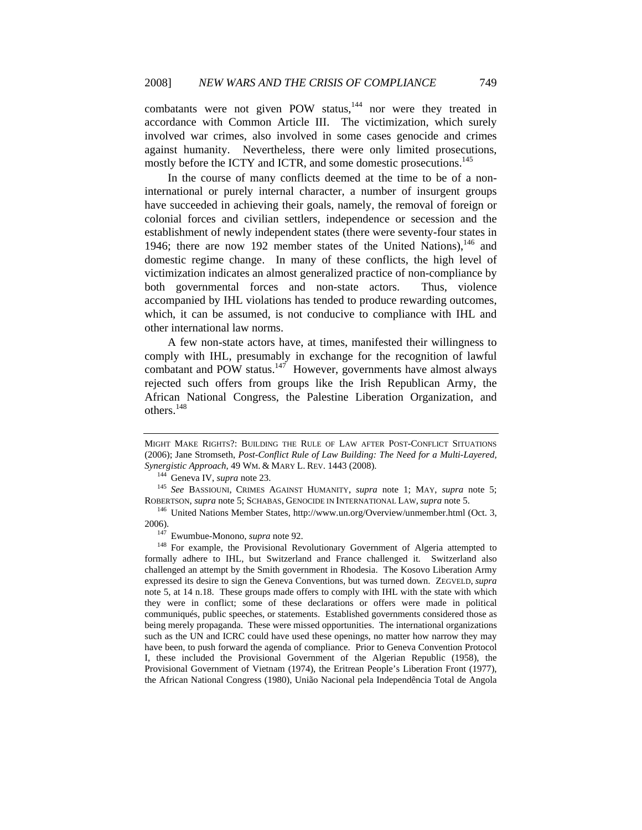combatants were not given POW status, $144$  nor were they treated in accordance with Common Article III. The victimization, which surely involved war crimes, also involved in some cases genocide and crimes against humanity. Nevertheless, there were only limited prosecutions, mostly before the ICTY and ICTR, and some domestic prosecutions.<sup>145</sup>

In the course of many conflicts deemed at the time to be of a noninternational or purely internal character, a number of insurgent groups have succeeded in achieving their goals, namely, the removal of foreign or colonial forces and civilian settlers, independence or secession and the establishment of newly independent states (there were seventy-four states in 1946; there are now 192 member states of the United Nations).<sup>146</sup> and domestic regime change. In many of these conflicts, the high level of victimization indicates an almost generalized practice of non-compliance by both governmental forces and non-state actors. Thus, violence accompanied by IHL violations has tended to produce rewarding outcomes, which, it can be assumed, is not conducive to compliance with IHL and other international law norms.

A few non-state actors have, at times, manifested their willingness to comply with IHL, presumably in exchange for the recognition of lawful combatant and POW status. $147$  However, governments have almost always rejected such offers from groups like the Irish Republican Army, the African National Congress, the Palestine Liberation Organization, and others.<sup>148</sup>

MIGHT MAKE RIGHTS?: BUILDING THE RULE OF LAW AFTER POST-CONFLICT SITUATIONS (2006); Jane Stromseth, *Post-Conflict Rule of Law Building: The Need for a Multi-Layered, Synergistic Approach*, 49 WM. & MARY L. REV. 1443 (2008). 144 Geneva IV, *supra* note 23. 145 *See* BASSIOUNI, CRIMES AGAINST HUMANITY, *supra* note 1; MAY, *supra* note 5;

ROBERTSON, *supra* note 5; SCHABAS, GENOCIDE IN INTERNATIONAL LAW, *supra* note 5. 146 United Nations Member States, http://www.un.org/Overview/unmember.html (Oct. 3,

<sup>2006).&</sup>lt;br><sup>147</sup> Ewumbue-Monono, *supra* note 92.<br><sup>148</sup> For example, the Provisional Revolutionary Government of Algeria attempted to

formally adhere to IHL, but Switzerland and France challenged it. Switzerland also challenged an attempt by the Smith government in Rhodesia. The Kosovo Liberation Army expressed its desire to sign the Geneva Conventions, but was turned down. ZEGVELD, *supra*  note 5, at 14 n.18. These groups made offers to comply with IHL with the state with which they were in conflict; some of these declarations or offers were made in political communiqués, public speeches, or statements. Established governments considered those as being merely propaganda. These were missed opportunities. The international organizations such as the UN and ICRC could have used these openings, no matter how narrow they may have been, to push forward the agenda of compliance. Prior to Geneva Convention Protocol I, these included the Provisional Government of the Algerian Republic (1958), the Provisional Government of Vietnam (1974), the Eritrean People's Liberation Front (1977), the African National Congress (1980), União Nacional pela Independência Total de Angola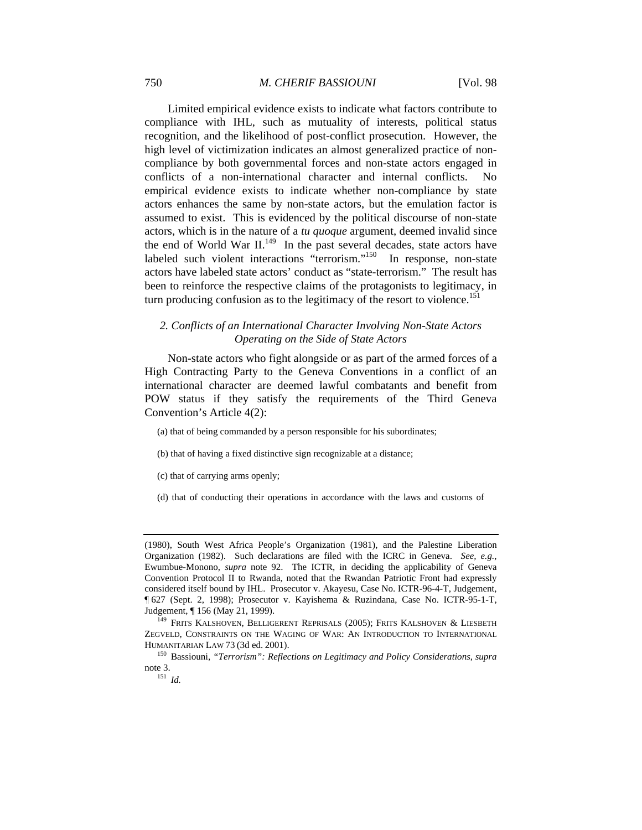Limited empirical evidence exists to indicate what factors contribute to compliance with IHL, such as mutuality of interests, political status recognition, and the likelihood of post-conflict prosecution. However, the high level of victimization indicates an almost generalized practice of noncompliance by both governmental forces and non-state actors engaged in conflicts of a non-international character and internal conflicts. No empirical evidence exists to indicate whether non-compliance by state actors enhances the same by non-state actors, but the emulation factor is assumed to exist. This is evidenced by the political discourse of non-state actors, which is in the nature of a *tu quoque* argument, deemed invalid since the end of World War II.<sup>149</sup> In the past several decades, state actors have labeled such violent interactions "terrorism."<sup>150</sup> In response, non-state actors have labeled state actors' conduct as "state-terrorism." The result has been to reinforce the respective claims of the protagonists to legitimacy, in turn producing confusion as to the legitimacy of the resort to violence.<sup>151</sup>

## *2. Conflicts of an International Character Involving Non-State Actors Operating on the Side of State Actors*

Non-state actors who fight alongside or as part of the armed forces of a High Contracting Party to the Geneva Conventions in a conflict of an international character are deemed lawful combatants and benefit from POW status if they satisfy the requirements of the Third Geneva Convention's Article 4(2):

(a) that of being commanded by a person responsible for his subordinates;

(b) that of having a fixed distinctive sign recognizable at a distance;

(c) that of carrying arms openly;

(d) that of conducting their operations in accordance with the laws and customs of

<sup>(1980),</sup> South West Africa People's Organization (1981), and the Palestine Liberation Organization (1982). Such declarations are filed with the ICRC in Geneva. *See, e.g.*, Ewumbue-Monono, *supra* note 92. The ICTR, in deciding the applicability of Geneva Convention Protocol II to Rwanda, noted that the Rwandan Patriotic Front had expressly considered itself bound by IHL. Prosecutor v. Akayesu, Case No. ICTR-96-4-T, Judgement, ¶ 627 (Sept. 2, 1998); Prosecutor v. Kayishema & Ruzindana, Case No. ICTR-95-1-T, Judgement, ¶ 156 (May 21, 1999).<br><sup>149</sup> FRITS KALSHOVEN, BELLIGERENT REPRISALS (2005); FRITS KALSHOVEN & LIESBETH

ZEGVELD, CONSTRAINTS ON THE WAGING OF WAR: AN INTRODUCTION TO INTERNATIONAL HUMANITARIAN LAW 73 (3d ed. 2001).

<sup>150</sup> Bassiouni, *"Terrorism": Reflections on Legitimacy and Policy Considerations*, *supra*  note 3.<br> $^{151}$  *Id.*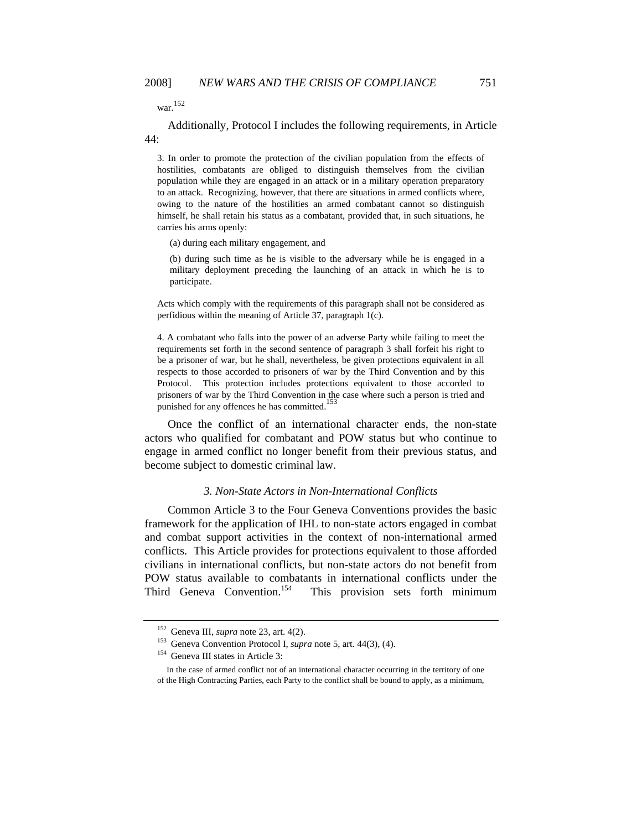war.152

Additionally, Protocol I includes the following requirements, in Article 44:

3. In order to promote the protection of the civilian population from the effects of hostilities, combatants are obliged to distinguish themselves from the civilian population while they are engaged in an attack or in a military operation preparatory to an attack. Recognizing, however, that there are situations in armed conflicts where, owing to the nature of the hostilities an armed combatant cannot so distinguish himself, he shall retain his status as a combatant, provided that, in such situations, he carries his arms openly:

(a) during each military engagement, and

(b) during such time as he is visible to the adversary while he is engaged in a military deployment preceding the launching of an attack in which he is to participate.

Acts which comply with the requirements of this paragraph shall not be considered as perfidious within the meaning of Article 37, paragraph 1(c).

4. A combatant who falls into the power of an adverse Party while failing to meet the requirements set forth in the second sentence of paragraph 3 shall forfeit his right to be a prisoner of war, but he shall, nevertheless, be given protections equivalent in all respects to those accorded to prisoners of war by the Third Convention and by this Protocol. This protection includes protections equivalent to those accorded to prisoners of war by the Third Convention in the case where such a person is tried and punished for any offences he has committed.<sup>1</sup>

Once the conflict of an international character ends, the non-state actors who qualified for combatant and POW status but who continue to engage in armed conflict no longer benefit from their previous status, and become subject to domestic criminal law.

#### *3. Non-State Actors in Non-International Conflicts*

Common Article 3 to the Four Geneva Conventions provides the basic framework for the application of IHL to non-state actors engaged in combat and combat support activities in the context of non-international armed conflicts. This Article provides for protections equivalent to those afforded civilians in international conflicts, but non-state actors do not benefit from POW status available to combatants in international conflicts under the Third Geneva Convention.<sup>154</sup> This provision sets forth minimum

<sup>&</sup>lt;sup>152</sup> Geneva III, *supra* note 23, art. 4(2).<br><sup>153</sup> Geneva Convention Protocol I, *supra* note 5, art. 44(3), (4).<br><sup>154</sup> Geneva III states in Article 3:

In the case of armed conflict not of an international character occurring in the territory of one of the High Contracting Parties, each Party to the conflict shall be bound to apply, as a minimum,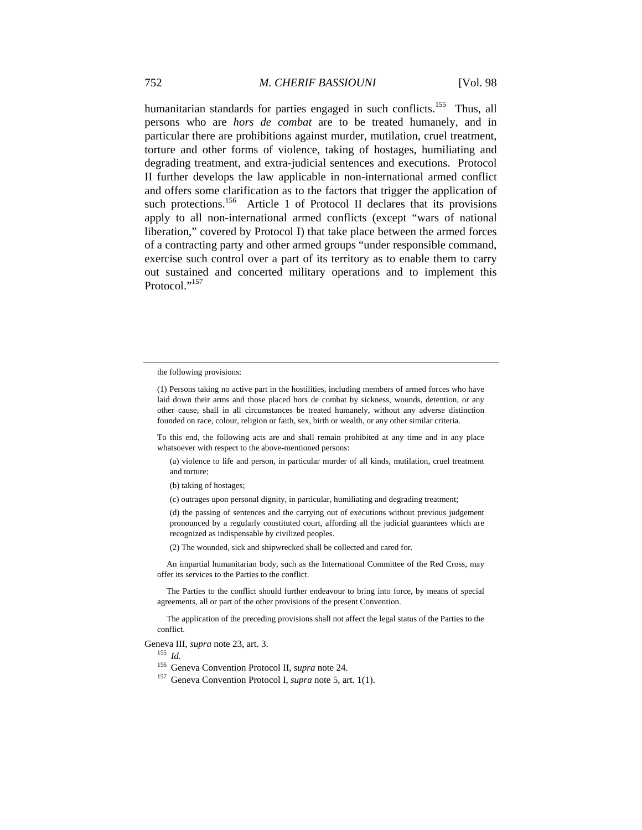humanitarian standards for parties engaged in such conflicts.<sup>155</sup> Thus, all persons who are *hors de combat* are to be treated humanely, and in particular there are prohibitions against murder, mutilation, cruel treatment, torture and other forms of violence, taking of hostages, humiliating and degrading treatment, and extra-judicial sentences and executions. Protocol II further develops the law applicable in non-international armed conflict and offers some clarification as to the factors that trigger the application of such protections.<sup>156</sup> Article 1 of Protocol II declares that its provisions apply to all non-international armed conflicts (except "wars of national liberation," covered by Protocol I) that take place between the armed forces of a contracting party and other armed groups "under responsible command, exercise such control over a part of its territory as to enable them to carry out sustained and concerted military operations and to implement this Protocol<sup>"157</sup>

To this end, the following acts are and shall remain prohibited at any time and in any place whatsoever with respect to the above-mentioned persons:

(a) violence to life and person, in particular murder of all kinds, mutilation, cruel treatment and torture;

(b) taking of hostages;

(c) outrages upon personal dignity, in particular, humiliating and degrading treatment;

(d) the passing of sentences and the carrying out of executions without previous judgement pronounced by a regularly constituted court, affording all the judicial guarantees which are recognized as indispensable by civilized peoples.

(2) The wounded, sick and shipwrecked shall be collected and cared for.

 An impartial humanitarian body, such as the International Committee of the Red Cross, may offer its services to the Parties to the conflict.

 The Parties to the conflict should further endeavour to bring into force, by means of special agreements, all or part of the other provisions of the present Convention.

 The application of the preceding provisions shall not affect the legal status of the Parties to the conflict.

Geneva III, *supra* note 23, art. 3.<br><sup>155</sup> *Id*.

<sup>156</sup> Geneva Convention Protocol II, *supra* note 24. 157 Geneva Convention Protocol I, *supra* note 5, art. 1(1).

the following provisions:

<sup>(1)</sup> Persons taking no active part in the hostilities, including members of armed forces who have laid down their arms and those placed hors de combat by sickness, wounds, detention, or any other cause, shall in all circumstances be treated humanely, without any adverse distinction founded on race, colour, religion or faith, sex, birth or wealth, or any other similar criteria.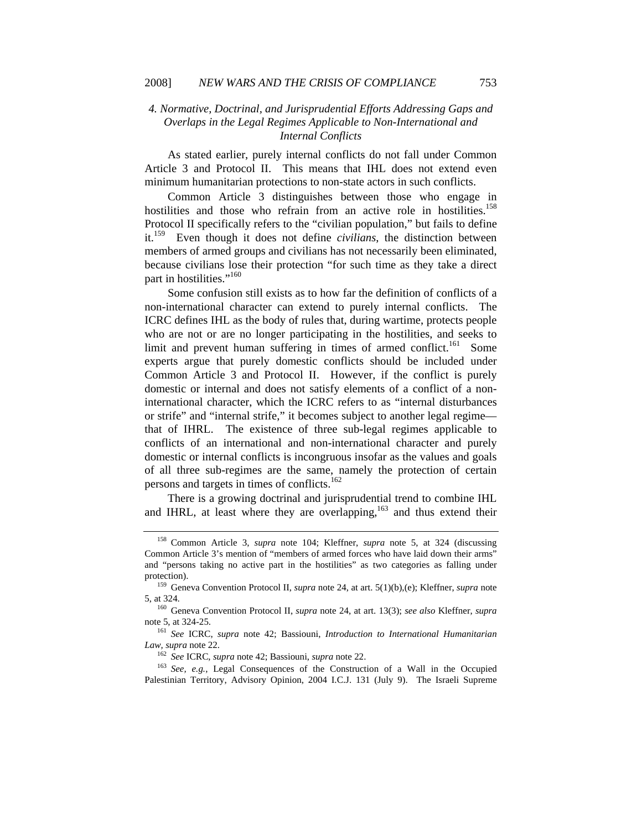## *4. Normative, Doctrinal, and Jurisprudential Efforts Addressing Gaps and Overlaps in the Legal Regimes Applicable to Non-International and Internal Conflicts*

As stated earlier, purely internal conflicts do not fall under Common Article 3 and Protocol II. This means that IHL does not extend even minimum humanitarian protections to non-state actors in such conflicts.

Common Article 3 distinguishes between those who engage in hostilities and those who refrain from an active role in hostilities.<sup>158</sup> Protocol II specifically refers to the "civilian population," but fails to define it.159 Even though it does not define *civilians*, the distinction between members of armed groups and civilians has not necessarily been eliminated, because civilians lose their protection "for such time as they take a direct part in hostilities."<sup>160</sup>

Some confusion still exists as to how far the definition of conflicts of a non-international character can extend to purely internal conflicts. The ICRC defines IHL as the body of rules that, during wartime, protects people who are not or are no longer participating in the hostilities, and seeks to limit and prevent human suffering in times of armed conflict.<sup>161</sup> Some experts argue that purely domestic conflicts should be included under Common Article 3 and Protocol II. However, if the conflict is purely domestic or internal and does not satisfy elements of a conflict of a noninternational character, which the ICRC refers to as "internal disturbances or strife" and "internal strife," it becomes subject to another legal regime that of IHRL. The existence of three sub-legal regimes applicable to conflicts of an international and non-international character and purely domestic or internal conflicts is incongruous insofar as the values and goals of all three sub-regimes are the same, namely the protection of certain persons and targets in times of conflicts.<sup>162</sup>

There is a growing doctrinal and jurisprudential trend to combine IHL and IHRL, at least where they are overlapping,<sup>163</sup> and thus extend their

<sup>158</sup> Common Article 3, *supra* note 104; Kleffner, *supra* note 5, at 324 (discussing Common Article 3's mention of "members of armed forces who have laid down their arms" and "persons taking no active part in the hostilities" as two categories as falling under protection). 159 Geneva Convention Protocol II, *supra* note 24, at art. 5(1)(b),(e); Kleffner, *supra* note

<sup>5,</sup> at 324. 160 Geneva Convention Protocol II, *supra* note 24, at art. 13(3); *see also* Kleffner, *supra* 

note 5, at 324-25.<br><sup>161</sup> *See* ICRC, *supra* note 42; Bassiouni, *Introduction to International Humanitarian Law, supra* note 22.

<sup>&</sup>lt;sup>162</sup> *See* ICRC, *supra* note 42; Bassiouni, *supra* note 22.<br><sup>163</sup> *See*, *e.g.*, Legal Consequences of the Construction of a Wall in the Occupied Palestinian Territory, Advisory Opinion, 2004 I.C.J. 131 (July 9). The Israeli Supreme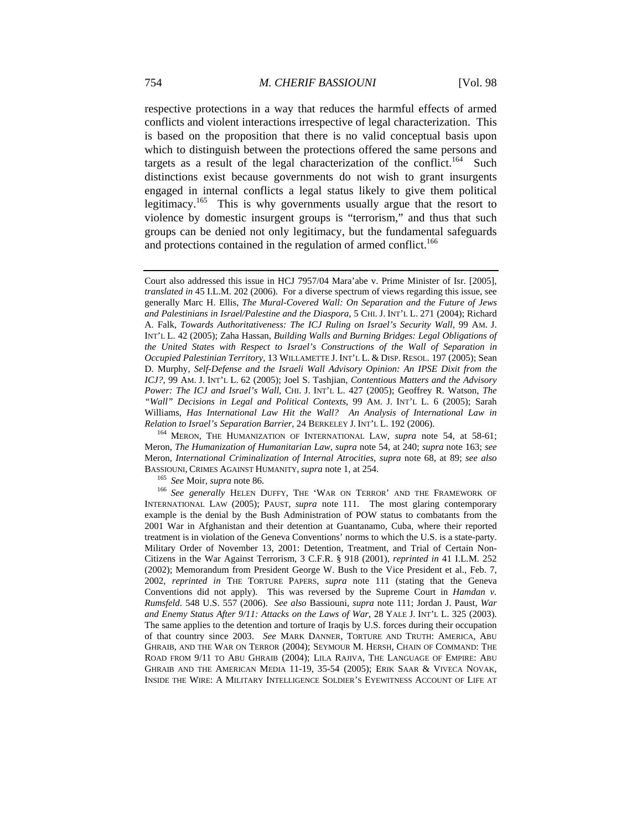respective protections in a way that reduces the harmful effects of armed conflicts and violent interactions irrespective of legal characterization. This is based on the proposition that there is no valid conceptual basis upon which to distinguish between the protections offered the same persons and targets as a result of the legal characterization of the conflict.<sup>164</sup> Such distinctions exist because governments do not wish to grant insurgents engaged in internal conflicts a legal status likely to give them political legitimacy.165 This is why governments usually argue that the resort to violence by domestic insurgent groups is "terrorism," and thus that such groups can be denied not only legitimacy, but the fundamental safeguards and protections contained in the regulation of armed conflict.<sup>166</sup>

Meron, *The Humanization of Humanitarian Law*, *supra* note 54, at 240; *supra* note 163; *see* Meron, *International Criminalization of Internal Atrocities*, *supra* note 68, at 89; *see also* BASSIOUNI, CRIMES AGAINST HUMANITY, *supra* note 1, at 254.<br><sup>165</sup> *See* Moir, *supra* note 86.<br><sup>166</sup> *See generally* HELEN DUFFY, THE 'WAR ON TERROR' AND THE FRAMEWORK OF

Court also addressed this issue in HCJ 7957/04 Mara'abe v. Prime Minister of Isr. [2005], *translated in* 45 I.L.M. 202 (2006). For a diverse spectrum of views regarding this issue, see generally Marc H. Ellis, *The Mural-Covered Wall: On Separation and the Future of Jews*  and Palestinians in Israel/Palestine and the Diaspora, 5 CHI. J. INT'L L. 271 (2004); Richard A. Falk, *Towards Authoritativeness: The ICJ Ruling on Israel's Security Wall*, 99 AM. J. INT'L L. 42 (2005); Zaha Hassan, *Building Walls and Burning Bridges: Legal Obligations of the United States with Respect to Israel's Constructions of the Wall of Separation in Occupied Palestinian Territory*, 13 WILLAMETTE J. INT'L L. & DISP. RESOL. 197 (2005); Sean D. Murphy, *Self-Defense and the Israeli Wall Advisory Opinion: An IPSE Dixit from the ICJ?*, 99 AM. J. INT'L L. 62 (2005); Joel S. Tashjian, *Contentious Matters and the Advisory Power: The ICJ and Israel's Wall*, CHI. J. INT'L L. 427 (2005); Geoffrey R. Watson, *The "Wall" Decisions in Legal and Political Contexts*, 99 AM. J. INT'L L. 6 (2005); Sarah Williams, *Has International Law Hit the Wall? An Analysis of International Law in Relation to Israel's Separation Barrier*, 24 BERKELEY J. INT'L L. 192 (2006). 164 MERON, THE HUMANIZATION OF INTERNATIONAL LAW, *supra* note 54, at 58-61;

INTERNATIONAL LAW (2005); PAUST, *supra* note 111. The most glaring contemporary example is the denial by the Bush Administration of POW status to combatants from the 2001 War in Afghanistan and their detention at Guantanamo, Cuba, where their reported treatment is in violation of the Geneva Conventions' norms to which the U.S. is a state-party. Military Order of November 13, 2001: Detention, Treatment, and Trial of Certain Non-Citizens in the War Against Terrorism, 3 C.F.R. § 918 (2001), *reprinted in* 41 I.L.M. 252 (2002); Memorandum from President George W. Bush to the Vice President et al., Feb. 7, 2002*, reprinted in* THE TORTURE PAPERS, *supra* note 111 (stating that the Geneva Conventions did not apply). This was reversed by the Supreme Court in *Hamdan v. Rumsfeld*. 548 U.S. 557 (2006). *See also* Bassiouni, *supra* note 111; Jordan J. Paust, *War and Enemy Status After 9/11: Attacks on the Laws of War*, 28 YALE J. INT'L L. 325 (2003). The same applies to the detention and torture of Iraqis by U.S. forces during their occupation of that country since 2003. *See* MARK DANNER, TORTURE AND TRUTH: AMERICA, ABU GHRAIB, AND THE WAR ON TERROR (2004); SEYMOUR M. HERSH, CHAIN OF COMMAND: THE ROAD FROM 9/11 TO ABU GHRAIB (2004); LILA RAJIVA, THE LANGUAGE OF EMPIRE: ABU GHRAIB AND THE AMERICAN MEDIA 11-19, 35-54 (2005); ERIK SAAR & VIVECA NOVAK, INSIDE THE WIRE: A MILITARY INTELLIGENCE SOLDIER'S EYEWITNESS ACCOUNT OF LIFE AT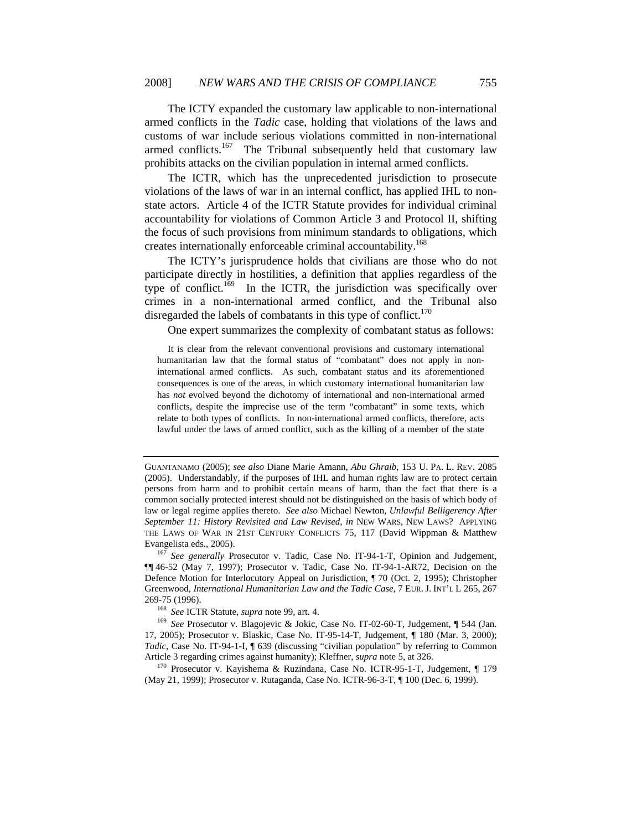The ICTY expanded the customary law applicable to non-international armed conflicts in the *Tadic* case, holding that violations of the laws and customs of war include serious violations committed in non-international armed conflicts.<sup>167</sup> The Tribunal subsequently held that customary law prohibits attacks on the civilian population in internal armed conflicts.

The ICTR, which has the unprecedented jurisdiction to prosecute violations of the laws of war in an internal conflict, has applied IHL to nonstate actors. Article 4 of the ICTR Statute provides for individual criminal accountability for violations of Common Article 3 and Protocol II, shifting the focus of such provisions from minimum standards to obligations, which creates internationally enforceable criminal accountability.168

The ICTY's jurisprudence holds that civilians are those who do not participate directly in hostilities, a definition that applies regardless of the type of conflict.<sup>169</sup> In the ICTR, the jurisdiction was specifically over crimes in a non-international armed conflict, and the Tribunal also disregarded the labels of combatants in this type of conflict. $170$ 

One expert summarizes the complexity of combatant status as follows:

 It is clear from the relevant conventional provisions and customary international humanitarian law that the formal status of "combatant" does not apply in noninternational armed conflicts. As such, combatant status and its aforementioned consequences is one of the areas, in which customary international humanitarian law has *not* evolved beyond the dichotomy of international and non-international armed conflicts, despite the imprecise use of the term "combatant" in some texts, which relate to both types of conflicts. In non-international armed conflicts, therefore, acts lawful under the laws of armed conflict, such as the killing of a member of the state

269-75 (1996). 168 *See* ICTR Statute, *supra* note 99, art. 4. 169 *See* Prosecutor v. Blagojevic & Jokic, Case No. IT-02-60-T, Judgement, ¶ 544 (Jan. 17, 2005); Prosecutor v. Blaskic, Case No. IT-95-14-T, Judgement, ¶ 180 (Mar. 3, 2000); *Tadic*, Case No. IT-94-1-I, ¶ 639 (discussing "civilian population" by referring to Common Article 3 regarding crimes against humanity); Kleffner, *supra* note 5, at 326.<br><sup>170</sup> Prosecutor v. Kayishema & Ruzindana, Case No. ICTR-95-1-T, Judgement, ¶ 179

(May 21, 1999); Prosecutor v. Rutaganda, Case No. ICTR-96-3-T, ¶ 100 (Dec. 6, 1999).

GUANTANAMO (2005); *see also* Diane Marie Amann, *Abu Ghraib*, 153 U. PA. L. REV. 2085 (2005). Understandably, if the purposes of IHL and human rights law are to protect certain persons from harm and to prohibit certain means of harm, than the fact that there is a common socially protected interest should not be distinguished on the basis of which body of law or legal regime applies thereto. *See also* Michael Newton, *Unlawful Belligerency After September 11: History Revisited and Law Revised*, *in* NEW WARS, NEW LAWS? APPLYING THE LAWS OF WAR IN 21ST CENTURY CONFLICTS 75, 117 (David Wippman & Matthew Evangelista eds., 2005). 167 *See generally* Prosecutor v. Tadic, Case No. IT-94-1-T, Opinion and Judgement,

<sup>¶¶ 46-52 (</sup>May 7, 1997); Prosecutor v. Tadic, Case No. IT-94-1-AR72, Decision on the Defence Motion for Interlocutory Appeal on Jurisdiction, ¶ 70 (Oct. 2, 1995); Christopher Greenwood, *International Humanitarian Law and the Tadic Case*, 7 EUR. J. INT'L L 265, 267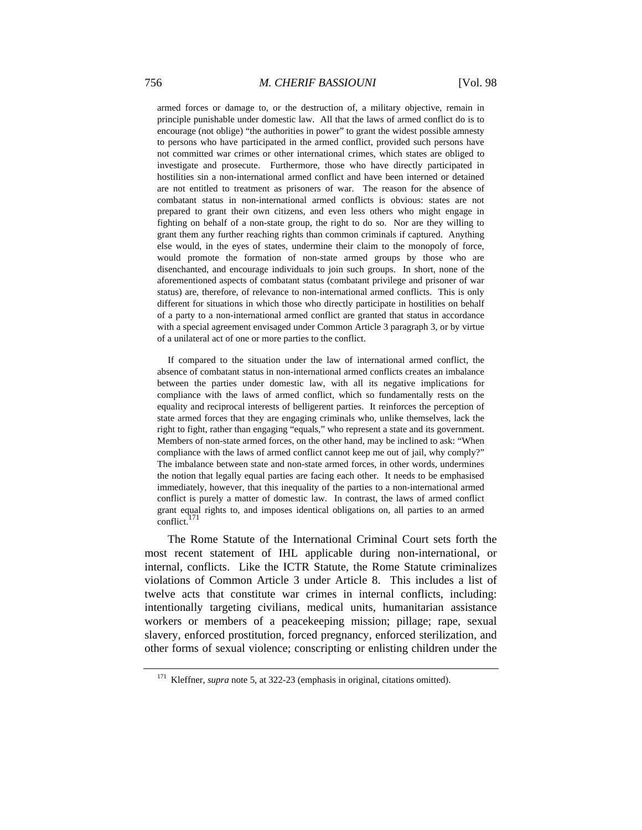armed forces or damage to, or the destruction of, a military objective, remain in principle punishable under domestic law. All that the laws of armed conflict do is to encourage (not oblige) "the authorities in power" to grant the widest possible amnesty to persons who have participated in the armed conflict, provided such persons have not committed war crimes or other international crimes, which states are obliged to investigate and prosecute. Furthermore, those who have directly participated in hostilities sin a non-international armed conflict and have been interned or detained are not entitled to treatment as prisoners of war. The reason for the absence of combatant status in non-international armed conflicts is obvious: states are not prepared to grant their own citizens, and even less others who might engage in fighting on behalf of a non-state group, the right to do so. Nor are they willing to grant them any further reaching rights than common criminals if captured. Anything else would, in the eyes of states, undermine their claim to the monopoly of force, would promote the formation of non-state armed groups by those who are disenchanted, and encourage individuals to join such groups. In short, none of the aforementioned aspects of combatant status (combatant privilege and prisoner of war status) are, therefore, of relevance to non-international armed conflicts. This is only different for situations in which those who directly participate in hostilities on behalf of a party to a non-international armed conflict are granted that status in accordance with a special agreement envisaged under Common Article 3 paragraph 3, or by virtue of a unilateral act of one or more parties to the conflict.

 If compared to the situation under the law of international armed conflict, the absence of combatant status in non-international armed conflicts creates an imbalance between the parties under domestic law, with all its negative implications for compliance with the laws of armed conflict, which so fundamentally rests on the equality and reciprocal interests of belligerent parties. It reinforces the perception of state armed forces that they are engaging criminals who, unlike themselves, lack the right to fight, rather than engaging "equals," who represent a state and its government. Members of non-state armed forces, on the other hand, may be inclined to ask: "When compliance with the laws of armed conflict cannot keep me out of jail, why comply?" The imbalance between state and non-state armed forces, in other words, undermines the notion that legally equal parties are facing each other. It needs to be emphasised immediately, however, that this inequality of the parties to a non-international armed conflict is purely a matter of domestic law. In contrast, the laws of armed conflict grant equal rights to, and imposes identical obligations on, all parties to an armed conflict.

The Rome Statute of the International Criminal Court sets forth the most recent statement of IHL applicable during non-international, or internal, conflicts. Like the ICTR Statute, the Rome Statute criminalizes violations of Common Article 3 under Article 8. This includes a list of twelve acts that constitute war crimes in internal conflicts, including: intentionally targeting civilians, medical units, humanitarian assistance workers or members of a peacekeeping mission; pillage; rape, sexual slavery, enforced prostitution, forced pregnancy, enforced sterilization, and other forms of sexual violence; conscripting or enlisting children under the

<sup>171</sup> Kleffner, *supra* note 5, at 322-23 (emphasis in original, citations omitted).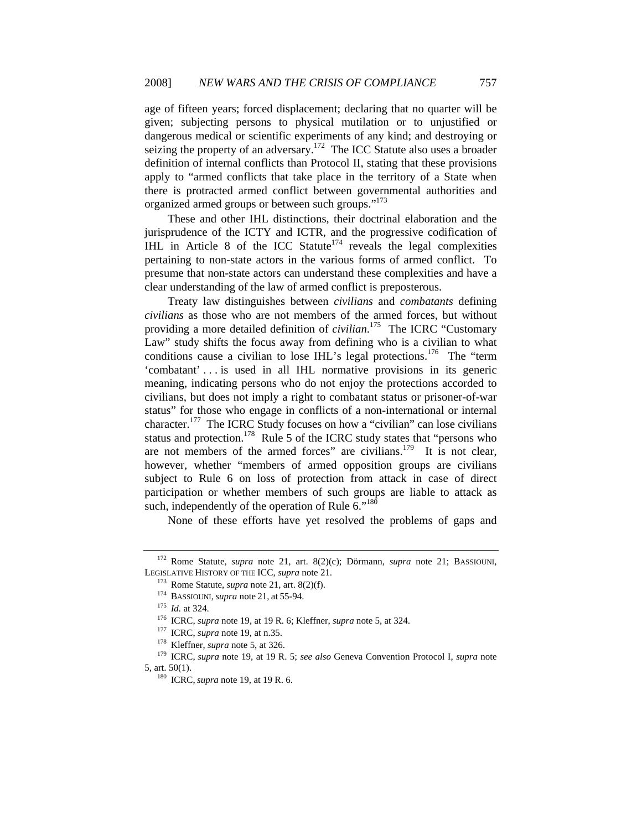age of fifteen years; forced displacement; declaring that no quarter will be given; subjecting persons to physical mutilation or to unjustified or dangerous medical or scientific experiments of any kind; and destroying or seizing the property of an adversary.<sup>172</sup> The ICC Statute also uses a broader definition of internal conflicts than Protocol II, stating that these provisions apply to "armed conflicts that take place in the territory of a State when there is protracted armed conflict between governmental authorities and organized armed groups or between such groups."<sup>173</sup>

These and other IHL distinctions, their doctrinal elaboration and the jurisprudence of the ICTY and ICTR, and the progressive codification of IHL in Article 8 of the ICC Statute<sup>174</sup> reveals the legal complexities pertaining to non-state actors in the various forms of armed conflict. To presume that non-state actors can understand these complexities and have a clear understanding of the law of armed conflict is preposterous.

Treaty law distinguishes between *civilians* and *combatants* defining *civilians* as those who are not members of the armed forces, but without providing a more detailed definition of *civilian*. 175 The ICRC "Customary Law" study shifts the focus away from defining who is a civilian to what conditions cause a civilian to lose IHL's legal protections.<sup>176</sup> The "term" 'combatant' . . . is used in all IHL normative provisions in its generic meaning, indicating persons who do not enjoy the protections accorded to civilians, but does not imply a right to combatant status or prisoner-of-war status" for those who engage in conflicts of a non-international or internal character.<sup>177</sup> The ICRC Study focuses on how a "civilian" can lose civilians status and protection.<sup>178</sup> Rule 5 of the ICRC study states that "persons who are not members of the armed forces" are civilians.<sup>179</sup> It is not clear, however, whether "members of armed opposition groups are civilians subject to Rule 6 on loss of protection from attack in case of direct participation or whether members of such groups are liable to attack as such, independently of the operation of Rule  $6.^{180}$ 

None of these efforts have yet resolved the problems of gaps and

<sup>172</sup> Rome Statute, *supra* note 21, art. 8(2)(c); Dörmann, *supra* note 21; BASSIOUNI, LEGISLATIVE HISTORY OF THE ICC, *supra* note 21.<br>
<sup>173</sup> Rome Statute, *supra* note 21, art. 8(2)(f).<br>
<sup>174</sup> BASSIOUNI, *supra* note 21, at 55-94.<br>
<sup>175</sup> Id. at 324.<br>
<sup>176</sup> ICRC, *supra* note 19, at 19 R. 6; Kleffner, *sup* 

<sup>5,</sup> art. 50(1). 180 ICRC, *supra* note 19, at 19 R. 6.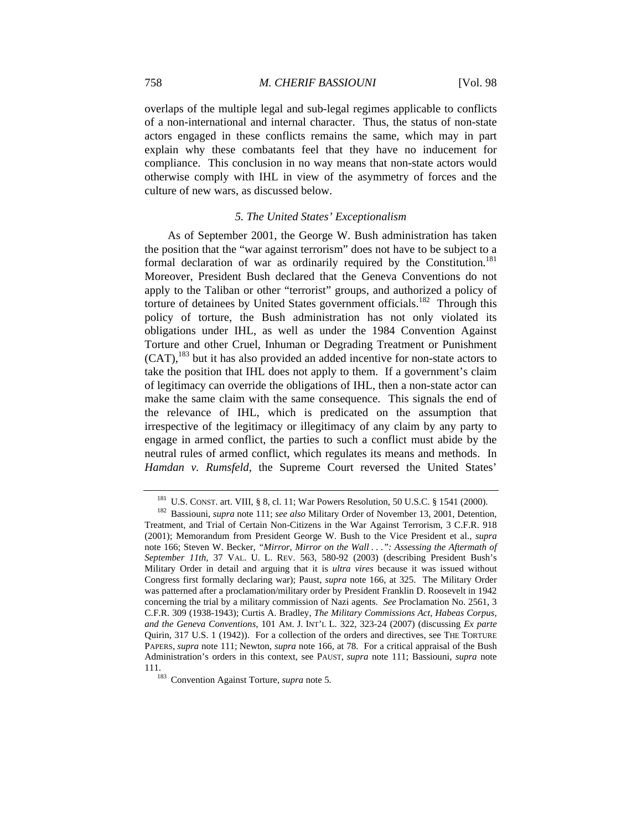overlaps of the multiple legal and sub-legal regimes applicable to conflicts of a non-international and internal character. Thus, the status of non-state actors engaged in these conflicts remains the same, which may in part explain why these combatants feel that they have no inducement for compliance. This conclusion in no way means that non-state actors would otherwise comply with IHL in view of the asymmetry of forces and the culture of new wars, as discussed below.

#### *5. The United States' Exceptionalism*

As of September 2001, the George W. Bush administration has taken the position that the "war against terrorism" does not have to be subject to a formal declaration of war as ordinarily required by the Constitution.<sup>181</sup> Moreover, President Bush declared that the Geneva Conventions do not apply to the Taliban or other "terrorist" groups, and authorized a policy of torture of detainees by United States government officials.<sup>182</sup> Through this policy of torture, the Bush administration has not only violated its obligations under IHL, as well as under the 1984 Convention Against Torture and other Cruel, Inhuman or Degrading Treatment or Punishment (CAT),183 but it has also provided an added incentive for non-state actors to take the position that IHL does not apply to them. If a government's claim of legitimacy can override the obligations of IHL, then a non-state actor can make the same claim with the same consequence. This signals the end of the relevance of IHL, which is predicated on the assumption that irrespective of the legitimacy or illegitimacy of any claim by any party to engage in armed conflict, the parties to such a conflict must abide by the neutral rules of armed conflict, which regulates its means and methods. In *Hamdan v. Rumsfeld,* the Supreme Court reversed the United States'

<sup>181</sup> U.S. CONST. art. VIII, § 8, cl. 11; War Powers Resolution, 50 U.S.C. § 1541 (2000). 182 Bassiouni, *supra* note 111; *see also* Military Order of November 13, 2001, Detention,

Treatment, and Trial of Certain Non-Citizens in the War Against Terrorism, 3 C.F.R. 918 (2001); Memorandum from President George W. Bush to the Vice President et al., *supra*  note 166; Steven W. Becker, *"Mirror, Mirror on the Wall . . .": Assessing the Aftermath of September 11th*, 37 VAL. U. L. REV. 563, 580-92 (2003) (describing President Bush's Military Order in detail and arguing that it is *ultra vires* because it was issued without Congress first formally declaring war); Paust, *supra* note 166, at 325. The Military Order was patterned after a proclamation/military order by President Franklin D. Roosevelt in 1942 concerning the trial by a military commission of Nazi agents. *See* Proclamation No. 2561, 3 C.F.R. 309 (1938-1943); Curtis A. Bradley, *The Military Commissions Act, Habeas Corpus, and the Geneva Conventions*, 101 AM. J. INT'L L. 322, 323-24 (2007) (discussing *Ex parte* Quirin, 317 U.S. 1 (1942)). For a collection of the orders and directives, see THE TORTURE PAPERS, *supra* note 111; Newton, *supra* note 166, at 78. For a critical appraisal of the Bush Administration's orders in this context, see PAUST, *supra* note 111; Bassiouni, *supra* note 111. 183 Convention Against Torture, *supra* note 5.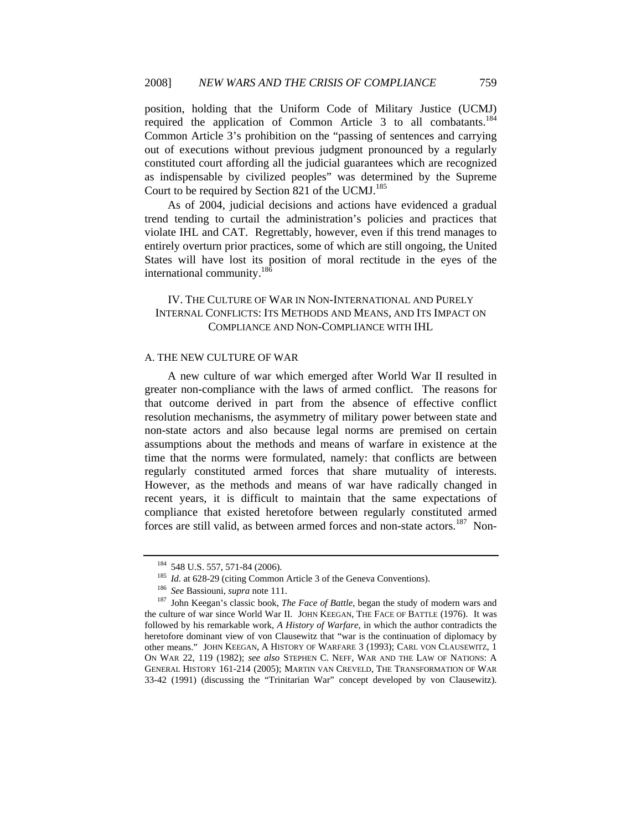position, holding that the Uniform Code of Military Justice (UCMJ) required the application of Common Article 3 to all combatants.<sup>184</sup> Common Article 3's prohibition on the "passing of sentences and carrying out of executions without previous judgment pronounced by a regularly constituted court affording all the judicial guarantees which are recognized as indispensable by civilized peoples" was determined by the Supreme Court to be required by Section 821 of the UCMJ.<sup>185</sup>

As of 2004, judicial decisions and actions have evidenced a gradual trend tending to curtail the administration's policies and practices that violate IHL and CAT. Regrettably, however, even if this trend manages to entirely overturn prior practices, some of which are still ongoing, the United States will have lost its position of moral rectitude in the eyes of the international community.186

# IV. THE CULTURE OF WAR IN NON-INTERNATIONAL AND PURELY INTERNAL CONFLICTS: ITS METHODS AND MEANS, AND ITS IMPACT ON COMPLIANCE AND NON-COMPLIANCE WITH IHL

### A. THE NEW CULTURE OF WAR

A new culture of war which emerged after World War II resulted in greater non-compliance with the laws of armed conflict. The reasons for that outcome derived in part from the absence of effective conflict resolution mechanisms, the asymmetry of military power between state and non-state actors and also because legal norms are premised on certain assumptions about the methods and means of warfare in existence at the time that the norms were formulated, namely: that conflicts are between regularly constituted armed forces that share mutuality of interests. However, as the methods and means of war have radically changed in recent years, it is difficult to maintain that the same expectations of compliance that existed heretofore between regularly constituted armed forces are still valid, as between armed forces and non-state actors.<sup>187</sup> Non-

<sup>&</sup>lt;sup>184</sup> 548 U.S. 557, 571-84 (2006).<br><sup>185</sup> *Id.* at 628-29 (citing Common Article 3 of the Geneva Conventions).<br><sup>186</sup> *See* Bassiouni, *supra* note 111.<br><sup>187</sup> John Keegan's classic book, *The Face of Battle*, began the stud the culture of war since World War II. JOHN KEEGAN, THE FACE OF BATTLE (1976). It was followed by his remarkable work, *A History of Warfare*, in which the author contradicts the heretofore dominant view of von Clausewitz that "war is the continuation of diplomacy by other means." JOHN KEEGAN, A HISTORY OF WARFARE 3 (1993); CARL VON CLAUSEWITZ, 1 ON WAR 22, 119 (1982); *see also* STEPHEN C. NEFF, WAR AND THE LAW OF NATIONS: A GENERAL HISTORY 161-214 (2005); MARTIN VAN CREVELD, THE TRANSFORMATION OF WAR 33-42 (1991) (discussing the "Trinitarian War" concept developed by von Clausewitz).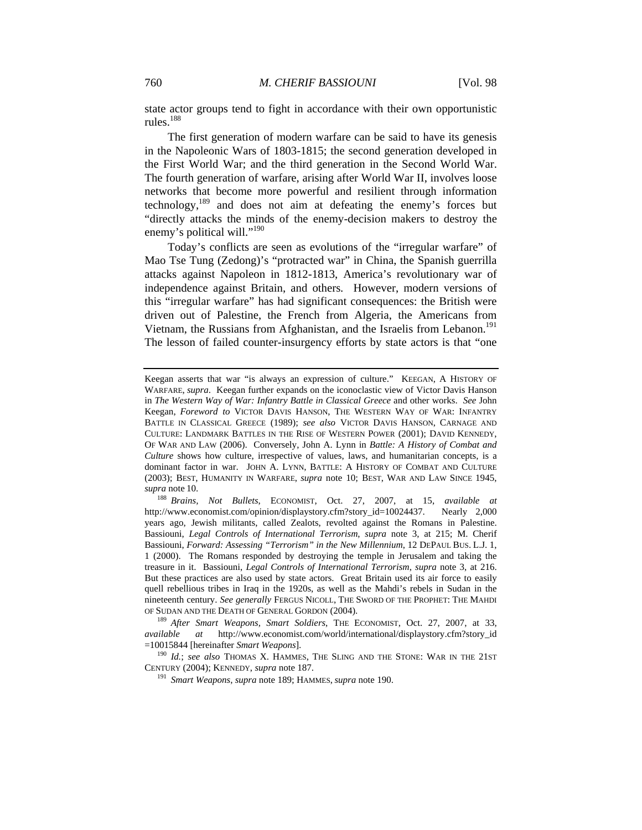state actor groups tend to fight in accordance with their own opportunistic rules.<sup>188</sup>

The first generation of modern warfare can be said to have its genesis in the Napoleonic Wars of 1803-1815; the second generation developed in the First World War; and the third generation in the Second World War. The fourth generation of warfare, arising after World War II, involves loose networks that become more powerful and resilient through information technology, $189$  and does not aim at defeating the enemy's forces but "directly attacks the minds of the enemy-decision makers to destroy the enemy's political will."<sup>190</sup>

Today's conflicts are seen as evolutions of the "irregular warfare" of Mao Tse Tung (Zedong)'s "protracted war" in China, the Spanish guerrilla attacks against Napoleon in 1812-1813, America's revolutionary war of independence against Britain, and others. However, modern versions of this "irregular warfare" has had significant consequences: the British were driven out of Palestine, the French from Algeria, the Americans from Vietnam, the Russians from Afghanistan, and the Israelis from Lebanon.<sup>191</sup> The lesson of failed counter-insurgency efforts by state actors is that "one

Keegan asserts that war "is always an expression of culture." KEEGAN, A HISTORY OF WARFARE, *supra*. Keegan further expands on the iconoclastic view of Victor Davis Hanson in *The Western Way of War: Infantry Battle in Classical Greece* and other works. *See* John Keegan, *Foreword to* VICTOR DAVIS HANSON, THE WESTERN WAY OF WAR: INFANTRY BATTLE IN CLASSICAL GREECE (1989); *see also* VICTOR DAVIS HANSON, CARNAGE AND CULTURE: LANDMARK BATTLES IN THE RISE OF WESTERN POWER (2001); DAVID KENNEDY, OF WAR AND LAW (2006). Conversely, John A. Lynn in *Battle: A History of Combat and Culture* shows how culture, irrespective of values, laws, and humanitarian concepts, is a dominant factor in war. JOHN A. LYNN, BATTLE: A HISTORY OF COMBAT AND CULTURE (2003); BEST, HUMANITY IN WARFARE, *supra* note 10; BEST, WAR AND LAW SINCE 1945,

*supra* note 10. 188 *Brains, Not Bullets*, ECONOMIST, Oct. 27, 2007, at 15, *available at* http://www.economist.com/opinion/displaystory.cfm?story\_id=10024437. Nearly 2,000 years ago, Jewish militants, called Zealots, revolted against the Romans in Palestine. Bassiouni, *Legal Controls of International Terrorism*, *supra* note 3, at 215; M. Cherif Bassiouni, *Forward: Assessing "Terrorism" in the New Millennium*, 12 DEPAUL BUS. L.J. 1, 1 (2000). The Romans responded by destroying the temple in Jerusalem and taking the treasure in it. Bassiouni, *Legal Controls of International Terrorism*, *supra* note 3, at 216. But these practices are also used by state actors. Great Britain used its air force to easily quell rebellious tribes in Iraq in the 1920s, as well as the Mahdi's rebels in Sudan in the nineteenth century. *See generally* FERGUS NICOLL, THE SWORD OF THE PROPHET: THE MAHDI OF SUDAN AND THE DEATH OF GENERAL GORDON (2004). 189 *After Smart Weapons, Smart Soldiers*, THE ECONOMIST, Oct. 27, 2007, at 33,

*available at* http://www.economist.com/world/international/displaystory.cfm?story\_id =10015844 [hereinafter *Smart Weapons*].

<sup>&</sup>lt;sup>190</sup> *Id.*; *see also* ThOMAS X. HAMMES, THE SLING AND THE STONE: WAR IN THE 21ST CENTURY (2004); KENNEDY, *supra* note 187.

<sup>&</sup>lt;sup>191</sup> Smart Weapons, *supra* note 189; HAMMES, *supra* note 190.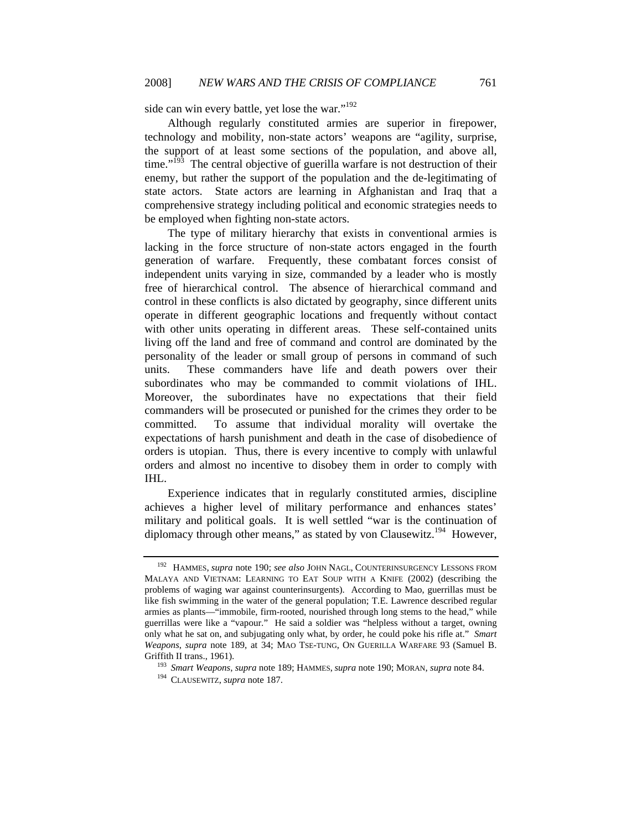side can win every battle, yet lose the war."<sup>192</sup>

Although regularly constituted armies are superior in firepower, technology and mobility, non-state actors' weapons are "agility, surprise, the support of at least some sections of the population, and above all, time."<sup>193</sup> The central objective of guerilla warfare is not destruction of their enemy, but rather the support of the population and the de-legitimating of state actors. State actors are learning in Afghanistan and Iraq that a comprehensive strategy including political and economic strategies needs to be employed when fighting non-state actors.

The type of military hierarchy that exists in conventional armies is lacking in the force structure of non-state actors engaged in the fourth generation of warfare. Frequently, these combatant forces consist of independent units varying in size, commanded by a leader who is mostly free of hierarchical control. The absence of hierarchical command and control in these conflicts is also dictated by geography, since different units operate in different geographic locations and frequently without contact with other units operating in different areas. These self-contained units living off the land and free of command and control are dominated by the personality of the leader or small group of persons in command of such units. These commanders have life and death powers over their subordinates who may be commanded to commit violations of IHL. Moreover, the subordinates have no expectations that their field commanders will be prosecuted or punished for the crimes they order to be committed. To assume that individual morality will overtake the expectations of harsh punishment and death in the case of disobedience of orders is utopian. Thus, there is every incentive to comply with unlawful orders and almost no incentive to disobey them in order to comply with IHL.

Experience indicates that in regularly constituted armies, discipline achieves a higher level of military performance and enhances states' military and political goals. It is well settled "war is the continuation of diplomacy through other means," as stated by von Clausewitz.<sup>194</sup> However,

<sup>192</sup> HAMMES, *supra* note 190; *see also* JOHN NAGL, COUNTERINSURGENCY LESSONS FROM MALAYA AND VIETNAM: LEARNING TO EAT SOUP WITH A KNIFE (2002) (describing the problems of waging war against counterinsurgents). According to Mao, guerrillas must be like fish swimming in the water of the general population; T.E. Lawrence described regular armies as plants—"immobile, firm-rooted, nourished through long stems to the head," while guerrillas were like a "vapour." He said a soldier was "helpless without a target, owning only what he sat on, and subjugating only what, by order, he could poke his rifle at." *Smart Weapons*, *supra* note 189, at 34; MAO TSE-TUNG, ON GUERILLA WARFARE 93 (Samuel B. Griffith II trans., 1961). 193 *Smart Weapons*, *supra* note 189; HAMMES, *supra* note 190; MORAN, *supra* note 84. 194 CLAUSEWITZ, *supra* note 187.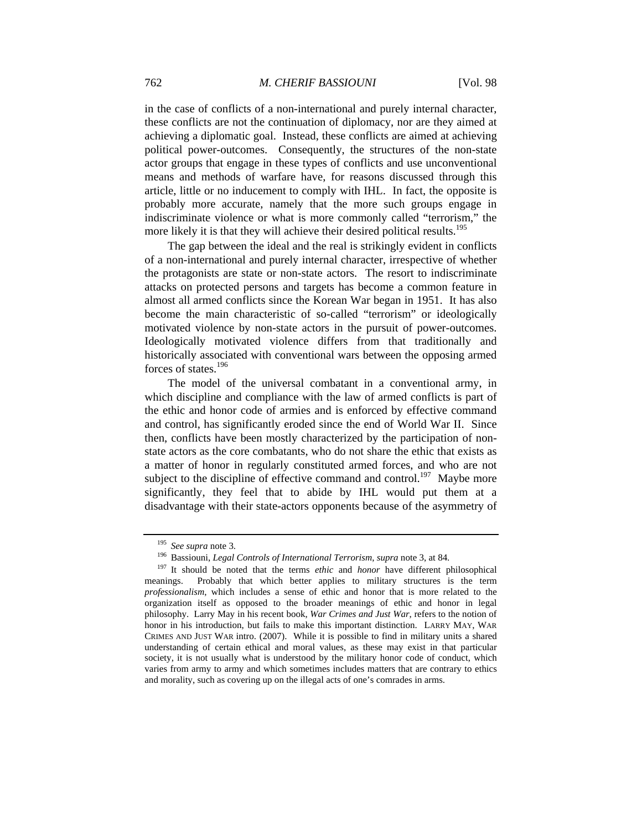in the case of conflicts of a non-international and purely internal character, these conflicts are not the continuation of diplomacy, nor are they aimed at achieving a diplomatic goal. Instead, these conflicts are aimed at achieving political power-outcomes. Consequently, the structures of the non-state actor groups that engage in these types of conflicts and use unconventional means and methods of warfare have, for reasons discussed through this article, little or no inducement to comply with IHL. In fact, the opposite is probably more accurate, namely that the more such groups engage in indiscriminate violence or what is more commonly called "terrorism," the more likely it is that they will achieve their desired political results.<sup>195</sup>

The gap between the ideal and the real is strikingly evident in conflicts of a non-international and purely internal character, irrespective of whether the protagonists are state or non-state actors. The resort to indiscriminate attacks on protected persons and targets has become a common feature in almost all armed conflicts since the Korean War began in 1951. It has also become the main characteristic of so-called "terrorism" or ideologically motivated violence by non-state actors in the pursuit of power-outcomes. Ideologically motivated violence differs from that traditionally and historically associated with conventional wars between the opposing armed forces of states.<sup>196</sup>

The model of the universal combatant in a conventional army, in which discipline and compliance with the law of armed conflicts is part of the ethic and honor code of armies and is enforced by effective command and control, has significantly eroded since the end of World War II. Since then, conflicts have been mostly characterized by the participation of nonstate actors as the core combatants, who do not share the ethic that exists as a matter of honor in regularly constituted armed forces, and who are not subject to the discipline of effective command and control.<sup>197</sup> Maybe more significantly, they feel that to abide by IHL would put them at a disadvantage with their state-actors opponents because of the asymmetry of

<sup>195</sup> *See supra* note 3. 196 Bassiouni, *Legal Controls of International Terrorism*, *supra* note 3, at 84.

<sup>197</sup> It should be noted that the terms *ethic* and *honor* have different philosophical meanings. Probably that which better applies to military structures is the term *professionalism*, which includes a sense of ethic and honor that is more related to the organization itself as opposed to the broader meanings of ethic and honor in legal philosophy. Larry May in his recent book, *War Crimes and Just War*, refers to the notion of honor in his introduction, but fails to make this important distinction. LARRY MAY, WAR CRIMES AND JUST WAR intro. (2007). While it is possible to find in military units a shared understanding of certain ethical and moral values, as these may exist in that particular society, it is not usually what is understood by the military honor code of conduct, which varies from army to army and which sometimes includes matters that are contrary to ethics and morality, such as covering up on the illegal acts of one's comrades in arms.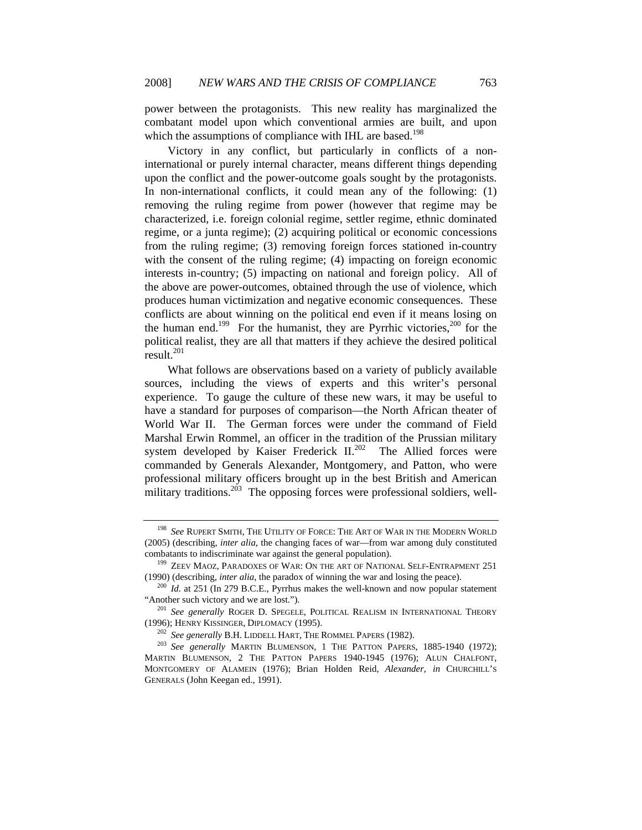power between the protagonists. This new reality has marginalized the combatant model upon which conventional armies are built, and upon which the assumptions of compliance with IHL are based.<sup>198</sup>

Victory in any conflict, but particularly in conflicts of a noninternational or purely internal character, means different things depending upon the conflict and the power-outcome goals sought by the protagonists. In non-international conflicts, it could mean any of the following: (1) removing the ruling regime from power (however that regime may be characterized, i.e. foreign colonial regime, settler regime, ethnic dominated regime, or a junta regime); (2) acquiring political or economic concessions from the ruling regime; (3) removing foreign forces stationed in-country with the consent of the ruling regime; (4) impacting on foreign economic interests in-country; (5) impacting on national and foreign policy. All of the above are power-outcomes, obtained through the use of violence, which produces human victimization and negative economic consequences. These conflicts are about winning on the political end even if it means losing on the human end.<sup>199</sup> For the humanist, they are Pyrrhic victories,<sup>200</sup> for the political realist, they are all that matters if they achieve the desired political  $result^{201}$ 

What follows are observations based on a variety of publicly available sources, including the views of experts and this writer's personal experience. To gauge the culture of these new wars, it may be useful to have a standard for purposes of comparison—the North African theater of World War II. The German forces were under the command of Field Marshal Erwin Rommel, an officer in the tradition of the Prussian military system developed by Kaiser Frederick  $II^{202}$ . The Allied forces were commanded by Generals Alexander, Montgomery, and Patton, who were professional military officers brought up in the best British and American military traditions.<sup>203</sup> The opposing forces were professional soldiers, well-

<sup>198</sup> *See* RUPERT SMITH, THE UTILITY OF FORCE: THE ART OF WAR IN THE MODERN WORLD (2005) (describing, *inter alia*, the changing faces of war—from war among duly constituted

combatants to indiscriminate war against the general population).<br><sup>199</sup> ZEEV MAOZ, PARADOXES OF WAR: ON THE ART OF NATIONAL SELF-ENTRAPMENT 251<br>(1990) (describing, *inter alia*, the paradox of winning the war and losing th

<sup>&</sup>lt;sup>200</sup> *Id.* at 251 (In 279 B.C.E., Pyrrhus makes the well-known and now popular statement "Another such victory and we are lost."). 201 *See generally* ROGER D. SPEGELE, POLITICAL REALISM IN INTERNATIONAL THEORY

<sup>(1996);</sup> HENRY KISSINGER, DIPLOMACY (1995). 202 *See generally* B.H. LIDDELL HART, THE ROMMEL PAPERS (1982). 203 *See generally* MARTIN BLUMENSON, <sup>1</sup> THE PATTON PAPERS, 1885-1940 (1972);

MARTIN BLUMENSON, 2 THE PATTON PAPERS 1940-1945 (1976); ALUN CHALFONT, MONTGOMERY OF ALAMEIN (1976); Brian Holden Reid, *Alexander*, *in* CHURCHILL'S GENERALS (John Keegan ed., 1991).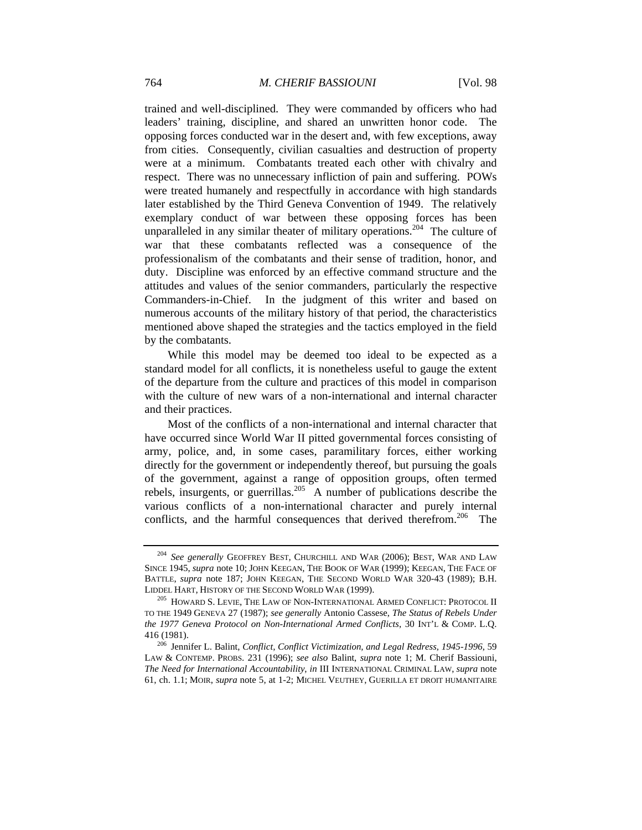trained and well-disciplined. They were commanded by officers who had leaders' training, discipline, and shared an unwritten honor code. The opposing forces conducted war in the desert and, with few exceptions, away from cities. Consequently, civilian casualties and destruction of property were at a minimum. Combatants treated each other with chivalry and respect. There was no unnecessary infliction of pain and suffering. POWs were treated humanely and respectfully in accordance with high standards later established by the Third Geneva Convention of 1949. The relatively exemplary conduct of war between these opposing forces has been unparalleled in any similar theater of military operations.<sup>204</sup> The culture of war that these combatants reflected was a consequence of the professionalism of the combatants and their sense of tradition, honor, and duty. Discipline was enforced by an effective command structure and the attitudes and values of the senior commanders, particularly the respective Commanders-in-Chief. In the judgment of this writer and based on numerous accounts of the military history of that period, the characteristics mentioned above shaped the strategies and the tactics employed in the field by the combatants.

While this model may be deemed too ideal to be expected as a standard model for all conflicts, it is nonetheless useful to gauge the extent of the departure from the culture and practices of this model in comparison with the culture of new wars of a non-international and internal character and their practices.

Most of the conflicts of a non-international and internal character that have occurred since World War II pitted governmental forces consisting of army, police, and, in some cases, paramilitary forces, either working directly for the government or independently thereof, but pursuing the goals of the government, against a range of opposition groups, often termed rebels, insurgents, or guerrillas.<sup>205</sup> A number of publications describe the various conflicts of a non-international character and purely internal conflicts, and the harmful consequences that derived therefrom.<sup>206</sup> The

<sup>204</sup> *See generally* GEOFFREY BEST, CHURCHILL AND WAR (2006); BEST, WAR AND LAW SINCE 1945, *supra* note 10; JOHN KEEGAN, THE BOOK OF WAR (1999); KEEGAN, THE FACE OF BATTLE, *supra* note 187; JOHN KEEGAN, THE SECOND WORLD WAR 320-43 (1989); B.H. LIDDEL HART, HISTORY OF THE SECOND WORLD WAR (1999). <sup>205</sup> HOWARD S. LEVIE, THE LAW OF NON-INTERNATIONAL ARMED CONFLICT: PROTOCOL II

TO THE 1949 GENEVA 27 (1987); *see generally* Antonio Cassese, *The Status of Rebels Under the 1977 Geneva Protocol on Non-International Armed Conflicts*, 30 INT'L & COMP. L.Q. 416 (1981). 206 Jennifer L. Balint, *Conflict, Conflict Victimization, and Legal Redress, 1945-1996*, 59

LAW & CONTEMP. PROBS. 231 (1996); *see also* Balint, *supra* note 1; M. Cherif Bassiouni, *The Need for International Accountability*, *in* III INTERNATIONAL CRIMINAL LAW, *supra* note 61, ch. 1.1; MOIR, *supra* note 5, at 1-2; MICHEL VEUTHEY, GUERILLA ET DROIT HUMANITAIRE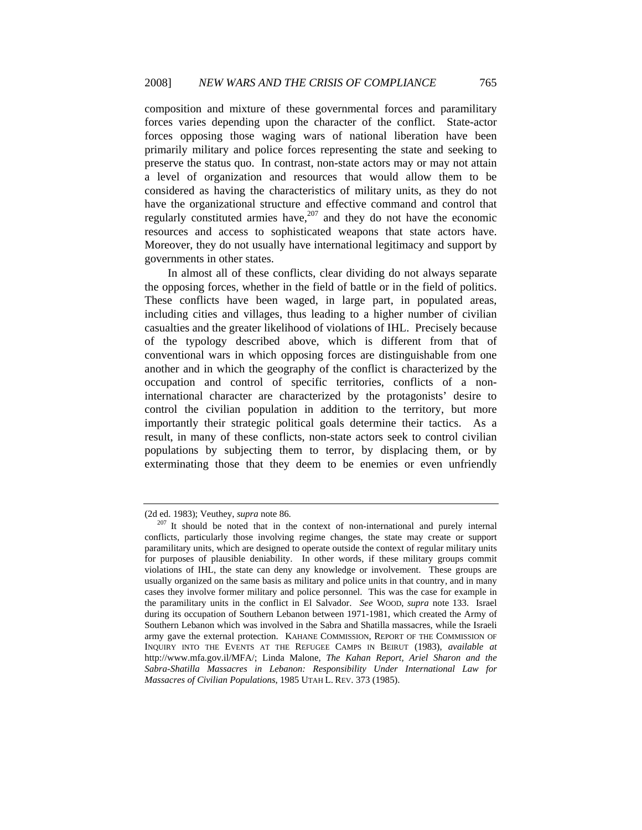composition and mixture of these governmental forces and paramilitary forces varies depending upon the character of the conflict. State-actor forces opposing those waging wars of national liberation have been primarily military and police forces representing the state and seeking to preserve the status quo. In contrast, non-state actors may or may not attain a level of organization and resources that would allow them to be considered as having the characteristics of military units, as they do not have the organizational structure and effective command and control that regularly constituted armies have, $207$  and they do not have the economic resources and access to sophisticated weapons that state actors have. Moreover, they do not usually have international legitimacy and support by governments in other states.

In almost all of these conflicts, clear dividing do not always separate the opposing forces, whether in the field of battle or in the field of politics. These conflicts have been waged, in large part, in populated areas, including cities and villages, thus leading to a higher number of civilian casualties and the greater likelihood of violations of IHL. Precisely because of the typology described above, which is different from that of conventional wars in which opposing forces are distinguishable from one another and in which the geography of the conflict is characterized by the occupation and control of specific territories, conflicts of a noninternational character are characterized by the protagonists' desire to control the civilian population in addition to the territory, but more importantly their strategic political goals determine their tactics. As a result, in many of these conflicts, non-state actors seek to control civilian populations by subjecting them to terror, by displacing them, or by exterminating those that they deem to be enemies or even unfriendly

<sup>(2</sup>d ed. 1983); Veuthey, *supra* note 86. 207 It should be noted that in the context of non-international and purely internal conflicts, particularly those involving regime changes, the state may create or support paramilitary units, which are designed to operate outside the context of regular military units for purposes of plausible deniability. In other words, if these military groups commit violations of IHL, the state can deny any knowledge or involvement. These groups are usually organized on the same basis as military and police units in that country, and in many cases they involve former military and police personnel. This was the case for example in the paramilitary units in the conflict in El Salvador. *See* WOOD, *supra* note 133. Israel during its occupation of Southern Lebanon between 1971-1981, which created the Army of Southern Lebanon which was involved in the Sabra and Shatilla massacres, while the Israeli army gave the external protection. KAHANE COMMISSION, REPORT OF THE COMMISSION OF INQUIRY INTO THE EVENTS AT THE REFUGEE CAMPS IN BEIRUT (1983), *available at* http://www.mfa.gov.il/MFA/; Linda Malone, *The Kahan Report, Ariel Sharon and the Sabra-Shatilla Massacres in Lebanon: Responsibility Under International Law for Massacres of Civilian Populations*, 1985 UTAH L. REV. 373 (1985).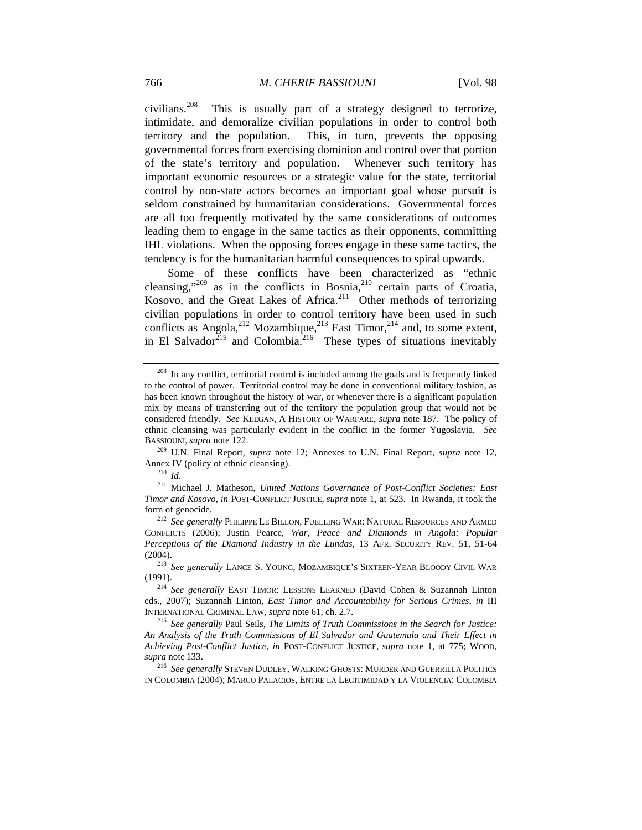civilians.208 This is usually part of a strategy designed to terrorize, intimidate, and demoralize civilian populations in order to control both territory and the population. This, in turn, prevents the opposing governmental forces from exercising dominion and control over that portion of the state's territory and population. Whenever such territory has important economic resources or a strategic value for the state, territorial control by non-state actors becomes an important goal whose pursuit is seldom constrained by humanitarian considerations. Governmental forces are all too frequently motivated by the same considerations of outcomes leading them to engage in the same tactics as their opponents, committing IHL violations. When the opposing forces engage in these same tactics, the tendency is for the humanitarian harmful consequences to spiral upwards.

Some of these conflicts have been characterized as "ethnic cleansing,"<sup>209</sup> as in the conflicts in Bosnia,<sup>210</sup> certain parts of Croatia, Kosovo, and the Great Lakes of Africa.<sup>211</sup> Other methods of terrorizing civilian populations in order to control territory have been used in such conflicts as Angola,<sup>212</sup> Mozambique,<sup>213</sup> East Timor,<sup>214</sup> and, to some extent, in El Salvador<sup>215</sup> and Colombia.<sup>216</sup> These types of situations inevitably

 $208$  In any conflict, territorial control is included among the goals and is frequently linked to the control of power. Territorial control may be done in conventional military fashion, as has been known throughout the history of war, or whenever there is a significant population mix by means of transferring out of the territory the population group that would not be considered friendly. *See* KEEGAN, A HISTORY OF WARFARE, *supra* note 187. The policy of ethnic cleansing was particularly evident in the conflict in the former Yugoslavia. *See* 

BASSIOUNI, *supra* note 122. 209 U.N. Final Report, *supra* note 12; Annexes to U.N. Final Report, *supra* note 12, Annex IV (policy of ethnic cleansing). 210 *Id.*

<sup>211</sup> Michael J. Matheson, *United Nations Governance of Post-Conflict Societies: East Timor and Kosovo*, *in* POST-CONFLICT JUSTICE, *supra* note 1, at 523. In Rwanda, it took the form of genocide. 212 *See generally* PHILIPPE LE BILLON, FUELLING WAR: NATURAL RESOURCES AND ARMED

CONFLICTS (2006); Justin Pearce, *War, Peace and Diamonds in Angola: Popular Perceptions of the Diamond Industry in the Lundas*, 13 AFR. SECURITY REV. 51, 51-64 (2004). 213 *See generally* LANCE S. YOUNG, MOZAMBIQUE'S SIXTEEN-YEAR BLOODY CIVIL WAR

<sup>(1991). 214</sup> *See generally* EAST TIMOR: LESSONS LEARNED (David Cohen & Suzannah Linton eds., 2007); Suzannah Linton, *East Timor and Accountability for Serious Crimes*, *in* III INTERNATIONAL CRIMINAL LAW, *supra* note 61, ch. 2.7. 215 *See generally* Paul Seils, *The Limits of Truth Commissions in the Search for Justice:* 

*An Analysis of the Truth Commissions of El Salvador and Guatemala and Their Effect in Achieving Post-Conflict Justice*, *in* POST-CONFLICT JUSTICE, *supra* note 1, at 775; WOOD, *supra* note 133. 216 *See generally* STEVEN DUDLEY, WALKING GHOSTS: MURDER AND GUERRILLA POLITICS

IN COLOMBIA (2004); MARCO PALACIOS, ENTRE LA LEGITIMIDAD Y LA VIOLENCIA: COLOMBIA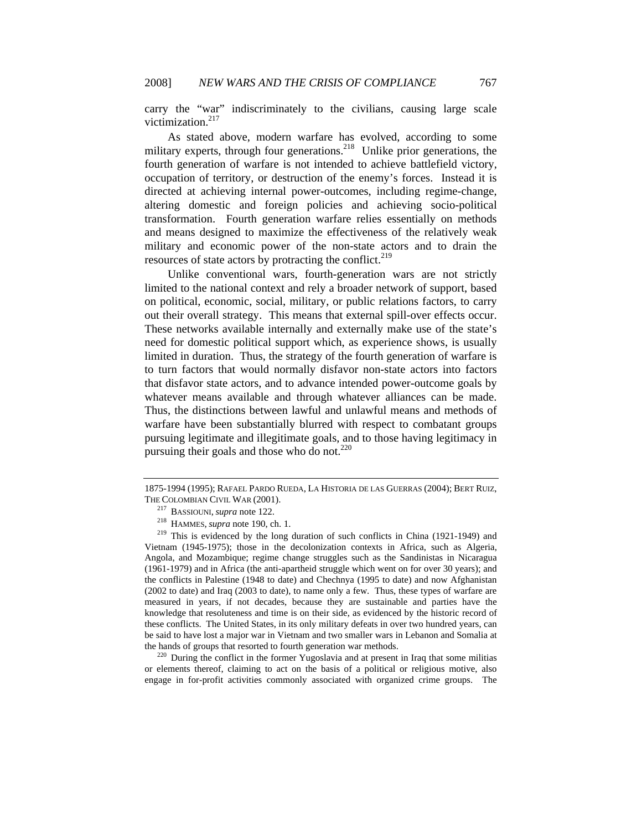carry the "war" indiscriminately to the civilians, causing large scale victimization.<sup>217</sup>

As stated above, modern warfare has evolved, according to some military experts, through four generations.<sup>218</sup> Unlike prior generations, the fourth generation of warfare is not intended to achieve battlefield victory, occupation of territory, or destruction of the enemy's forces. Instead it is directed at achieving internal power-outcomes, including regime-change, altering domestic and foreign policies and achieving socio-political transformation. Fourth generation warfare relies essentially on methods and means designed to maximize the effectiveness of the relatively weak military and economic power of the non-state actors and to drain the resources of state actors by protracting the conflict.<sup>219</sup>

Unlike conventional wars, fourth-generation wars are not strictly limited to the national context and rely a broader network of support, based on political, economic, social, military, or public relations factors, to carry out their overall strategy. This means that external spill-over effects occur. These networks available internally and externally make use of the state's need for domestic political support which, as experience shows, is usually limited in duration. Thus, the strategy of the fourth generation of warfare is to turn factors that would normally disfavor non-state actors into factors that disfavor state actors, and to advance intended power-outcome goals by whatever means available and through whatever alliances can be made. Thus, the distinctions between lawful and unlawful means and methods of warfare have been substantially blurred with respect to combatant groups pursuing legitimate and illegitimate goals, and to those having legitimacy in pursuing their goals and those who do not. $220$ 

or elements thereof, claiming to act on the basis of a political or religious motive, also engage in for-profit activities commonly associated with organized crime groups. The

<sup>1875-1994</sup> (1995); RAFAEL PARDO RUEDA, LA HISTORIA DE LAS GUERRAS (2004); BERT RUIZ,

THE COLOMBIAN CIVIL WAR (2001).<br><sup>217</sup> BASSIOUNI, *supra* note 122.<br><sup>218</sup> HAMMES, *supra* note 190, ch. 1.<br><sup>219</sup> This is evidenced by the long duration of such conflicts in China (1921-1949) and Vietnam (1945-1975); those in the decolonization contexts in Africa, such as Algeria, Angola, and Mozambique; regime change struggles such as the Sandinistas in Nicaragua (1961-1979) and in Africa (the anti-apartheid struggle which went on for over 30 years); and the conflicts in Palestine (1948 to date) and Chechnya (1995 to date) and now Afghanistan (2002 to date) and Iraq (2003 to date), to name only a few. Thus, these types of warfare are measured in years, if not decades, because they are sustainable and parties have the knowledge that resoluteness and time is on their side, as evidenced by the historic record of these conflicts. The United States, in its only military defeats in over two hundred years, can be said to have lost a major war in Vietnam and two smaller wars in Lebanon and Somalia at the hands of groups that resorted to fourth generation war methods.<br><sup>220</sup> During the conflict in the former Yugoslavia and at present in Iraq that some militias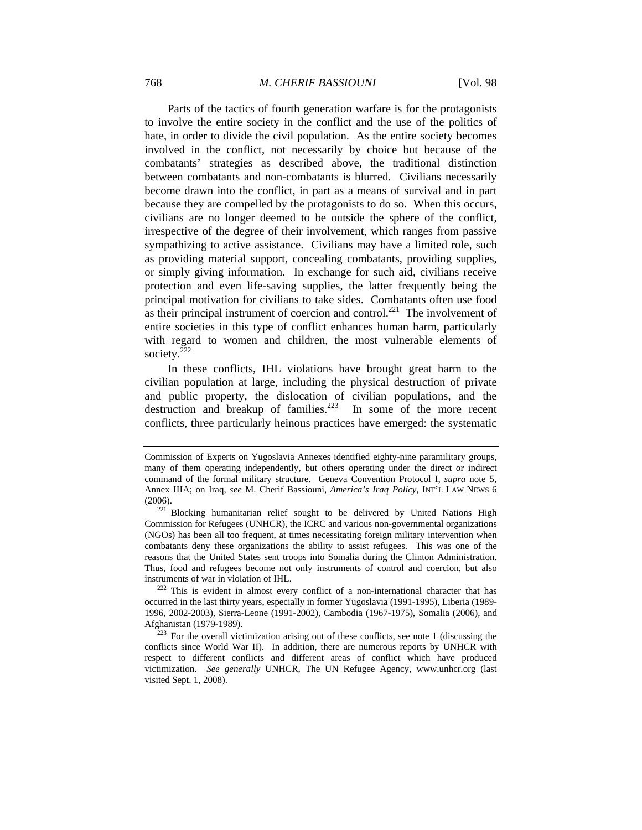Parts of the tactics of fourth generation warfare is for the protagonists to involve the entire society in the conflict and the use of the politics of hate, in order to divide the civil population. As the entire society becomes involved in the conflict, not necessarily by choice but because of the combatants' strategies as described above, the traditional distinction between combatants and non-combatants is blurred. Civilians necessarily become drawn into the conflict, in part as a means of survival and in part because they are compelled by the protagonists to do so. When this occurs, civilians are no longer deemed to be outside the sphere of the conflict, irrespective of the degree of their involvement, which ranges from passive sympathizing to active assistance. Civilians may have a limited role, such as providing material support, concealing combatants, providing supplies, or simply giving information. In exchange for such aid, civilians receive protection and even life-saving supplies, the latter frequently being the principal motivation for civilians to take sides. Combatants often use food as their principal instrument of coercion and control.<sup>221</sup> The involvement of entire societies in this type of conflict enhances human harm, particularly with regard to women and children, the most vulnerable elements of society. $^{222}$ 

In these conflicts, IHL violations have brought great harm to the civilian population at large, including the physical destruction of private and public property, the dislocation of civilian populations, and the destruction and breakup of families.<sup>223</sup> In some of the more recent conflicts, three particularly heinous practices have emerged: the systematic

Commission of Experts on Yugoslavia Annexes identified eighty-nine paramilitary groups, many of them operating independently, but others operating under the direct or indirect command of the formal military structure. Geneva Convention Protocol I, *supra* note 5, Annex IIIA; on Iraq, *see* M. Cherif Bassiouni, *America's Iraq Policy*, INT'L LAW NEWS 6 (2006). 221 Blocking humanitarian relief sought to be delivered by United Nations High

Commission for Refugees (UNHCR), the ICRC and various non-governmental organizations (NGOs) has been all too frequent, at times necessitating foreign military intervention when combatants deny these organizations the ability to assist refugees. This was one of the reasons that the United States sent troops into Somalia during the Clinton Administration. Thus, food and refugees become not only instruments of control and coercion, but also instruments of war in violation of IHL.<br><sup>222</sup> This is evident in almost every conflict of a non-international character that has

occurred in the last thirty years, especially in former Yugoslavia (1991-1995), Liberia (1989- 1996, 2002-2003), Sierra-Leone (1991-2002), Cambodia (1967-1975), Somalia (2006), and

 $223$  For the overall victimization arising out of these conflicts, see note 1 (discussing the conflicts since World War II). In addition, there are numerous reports by UNHCR with respect to different conflicts and different areas of conflict which have produced victimization. *See generally* UNHCR, The UN Refugee Agency, www.unhcr.org (last visited Sept. 1, 2008).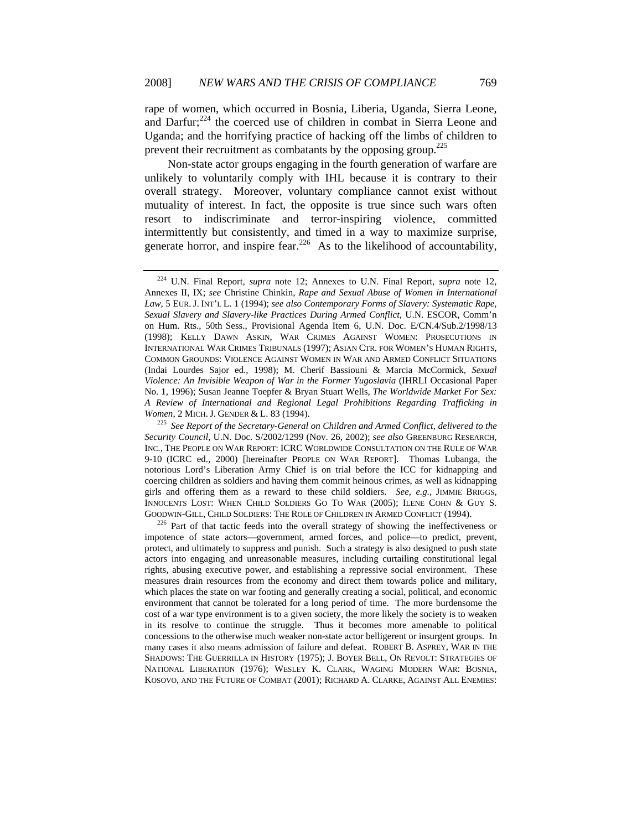rape of women, which occurred in Bosnia, Liberia, Uganda, Sierra Leone, and Darfur;<sup>224</sup> the coerced use of children in combat in Sierra Leone and Uganda; and the horrifying practice of hacking off the limbs of children to prevent their recruitment as combatants by the opposing group.225

Non-state actor groups engaging in the fourth generation of warfare are unlikely to voluntarily comply with IHL because it is contrary to their overall strategy. Moreover, voluntary compliance cannot exist without mutuality of interest. In fact, the opposite is true since such wars often resort to indiscriminate and terror-inspiring violence, committed intermittently but consistently, and timed in a way to maximize surprise, generate horror, and inspire fear.<sup>226</sup> As to the likelihood of accountability,

impotence of state actors—government, armed forces, and police—to predict, prevent, protect, and ultimately to suppress and punish. Such a strategy is also designed to push state actors into engaging and unreasonable measures, including curtailing constitutional legal rights, abusing executive power, and establishing a repressive social environment. These measures drain resources from the economy and direct them towards police and military, which places the state on war footing and generally creating a social, political, and economic environment that cannot be tolerated for a long period of time. The more burdensome the cost of a war type environment is to a given society, the more likely the society is to weaken in its resolve to continue the struggle. Thus it becomes more amenable to political concessions to the otherwise much weaker non-state actor belligerent or insurgent groups. In many cases it also means admission of failure and defeat. ROBERT B. ASPREY, WAR IN THE SHADOWS: THE GUERRILLA IN HISTORY (1975); J. BOYER BELL, ON REVOLT: STRATEGIES OF NATIONAL LIBERATION (1976); WESLEY K. CLARK, WAGING MODERN WAR: BOSNIA, KOSOVO, AND THE FUTURE OF COMBAT (2001); RICHARD A. CLARKE, AGAINST ALL ENEMIES:

<sup>224</sup> U.N. Final Report, *supra* note 12; Annexes to U.N. Final Report, *supra* note 12, Annexes II, IX; *see* Christine Chinkin, *Rape and Sexual Abuse of Women in International Law*, 5 EUR. J. INT'L L. 1 (1994); *see also Contemporary Forms of Slavery: Systematic Rape, Sexual Slavery and Slavery-like Practices During Armed Conflict*, U.N. ESCOR, Comm'n on Hum. Rts., 50th Sess., Provisional Agenda Item 6, U.N. Doc. E/CN.4/Sub.2/1998/13 (1998); KELLY DAWN ASKIN, WAR CRIMES AGAINST WOMEN: PROSECUTIONS IN INTERNATIONAL WAR CRIMES TRIBUNALS (1997); ASIAN CTR. FOR WOMEN'S HUMAN RIGHTS, COMMON GROUNDS: VIOLENCE AGAINST WOMEN IN WAR AND ARMED CONFLICT SITUATIONS (Indai Lourdes Sajor ed., 1998); M. Cherif Bassiouni & Marcia McCormick, *Sexual Violence: An Invisible Weapon of War in the Former Yugoslavia* (IHRLI Occasional Paper No. 1, 1996); Susan Jeanne Toepfer & Bryan Stuart Wells, *The Worldwide Market For Sex: A Review of International and Regional Legal Prohibitions Regarding Trafficking in* 

*Women*, 2 MICH. J. GENDER & L. 83 (1994).<br><sup>225</sup> *See Report of the Secretary-General on Children and Armed Conflict, delivered to the Security Council*, U.N. Doc. S/2002/1299 (Nov. 26, 2002); *see also* GREENBURG RESEARCH, INC., THE PEOPLE ON WAR REPORT: ICRC WORLDWIDE CONSULTATION ON THE RULE OF WAR 9-10 (ICRC ed., 2000) [hereinafter PEOPLE ON WAR REPORT]. Thomas Lubanga, the notorious Lord's Liberation Army Chief is on trial before the ICC for kidnapping and coercing children as soldiers and having them commit heinous crimes, as well as kidnapping girls and offering them as a reward to these child soldiers. *See, e.g.*, JIMMIE BRIGGS, INNOCENTS LOST: WHEN CHILD SOLDIERS GO TO WAR (2005); ILENE COHN & GUY S. GOODWIN-GILL, CHILD SOLDIERS: THE ROLE OF CHILDREN IN ARMED CONFLICT (1994).<br><sup>226</sup> Part of that tactic feeds into the overall strategy of showing the ineffectiveness or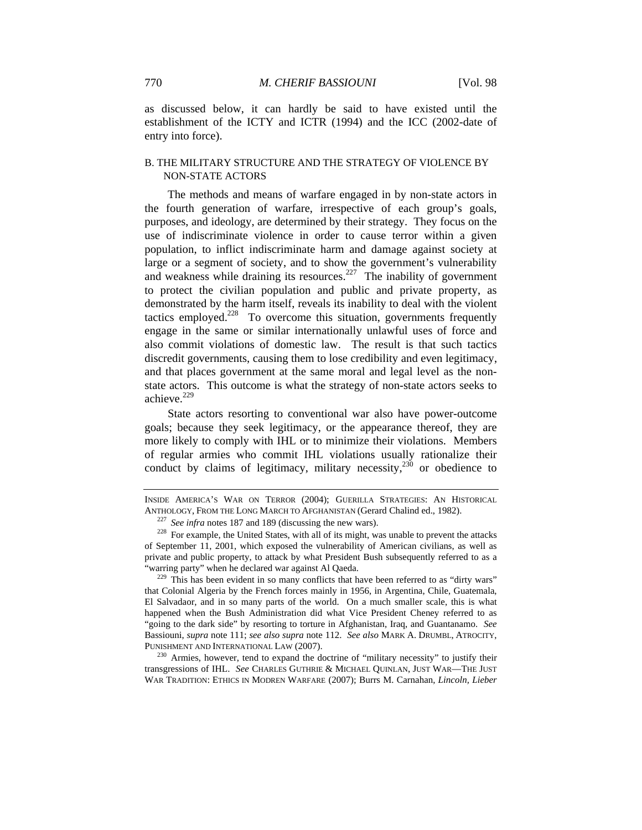as discussed below, it can hardly be said to have existed until the establishment of the ICTY and ICTR (1994) and the ICC (2002-date of entry into force).

## B. THE MILITARY STRUCTURE AND THE STRATEGY OF VIOLENCE BY NON-STATE ACTORS

The methods and means of warfare engaged in by non-state actors in the fourth generation of warfare, irrespective of each group's goals, purposes, and ideology, are determined by their strategy. They focus on the use of indiscriminate violence in order to cause terror within a given population, to inflict indiscriminate harm and damage against society at large or a segment of society, and to show the government's vulnerability and weakness while draining its resources.<sup>227</sup> The inability of government to protect the civilian population and public and private property, as demonstrated by the harm itself, reveals its inability to deal with the violent tactics employed.<sup>228</sup> To overcome this situation, governments frequently engage in the same or similar internationally unlawful uses of force and also commit violations of domestic law. The result is that such tactics discredit governments, causing them to lose credibility and even legitimacy, and that places government at the same moral and legal level as the nonstate actors. This outcome is what the strategy of non-state actors seeks to achieve.<sup>229</sup>

State actors resorting to conventional war also have power-outcome goals; because they seek legitimacy, or the appearance thereof, they are more likely to comply with IHL or to minimize their violations. Members of regular armies who commit IHL violations usually rationalize their conduct by claims of legitimacy, military necessity, $230$  or obedience to

transgressions of IHL. *See* CHARLES GUTHRIE & MICHAEL QUINLAN, JUST WAR—THE JUST WAR TRADITION: ETHICS IN MODREN WARFARE (2007); Burrs M. Carnahan, *Lincoln, Lieber* 

INSIDE AMERICA'S WAR ON TERROR (2004); GUERILLA STRATEGIES: AN HISTORICAL ANTHOLOGY, FROM THE LONG MARCH TO AFGHANISTAN (Gerard Chalind ed., 1982).<br><sup>227</sup> See infra notes 187 and 189 (discussing the new wars).<br><sup>228</sup> For example, the United States, with all of its might, was unable to prevent the

of September 11, 2001, which exposed the vulnerability of American civilians, as well as private and public property, to attack by what President Bush subsequently referred to as a "warring party" when he declared war against Al Qaeda.<br><sup>229</sup> This has been evident in so many conflicts that have been referred to as "dirty wars"

that Colonial Algeria by the French forces mainly in 1956, in Argentina, Chile, Guatemala, El Salvadaor, and in so many parts of the world. On a much smaller scale, this is what happened when the Bush Administration did what Vice President Cheney referred to as "going to the dark side" by resorting to torture in Afghanistan, Iraq, and Guantanamo. *See*  Bassiouni, *supra* note 111; *see also supra* note 112. *See also* MARK A. DRUMBL, ATROCITY, PUNISHMENT AND INTERNATIONAL LAW (2007). 230 Armies, however, tend to expand the doctrine of "military necessity" to justify their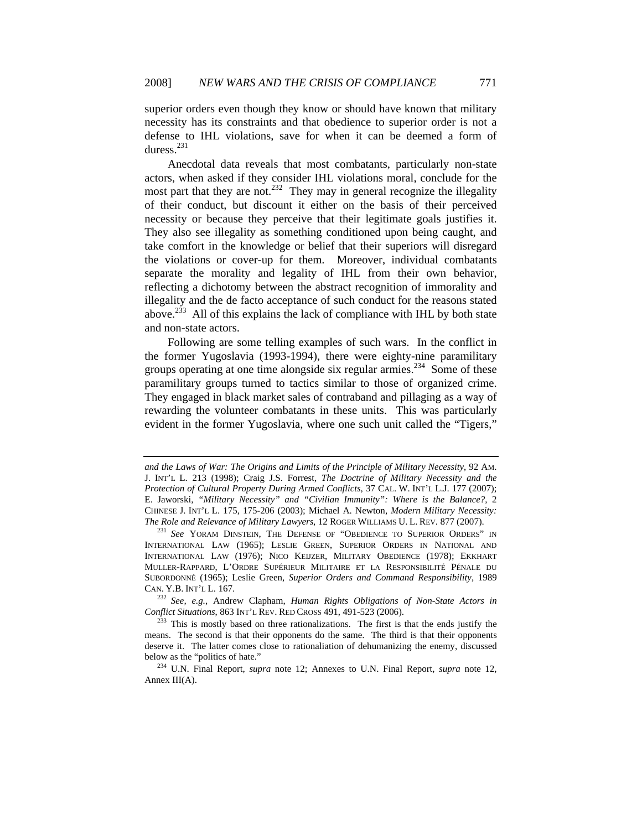superior orders even though they know or should have known that military necessity has its constraints and that obedience to superior order is not a defense to IHL violations, save for when it can be deemed a form of duress. $^{231}$ 

Anecdotal data reveals that most combatants, particularly non-state actors, when asked if they consider IHL violations moral, conclude for the most part that they are not.<sup>232</sup> They may in general recognize the illegality of their conduct, but discount it either on the basis of their perceived necessity or because they perceive that their legitimate goals justifies it. They also see illegality as something conditioned upon being caught, and take comfort in the knowledge or belief that their superiors will disregard the violations or cover-up for them. Moreover, individual combatants separate the morality and legality of IHL from their own behavior, reflecting a dichotomy between the abstract recognition of immorality and illegality and the de facto acceptance of such conduct for the reasons stated above.<sup>233</sup> All of this explains the lack of compliance with IHL by both state and non-state actors.

Following are some telling examples of such wars. In the conflict in the former Yugoslavia (1993-1994), there were eighty-nine paramilitary groups operating at one time alongside six regular armies.<sup>234</sup> Some of these paramilitary groups turned to tactics similar to those of organized crime. They engaged in black market sales of contraband and pillaging as a way of rewarding the volunteer combatants in these units. This was particularly evident in the former Yugoslavia, where one such unit called the "Tigers,"

CAN. Y.B. INT'L L. 167.<br><sup>232</sup> *See, e.g., Andrew Clapham, Human Rights Obligations of Non-State Actors in Conflict Situations, 863 INT'L REV. RED CROSS 491, 491-523 (2006).* 

*and the Laws of War: The Origins and Limits of the Principle of Military Necessity*, 92 AM. J. INT'L L. 213 (1998); Craig J.S. Forrest, *The Doctrine of Military Necessity and the Protection of Cultural Property During Armed Conflicts*, 37 CAL. W. INT'L L.J. 177 (2007); E. Jaworski, *"Military Necessity" and "Civilian Immunity": Where is the Balance?*, 2 CHINESE J. INT'L L. 175, 175-206 (2003); Michael A. Newton, *Modern Military Necessity: The Role and Relevance of Military Lawyers*, 12 ROGER WILLIAMS U. L. REV. 877 (2007).<br><sup>231</sup> *See* YORAM DINSTEIN, THE DEFENSE OF "OBEDIENCE TO SUPERIOR ORDERS" IN

INTERNATIONAL LAW (1965); LESLIE GREEN, SUPERIOR ORDERS IN NATIONAL AND INTERNATIONAL LAW (1976); NICO KEIJZER, MILITARY OBEDIENCE (1978); EKKHART MULLER-RAPPARD, L'ORDRE SUPÉRIEUR MILITAIRE ET LA RESPONSIBILITÉ PÉNALE DU SUBORDONNÉ (1965); Leslie Green, *Superior Orders and Command Responsibility*, 1989

<sup>&</sup>lt;sup>233</sup> This is mostly based on three rationalizations. The first is that the ends justify the means. The second is that their opponents do the same. The third is that their opponents deserve it. The latter comes close to rationaliation of dehumanizing the enemy, discussed below as the "politics of hate." 234 U.N. Final Report, *supra* note 12; Annexes to U.N. Final Report, *supra* note 12,

Annex III(A).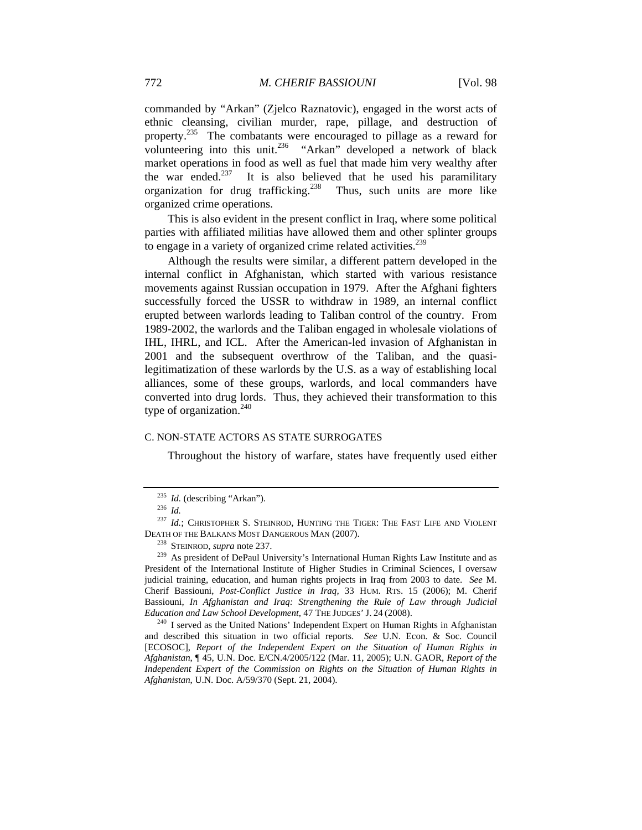commanded by "Arkan" (Zjelco Raznatovic), engaged in the worst acts of ethnic cleansing, civilian murder, rape, pillage, and destruction of property.<sup>235</sup> The combatants were encouraged to pillage as a reward for volunteering into this unit.<sup>236</sup> "Arkan" developed a network of black market operations in food as well as fuel that made him very wealthy after the war ended.<sup>237</sup> It is also believed that he used his paramilitary organization for drug trafficking.238 Thus, such units are more like organized crime operations.

This is also evident in the present conflict in Iraq, where some political parties with affiliated militias have allowed them and other splinter groups to engage in a variety of organized crime related activities.<sup>239</sup>

Although the results were similar, a different pattern developed in the internal conflict in Afghanistan, which started with various resistance movements against Russian occupation in 1979. After the Afghani fighters successfully forced the USSR to withdraw in 1989, an internal conflict erupted between warlords leading to Taliban control of the country. From 1989-2002, the warlords and the Taliban engaged in wholesale violations of IHL, IHRL, and ICL. After the American-led invasion of Afghanistan in 2001 and the subsequent overthrow of the Taliban, and the quasilegitimatization of these warlords by the U.S. as a way of establishing local alliances, some of these groups, warlords, and local commanders have converted into drug lords. Thus, they achieved their transformation to this type of organization.<sup>240</sup>

#### C. NON-STATE ACTORS AS STATE SURROGATES

Throughout the history of warfare, states have frequently used either

<sup>235</sup> *Id.* (describing "Arkan"). 236 *Id.*

<sup>&</sup>lt;sup>237</sup> *Id.*; CHRISTOPHER S. STEINROD, HUNTING THE TIGER: THE FAST LIFE AND VIOLENT DEATH OF THE BALKANS MOST DANGEROUS MAN (2007). 238 STEINROD, *supra* note 237. 239 As president of DePaul University's International Human Rights Law Institute and as

President of the International Institute of Higher Studies in Criminal Sciences, I oversaw judicial training, education, and human rights projects in Iraq from 2003 to date. *See* M. Cherif Bassiouni, *Post-Conflict Justice in Iraq,* 33 HUM. RTS. 15 (2006); M. Cherif Bassiouni, *In Afghanistan and Iraq: Strengthening the Rule of Law through Judicial Education and Law School Development*, 47 THE JUDGES' J. 24 (2008).<br><sup>240</sup> I served as the United Nations' Independent Expert on Human Rights in Afghanistan

and described this situation in two official reports. *See* U.N. Econ. & Soc. Council [ECOSOC], *Report of the Independent Expert on the Situation of Human Rights in Afghanistan*, ¶ 45, U.N. Doc. E/CN.4/2005/122 (Mar. 11, 2005); U.N. GAOR, *Report of the Independent Expert of the Commission on Rights on the Situation of Human Rights in Afghanistan*, U.N. Doc. A/59/370 (Sept. 21, 2004).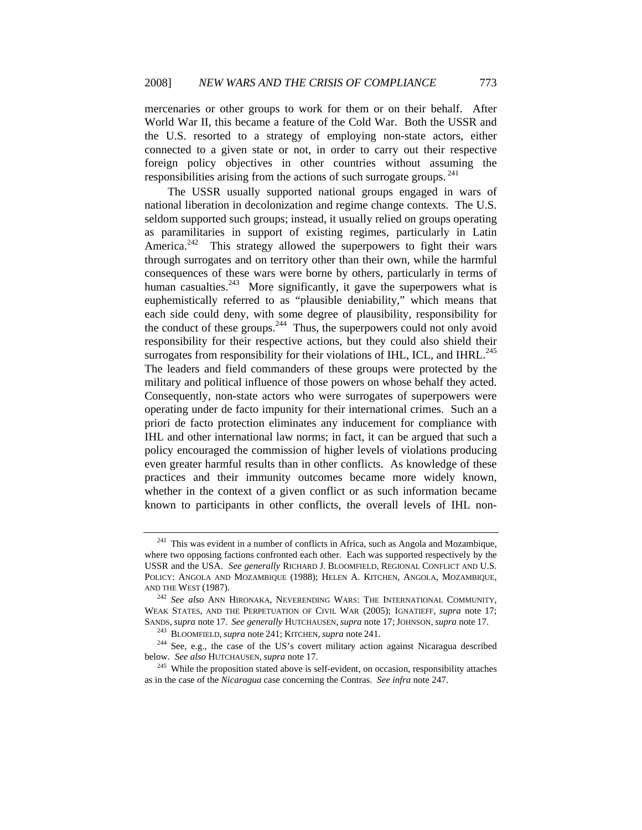mercenaries or other groups to work for them or on their behalf. After World War II, this became a feature of the Cold War. Both the USSR and the U.S. resorted to a strategy of employing non-state actors, either connected to a given state or not, in order to carry out their respective foreign policy objectives in other countries without assuming the responsibilities arising from the actions of such surrogate groups.  $^{241}$ 

The USSR usually supported national groups engaged in wars of national liberation in decolonization and regime change contexts. The U.S. seldom supported such groups; instead, it usually relied on groups operating as paramilitaries in support of existing regimes, particularly in Latin America.<sup>242</sup> This strategy allowed the superpowers to fight their wars through surrogates and on territory other than their own, while the harmful consequences of these wars were borne by others, particularly in terms of human casualties.<sup>243</sup> More significantly, it gave the superpowers what is euphemistically referred to as "plausible deniability," which means that each side could deny, with some degree of plausibility, responsibility for the conduct of these groups.<sup>244</sup> Thus, the superpowers could not only avoid responsibility for their respective actions, but they could also shield their surrogates from responsibility for their violations of IHL, ICL, and IHRL.<sup>245</sup> The leaders and field commanders of these groups were protected by the military and political influence of those powers on whose behalf they acted. Consequently, non-state actors who were surrogates of superpowers were operating under de facto impunity for their international crimes. Such an a priori de facto protection eliminates any inducement for compliance with IHL and other international law norms; in fact, it can be argued that such a policy encouraged the commission of higher levels of violations producing even greater harmful results than in other conflicts. As knowledge of these practices and their immunity outcomes became more widely known, whether in the context of a given conflict or as such information became known to participants in other conflicts, the overall levels of IHL non-

<sup>&</sup>lt;sup>241</sup> This was evident in a number of conflicts in Africa, such as Angola and Mozambique, where two opposing factions confronted each other. Each was supported respectively by the USSR and the USA. *See generally* RICHARD J. BLOOMFIELD, REGIONAL CONFLICT AND U.S. POLICY: ANGOLA AND MOZAMBIQUE (1988); HELEN A. KITCHEN, ANGOLA, MOZAMBIQUE, AND THE WEST (1987). 242 *See also* ANN HIRONAKA, NEVERENDING WARS: THE INTERNATIONAL COMMUNITY,

WEAK STATES, AND THE PERPETUATION OF CIVIL WAR (2005); IGNATIEFF, *supra* note 17; SANDS, *supra* note 17. See generally HUTCHAUSEN, *supra* note 17; JOHNSON, *supra* note 17.

<sup>&</sup>lt;sup>243</sup> BLOOMFIELD, *supra* note 241; KITCHEN, *supra* note 241.<br><sup>244</sup> See, e.g., the case of the US's covert military action against Nicaragua described below. *See also* HUTCHAUSEN, *supra* note 17.

<sup>&</sup>lt;sup>245</sup> While the proposition stated above is self-evident, on occasion, responsibility attaches as in the case of the *Nicaragua* case concerning the Contras. *See infra* note 247.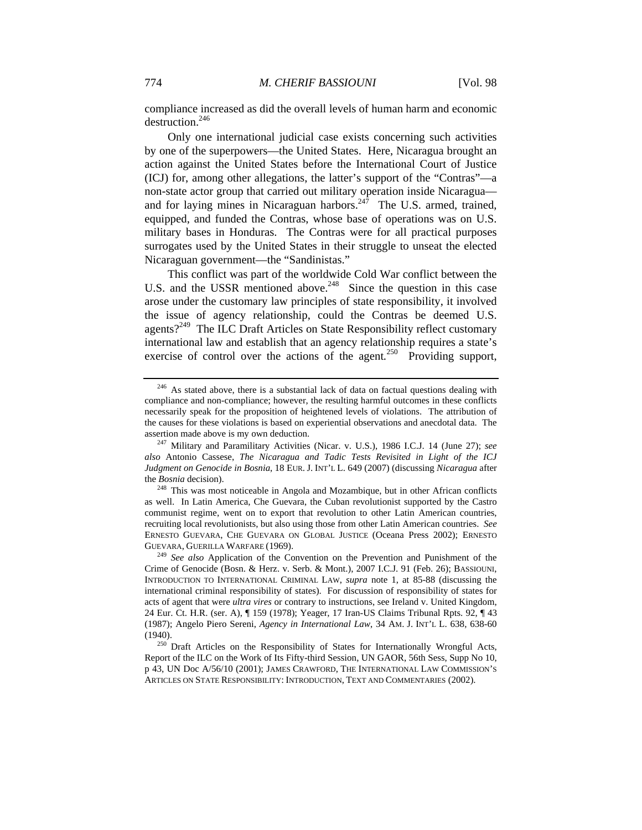compliance increased as did the overall levels of human harm and economic destruction.<sup>246</sup>

Only one international judicial case exists concerning such activities by one of the superpowers—the United States. Here, Nicaragua brought an action against the United States before the International Court of Justice (ICJ) for, among other allegations, the latter's support of the "Contras"—a non-state actor group that carried out military operation inside Nicaragua and for laying mines in Nicaraguan harbors.<sup>247</sup> The U.S. armed, trained, equipped, and funded the Contras, whose base of operations was on U.S. military bases in Honduras. The Contras were for all practical purposes surrogates used by the United States in their struggle to unseat the elected Nicaraguan government—the "Sandinistas."

This conflict was part of the worldwide Cold War conflict between the U.S. and the USSR mentioned above.<sup>248</sup> Since the question in this case arose under the customary law principles of state responsibility, it involved the issue of agency relationship, could the Contras be deemed U.S. agents?<sup>249</sup> The ILC Draft Articles on State Responsibility reflect customary international law and establish that an agency relationship requires a state's exercise of control over the actions of the agent.<sup>250</sup> Providing support,

<sup>&</sup>lt;sup>246</sup> As stated above, there is a substantial lack of data on factual questions dealing with compliance and non-compliance; however, the resulting harmful outcomes in these conflicts necessarily speak for the proposition of heightened levels of violations. The attribution of the causes for these violations is based on experiential observations and anecdotal data. The assertion made above is my own deduction. 247 Military and Paramilitary Activities (Nicar. v. U.S.), 1986 I.C.J. 14 (June 27); *see* 

*also* Antonio Cassese, *The Nicaragua and Tadic Tests Revisited in Light of the ICJ Judgment on Genocide in Bosnia*, 18 EUR. J. INT'L L. 649 (2007) (discussing *Nicaragua* after the *Bosnia* decision). <sup>248</sup> This was most noticeable in Angola and Mozambique, but in other African conflicts

as well. In Latin America, Che Guevara, the Cuban revolutionist supported by the Castro communist regime, went on to export that revolution to other Latin American countries, recruiting local revolutionists, but also using those from other Latin American countries. *See*  ERNESTO GUEVARA, CHE GUEVARA ON GLOBAL JUSTICE (Oceana Press 2002); ERNESTO GUEVARA, GUERILLA WARFARE (1969). 249 *See also* Application of the Convention on the Prevention and Punishment of the

Crime of Genocide (Bosn. & Herz. v. Serb. & Mont.), 2007 I.C.J. 91 (Feb. 26); BASSIOUNI, INTRODUCTION TO INTERNATIONAL CRIMINAL LAW, *supra* note 1, at 85-88 (discussing the international criminal responsibility of states). For discussion of responsibility of states for acts of agent that were *ultra vires* or contrary to instructions, see Ireland v. United Kingdom, 24 Eur. Ct. H.R. (ser. A), ¶ 159 (1978); Yeager, 17 Iran-US Claims Tribunal Rpts. 92, ¶ 43 (1987); Angelo Piero Sereni, *Agency in International Law*, 34 AM. J. INT'L L. 638, 638-60

<sup>(1940). 250</sup> Draft Articles on the Responsibility of States for Internationally Wrongful Acts, Report of the ILC on the Work of Its Fifty-third Session, UN GAOR, 56th Sess, Supp No 10, p 43, UN Doc A/56/10 (2001); JAMES CRAWFORD, THE INTERNATIONAL LAW COMMISSION'S ARTICLES ON STATE RESPONSIBILITY: INTRODUCTION, TEXT AND COMMENTARIES (2002).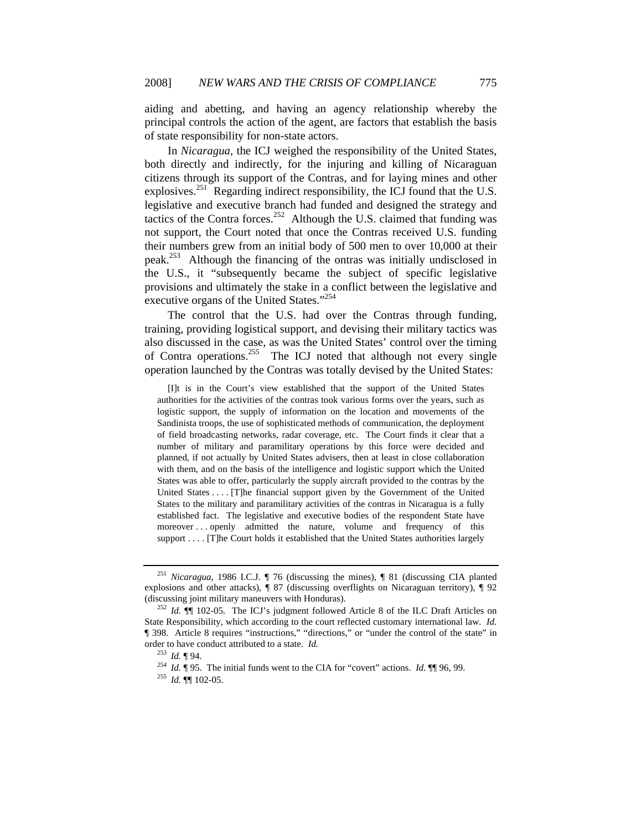aiding and abetting, and having an agency relationship whereby the principal controls the action of the agent, are factors that establish the basis of state responsibility for non-state actors.

In *Nicaragua,* the ICJ weighed the responsibility of the United States, both directly and indirectly, for the injuring and killing of Nicaraguan citizens through its support of the Contras, and for laying mines and other explosives.<sup>251</sup> Regarding indirect responsibility, the ICJ found that the U.S. legislative and executive branch had funded and designed the strategy and tactics of the Contra forces.<sup>252</sup> Although the U.S. claimed that funding was not support, the Court noted that once the Contras received U.S. funding their numbers grew from an initial body of 500 men to over 10,000 at their peak.253 Although the financing of the ontras was initially undisclosed in the U.S., it "subsequently became the subject of specific legislative provisions and ultimately the stake in a conflict between the legislative and executive organs of the United States."<sup>254</sup>

The control that the U.S. had over the Contras through funding, training, providing logistical support, and devising their military tactics was also discussed in the case, as was the United States' control over the timing of Contra operations.<sup>255</sup> The ICJ noted that although not every single operation launched by the Contras was totally devised by the United States:

 [I]t is in the Court's view established that the support of the United States authorities for the activities of the contras took various forms over the years, such as logistic support, the supply of information on the location and movements of the Sandinista troops, the use of sophisticated methods of communication, the deployment of field broadcasting networks, radar coverage, etc. The Court finds it clear that a number of military and paramilitary operations by this force were decided and planned, if not actually by United States advisers, then at least in close collaboration with them, and on the basis of the intelligence and logistic support which the United States was able to offer, particularly the supply aircraft provided to the contras by the United States . . . . [T]he financial support given by the Government of the United States to the military and paramilitary activities of the contras in Nicaragua is a fully established fact. The legislative and executive bodies of the respondent State have moreover . . . openly admitted the nature, volume and frequency of this support . . . . [T]he Court holds it established that the United States authorities largely

<sup>251</sup> *Nicaragua*, 1986 I.C.J. ¶ 76 (discussing the mines), ¶ 81 (discussing CIA planted explosions and other attacks),  $\P$  87 (discussing overflights on Nicaraguan territory),  $\P$  92 (discussing joint military maneuvers with Honduras).

<sup>&</sup>lt;sup>252</sup> *Id.*  $\P$  102-05. The ICJ's judgment followed Article 8 of the ILC Draft Articles on State Responsibility, which according to the court reflected customary international law. *Id.*  ¶ 398. Article 8 requires "instructions," "directions," or "under the control of the state" in order to have conduct attributed to a state. *Id.* 

<sup>253</sup> *Id.* ¶ 94. 254 *Id.* ¶ 95. The initial funds went to the CIA for "covert" actions. *Id.* ¶¶ 96, 99. 255 *Id.* ¶¶ 102-05.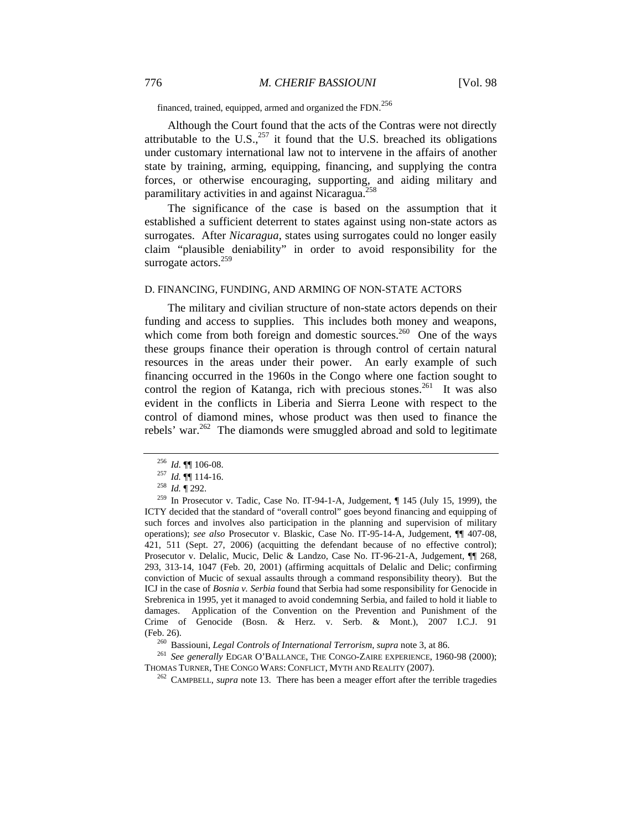financed, trained, equipped, armed and organized the FDN.<sup>256</sup>

Although the Court found that the acts of the Contras were not directly attributable to the U.S., $^{257}$  it found that the U.S. breached its obligations under customary international law not to intervene in the affairs of another state by training, arming, equipping, financing, and supplying the contra forces, or otherwise encouraging, supporting, and aiding military and paramilitary activities in and against Nicaragua.<sup>258</sup>

The significance of the case is based on the assumption that it established a sufficient deterrent to states against using non-state actors as surrogates. After *Nicaragua*, states using surrogates could no longer easily claim "plausible deniability" in order to avoid responsibility for the surrogate actors. $259$ 

#### D. FINANCING, FUNDING, AND ARMING OF NON-STATE ACTORS

The military and civilian structure of non-state actors depends on their funding and access to supplies. This includes both money and weapons, which come from both foreign and domestic sources.<sup>260</sup> One of the ways these groups finance their operation is through control of certain natural resources in the areas under their power. An early example of such financing occurred in the 1960s in the Congo where one faction sought to control the region of Katanga, rich with precious stones.<sup>261</sup> It was also evident in the conflicts in Liberia and Sierra Leone with respect to the control of diamond mines, whose product was then used to finance the rebels' war.<sup>262</sup> The diamonds were smuggled abroad and sold to legitimate

(Feb. 26).<br><sup>260</sup> Bassiouni, *Legal Controls of International Terrorism*, *supra* note 3, at 86.<br><sup>261</sup> *See generally* EDGAR O'BALLANCE, THE CONGO-ZAIRE EXPERIENCE, 1960-98 (2000);<br>THOMAS TURNER, THE CONGO WARS: CONFLICT, M

<sup>262</sup> CAMPBELL, *supra* note 13. There has been a meager effort after the terrible tragedies

<sup>&</sup>lt;sup>256</sup> *Id.* **¶** 106-08.<br><sup>257</sup> *Id.* **¶** 114-16.<br><sup>258</sup> *Id.* **¶** 292.<br><sup>259</sup> In Prosecutor v. Tadic, Case No. IT-94-1-A, Judgement, ¶ 145 (July 15, 1999), the ICTY decided that the standard of "overall control" goes beyond financing and equipping of such forces and involves also participation in the planning and supervision of military operations); *see also* Prosecutor v. Blaskic, Case No. IT-95-14-A, Judgement, ¶¶ 407-08, 421, 511 (Sept. 27, 2006) (acquitting the defendant because of no effective control); Prosecutor v. Delalic, Mucic, Delic & Landzo, Case No. IT-96-21-A, Judgement, ¶¶ 268, 293, 313-14, 1047 (Feb. 20, 2001) (affirming acquittals of Delalic and Delic; confirming conviction of Mucic of sexual assaults through a command responsibility theory). But the ICJ in the case of *Bosnia v. Serbia* found that Serbia had some responsibility for Genocide in Srebrenica in 1995, yet it managed to avoid condemning Serbia, and failed to hold it liable to damages. Application of the Convention on the Prevention and Punishment of the Crime of Genocide (Bosn. & Herz. v. Serb. & Mont.), 2007 I.C.J. 91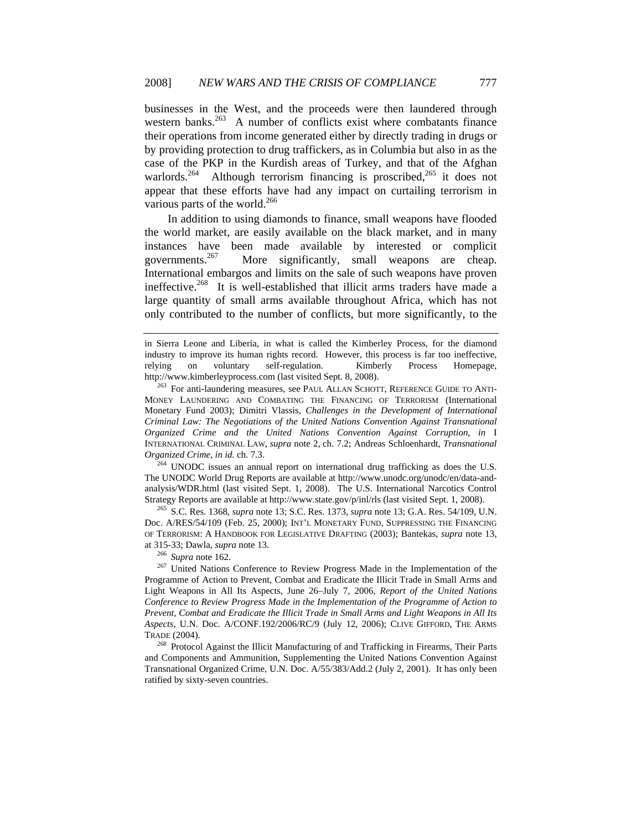businesses in the West, and the proceeds were then laundered through western banks.<sup>263</sup> A number of conflicts exist where combatants finance their operations from income generated either by directly trading in drugs or by providing protection to drug traffickers, as in Columbia but also in as the case of the PKP in the Kurdish areas of Turkey, and that of the Afghan warlords.<sup>264</sup> Although terrorism financing is proscribed,<sup>265</sup> it does not appear that these efforts have had any impact on curtailing terrorism in various parts of the world.<sup>266</sup>

In addition to using diamonds to finance, small weapons have flooded the world market, are easily available on the black market, and in many instances have been made available by interested or complicit governments.<sup>267</sup> More significantly, small weapons are cheap. International embargos and limits on the sale of such weapons have proven ineffective.<sup>268</sup> It is well-established that illicit arms traders have made a large quantity of small arms available throughout Africa, which has not only contributed to the number of conflicts, but more significantly, to the

The UNODC World Drug Reports are available at http://www.unodc.org/unodc/en/data-andanalysis/WDR.html (last visited Sept. 1, 2008). The U.S. International Narcotics Control Strategy Reports are available at http://www.state.gov/p/inl/rls (last visited Sept. 1, 2008). 265 S.C. Res. 1368, *supra* note 13; S.C. Res. 1373, *supra* note 13; G.A. Res. 54/109, U.N.

Doc. A/RES/54/109 (Feb. 25, 2000); INT'L MONETARY FUND, SUPPRESSING THE FINANCING OF TERRORISM: A HANDBOOK FOR LEGISLATIVE DRAFTING (2003); Bantekas, *supra* note 13,

at 315-33; Dawla, *supra* note 13.<br><sup>266</sup> *Supra* note 162.<br><sup>267</sup> United Nations Conference to Review Progress Made in the Implementation of the Programme of Action to Prevent, Combat and Eradicate the Illicit Trade in Small Arms and Light Weapons in All Its Aspects, June 26–July 7, 2006, *Report of the United Nations Conference to Review Progress Made in the Implementation of the Programme of Action to Prevent, Combat and Eradicate the Illicit Trade in Small Arms and Light Weapons in All Its Aspects*, U.N. Doc. A/CONF.192/2006/RC/9 (July 12, 2006); CLIVE GIFFORD, THE ARMS TRADE (2004).<br><sup>268</sup> Protocol Against the Illicit Manufacturing of and Trafficking in Firearms, Their Parts

and Components and Ammunition, Supplementing the United Nations Convention Against Transnational Organized Crime, U.N. Doc. A/55/383/Add.2 (July 2, 2001). It has only been ratified by sixty-seven countries.

in Sierra Leone and Liberia, in what is called the Kimberley Process, for the diamond industry to improve its human rights record. However, this process is far too ineffective, relying on voluntary self-regulation. Kimberly Process Homepage, http://www.kimberleyprocess.com (last visited Sept. 8, 2008).<br><sup>263</sup> For anti-laundering measures, see PAUL ALLAN SCHOTT, REFERENCE GUIDE TO ANTI-

MONEY LAUNDERING AND COMBATING THE FINANCING OF TERRORISM (International Monetary Fund 2003); Dimitri Vlassis, *Challenges in the Development of International Criminal Law: The Negotiations of the United Nations Convention Against Transnational Organized Crime and the United Nations Convention Against Corruption*, *in* I INTERNATIONAL CRIMINAL LAW, *supra* note 2, ch. 7.2; Andreas Schloenhardt, *Transnational Organized Crime*, *in id.* ch. 7.3. 264 UNODC issues an annual report on international drug trafficking as does the U.S.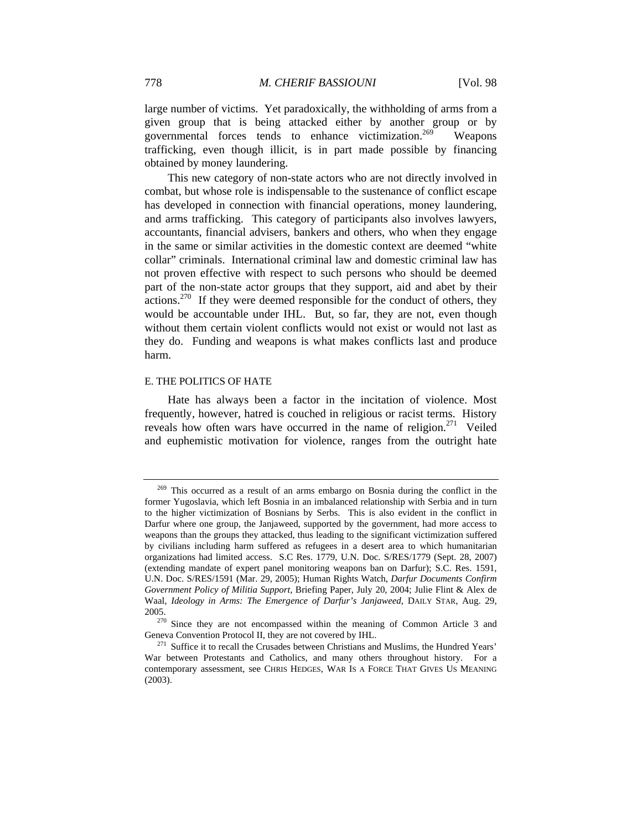large number of victims. Yet paradoxically, the withholding of arms from a given group that is being attacked either by another group or by governmental forces tends to enhance victimization.<sup>269</sup> Weapons trafficking, even though illicit, is in part made possible by financing obtained by money laundering.

This new category of non-state actors who are not directly involved in combat, but whose role is indispensable to the sustenance of conflict escape has developed in connection with financial operations, money laundering, and arms trafficking. This category of participants also involves lawyers, accountants, financial advisers, bankers and others, who when they engage in the same or similar activities in the domestic context are deemed "white collar" criminals. International criminal law and domestic criminal law has not proven effective with respect to such persons who should be deemed part of the non-state actor groups that they support, aid and abet by their  $\alpha$  actions.<sup>270</sup> If they were deemed responsible for the conduct of others, they would be accountable under IHL. But, so far, they are not, even though without them certain violent conflicts would not exist or would not last as they do. Funding and weapons is what makes conflicts last and produce harm.

#### E. THE POLITICS OF HATE

Hate has always been a factor in the incitation of violence. Most frequently, however, hatred is couched in religious or racist terms. History reveals how often wars have occurred in the name of religion.<sup>271</sup> Veiled and euphemistic motivation for violence, ranges from the outright hate

<sup>269</sup> This occurred as a result of an arms embargo on Bosnia during the conflict in the former Yugoslavia, which left Bosnia in an imbalanced relationship with Serbia and in turn to the higher victimization of Bosnians by Serbs. This is also evident in the conflict in Darfur where one group, the Janjaweed, supported by the government, had more access to weapons than the groups they attacked, thus leading to the significant victimization suffered by civilians including harm suffered as refugees in a desert area to which humanitarian organizations had limited access. S.C Res. 1779, U.N. Doc. S/RES/1779 (Sept. 28, 2007) (extending mandate of expert panel monitoring weapons ban on Darfur); S.C. Res. 1591, U.N. Doc. S/RES/1591 (Mar. 29, 2005); Human Rights Watch, *Darfur Documents Confirm Government Policy of Militia Support*, Briefing Paper, July 20, 2004; Julie Flint & Alex de Waal, *Ideology in Arms: The Emergence of Darfur's Janjaweed*, DAILY STAR, Aug. 29,

<sup>2005.&</sup>lt;br><sup>270</sup> Since they are not encompassed within the meaning of Common Article 3 and Geneva Convention Protocol II, they are not covered by IHL.

 $^{271}$  Suffice it to recall the Crusades between Christians and Muslims, the Hundred Years' War between Protestants and Catholics, and many others throughout history. For a contemporary assessment, see CHRIS HEDGES, WAR IS A FORCE THAT GIVES US MEANING (2003).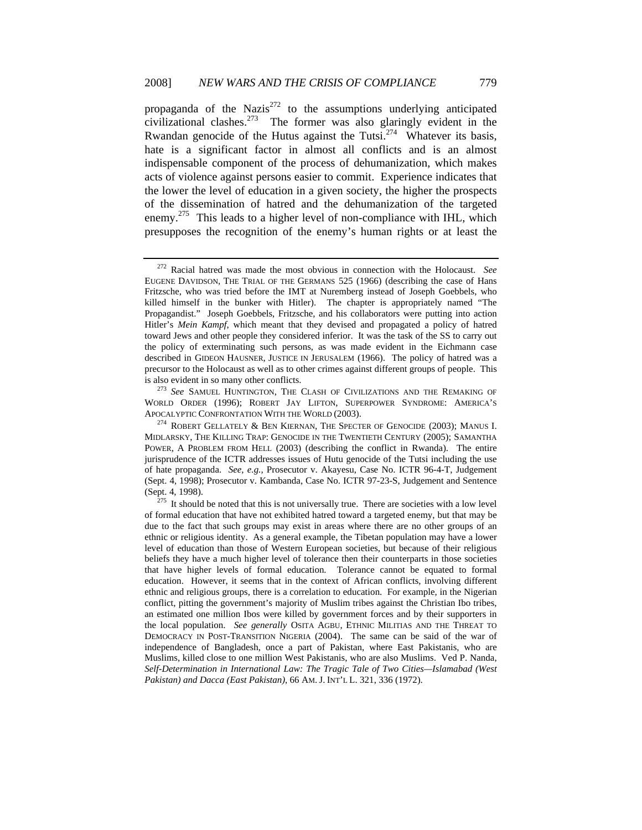propaganda of the Nazis $^{272}$  to the assumptions underlying anticipated civilizational clashes.<sup>273</sup> The former was also glaringly evident in the Rwandan genocide of the Hutus against the Tutsi.<sup>274</sup> Whatever its basis, hate is a significant factor in almost all conflicts and is an almost indispensable component of the process of dehumanization, which makes acts of violence against persons easier to commit. Experience indicates that the lower the level of education in a given society, the higher the prospects of the dissemination of hatred and the dehumanization of the targeted enemy.<sup>275</sup> This leads to a higher level of non-compliance with IHL, which presupposes the recognition of the enemy's human rights or at least the

WORLD ORDER (1996); ROBERT JAY LIFTON, SUPERPOWER SYNDROME: AMERICA'S APOCALYPTIC CONFRONTATION WITH THE WORLD (2003).<br><sup>274</sup> ROBERT GELLATELY & BEN KIERNAN, THE SPECTER OF GENOCIDE (2003); MANUS I.

<sup>272</sup> Racial hatred was made the most obvious in connection with the Holocaust. *See* EUGENE DAVIDSON, THE TRIAL OF THE GERMANS 525 (1966) (describing the case of Hans Fritzsche, who was tried before the IMT at Nuremberg instead of Joseph Goebbels, who killed himself in the bunker with Hitler). The chapter is appropriately named "The Propagandist." Joseph Goebbels, Fritzsche, and his collaborators were putting into action Hitler's *Mein Kampf*, which meant that they devised and propagated a policy of hatred toward Jews and other people they considered inferior. It was the task of the SS to carry out the policy of exterminating such persons, as was made evident in the Eichmann case described in GIDEON HAUSNER, JUSTICE IN JERUSALEM (1966). The policy of hatred was a precursor to the Holocaust as well as to other crimes against different groups of people. This is also evident in so many other conflicts. 273 *See* SAMUEL HUNTINGTON, THE CLASH OF CIVILIZATIONS AND THE REMAKING OF

MIDLARSKY, THE KILLING TRAP: GENOCIDE IN THE TWENTIETH CENTURY (2005); SAMANTHA POWER, A PROBLEM FROM HELL (2003) (describing the conflict in Rwanda). The entire jurisprudence of the ICTR addresses issues of Hutu genocide of the Tutsi including the use of hate propaganda. *See, e.g.,* Prosecutor v. Akayesu, Case No. ICTR 96-4-T, Judgement (Sept. 4, 1998); Prosecutor v. Kambanda, Case No. ICTR 97-23-S, Judgement and Sentence (Sept. 4, 1998). <sup>275</sup> It should be noted that this is not universally true. There are societies with a low level

of formal education that have not exhibited hatred toward a targeted enemy, but that may be due to the fact that such groups may exist in areas where there are no other groups of an ethnic or religious identity. As a general example, the Tibetan population may have a lower level of education than those of Western European societies, but because of their religious beliefs they have a much higher level of tolerance then their counterparts in those societies that have higher levels of formal education. Tolerance cannot be equated to formal education. However, it seems that in the context of African conflicts, involving different ethnic and religious groups, there is a correlation to education. For example, in the Nigerian conflict, pitting the government's majority of Muslim tribes against the Christian Ibo tribes, an estimated one million Ibos were killed by government forces and by their supporters in the local population. *See generally* OSITA AGBU, ETHNIC MILITIAS AND THE THREAT TO DEMOCRACY IN POST-TRANSITION NIGERIA (2004). The same can be said of the war of independence of Bangladesh, once a part of Pakistan, where East Pakistanis, who are Muslims, killed close to one million West Pakistanis, who are also Muslims. Ved P. Nanda, *Self-Determination in International Law: The Tragic Tale of Two Cities—Islamabad (West Pakistan) and Dacca (East Pakistan)*, 66 AM. J. INT'L L. 321, 336 (1972).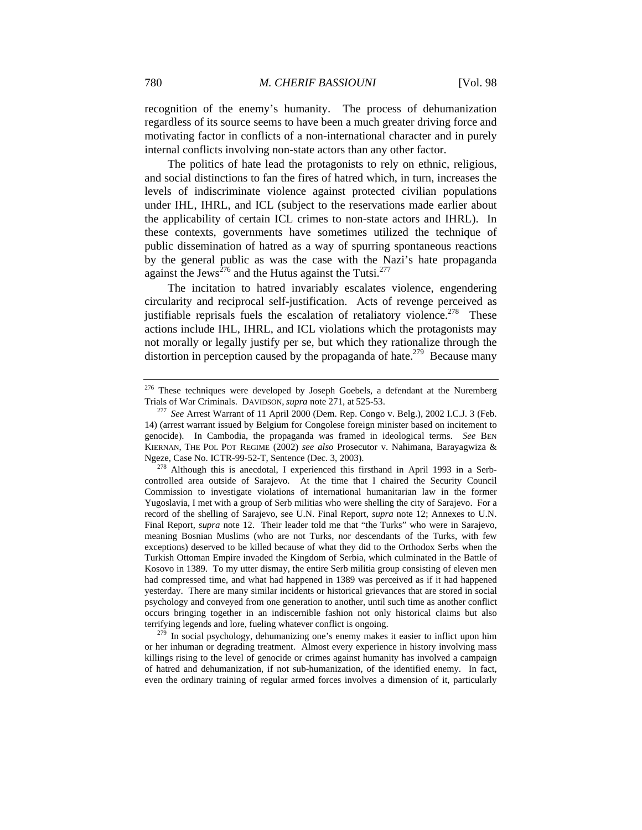recognition of the enemy's humanity. The process of dehumanization regardless of its source seems to have been a much greater driving force and motivating factor in conflicts of a non-international character and in purely internal conflicts involving non-state actors than any other factor.

The politics of hate lead the protagonists to rely on ethnic, religious, and social distinctions to fan the fires of hatred which, in turn, increases the levels of indiscriminate violence against protected civilian populations under IHL, IHRL, and ICL (subject to the reservations made earlier about the applicability of certain ICL crimes to non-state actors and IHRL). In these contexts, governments have sometimes utilized the technique of public dissemination of hatred as a way of spurring spontaneous reactions by the general public as was the case with the Nazi's hate propaganda against the Jews<sup> $276$ </sup> and the Hutus against the Tutsi.<sup>277</sup>

The incitation to hatred invariably escalates violence, engendering circularity and reciprocal self-justification. Acts of revenge perceived as justifiable reprisals fuels the escalation of retaliatory violence.<sup>278</sup> These actions include IHL, IHRL, and ICL violations which the protagonists may not morally or legally justify per se, but which they rationalize through the distortion in perception caused by the propaganda of hate.<sup>279</sup> Because many

<sup>&</sup>lt;sup>276</sup> These techniques were developed by Joseph Goebels, a defendant at the Nuremberg Trials of War Criminals. DAVIDSON, *supra* note 271, at 525-53. 277 *See* Arrest Warrant of 11 April 2000 (Dem. Rep. Congo v. Belg.), 2002 I.C.J. 3 (Feb.

<sup>14) (</sup>arrest warrant issued by Belgium for Congolese foreign minister based on incitement to genocide). In Cambodia, the propaganda was framed in ideological terms. *See* BEN KIERNAN, THE POL POT REGIME (2002) *see also* Prosecutor v. Nahimana, Barayagwiza & Ngeze, Case No. ICTR-99-52-T, Sentence (Dec. 3, 2003). 278 Although this is anecdotal, I experienced this firsthand in April 1993 in a Serb-

controlled area outside of Sarajevo. At the time that I chaired the Security Council Commission to investigate violations of international humanitarian law in the former Yugoslavia, I met with a group of Serb militias who were shelling the city of Sarajevo. For a record of the shelling of Sarajevo, see U.N. Final Report, *supra* note 12; Annexes to U.N. Final Report, *supra* note 12. Their leader told me that "the Turks" who were in Sarajevo, meaning Bosnian Muslims (who are not Turks, nor descendants of the Turks, with few exceptions) deserved to be killed because of what they did to the Orthodox Serbs when the Turkish Ottoman Empire invaded the Kingdom of Serbia, which culminated in the Battle of Kosovo in 1389. To my utter dismay, the entire Serb militia group consisting of eleven men had compressed time, and what had happened in 1389 was perceived as if it had happened yesterday. There are many similar incidents or historical grievances that are stored in social psychology and conveyed from one generation to another, until such time as another conflict occurs bringing together in an indiscernible fashion not only historical claims but also terrifying legends and lore, fueling whatever conflict is ongoing. 279 In social psychology, dehumanizing one's enemy makes it easier to inflict upon him

or her inhuman or degrading treatment. Almost every experience in history involving mass killings rising to the level of genocide or crimes against humanity has involved a campaign of hatred and dehumanization, if not sub-humanization, of the identified enemy. In fact, even the ordinary training of regular armed forces involves a dimension of it, particularly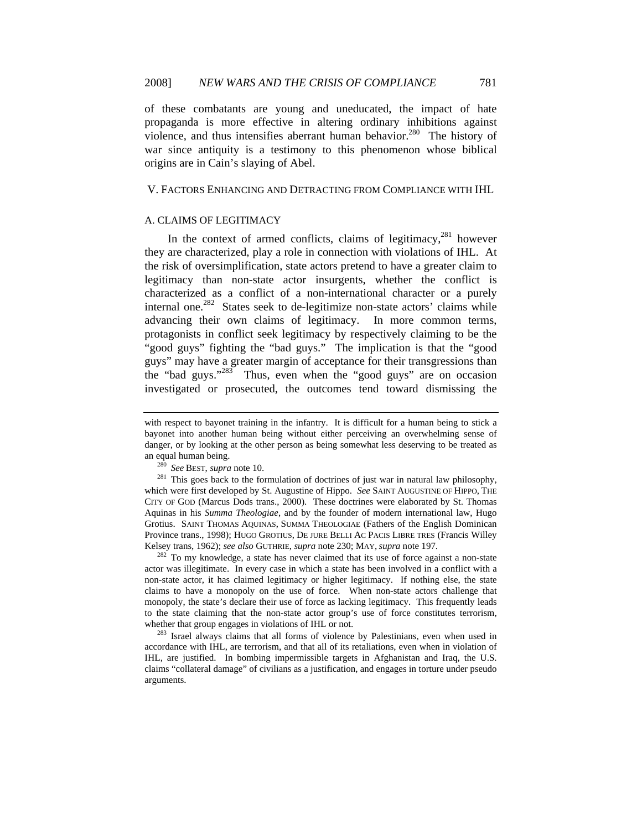of these combatants are young and uneducated, the impact of hate propaganda is more effective in altering ordinary inhibitions against violence, and thus intensifies aberrant human behavior.<sup>280</sup> The history of war since antiquity is a testimony to this phenomenon whose biblical origins are in Cain's slaying of Abel.

### V. FACTORS ENHANCING AND DETRACTING FROM COMPLIANCE WITH IHL

### A. CLAIMS OF LEGITIMACY

In the context of armed conflicts, claims of legitimacy, $281$  however they are characterized, play a role in connection with violations of IHL. At the risk of oversimplification, state actors pretend to have a greater claim to legitimacy than non-state actor insurgents, whether the conflict is characterized as a conflict of a non-international character or a purely internal one.<sup>282</sup> States seek to de-legitimize non-state actors' claims while advancing their own claims of legitimacy. In more common terms, protagonists in conflict seek legitimacy by respectively claiming to be the "good guys" fighting the "bad guys." The implication is that the "good guys" may have a greater margin of acceptance for their transgressions than the "bad guys."283 Thus, even when the "good guys" are on occasion investigated or prosecuted, the outcomes tend toward dismissing the

actor was illegitimate. In every case in which a state has been involved in a conflict with a non-state actor, it has claimed legitimacy or higher legitimacy. If nothing else, the state claims to have a monopoly on the use of force. When non-state actors challenge that monopoly, the state's declare their use of force as lacking legitimacy. This frequently leads to the state claiming that the non-state actor group's use of force constitutes terrorism, whether that group engages in violations of IHL or not.<br><sup>283</sup> Israel always claims that all forms of violence by Palestinians, even when used in

accordance with IHL, are terrorism, and that all of its retaliations, even when in violation of IHL, are justified. In bombing impermissible targets in Afghanistan and Iraq, the U.S. claims "collateral damage" of civilians as a justification, and engages in torture under pseudo arguments.

with respect to bayonet training in the infantry. It is difficult for a human being to stick a bayonet into another human being without either perceiving an overwhelming sense of danger, or by looking at the other person as being somewhat less deserving to be treated as an equal human being.<br><sup>280</sup> *See* BEST, *supra* note 10.<br><sup>281</sup> This goes back to the formulation of doctrines of just war in natural law philosophy,

which were first developed by St. Augustine of Hippo. *See* SAINT AUGUSTINE OF HIPPO, THE CITY OF GOD (Marcus Dods trans., 2000). These doctrines were elaborated by St. Thomas Aquinas in his *Summa Theologiae*, and by the founder of modern international law, Hugo Grotius. SAINT THOMAS AQUINAS, SUMMA THEOLOGIAE (Fathers of the English Dominican Province trans., 1998); HUGO GROTIUS, DE JURE BELLI AC PACIS LIBRE TRES (Francis Willey Kelsey trans, 1962); *see also* GUTHRIE, *supra* note 230; MAY, *supra* note 197.<br><sup>282</sup> To my knowledge, a state has never claimed that its use of force against a non-state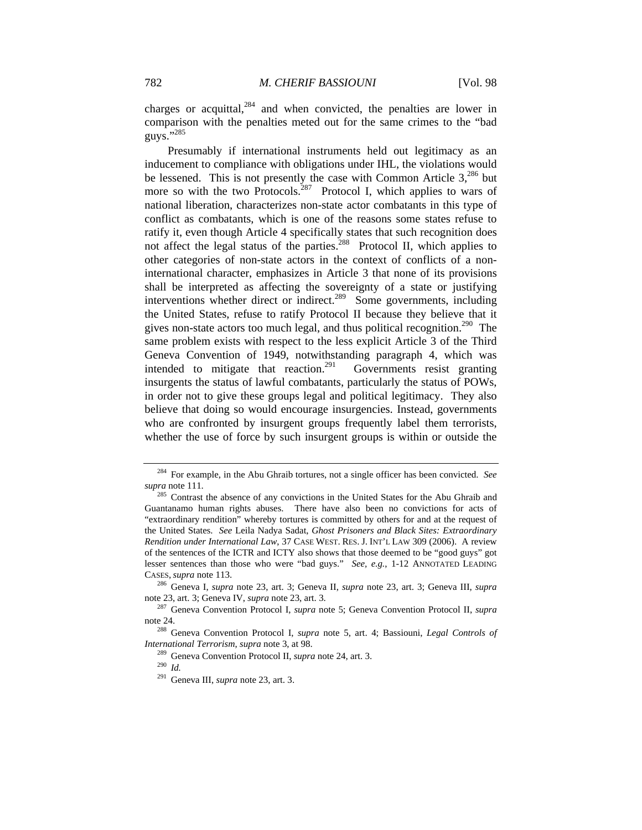charges or acquittal,  $284$  and when convicted, the penalties are lower in comparison with the penalties meted out for the same crimes to the "bad guys."<sup>285</sup>

Presumably if international instruments held out legitimacy as an inducement to compliance with obligations under IHL, the violations would be lessened. This is not presently the case with Common Article  $3,^{286}$  but more so with the two Protocols.<sup>287</sup> Protocol I, which applies to wars of national liberation, characterizes non-state actor combatants in this type of conflict as combatants, which is one of the reasons some states refuse to ratify it, even though Article 4 specifically states that such recognition does not affect the legal status of the parties.<sup>288</sup> Protocol II, which applies to other categories of non-state actors in the context of conflicts of a noninternational character, emphasizes in Article 3 that none of its provisions shall be interpreted as affecting the sovereignty of a state or justifying interventions whether direct or indirect.<sup>289</sup> Some governments, including the United States, refuse to ratify Protocol II because they believe that it gives non-state actors too much legal, and thus political recognition.<sup>290</sup> The same problem exists with respect to the less explicit Article 3 of the Third Geneva Convention of 1949, notwithstanding paragraph 4, which was intended to mitigate that reaction.<sup>291</sup> Governments resist granting insurgents the status of lawful combatants, particularly the status of POWs, in order not to give these groups legal and political legitimacy. They also believe that doing so would encourage insurgencies. Instead, governments who are confronted by insurgent groups frequently label them terrorists, whether the use of force by such insurgent groups is within or outside the

<sup>284</sup> For example, in the Abu Ghraib tortures, not a single officer has been convicted. *See* 

*supra* note 111. 285 Contrast the absence of any convictions in the United States for the Abu Ghraib and Guantanamo human rights abuses. There have also been no convictions for acts of "extraordinary rendition" whereby tortures is committed by others for and at the request of the United States. *See* Leila Nadya Sadat, *Ghost Prisoners and Black Sites: Extraordinary Rendition under International Law*, 37 CASE WEST. RES. J. INT'L LAW 309 (2006). A review of the sentences of the ICTR and ICTY also shows that those deemed to be "good guys" got lesser sentences than those who were "bad guys." *See, e.g.*, 1-12 ANNOTATED LEADING CASES, *supra* note 113. 286 Geneva I, *supra* note 23, art. 3; Geneva II, *supra* note 23, art. 3; Geneva III, *supra* 

note 23, art. 3; Geneva IV, *supra* note 23, art. 3.<br><sup>287</sup> Geneva Convention Protocol I, *supra* note 5; Geneva Convention Protocol II, *supra* 

note 24. 288 Geneva Convention Protocol I, *supra* note 5, art. 4; Bassiouni, *Legal Controls of* 

*International Terrorism, supra* note 3, at 98.<br><sup>289</sup> Geneva Convention Protocol II, *supra* note 24, art. 3.<br><sup>290</sup> *Id* 

<sup>291</sup> Geneva III, *supra* note 23, art. 3.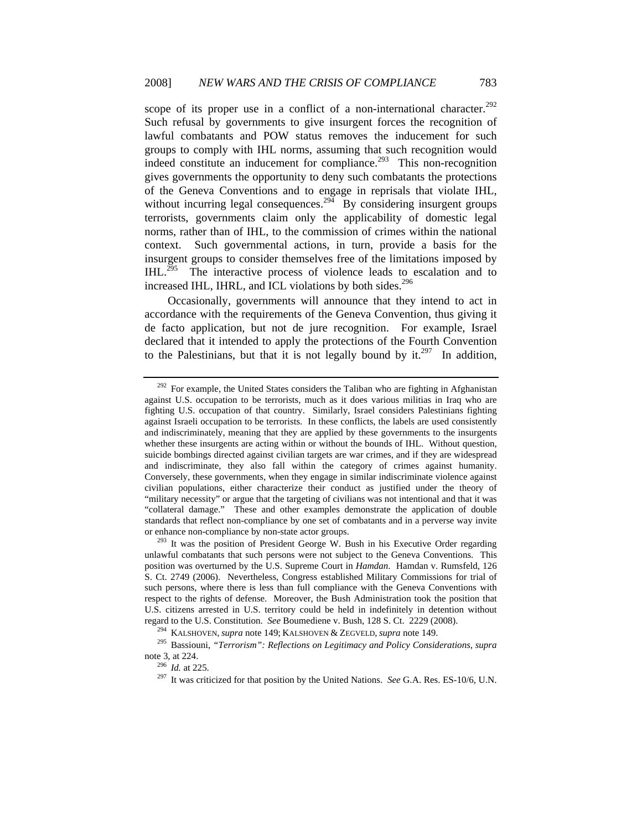scope of its proper use in a conflict of a non-international character.<sup>292</sup> Such refusal by governments to give insurgent forces the recognition of lawful combatants and POW status removes the inducement for such groups to comply with IHL norms, assuming that such recognition would indeed constitute an inducement for compliance.<sup>293</sup> This non-recognition gives governments the opportunity to deny such combatants the protections of the Geneva Conventions and to engage in reprisals that violate IHL, without incurring legal consequences.<sup>294</sup> By considering insurgent groups terrorists, governments claim only the applicability of domestic legal norms, rather than of IHL, to the commission of crimes within the national context. Such governmental actions, in turn, provide a basis for the insurgent groups to consider themselves free of the limitations imposed by  $IHL$ <sup>295</sup> The interactive process of violence leads to escalation and to increased IHL, IHRL, and ICL violations by both sides.<sup>296</sup>

Occasionally, governments will announce that they intend to act in accordance with the requirements of the Geneva Convention, thus giving it de facto application, but not de jure recognition. For example, Israel declared that it intended to apply the protections of the Fourth Convention to the Palestinians, but that it is not legally bound by it.<sup>297</sup> In addition,

<sup>&</sup>lt;sup>292</sup> For example, the United States considers the Taliban who are fighting in Afghanistan against U.S. occupation to be terrorists, much as it does various militias in Iraq who are fighting U.S. occupation of that country. Similarly, Israel considers Palestinians fighting against Israeli occupation to be terrorists. In these conflicts, the labels are used consistently and indiscriminately, meaning that they are applied by these governments to the insurgents whether these insurgents are acting within or without the bounds of IHL. Without question, suicide bombings directed against civilian targets are war crimes, and if they are widespread and indiscriminate, they also fall within the category of crimes against humanity. Conversely, these governments, when they engage in similar indiscriminate violence against civilian populations, either characterize their conduct as justified under the theory of "military necessity" or argue that the targeting of civilians was not intentional and that it was "collateral damage." These and other examples demonstrate the application of double standards that reflect non-compliance by one set of combatants and in a perverse way invite or enhance non-compliance by non-state actor groups.<br><sup>293</sup> It was the position of President George W. Bush in his Executive Order regarding

unlawful combatants that such persons were not subject to the Geneva Conventions. This position was overturned by the U.S. Supreme Court in *Hamdan*. Hamdan v. Rumsfeld, 126 S. Ct. 2749 (2006). Nevertheless, Congress established Military Commissions for trial of such persons, where there is less than full compliance with the Geneva Conventions with respect to the rights of defense. Moreover, the Bush Administration took the position that U.S. citizens arrested in U.S. territory could be held in indefinitely in detention without regard to the U.S. Constitution. See Boumediene v. Bush, 128 S. Ct. 2229 (2008).<br><sup>294</sup> KALSHOVEN, *supra* note 149; KALSHOVEN & ZEGVELD, *supra* note 149.<br><sup>295</sup> Bassiouni, "*Terrorism*": Reflections on Legitimacy and Polic

note 3, at 224.<br><sup>296</sup> *Id.* at 225.<br><sup>297</sup> It was criticized for that position by the United Nations. *See* G.A. Res. ES-10/6, U.N.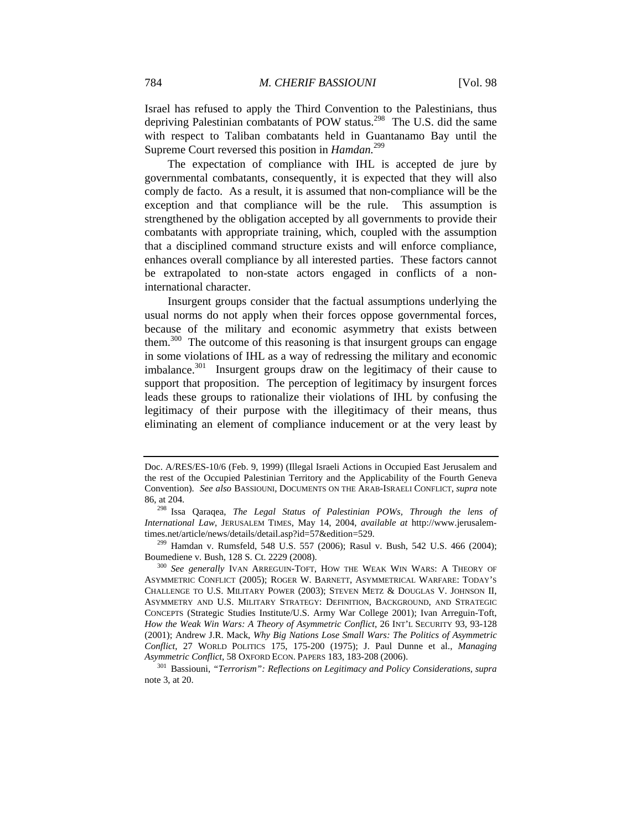Israel has refused to apply the Third Convention to the Palestinians, thus depriving Palestinian combatants of POW status.<sup>298</sup> The U.S. did the same with respect to Taliban combatants held in Guantanamo Bay until the Supreme Court reversed this position in *Hamdan.*<sup>299</sup>

The expectation of compliance with IHL is accepted de jure by governmental combatants, consequently, it is expected that they will also comply de facto. As a result, it is assumed that non-compliance will be the exception and that compliance will be the rule. This assumption is strengthened by the obligation accepted by all governments to provide their combatants with appropriate training, which, coupled with the assumption that a disciplined command structure exists and will enforce compliance, enhances overall compliance by all interested parties. These factors cannot be extrapolated to non-state actors engaged in conflicts of a noninternational character.

Insurgent groups consider that the factual assumptions underlying the usual norms do not apply when their forces oppose governmental forces, because of the military and economic asymmetry that exists between them.<sup>300</sup> The outcome of this reasoning is that insurgent groups can engage in some violations of IHL as a way of redressing the military and economic imbalance. $301$  Insurgent groups draw on the legitimacy of their cause to support that proposition. The perception of legitimacy by insurgent forces leads these groups to rationalize their violations of IHL by confusing the legitimacy of their purpose with the illegitimacy of their means, thus eliminating an element of compliance inducement or at the very least by

times.net/article/news/details/detail.asp?id=57&edition=529.<br><sup>299</sup> Hamdan v. Rumsfeld, 548 U.S. 557 (2006); Rasul v. Bush, 542 U.S. 466 (2004);<br>Boumediene v. Bush, 128 S. Ct. 2229 (2008).

Doc. A/RES/ES-10/6 (Feb. 9, 1999) (Illegal Israeli Actions in Occupied East Jerusalem and the rest of the Occupied Palestinian Territory and the Applicability of the Fourth Geneva Convention). *See also* BASSIOUNI, DOCUMENTS ON THE ARAB-ISRAELI CONFLICT, *supra* note 86, at 204. 298 Issa Qaraqea, *The Legal Status of Palestinian POWs, Through the lens of* 

*International Law*, JERUSALEM TIMES, May 14, 2004, *available at* http://www.jerusalem-

<sup>&</sup>lt;sup>300</sup> See generally IVAN ARREGUIN-TOFT, HOW THE WEAK WIN WARS: A THEORY OF ASYMMETRIC CONFLICT (2005); ROGER W. BARNETT, ASYMMETRICAL WARFARE: TODAY'S CHALLENGE TO U.S. MILITARY POWER (2003); STEVEN METZ & DOUGLAS V. JOHNSON II, ASYMMETRY AND U.S. MILITARY STRATEGY: DEFINITION, BACKGROUND, AND STRATEGIC CONCEPTS (Strategic Studies Institute/U.S. Army War College 2001); Ivan Arreguin-Toft, *How the Weak Win Wars: A Theory of Asymmetric Conflict*, 26 INT'L SECURITY 93, 93-128 (2001); Andrew J.R. Mack, *Why Big Nations Lose Small Wars: The Politics of Asymmetric Conflict*, 27 WORLD POLITICS 175, 175-200 (1975); J. Paul Dunne et al., *Managing* 

<sup>&</sup>lt;sup>301</sup> Bassiouni, *"Terrorism": Reflections on Legitimacy and Policy Considerations, supra* note 3, at 20.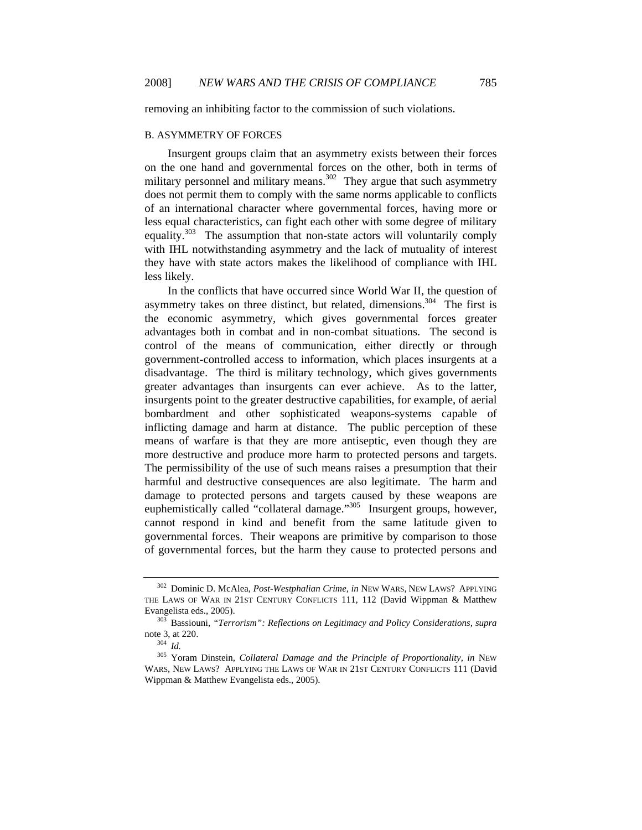removing an inhibiting factor to the commission of such violations.

### B. ASYMMETRY OF FORCES

Insurgent groups claim that an asymmetry exists between their forces on the one hand and governmental forces on the other, both in terms of military personnel and military means.<sup>302</sup> They argue that such asymmetry does not permit them to comply with the same norms applicable to conflicts of an international character where governmental forces, having more or less equal characteristics, can fight each other with some degree of military equality.<sup>303</sup> The assumption that non-state actors will voluntarily comply with IHL notwithstanding asymmetry and the lack of mutuality of interest they have with state actors makes the likelihood of compliance with IHL less likely.

In the conflicts that have occurred since World War II, the question of asymmetry takes on three distinct, but related, dimensions.<sup>304</sup> The first is the economic asymmetry, which gives governmental forces greater advantages both in combat and in non-combat situations. The second is control of the means of communication, either directly or through government-controlled access to information, which places insurgents at a disadvantage. The third is military technology, which gives governments greater advantages than insurgents can ever achieve. As to the latter, insurgents point to the greater destructive capabilities, for example, of aerial bombardment and other sophisticated weapons-systems capable of inflicting damage and harm at distance. The public perception of these means of warfare is that they are more antiseptic, even though they are more destructive and produce more harm to protected persons and targets. The permissibility of the use of such means raises a presumption that their harmful and destructive consequences are also legitimate. The harm and damage to protected persons and targets caused by these weapons are euphemistically called "collateral damage."<sup>305</sup> Insurgent groups, however, cannot respond in kind and benefit from the same latitude given to governmental forces. Their weapons are primitive by comparison to those of governmental forces, but the harm they cause to protected persons and

<sup>302</sup> Dominic D. McAlea, *Post-Westphalian Crime*, *in* NEW WARS, NEW LAWS? APPLYING THE LAWS OF WAR IN 21ST CENTURY CONFLICTS 111, 112 (David Wippman & Matthew Evangelista eds., 2005). 303 Bassiouni, *"Terrorism": Reflections on Legitimacy and Policy Considerations, supra* 

note 3, at 220. 304 *Id.*

<sup>305</sup> Yoram Dinstein, *Collateral Damage and the Principle of Proportionality*, *in* NEW WARS, NEW LAWS? APPLYING THE LAWS OF WAR IN 21ST CENTURY CONFLICTS 111 (David Wippman & Matthew Evangelista eds., 2005).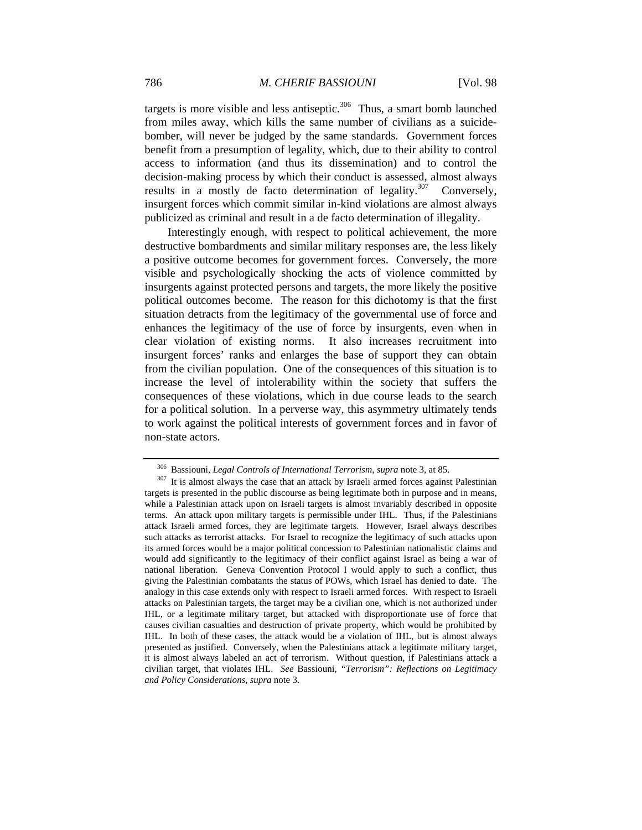targets is more visible and less antiseptic. $306$  Thus, a smart bomb launched from miles away, which kills the same number of civilians as a suicidebomber, will never be judged by the same standards. Government forces benefit from a presumption of legality, which, due to their ability to control access to information (and thus its dissemination) and to control the decision-making process by which their conduct is assessed, almost always results in a mostly de facto determination of legality.<sup>307</sup> Conversely, insurgent forces which commit similar in-kind violations are almost always publicized as criminal and result in a de facto determination of illegality.

Interestingly enough, with respect to political achievement, the more destructive bombardments and similar military responses are, the less likely a positive outcome becomes for government forces. Conversely, the more visible and psychologically shocking the acts of violence committed by insurgents against protected persons and targets, the more likely the positive political outcomes become. The reason for this dichotomy is that the first situation detracts from the legitimacy of the governmental use of force and enhances the legitimacy of the use of force by insurgents, even when in clear violation of existing norms. It also increases recruitment into insurgent forces' ranks and enlarges the base of support they can obtain from the civilian population. One of the consequences of this situation is to increase the level of intolerability within the society that suffers the consequences of these violations, which in due course leads to the search for a political solution. In a perverse way, this asymmetry ultimately tends to work against the political interests of government forces and in favor of non-state actors.

<sup>&</sup>lt;sup>306</sup> Bassiouni, *Legal Controls of International Terrorism*, *supra* note 3, at 85.<br><sup>307</sup> It is almost always the case that an attack by Israeli armed forces against Palestinian targets is presented in the public discourse as being legitimate both in purpose and in means, while a Palestinian attack upon on Israeli targets is almost invariably described in opposite terms. An attack upon military targets is permissible under IHL. Thus, if the Palestinians attack Israeli armed forces, they are legitimate targets. However, Israel always describes such attacks as terrorist attacks. For Israel to recognize the legitimacy of such attacks upon its armed forces would be a major political concession to Palestinian nationalistic claims and would add significantly to the legitimacy of their conflict against Israel as being a war of national liberation. Geneva Convention Protocol I would apply to such a conflict, thus giving the Palestinian combatants the status of POWs, which Israel has denied to date. The analogy in this case extends only with respect to Israeli armed forces. With respect to Israeli attacks on Palestinian targets, the target may be a civilian one, which is not authorized under IHL, or a legitimate military target, but attacked with disproportionate use of force that causes civilian casualties and destruction of private property, which would be prohibited by IHL. In both of these cases, the attack would be a violation of IHL, but is almost always presented as justified. Conversely, when the Palestinians attack a legitimate military target, it is almost always labeled an act of terrorism. Without question, if Palestinians attack a civilian target, that violates IHL. *See* Bassiouni, *"Terrorism": Reflections on Legitimacy and Policy Considerations*, *supra* note 3.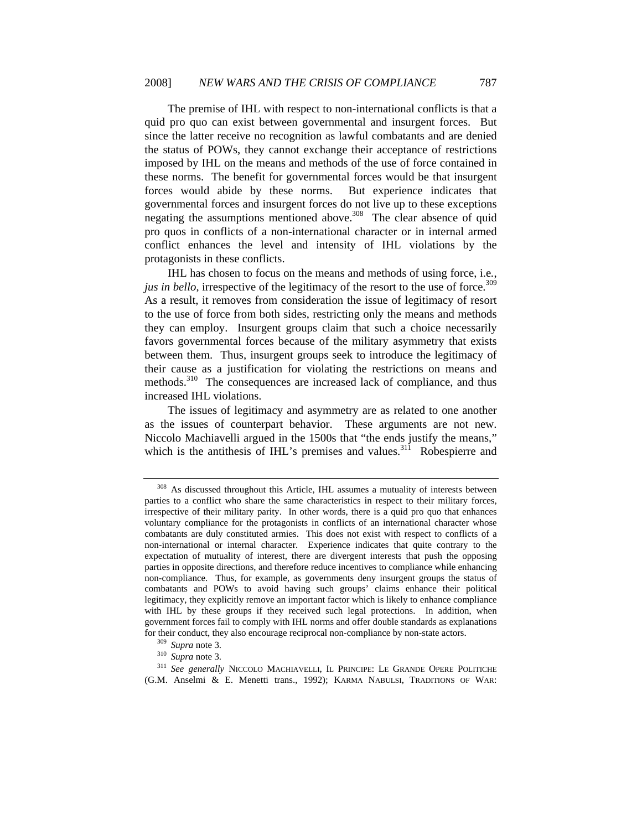The premise of IHL with respect to non-international conflicts is that a quid pro quo can exist between governmental and insurgent forces. But since the latter receive no recognition as lawful combatants and are denied the status of POWs, they cannot exchange their acceptance of restrictions imposed by IHL on the means and methods of the use of force contained in these norms. The benefit for governmental forces would be that insurgent forces would abide by these norms. But experience indicates that governmental forces and insurgent forces do not live up to these exceptions negating the assumptions mentioned above.<sup>308</sup> The clear absence of quid pro quos in conflicts of a non-international character or in internal armed conflict enhances the level and intensity of IHL violations by the protagonists in these conflicts.

IHL has chosen to focus on the means and methods of using force, i.e*.*, *jus in bello*, irrespective of the legitimacy of the resort to the use of force.<sup>309</sup> As a result, it removes from consideration the issue of legitimacy of resort to the use of force from both sides, restricting only the means and methods they can employ. Insurgent groups claim that such a choice necessarily favors governmental forces because of the military asymmetry that exists between them. Thus, insurgent groups seek to introduce the legitimacy of their cause as a justification for violating the restrictions on means and methods.<sup>310</sup> The consequences are increased lack of compliance, and thus increased IHL violations.

The issues of legitimacy and asymmetry are as related to one another as the issues of counterpart behavior. These arguments are not new. Niccolo Machiavelli argued in the 1500s that "the ends justify the means," which is the antithesis of IHL's premises and values.<sup>311</sup> Robespierre and

<sup>&</sup>lt;sup>308</sup> As discussed throughout this Article, IHL assumes a mutuality of interests between parties to a conflict who share the same characteristics in respect to their military forces, irrespective of their military parity. In other words, there is a quid pro quo that enhances voluntary compliance for the protagonists in conflicts of an international character whose combatants are duly constituted armies. This does not exist with respect to conflicts of a non-international or internal character. Experience indicates that quite contrary to the expectation of mutuality of interest, there are divergent interests that push the opposing parties in opposite directions, and therefore reduce incentives to compliance while enhancing non-compliance. Thus, for example, as governments deny insurgent groups the status of combatants and POWs to avoid having such groups' claims enhance their political legitimacy, they explicitly remove an important factor which is likely to enhance compliance with IHL by these groups if they received such legal protections. In addition, when government forces fail to comply with IHL norms and offer double standards as explanations for their conduct, they also encourage reciprocal non-compliance by non-state actors. 309 *Supra* note 3. 310 *Supra* note 3.

<sup>311</sup> *See generally* NICCOLO MACHIAVELLI, IL PRINCIPE: LE GRANDE OPERE POLITICHE (G.M. Anselmi & E. Menetti trans., 1992); KARMA NABULSI, TRADITIONS OF WAR: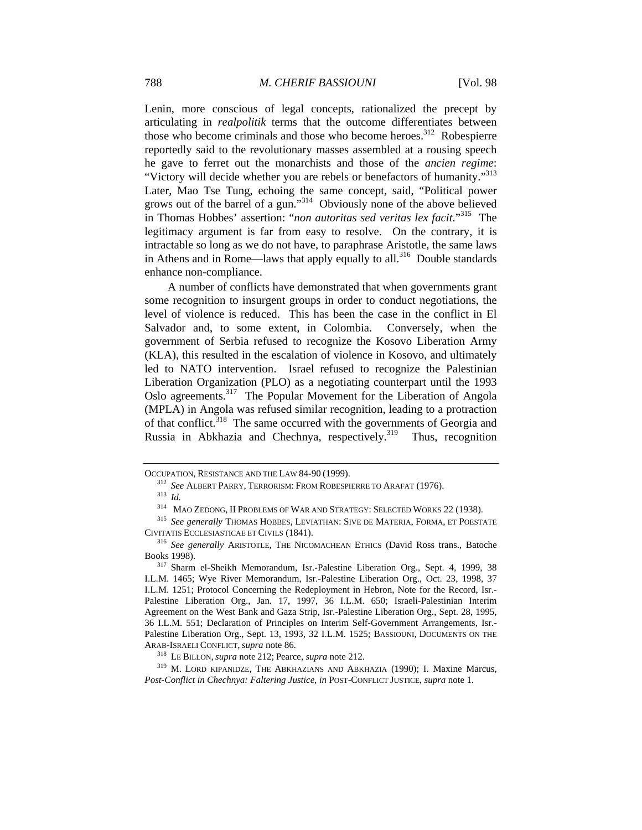Lenin, more conscious of legal concepts, rationalized the precept by articulating in *realpolitik* terms that the outcome differentiates between those who become criminals and those who become heroes.<sup>312</sup> Robespierre reportedly said to the revolutionary masses assembled at a rousing speech he gave to ferret out the monarchists and those of the *ancien regime*: "Victory will decide whether you are rebels or benefactors of humanity."<sup>313</sup> Later, Mao Tse Tung, echoing the same concept, said, "Political power grows out of the barrel of a gun."314 Obviously none of the above believed in Thomas Hobbes' assertion: "*non autoritas sed veritas lex facit*."315 The legitimacy argument is far from easy to resolve. On the contrary, it is intractable so long as we do not have, to paraphrase Aristotle, the same laws in Athens and in Rome—laws that apply equally to all.<sup>316</sup> Double standards enhance non-compliance.

A number of conflicts have demonstrated that when governments grant some recognition to insurgent groups in order to conduct negotiations, the level of violence is reduced. This has been the case in the conflict in El Salvador and, to some extent, in Colombia. Conversely, when the government of Serbia refused to recognize the Kosovo Liberation Army (KLA), this resulted in the escalation of violence in Kosovo, and ultimately led to NATO intervention. Israel refused to recognize the Palestinian Liberation Organization (PLO) as a negotiating counterpart until the 1993 Oslo agreements.317 The Popular Movement for the Liberation of Angola (MPLA) in Angola was refused similar recognition, leading to a protraction of that conflict.<sup>318</sup> The same occurred with the governments of Georgia and Russia in Abkhazia and Chechnya, respectively.<sup>319</sup> Thus, recognition

OCCUPATION, RESISTANCE AND THE LAW 84-90 (1999).<br><sup>312</sup> *See* ALBERT PARRY, TERRORISM: FROM ROBESPIERRE TO ARAFAT (1976).<br><sup>313</sup> *Id.* MAO ZEDONG, II PROBLEMS OF WAR AND STRATEGY: SELECTED WORKS 22 (1938).

<sup>&</sup>lt;sup>315</sup> See generally THOMAS HOBBES, LEVIATHAN: SIVE DE MATERIA, FORMA, ET POESTATE

CIVITATIS ECCLESIASTICAE ET CIVILS (1841). 316 *See generally* ARISTOTLE, THE NICOMACHEAN ETHICS (David Ross trans., Batoche

<sup>&</sup>lt;sup>317</sup> Sharm el-Sheikh Memorandum, Isr.-Palestine Liberation Org., Sept. 4, 1999, 38 I.L.M. 1465; Wye River Memorandum, Isr.-Palestine Liberation Org., Oct. 23, 1998, 37 I.L.M. 1251; Protocol Concerning the Redeployment in Hebron, Note for the Record, Isr.- Palestine Liberation Org., Jan. 17, 1997, 36 I.L.M. 650; Israeli-Palestinian Interim Agreement on the West Bank and Gaza Strip, Isr.-Palestine Liberation Org., Sept. 28, 1995, 36 I.L.M. 551; Declaration of Principles on Interim Self-Government Arrangements, Isr.- Palestine Liberation Org., Sept. 13, 1993, 32 I.L.M. 1525; BASSIOUNI, DOCUMENTS ON THE ARAB-ISRAELI CONFLICT, *supra* note 86. 318 LE BILLON, *supra* note 212; Pearce, *supra* note 212. 319 M. LORD KIPANIDZE, THE ABKHAZIANS AND ABKHAZIA (1990); I. Maxine Marcus,

*Post-Conflict in Chechnya: Faltering Justice*, *in* POST-CONFLICT JUSTICE, *supra* note 1.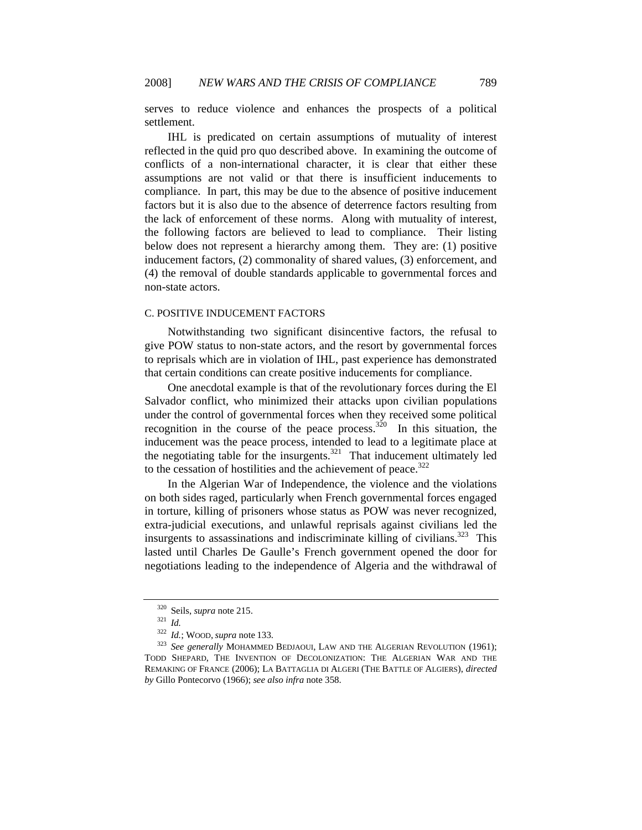serves to reduce violence and enhances the prospects of a political settlement.

IHL is predicated on certain assumptions of mutuality of interest reflected in the quid pro quo described above. In examining the outcome of conflicts of a non-international character, it is clear that either these assumptions are not valid or that there is insufficient inducements to compliance. In part, this may be due to the absence of positive inducement factors but it is also due to the absence of deterrence factors resulting from the lack of enforcement of these norms. Along with mutuality of interest, the following factors are believed to lead to compliance. Their listing below does not represent a hierarchy among them. They are: (1) positive inducement factors, (2) commonality of shared values, (3) enforcement, and (4) the removal of double standards applicable to governmental forces and non-state actors.

### C. POSITIVE INDUCEMENT FACTORS

Notwithstanding two significant disincentive factors, the refusal to give POW status to non-state actors, and the resort by governmental forces to reprisals which are in violation of IHL, past experience has demonstrated that certain conditions can create positive inducements for compliance.

One anecdotal example is that of the revolutionary forces during the El Salvador conflict, who minimized their attacks upon civilian populations under the control of governmental forces when they received some political recognition in the course of the peace process.<sup>320</sup> In this situation, the inducement was the peace process, intended to lead to a legitimate place at the negotiating table for the insurgents. $321$  That inducement ultimately led to the cessation of hostilities and the achievement of peace.<sup>322</sup>

In the Algerian War of Independence, the violence and the violations on both sides raged, particularly when French governmental forces engaged in torture, killing of prisoners whose status as POW was never recognized, extra-judicial executions, and unlawful reprisals against civilians led the insurgents to assassinations and indiscriminate killing of civilians.<sup>323</sup> This lasted until Charles De Gaulle's French government opened the door for negotiations leading to the independence of Algeria and the withdrawal of

<sup>320</sup> Seils, *supra* note 215. 321 *Id.*

<sup>&</sup>lt;sup>323</sup> See generally MOHAMMED BEDJAOUI, LAW AND THE ALGERIAN REVOLUTION (1961); TODD SHEPARD, THE INVENTION OF DECOLONIZATION: THE ALGERIAN WAR AND THE REMAKING OF FRANCE (2006); LA BATTAGLIA DI ALGERI (THE BATTLE OF ALGIERS), *directed by* Gillo Pontecorvo (1966); *see also infra* note 358.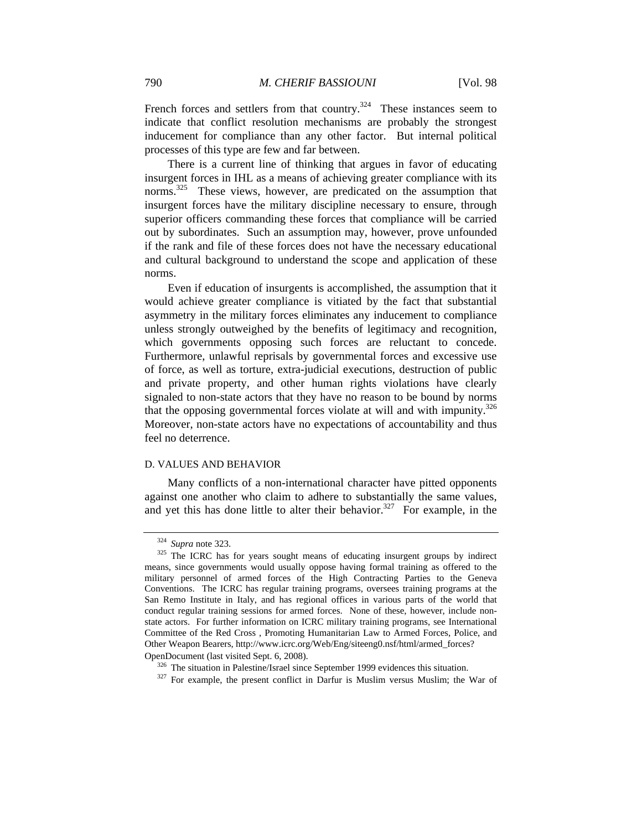French forces and settlers from that country.<sup>324</sup> These instances seem to indicate that conflict resolution mechanisms are probably the strongest inducement for compliance than any other factor. But internal political processes of this type are few and far between.

There is a current line of thinking that argues in favor of educating insurgent forces in IHL as a means of achieving greater compliance with its norms.<sup>325</sup> These views, however, are predicated on the assumption that insurgent forces have the military discipline necessary to ensure, through superior officers commanding these forces that compliance will be carried out by subordinates. Such an assumption may, however, prove unfounded if the rank and file of these forces does not have the necessary educational and cultural background to understand the scope and application of these norms.

Even if education of insurgents is accomplished, the assumption that it would achieve greater compliance is vitiated by the fact that substantial asymmetry in the military forces eliminates any inducement to compliance unless strongly outweighed by the benefits of legitimacy and recognition, which governments opposing such forces are reluctant to concede. Furthermore, unlawful reprisals by governmental forces and excessive use of force, as well as torture, extra-judicial executions, destruction of public and private property, and other human rights violations have clearly signaled to non-state actors that they have no reason to be bound by norms that the opposing governmental forces violate at will and with impunity.<sup>326</sup> Moreover, non-state actors have no expectations of accountability and thus feel no deterrence.

### D. VALUES AND BEHAVIOR

Many conflicts of a non-international character have pitted opponents against one another who claim to adhere to substantially the same values, and yet this has done little to alter their behavior.<sup>327</sup> For example, in the

<sup>&</sup>lt;sup>324</sup> *Supra* note 323.<br><sup>325</sup> The ICRC has for years sought means of educating insurgent groups by indirect means, since governments would usually oppose having formal training as offered to the military personnel of armed forces of the High Contracting Parties to the Geneva Conventions. The ICRC has regular training programs, oversees training programs at the San Remo Institute in Italy, and has regional offices in various parts of the world that conduct regular training sessions for armed forces. None of these, however, include nonstate actors. For further information on ICRC military training programs, see International Committee of the Red Cross , Promoting Humanitarian Law to Armed Forces, Police, and Other Weapon Bearers, http://www.icrc.org/Web/Eng/siteeng0.nsf/html/armed\_forces? OpenDocument (last visited Sept. 6, 2008).<br><sup>326</sup> The situation in Palestine/Israel since September 1999 evidences this situation.<br><sup>327</sup> For example, the present conflict in Darfur is Muslim versus Muslim; the War of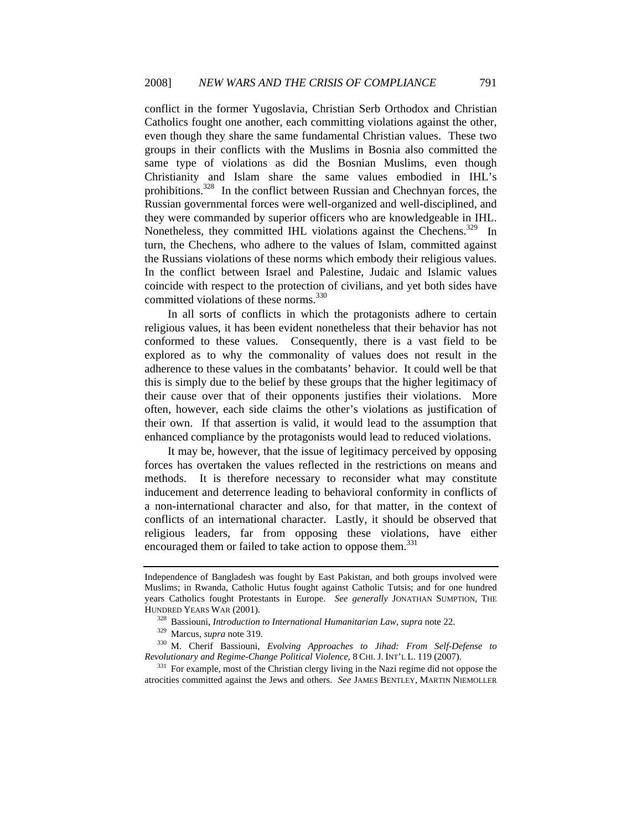conflict in the former Yugoslavia, Christian Serb Orthodox and Christian Catholics fought one another, each committing violations against the other, even though they share the same fundamental Christian values. These two groups in their conflicts with the Muslims in Bosnia also committed the same type of violations as did the Bosnian Muslims, even though Christianity and Islam share the same values embodied in IHL's prohibitions.328 In the conflict between Russian and Chechnyan forces, the Russian governmental forces were well-organized and well-disciplined, and they were commanded by superior officers who are knowledgeable in IHL. Nonetheless, they committed IHL violations against the Chechens.<sup>329</sup> In turn, the Chechens, who adhere to the values of Islam, committed against the Russians violations of these norms which embody their religious values. In the conflict between Israel and Palestine, Judaic and Islamic values coincide with respect to the protection of civilians, and yet both sides have committed violations of these norms.<sup>330</sup>

In all sorts of conflicts in which the protagonists adhere to certain religious values, it has been evident nonetheless that their behavior has not conformed to these values. Consequently, there is a vast field to be explored as to why the commonality of values does not result in the adherence to these values in the combatants' behavior. It could well be that this is simply due to the belief by these groups that the higher legitimacy of their cause over that of their opponents justifies their violations. More often, however, each side claims the other's violations as justification of their own. If that assertion is valid, it would lead to the assumption that enhanced compliance by the protagonists would lead to reduced violations.

It may be, however, that the issue of legitimacy perceived by opposing forces has overtaken the values reflected in the restrictions on means and methods. It is therefore necessary to reconsider what may constitute inducement and deterrence leading to behavioral conformity in conflicts of a non-international character and also, for that matter, in the context of conflicts of an international character. Lastly, it should be observed that religious leaders, far from opposing these violations, have either encouraged them or failed to take action to oppose them.<sup>331</sup>

<sup>331</sup> For example, most of the Christian clergy living in the Nazi regime did not oppose the atrocities committed against the Jews and others. *See* JAMES BENTLEY, MARTIN NIEMOLLER

Independence of Bangladesh was fought by East Pakistan, and both groups involved were Muslims; in Rwanda, Catholic Hutus fought against Catholic Tutsis; and for one hundred years Catholics fought Protestants in Europe. *See generally* JONATHAN SUMPTION, THE

HUNDRED YEARS WAR (2001).<br>
<sup>328</sup> Bassiouni, *Introduction to International Humanitarian Law*, *supra* note 22.<br>
<sup>329</sup> Marcus, *supra* note 319.<br>
<sup>330</sup> M. Cherif Bassiouni, *Evolving Approaches to Jihad: From Self-Defense*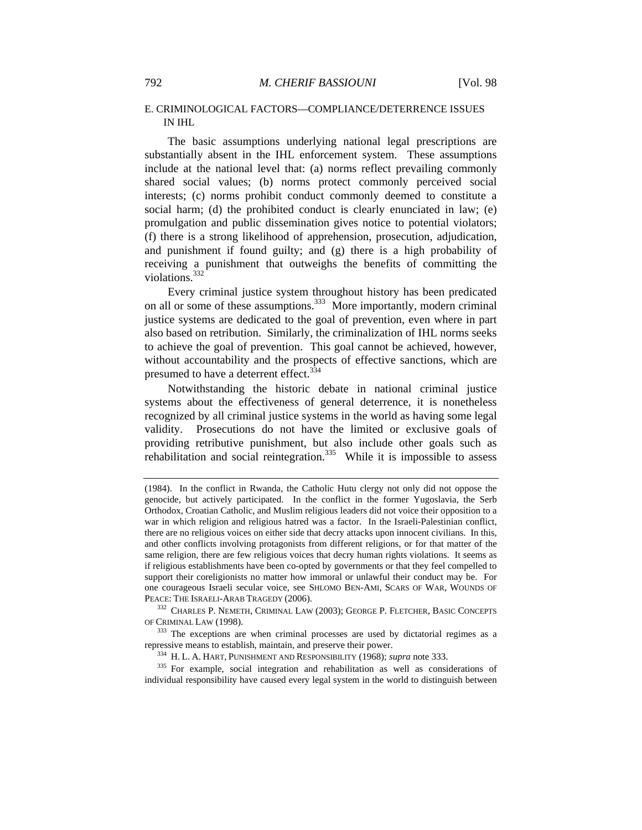## E. CRIMINOLOGICAL FACTORS—COMPLIANCE/DETERRENCE ISSUES IN IHL

The basic assumptions underlying national legal prescriptions are substantially absent in the IHL enforcement system. These assumptions include at the national level that: (a) norms reflect prevailing commonly shared social values; (b) norms protect commonly perceived social interests; (c) norms prohibit conduct commonly deemed to constitute a social harm; (d) the prohibited conduct is clearly enunciated in law; (e) promulgation and public dissemination gives notice to potential violators; (f) there is a strong likelihood of apprehension, prosecution, adjudication, and punishment if found guilty; and (g) there is a high probability of receiving a punishment that outweighs the benefits of committing the violations.<sup>332</sup>

Every criminal justice system throughout history has been predicated on all or some of these assumptions.<sup>333</sup> More importantly, modern criminal justice systems are dedicated to the goal of prevention, even where in part also based on retribution. Similarly, the criminalization of IHL norms seeks to achieve the goal of prevention. This goal cannot be achieved, however, without accountability and the prospects of effective sanctions, which are presumed to have a deterrent effect.<sup>334</sup>

Notwithstanding the historic debate in national criminal justice systems about the effectiveness of general deterrence, it is nonetheless recognized by all criminal justice systems in the world as having some legal validity. Prosecutions do not have the limited or exclusive goals of providing retributive punishment, but also include other goals such as rehabilitation and social reintegration.<sup>335</sup> While it is impossible to assess

PEACE: THE ISRAELI-ARAB TRAGEDY (2006).<br><sup>332</sup> CHARLES P. NEMETH, CRIMINAL LAW (2003); GEORGE P. FLETCHER, BASIC CONCEPTS<br>OF CRIMINAL LAW (1998).

<sup>333</sup> The exceptions are when criminal processes are used by dictatorial regimes as a repressive means to establish, maintain, and preserve their power.

 $^{334}$  H. L. A. HART, PUNISHMENT AND RESPONSIBILITY (1968); *supra* note 333.<br><sup>335</sup> For example, social integration and rehabilitation as well as considerations of individual responsibility have caused every legal system in the world to distinguish between

<sup>(1984).</sup> In the conflict in Rwanda, the Catholic Hutu clergy not only did not oppose the genocide, but actively participated. In the conflict in the former Yugoslavia, the Serb Orthodox, Croatian Catholic, and Muslim religious leaders did not voice their opposition to a war in which religion and religious hatred was a factor. In the Israeli-Palestinian conflict, there are no religious voices on either side that decry attacks upon innocent civilians. In this, and other conflicts involving protagonists from different religions, or for that matter of the same religion, there are few religious voices that decry human rights violations. It seems as if religious establishments have been co-opted by governments or that they feel compelled to support their coreligionists no matter how immoral or unlawful their conduct may be. For one courageous Israeli secular voice, see SHLOMO BEN-AMI, SCARS OF WAR, WOUNDS OF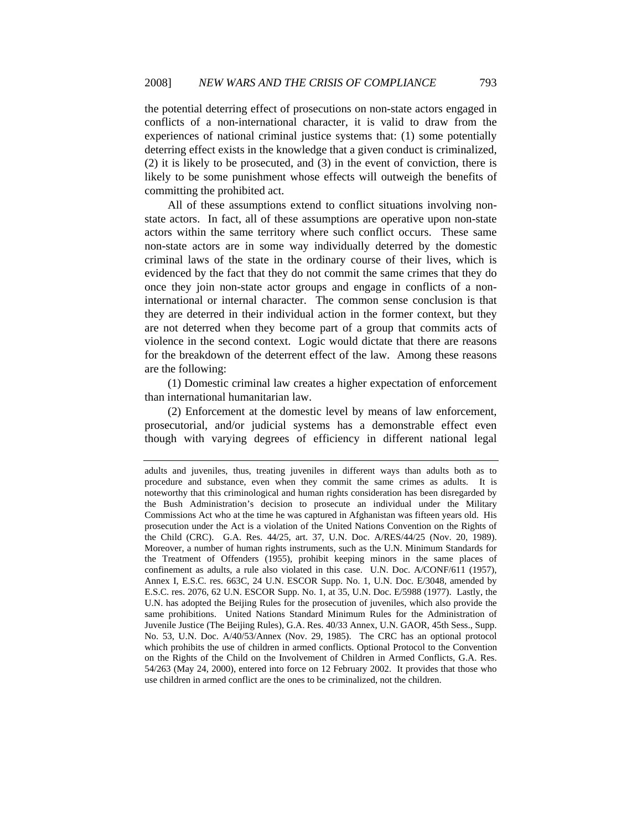the potential deterring effect of prosecutions on non-state actors engaged in conflicts of a non-international character, it is valid to draw from the experiences of national criminal justice systems that: (1) some potentially deterring effect exists in the knowledge that a given conduct is criminalized, (2) it is likely to be prosecuted, and (3) in the event of conviction, there is likely to be some punishment whose effects will outweigh the benefits of committing the prohibited act.

All of these assumptions extend to conflict situations involving nonstate actors. In fact, all of these assumptions are operative upon non-state actors within the same territory where such conflict occurs. These same non-state actors are in some way individually deterred by the domestic criminal laws of the state in the ordinary course of their lives, which is evidenced by the fact that they do not commit the same crimes that they do once they join non-state actor groups and engage in conflicts of a noninternational or internal character. The common sense conclusion is that they are deterred in their individual action in the former context, but they are not deterred when they become part of a group that commits acts of violence in the second context. Logic would dictate that there are reasons for the breakdown of the deterrent effect of the law. Among these reasons are the following:

(1) Domestic criminal law creates a higher expectation of enforcement than international humanitarian law.

(2) Enforcement at the domestic level by means of law enforcement, prosecutorial, and/or judicial systems has a demonstrable effect even though with varying degrees of efficiency in different national legal

adults and juveniles, thus, treating juveniles in different ways than adults both as to procedure and substance, even when they commit the same crimes as adults. It is noteworthy that this criminological and human rights consideration has been disregarded by the Bush Administration's decision to prosecute an individual under the Military Commissions Act who at the time he was captured in Afghanistan was fifteen years old. His prosecution under the Act is a violation of the United Nations Convention on the Rights of the Child (CRC). G.A. Res. 44/25, art. 37, U.N. Doc. A/RES/44/25 (Nov. 20, 1989). Moreover, a number of human rights instruments, such as the U.N. Minimum Standards for the Treatment of Offenders (1955), prohibit keeping minors in the same places of confinement as adults, a rule also violated in this case. U.N. Doc. A/CONF/611 (1957), Annex I, E.S.C. res. 663C, 24 U.N. ESCOR Supp. No. 1, U.N. Doc. E/3048, amended by E.S.C. res. 2076, 62 U.N. ESCOR Supp. No. 1, at 35, U.N. Doc. E/5988 (1977). Lastly, the U.N. has adopted the Beijing Rules for the prosecution of juveniles, which also provide the same prohibitions. United Nations Standard Minimum Rules for the Administration of Juvenile Justice (The Beijing Rules), G.A. Res. 40/33 Annex, U.N. GAOR, 45th Sess., Supp. No. 53, U.N. Doc. A/40/53/Annex (Nov. 29, 1985). The CRC has an optional protocol which prohibits the use of children in armed conflicts. Optional Protocol to the Convention on the Rights of the Child on the Involvement of Children in Armed Conflicts, G.A. Res. 54/263 (May 24, 2000), entered into force on 12 February 2002. It provides that those who use children in armed conflict are the ones to be criminalized, not the children.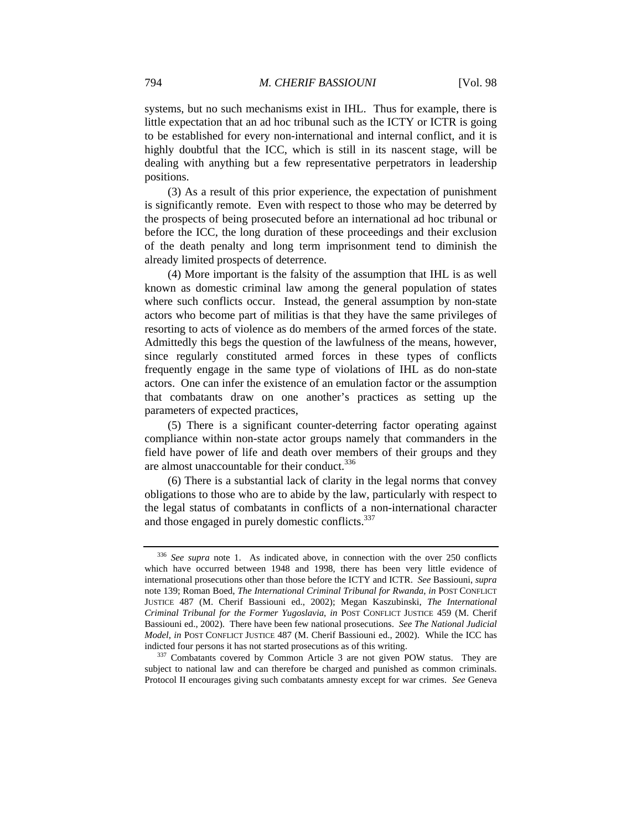systems, but no such mechanisms exist in IHL. Thus for example, there is little expectation that an ad hoc tribunal such as the ICTY or ICTR is going to be established for every non-international and internal conflict, and it is highly doubtful that the ICC, which is still in its nascent stage, will be dealing with anything but a few representative perpetrators in leadership positions.

(3) As a result of this prior experience, the expectation of punishment is significantly remote. Even with respect to those who may be deterred by the prospects of being prosecuted before an international ad hoc tribunal or before the ICC, the long duration of these proceedings and their exclusion of the death penalty and long term imprisonment tend to diminish the already limited prospects of deterrence.

(4) More important is the falsity of the assumption that IHL is as well known as domestic criminal law among the general population of states where such conflicts occur. Instead, the general assumption by non-state actors who become part of militias is that they have the same privileges of resorting to acts of violence as do members of the armed forces of the state. Admittedly this begs the question of the lawfulness of the means, however, since regularly constituted armed forces in these types of conflicts frequently engage in the same type of violations of IHL as do non-state actors. One can infer the existence of an emulation factor or the assumption that combatants draw on one another's practices as setting up the parameters of expected practices,

(5) There is a significant counter-deterring factor operating against compliance within non-state actor groups namely that commanders in the field have power of life and death over members of their groups and they are almost unaccountable for their conduct.<sup>336</sup>

(6) There is a substantial lack of clarity in the legal norms that convey obligations to those who are to abide by the law, particularly with respect to the legal status of combatants in conflicts of a non-international character and those engaged in purely domestic conflicts.<sup>337</sup>

<sup>336</sup> *See supra* note 1. As indicated above, in connection with the over 250 conflicts which have occurred between 1948 and 1998, there has been very little evidence of international prosecutions other than those before the ICTY and ICTR. *See* Bassiouni, *supra*  note 139; Roman Boed, *The International Criminal Tribunal for Rwanda*, *in* POST CONFLICT JUSTICE 487 (M. Cherif Bassiouni ed., 2002); Megan Kaszubinski, *The International Criminal Tribunal for the Former Yugoslavia*, *in* POST CONFLICT JUSTICE 459 (M. Cherif Bassiouni ed., 2002). There have been few national prosecutions. *See The National Judicial Model*, *in* POST CONFLICT JUSTICE 487 (M. Cherif Bassiouni ed., 2002). While the ICC has indicted four persons it has not started prosecutions as of this writing.<br><sup>337</sup> Combatants covered by Common Article 3 are not given POW status. They are

subject to national law and can therefore be charged and punished as common criminals. Protocol II encourages giving such combatants amnesty except for war crimes. *See* Geneva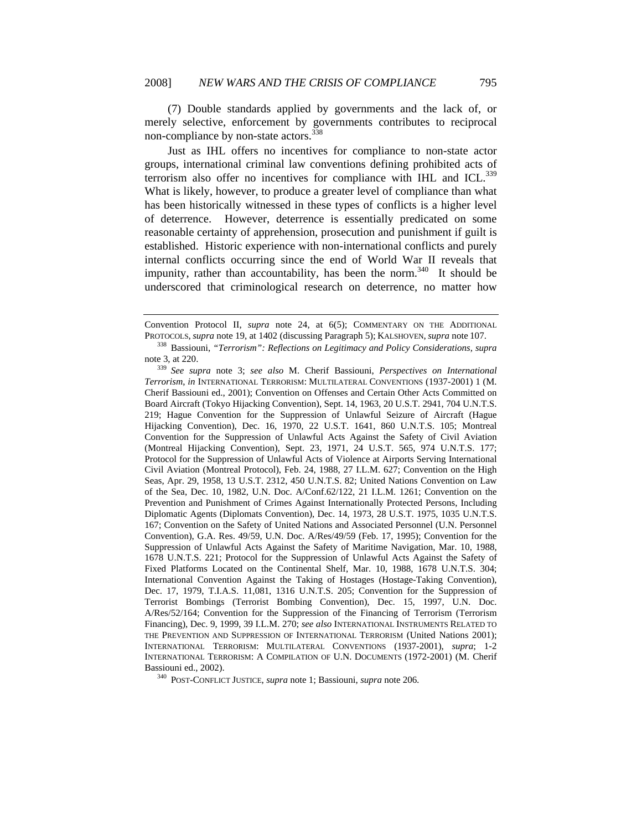(7) Double standards applied by governments and the lack of, or merely selective, enforcement by governments contributes to reciprocal non-compliance by non-state actors.<sup>338</sup>

Just as IHL offers no incentives for compliance to non-state actor groups, international criminal law conventions defining prohibited acts of terrorism also offer no incentives for compliance with IHL and ICL.<sup>339</sup> What is likely, however, to produce a greater level of compliance than what has been historically witnessed in these types of conflicts is a higher level of deterrence. However, deterrence is essentially predicated on some reasonable certainty of apprehension, prosecution and punishment if guilt is established. Historic experience with non-international conflicts and purely internal conflicts occurring since the end of World War II reveals that impunity, rather than accountability, has been the norm.<sup>340</sup> It should be underscored that criminological research on deterrence, no matter how

Convention Protocol II, *supra* note 24, at 6(5); COMMENTARY ON THE ADDITIONAL PROTOCOLS, *supra* note 19, at 1402 (discussing Paragraph 5); KALSHOVEN, *supra* note 107. 338 Bassiouni, *"Terrorism": Reflections on Legitimacy and Policy Considerations, supra* 

note 3, at 220. 339 *See supra* note 3; *see also* M. Cherif Bassiouni, *Perspectives on International Terrorism*, *in* INTERNATIONAL TERRORISM: MULTILATERAL CONVENTIONS (1937-2001) 1 (M. Cherif Bassiouni ed., 2001); Convention on Offenses and Certain Other Acts Committed on Board Aircraft (Tokyo Hijacking Convention), Sept. 14, 1963, 20 U.S.T. 2941, 704 U.N.T.S. 219; Hague Convention for the Suppression of Unlawful Seizure of Aircraft (Hague Hijacking Convention), Dec. 16, 1970, 22 U.S.T. 1641, 860 U.N.T.S. 105; Montreal Convention for the Suppression of Unlawful Acts Against the Safety of Civil Aviation (Montreal Hijacking Convention), Sept. 23, 1971, 24 U.S.T. 565, 974 U.N.T.S. 177; Protocol for the Suppression of Unlawful Acts of Violence at Airports Serving International Civil Aviation (Montreal Protocol), Feb. 24, 1988, 27 I.L.M. 627; Convention on the High Seas, Apr. 29, 1958, 13 U.S.T. 2312, 450 U.N.T.S. 82; United Nations Convention on Law of the Sea, Dec. 10, 1982, U.N. Doc. A/Conf.62/122, 21 I.L.M. 1261; Convention on the Prevention and Punishment of Crimes Against Internationally Protected Persons, Including Diplomatic Agents (Diplomats Convention), Dec. 14, 1973, 28 U.S.T. 1975, 1035 U.N.T.S. 167; Convention on the Safety of United Nations and Associated Personnel (U.N. Personnel Convention), G.A. Res. 49/59, U.N. Doc. A/Res/49/59 (Feb. 17, 1995); Convention for the Suppression of Unlawful Acts Against the Safety of Maritime Navigation, Mar. 10, 1988, 1678 U.N.T.S. 221; Protocol for the Suppression of Unlawful Acts Against the Safety of Fixed Platforms Located on the Continental Shelf, Mar. 10, 1988, 1678 U.N.T.S. 304; International Convention Against the Taking of Hostages (Hostage-Taking Convention), Dec. 17, 1979, T.I.A.S. 11,081, 1316 U.N.T.S. 205; Convention for the Suppression of Terrorist Bombings (Terrorist Bombing Convention), Dec. 15, 1997, U.N. Doc. A/Res/52/164; Convention for the Suppression of the Financing of Terrorism (Terrorism Financing), Dec. 9, 1999, 39 I.L.M. 270; *see also* INTERNATIONAL INSTRUMENTS RELATED TO THE PREVENTION AND SUPPRESSION OF INTERNATIONAL TERRORISM (United Nations 2001); INTERNATIONAL TERRORISM: MULTILATERAL CONVENTIONS (1937-2001), *supra*; 1-2 INTERNATIONAL TERRORISM: A COMPILATION OF U.N. DOCUMENTS (1972-2001) (M. Cherif Bassiouni ed., 2002). 340 POST-CONFLICT JUSTICE, *supra* note 1; Bassiouni, *supra* note 206*.*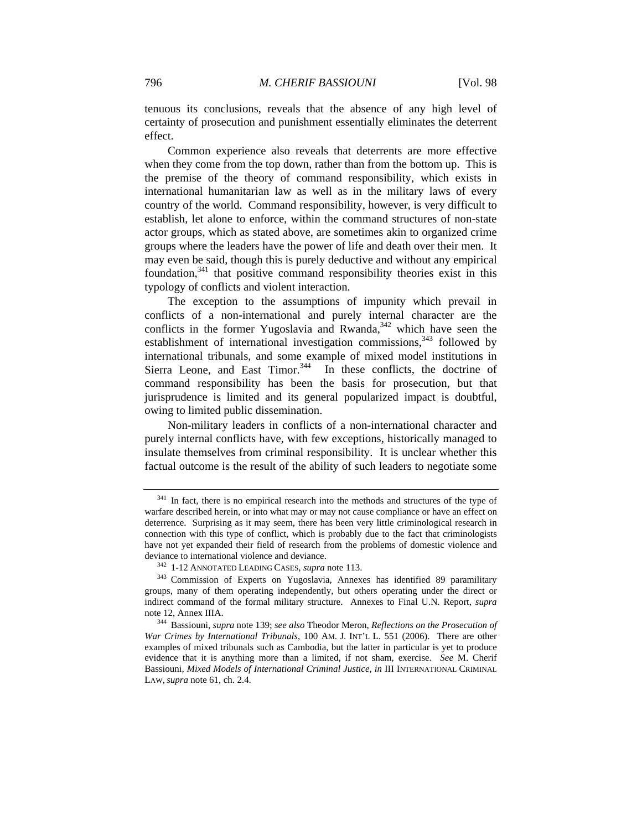tenuous its conclusions, reveals that the absence of any high level of certainty of prosecution and punishment essentially eliminates the deterrent effect.

Common experience also reveals that deterrents are more effective when they come from the top down, rather than from the bottom up. This is the premise of the theory of command responsibility, which exists in international humanitarian law as well as in the military laws of every country of the world. Command responsibility, however, is very difficult to establish, let alone to enforce, within the command structures of non-state actor groups, which as stated above, are sometimes akin to organized crime groups where the leaders have the power of life and death over their men. It may even be said, though this is purely deductive and without any empirical foundation, $341$  that positive command responsibility theories exist in this typology of conflicts and violent interaction.

The exception to the assumptions of impunity which prevail in conflicts of a non-international and purely internal character are the conflicts in the former Yugoslavia and Rwanda, $342$  which have seen the establishment of international investigation commissions,  $343$  followed by international tribunals, and some example of mixed model institutions in Sierra Leone, and East Timor. $344$  In these conflicts, the doctrine of command responsibility has been the basis for prosecution, but that jurisprudence is limited and its general popularized impact is doubtful, owing to limited public dissemination.

Non-military leaders in conflicts of a non-international character and purely internal conflicts have, with few exceptions, historically managed to insulate themselves from criminal responsibility. It is unclear whether this factual outcome is the result of the ability of such leaders to negotiate some

<sup>&</sup>lt;sup>341</sup> In fact, there is no empirical research into the methods and structures of the type of warfare described herein, or into what may or may not cause compliance or have an effect on deterrence. Surprising as it may seem, there has been very little criminological research in connection with this type of conflict, which is probably due to the fact that criminologists have not yet expanded their field of research from the problems of domestic violence and deviance to international violence and deviance.<br><sup>342</sup> 1-12 ANNOTATED LEADING CASES, *supra* note 113.<br><sup>343</sup> Commission of Experts on Yugoslavia, Annexes has identified 89 paramilitary

groups, many of them operating independently, but others operating under the direct or indirect command of the formal military structure. Annexes to Final U.N. Report, *supra*  note 12, Annex IIIA. 344 Bassiouni, *supra* note 139; *see also* Theodor Meron, *Reflections on the Prosecution of* 

*War Crimes by International Tribunals*, 100 AM. J. INT'L L. 551 (2006). There are other examples of mixed tribunals such as Cambodia, but the latter in particular is yet to produce evidence that it is anything more than a limited, if not sham, exercise. *See* M. Cherif Bassiouni, *Mixed Models of International Criminal Justice, in* III INTERNATIONAL CRIMINAL LAW, *supra* note 61, ch. 2.4.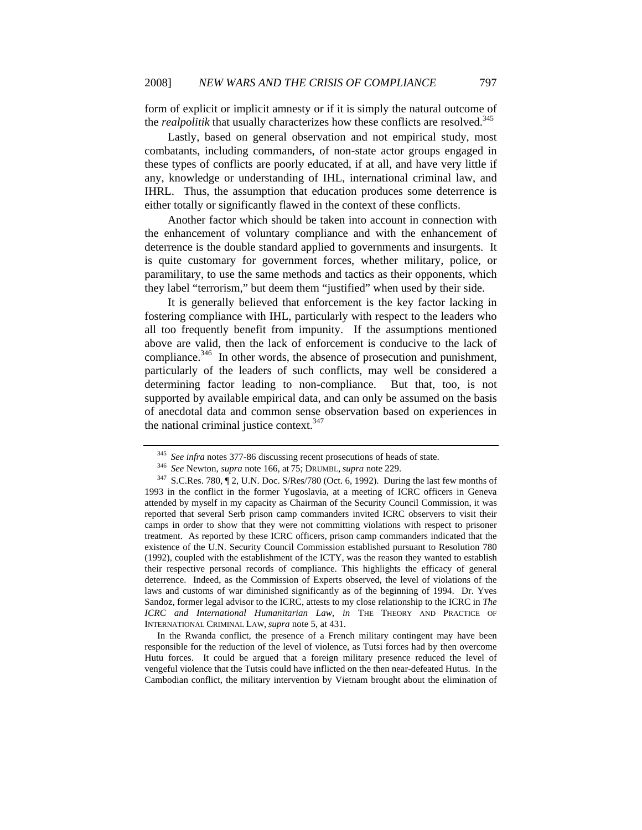form of explicit or implicit amnesty or if it is simply the natural outcome of the *realpolitik* that usually characterizes how these conflicts are resolved.<sup>345</sup>

Lastly, based on general observation and not empirical study, most combatants, including commanders, of non-state actor groups engaged in these types of conflicts are poorly educated, if at all, and have very little if any, knowledge or understanding of IHL, international criminal law, and IHRL. Thus, the assumption that education produces some deterrence is either totally or significantly flawed in the context of these conflicts.

Another factor which should be taken into account in connection with the enhancement of voluntary compliance and with the enhancement of deterrence is the double standard applied to governments and insurgents. It is quite customary for government forces, whether military, police, or paramilitary, to use the same methods and tactics as their opponents, which they label "terrorism," but deem them "justified" when used by their side.

It is generally believed that enforcement is the key factor lacking in fostering compliance with IHL, particularly with respect to the leaders who all too frequently benefit from impunity. If the assumptions mentioned above are valid, then the lack of enforcement is conducive to the lack of compliance.<sup>346</sup> In other words, the absence of prosecution and punishment, particularly of the leaders of such conflicts, may well be considered a determining factor leading to non-compliance. But that, too, is not supported by available empirical data, and can only be assumed on the basis of anecdotal data and common sense observation based on experiences in the national criminal justice context. $347$ 

 In the Rwanda conflict, the presence of a French military contingent may have been responsible for the reduction of the level of violence, as Tutsi forces had by then overcome Hutu forces. It could be argued that a foreign military presence reduced the level of vengeful violence that the Tutsis could have inflicted on the then near-defeated Hutus. In the Cambodian conflict, the military intervention by Vietnam brought about the elimination of

<sup>&</sup>lt;sup>345</sup> See infra notes 377-86 discussing recent prosecutions of heads of state.<br><sup>346</sup> See Newton, *supra* note 166, at 75; DRUMBL, *supra* note 229.<br><sup>347</sup> S.C.Res. 780, 12, U.N. Doc. S/Res/780 (Oct. 6, 1992). During the la 1993 in the conflict in the former Yugoslavia, at a meeting of ICRC officers in Geneva attended by myself in my capacity as Chairman of the Security Council Commission, it was reported that several Serb prison camp commanders invited ICRC observers to visit their camps in order to show that they were not committing violations with respect to prisoner treatment. As reported by these ICRC officers, prison camp commanders indicated that the existence of the U.N. Security Council Commission established pursuant to Resolution 780 (1992), coupled with the establishment of the ICTY, was the reason they wanted to establish their respective personal records of compliance. This highlights the efficacy of general deterrence. Indeed, as the Commission of Experts observed, the level of violations of the laws and customs of war diminished significantly as of the beginning of 1994. Dr. Yves Sandoz, former legal advisor to the ICRC, attests to my close relationship to the ICRC in *The ICRC and International Humanitarian Law*, *in* THE THEORY AND PRACTICE OF INTERNATIONAL CRIMINAL LAW, *supra* note 5, at 431.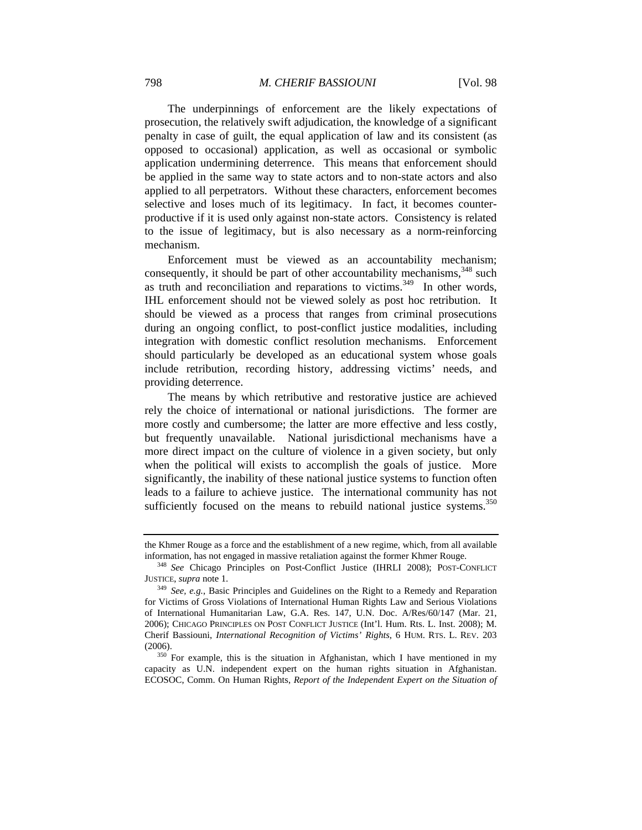The underpinnings of enforcement are the likely expectations of prosecution, the relatively swift adjudication, the knowledge of a significant penalty in case of guilt, the equal application of law and its consistent (as opposed to occasional) application, as well as occasional or symbolic application undermining deterrence. This means that enforcement should be applied in the same way to state actors and to non-state actors and also applied to all perpetrators. Without these characters, enforcement becomes selective and loses much of its legitimacy. In fact, it becomes counterproductive if it is used only against non-state actors. Consistency is related to the issue of legitimacy, but is also necessary as a norm-reinforcing mechanism.

Enforcement must be viewed as an accountability mechanism; consequently, it should be part of other accountability mechanisms,  $348$  such as truth and reconciliation and reparations to victims. $349$  In other words, IHL enforcement should not be viewed solely as post hoc retribution. It should be viewed as a process that ranges from criminal prosecutions during an ongoing conflict, to post-conflict justice modalities, including integration with domestic conflict resolution mechanisms. Enforcement should particularly be developed as an educational system whose goals include retribution, recording history, addressing victims' needs, and providing deterrence.

The means by which retributive and restorative justice are achieved rely the choice of international or national jurisdictions. The former are more costly and cumbersome; the latter are more effective and less costly, but frequently unavailable. National jurisdictional mechanisms have a more direct impact on the culture of violence in a given society, but only when the political will exists to accomplish the goals of justice. More significantly, the inability of these national justice systems to function often leads to a failure to achieve justice. The international community has not sufficiently focused on the means to rebuild national justice systems.<sup>350</sup>

the Khmer Rouge as a force and the establishment of a new regime, which, from all available

information, has not engaged in massive retaliation against the former Khmer Rouge.<br><sup>348</sup> *See* Chicago Principles on Post-Conflict Justice (IHRLI 2008); POST-CONFLICT JUSTICE, *supra* note 1.

<sup>&</sup>lt;sup>349</sup> *See, e.g.*, Basic Principles and Guidelines on the Right to a Remedy and Reparation for Victims of Gross Violations of International Human Rights Law and Serious Violations of International Humanitarian Law, G.A. Res. 147, U.N. Doc. A/Res/60/147 (Mar. 21, 2006); CHICAGO PRINCIPLES ON POST CONFLICT JUSTICE (Int'l. Hum. Rts. L. Inst. 2008); M. Cherif Bassiouni, *International Recognition of Victims' Rights*, 6 HUM. RTS. L. REV. 203 (2006).<br><sup>350</sup> For example, this is the situation in Afghanistan, which I have mentioned in my

capacity as U.N. independent expert on the human rights situation in Afghanistan. ECOSOC, Comm. On Human Rights, *Report of the Independent Expert on the Situation of*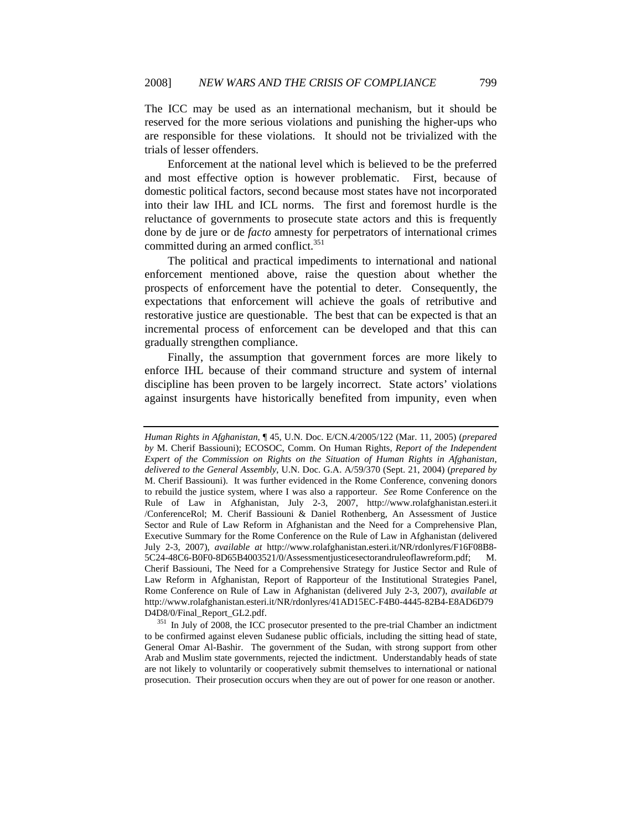The ICC may be used as an international mechanism, but it should be reserved for the more serious violations and punishing the higher-ups who are responsible for these violations. It should not be trivialized with the trials of lesser offenders.

Enforcement at the national level which is believed to be the preferred and most effective option is however problematic. First, because of domestic political factors, second because most states have not incorporated into their law IHL and ICL norms. The first and foremost hurdle is the reluctance of governments to prosecute state actors and this is frequently done by de jure or de *facto* amnesty for perpetrators of international crimes committed during an armed conflict. $351$ 

The political and practical impediments to international and national enforcement mentioned above, raise the question about whether the prospects of enforcement have the potential to deter. Consequently, the expectations that enforcement will achieve the goals of retributive and restorative justice are questionable. The best that can be expected is that an incremental process of enforcement can be developed and that this can gradually strengthen compliance.

Finally, the assumption that government forces are more likely to enforce IHL because of their command structure and system of internal discipline has been proven to be largely incorrect. State actors' violations against insurgents have historically benefited from impunity, even when

*Human Rights in Afghanistan,* ¶ 45, U.N. Doc. E/CN.4/2005/122 (Mar. 11, 2005) (*prepared by* M. Cherif Bassiouni); ECOSOC, Comm. On Human Rights, *Report of the Independent Expert of the Commission on Rights on the Situation of Human Rights in Afghanistan*, *delivered to the General Assembly*, U.N. Doc. G.A. A/59/370 (Sept. 21, 2004) (*prepared by* M. Cherif Bassiouni). It was further evidenced in the Rome Conference, convening donors to rebuild the justice system, where I was also a rapporteur. *See* Rome Conference on the Rule of Law in Afghanistan, July 2-3, 2007, http://www.rolafghanistan.esteri.it /ConferenceRol; M. Cherif Bassiouni & Daniel Rothenberg, An Assessment of Justice Sector and Rule of Law Reform in Afghanistan and the Need for a Comprehensive Plan, Executive Summary for the Rome Conference on the Rule of Law in Afghanistan (delivered July 2-3, 2007), *available at* http://www.rolafghanistan.esteri.it/NR/rdonlyres/F16F08B8- 5C24-48C6-B0F0-8D65B4003521/0/Assessmentjusticesectorandruleoflawreform.pdf; M. Cherif Bassiouni, The Need for a Comprehensive Strategy for Justice Sector and Rule of Law Reform in Afghanistan, Report of Rapporteur of the Institutional Strategies Panel, Rome Conference on Rule of Law in Afghanistan (delivered July 2-3, 2007), *available at*  http://www.rolafghanistan.esteri.it/NR/rdonlyres/41AD15EC-F4B0-4445-82B4-E8AD6D79

D4D8/0/Final\_Report\_GL2.pdf. 351 In July of 2008, the ICC prosecutor presented to the pre-trial Chamber an indictment to be confirmed against eleven Sudanese public officials, including the sitting head of state, General Omar Al-Bashir. The government of the Sudan, with strong support from other Arab and Muslim state governments, rejected the indictment. Understandably heads of state are not likely to voluntarily or cooperatively submit themselves to international or national prosecution. Their prosecution occurs when they are out of power for one reason or another.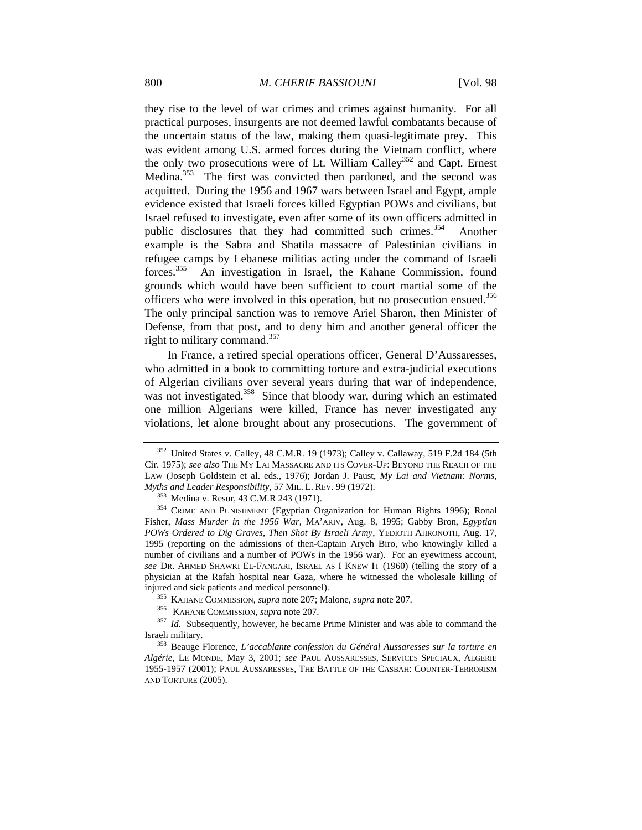they rise to the level of war crimes and crimes against humanity. For all practical purposes, insurgents are not deemed lawful combatants because of the uncertain status of the law, making them quasi-legitimate prey. This was evident among U.S. armed forces during the Vietnam conflict, where the only two prosecutions were of Lt. William Calley<sup>352</sup> and Capt. Ernest Medina.<sup>353</sup> The first was convicted then pardoned, and the second was acquitted. During the 1956 and 1967 wars between Israel and Egypt, ample evidence existed that Israeli forces killed Egyptian POWs and civilians, but Israel refused to investigate, even after some of its own officers admitted in public disclosures that they had committed such crimes.<sup>354</sup> Another example is the Sabra and Shatila massacre of Palestinian civilians in refugee camps by Lebanese militias acting under the command of Israeli forces.355 An investigation in Israel, the Kahane Commission, found grounds which would have been sufficient to court martial some of the officers who were involved in this operation, but no prosecution ensued.<sup>356</sup> The only principal sanction was to remove Ariel Sharon, then Minister of Defense, from that post, and to deny him and another general officer the right to military command.<sup>357</sup>

In France, a retired special operations officer, General D'Aussaresses, who admitted in a book to committing torture and extra-judicial executions of Algerian civilians over several years during that war of independence, was not investigated.<sup>358</sup> Since that bloody war, during which an estimated one million Algerians were killed, France has never investigated any violations, let alone brought about any prosecutions. The government of

<sup>352</sup> United States v. Calley, 48 C.M.R. 19 (1973); Calley v. Callaway, 519 F.2d 184 (5th Cir. 1975); *see also* THE MY LAI MASSACRE AND ITS COVER-UP: BEYOND THE REACH OF THE LAW (Joseph Goldstein et al. eds., 1976); Jordan J. Paust, *My Lai and Vietnam: Norms, Myths and Leader Responsibility*, 57 MIL. L. REV. 99 (1972).<br><sup>353</sup> Medina v. Resor, 43 C.M.R 243 (1971).<br><sup>354</sup> CRIME AND PUNISHMENT (Egyptian Organization for Human Rights 1996); Ronal

Fisher, *Mass Murder in the 1956 War*, MA'ARIV, Aug. 8, 1995; Gabby Bron, *Egyptian POWs Ordered to Dig Graves, Then Shot By Israeli Army*, YEDIOTH AHRONOTH, Aug. 17, 1995 (reporting on the admissions of then-Captain Aryeh Biro, who knowingly killed a number of civilians and a number of POWs in the 1956 war). For an eyewitness account, *see* DR. AHMED SHAWKI EL-FANGARI, ISRAEL AS I KNEW IT (1960) (telling the story of a physician at the Rafah hospital near Gaza, where he witnessed the wholesale killing of

injured and sick patients and medical personnel).<br>
<sup>355</sup> KAHANE COMMISSION, *supra* note 207; Malone, *supra* note 207.<br>
<sup>356</sup> KAHANE COMMISSION, *supra* note 207.<br>
<sup>357</sup> Id. Subsequently, however, he became Prime Minister

<sup>&</sup>lt;sup>358</sup> Beauge Florence, *L'accablante confession du Général Aussaresses sur la torture en Algérie*, LE MONDE, May 3, 2001; *see* PAUL AUSSARESSES, SERVICES SPECIAUX, ALGERIE 1955-1957 (2001); PAUL AUSSARESSES, THE BATTLE OF THE CASBAH: COUNTER-TERRORISM AND TORTURE (2005).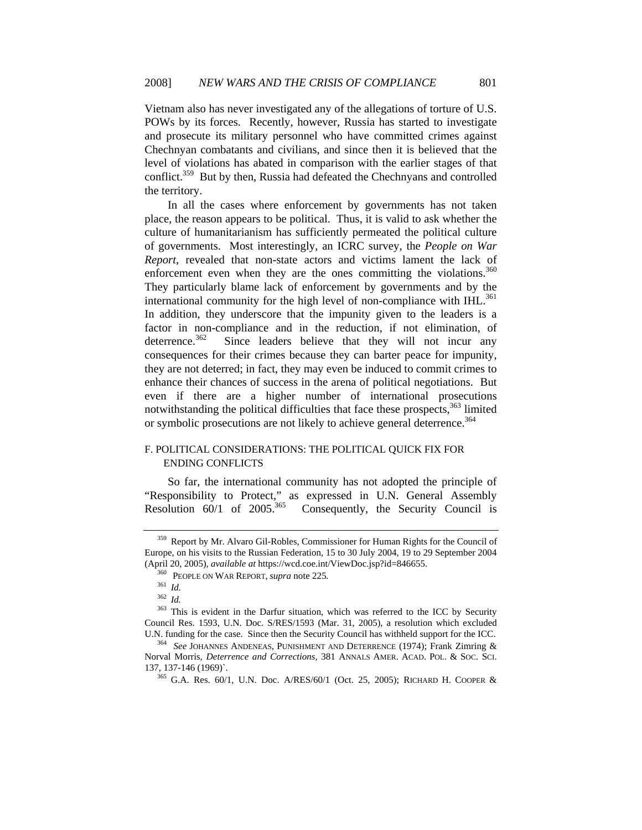Vietnam also has never investigated any of the allegations of torture of U.S. POWs by its forces. Recently, however, Russia has started to investigate and prosecute its military personnel who have committed crimes against Chechnyan combatants and civilians, and since then it is believed that the level of violations has abated in comparison with the earlier stages of that conflict.<sup>359</sup> But by then, Russia had defeated the Chechnyans and controlled the territory.

In all the cases where enforcement by governments has not taken place, the reason appears to be political. Thus, it is valid to ask whether the culture of humanitarianism has sufficiently permeated the political culture of governments. Most interestingly, an ICRC survey, the *People on War Report*, revealed that non-state actors and victims lament the lack of enforcement even when they are the ones committing the violations. $360$ They particularly blame lack of enforcement by governments and by the international community for the high level of non-compliance with  $HIL$ <sup>361</sup> In addition, they underscore that the impunity given to the leaders is a factor in non-compliance and in the reduction, if not elimination, of deterrence.<sup>362</sup> Since leaders believe that they will not incur any consequences for their crimes because they can barter peace for impunity, they are not deterred; in fact, they may even be induced to commit crimes to enhance their chances of success in the arena of political negotiations. But even if there are a higher number of international prosecutions notwithstanding the political difficulties that face these prospects, $363$  limited or symbolic prosecutions are not likely to achieve general deterrence.<sup>364</sup>

# F. POLITICAL CONSIDERATIONS: THE POLITICAL QUICK FIX FOR ENDING CONFLICTS

So far, the international community has not adopted the principle of "Responsibility to Protect," as expressed in U.N. General Assembly Resolution 60/1 of 2005.<sup>365</sup> Consequently, the Security Council is Consequently, the Security Council is

<sup>359</sup> Report by Mr. Alvaro Gil-Robles, Commissioner for Human Rights for the Council of Europe, on his visits to the Russian Federation, 15 to 30 July 2004, 19 to 29 September 2004 (April 20, 2005), *available at* https://wcd.coe.int/ViewDoc.jsp?id=846655.

<sup>360</sup> PEOPLE ON WAR REPORT, *supra* note 225*.*

<sup>361</sup> *Id.*

<sup>362</sup> *Id.*

<sup>&</sup>lt;sup>363</sup> This is evident in the Darfur situation, which was referred to the ICC by Security Council Res. 1593, U.N. Doc. S/RES/1593 (Mar. 31, 2005), a resolution which excluded U.N. funding for the case. Since then the Security Council has withheld support for the ICC. 364 *See* JOHANNES ANDENEAS, PUNISHMENT AND DETERRENCE (1974); Frank Zimring &

Norval Morris, *Deterrence and Corrections*, 381 ANNALS AMER. ACAD. POL. & SOC. SCI.

<sup>&</sup>lt;sup>365</sup> G.A. Res. 60/1, U.N. Doc. A/RES/60/1 (Oct. 25, 2005); RICHARD H. COOPER &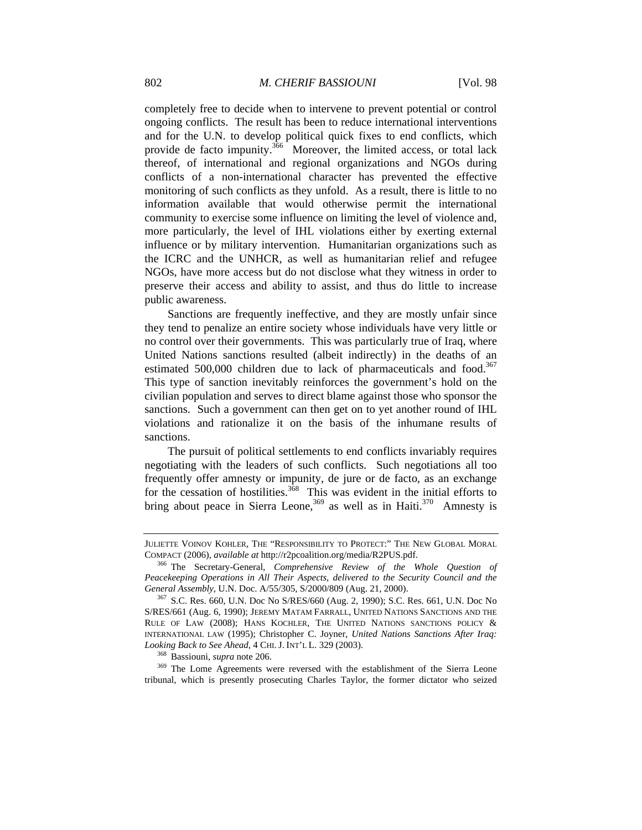completely free to decide when to intervene to prevent potential or control ongoing conflicts. The result has been to reduce international interventions and for the U.N. to develop political quick fixes to end conflicts, which provide de facto impunity.<sup>366</sup> Moreover, the limited access, or total lack thereof, of international and regional organizations and NGOs during conflicts of a non-international character has prevented the effective monitoring of such conflicts as they unfold. As a result, there is little to no information available that would otherwise permit the international community to exercise some influence on limiting the level of violence and, more particularly, the level of IHL violations either by exerting external influence or by military intervention. Humanitarian organizations such as the ICRC and the UNHCR, as well as humanitarian relief and refugee NGOs, have more access but do not disclose what they witness in order to preserve their access and ability to assist, and thus do little to increase public awareness.

Sanctions are frequently ineffective, and they are mostly unfair since they tend to penalize an entire society whose individuals have very little or no control over their governments. This was particularly true of Iraq, where United Nations sanctions resulted (albeit indirectly) in the deaths of an estimated 500,000 children due to lack of pharmaceuticals and food.<sup>367</sup> This type of sanction inevitably reinforces the government's hold on the civilian population and serves to direct blame against those who sponsor the sanctions. Such a government can then get on to yet another round of IHL violations and rationalize it on the basis of the inhumane results of sanctions.

The pursuit of political settlements to end conflicts invariably requires negotiating with the leaders of such conflicts. Such negotiations all too frequently offer amnesty or impunity, de jure or de facto*,* as an exchange for the cessation of hostilities.<sup>368</sup> This was evident in the initial efforts to bring about peace in Sierra Leone,  $369$  as well as in Haiti. $370$  Amnesty is

*Looking Back to See Ahead*, 4 CHI. J. INT'L L. 329 (2003). 368 Bassiouni, *supra* note 206. 369 The Lome Agreements were reversed with the establishment of the Sierra Leone tribunal, which is presently prosecuting Charles Taylor, the former dictator who seized

JULIETTE VOINOV KOHLER, THE "RESPONSIBILITY TO PROTECT:" THE NEW GLOBAL MORAL COMPACT (2006), *available at* http://r2pcoalition.org/media/R2PUS.pdf. 366 The Secretary-General*, Comprehensive Review of the Whole Question of* 

*Peacekeeping Operations in All Their Aspects*, *delivered to the Security Council and the General Assembly*, U.N. Doc. A/55/305, S/2000/809 (Aug. 21, 2000).<br><sup>367</sup> S.C. Res. 660, U.N. Doc No S/RES/660 (Aug. 2, 1990); S.C. Res. 661, U.N. Doc No

S/RES/661 (Aug. 6, 1990); JEREMY MATAM FARRALL, UNITED NATIONS SANCTIONS AND THE RULE OF LAW (2008); HANS KOCHLER, THE UNITED NATIONS SANCTIONS POLICY & INTERNATIONAL LAW (1995); Christopher C. Joyner, *United Nations Sanctions After Iraq:*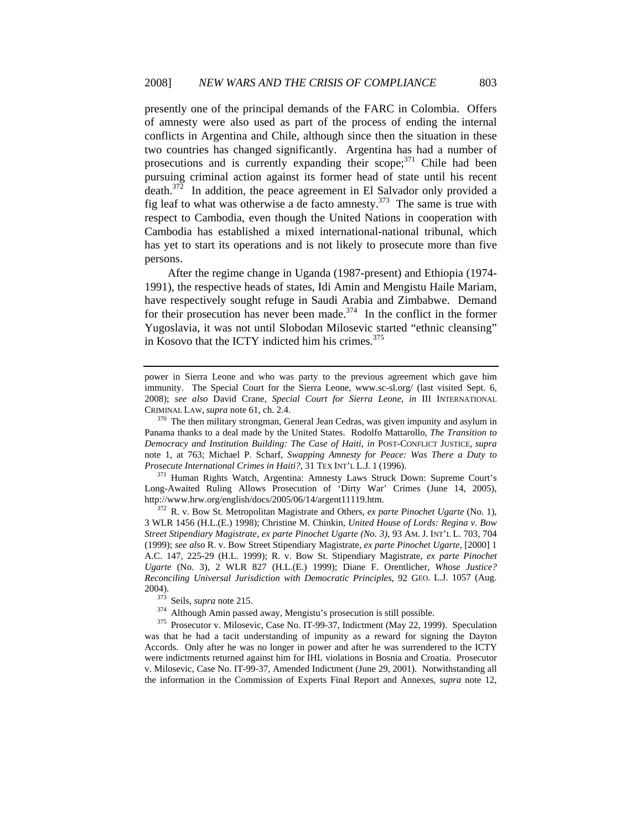presently one of the principal demands of the FARC in Colombia. Offers of amnesty were also used as part of the process of ending the internal conflicts in Argentina and Chile, although since then the situation in these two countries has changed significantly. Argentina has had a number of prosecutions and is currently expanding their scope; $371$  Chile had been pursuing criminal action against its former head of state until his recent death.<sup>372</sup> In addition, the peace agreement in El Salvador only provided a fig leaf to what was otherwise a de facto amnesty.<sup>373</sup> The same is true with respect to Cambodia, even though the United Nations in cooperation with Cambodia has established a mixed international-national tribunal, which has yet to start its operations and is not likely to prosecute more than five persons.

After the regime change in Uganda (1987-present) and Ethiopia (1974- 1991), the respective heads of states, Idi Amin and Mengistu Haile Mariam, have respectively sought refuge in Saudi Arabia and Zimbabwe. Demand for their prosecution has never been made.<sup>374</sup> In the conflict in the former Yugoslavia, it was not until Slobodan Milosevic started "ethnic cleansing" in Kosovo that the ICTY indicted him his crimes. $375$ 

Long-Awaited Ruling Allows Prosecution of 'Dirty War' Crimes (June 14, 2005), http://www.hrw.org/english/docs/2005/06/14/argent11119.htm. 372 R. v. Bow St. Metropolitan Magistrate and Others, *ex parte Pinochet Ugarte* (No. 1),

3 WLR 1456 (H.L.(E.) 1998); Christine M. Chinkin, *United House of Lords: Regina v. Bow Street Stipendiary Magistrate, ex parte Pinochet Ugarte (No. 3)*, 93 AM. J. INT'L L. 703, 704 (1999); *see also* R. v. Bow Street Stipendiary Magistrate, *ex parte Pinochet Ugarte*, [2000] 1 A.C. 147, 225-29 (H.L. 1999); R. v. Bow St. Stipendiary Magistrate, *ex parte Pinochet Ugarte* (No. 3), 2 WLR 827 (H.L.(E.) 1999); Diane F. Orentlicher, *Whose Justice? Reconciling Universal Jurisdiction with Democratic Principles*, 92 GEO. L.J. 1057 (Aug. 2004). 373 Seils, *supra* note 215. 374 Although Amin passed away, Mengistu's prosecution is still possible. 375 Prosecutor v. Milosevic, Case No. IT-99-37, Indictment (May 22, 1999). Speculation

power in Sierra Leone and who was party to the previous agreement which gave him immunity. The Special Court for the Sierra Leone, www.sc-sl.org/ (last visited Sept. 6, 2008); *see also* David Crane, *Special Court for Sierra Leone*, *in* III INTERNATIONAL CRIMINAL LAW, *supra* note 61, ch. 2.4. 370 The then military strongman, General Jean Cedras, was given impunity and asylum in

Panama thanks to a deal made by the United States. Rodolfo Mattarollo, *The Transition to Democracy and Institution Building: The Case of Haiti*, *in* POST-CONFLICT JUSTICE, *supra* note 1, at 763; Michael P. Scharf, *Swapping Amnesty for Peace: Was There a Duty to Prosecute International Crimes in Haiti?*, 31 TEX INT'L L.J. 1 (1996).<br><sup>371</sup> Human Rights Watch, Argentina: Amnesty Laws Struck Down: Supreme Court's

was that he had a tacit understanding of impunity as a reward for signing the Dayton Accords. Only after he was no longer in power and after he was surrendered to the ICTY were indictments returned against him for IHL violations in Bosnia and Croatia. Prosecutor v. Milosevic, Case No. IT-99-37, Amended Indictment (June 29, 2001). Notwithstanding all the information in the Commission of Experts Final Report and Annexes, *supra* note 12,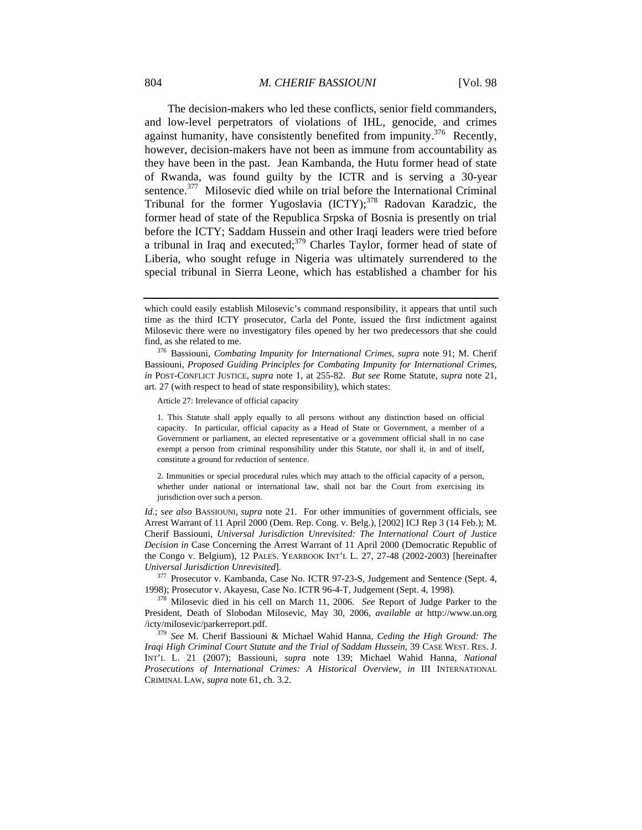The decision-makers who led these conflicts, senior field commanders, and low-level perpetrators of violations of IHL, genocide, and crimes against humanity, have consistently benefited from impunity.<sup>376</sup> Recently, however, decision-makers have not been as immune from accountability as they have been in the past. Jean Kambanda, the Hutu former head of state of Rwanda, was found guilty by the ICTR and is serving a 30-year sentence.<sup>377</sup> Milosevic died while on trial before the International Criminal Tribunal for the former Yugoslavia  $(ICTY)$ ;<sup>378</sup> Radovan Karadzic, the former head of state of the Republica Srpska of Bosnia is presently on trial before the ICTY; Saddam Hussein and other Iraqi leaders were tried before a tribunal in Iraq and executed; $379$  Charles Taylor, former head of state of Liberia, who sought refuge in Nigeria was ultimately surrendered to the special tribunal in Sierra Leone, which has established a chamber for his

Article 27: Irrelevance of official capacity

1. This Statute shall apply equally to all persons without any distinction based on official capacity. In particular, official capacity as a Head of State or Government, a member of a Government or parliament, an elected representative or a government official shall in no case exempt a person from criminal responsibility under this Statute, nor shall it, in and of itself, constitute a ground for reduction of sentence.

2. Immunities or special procedural rules which may attach to the official capacity of a person, whether under national or international law, shall not bar the Court from exercising its jurisdiction over such a person.

*Id*.; *see also* BASSIOUNI, *supra* note 21. For other immunities of government officials, see Arrest Warrant of 11 April 2000 (Dem. Rep. Cong. v. Belg.), [2002] ICJ Rep 3 (14 Feb.); M. Cherif Bassiouni, *Universal Jurisdiction Unrevisited: The International Court of Justice Decision in* Case Concerning the Arrest Warrant of 11 April 2000 (Democratic Republic of the Congo v. Belgium), 12 PALES. YEARBOOK INT'L L. 27, 27-48 (2002-2003) [hereinafter *Universal Jurisdiction Unrevisited*]. 377 Prosecutor v. Kambanda, Case No. ICTR 97-23-S, Judgement and Sentence (Sept. 4,

1998); Prosecutor v. Akayesu, Case No. ICTR 96-4-T, Judgement (Sept. 4, 1998). 378 Milosevic died in his cell on March 11, 2006. *See* Report of Judge Parker to the

President, Death of Slobodan Milosevic, May 30, 2006, *available at* http://www.un.org /icty/milosevic/parkerreport.pdf.

<sup>379</sup> *See* M. Cherif Bassiouni & Michael Wahid Hanna, *Ceding the High Ground: The Iraqi High Criminal Court Statute and the Trial of Saddam Hussein*, 39 CASE WEST. RES. J. INT'L L. 21 (2007); Bassiouni, *supra* note 139; Michael Wahid Hanna, *National Prosecutions of International Crimes: A Historical Overview*, *in* III INTERNATIONAL CRIMINAL LAW, *supra* note 61, ch. 3.2.

which could easily establish Milosevic's command responsibility, it appears that until such time as the third ICTY prosecutor, Carla del Ponte, issued the first indictment against Milosevic there were no investigatory files opened by her two predecessors that she could find, as she related to me. 376 Bassiouni, *Combating Impunity for International Crimes*, *supra* note 91; M. Cherif

Bassiouni, *Proposed Guiding Principles for Combating Impunity for International Crimes*, *in* POST-CONFLICT JUSTICE, *supra* note 1, at 255-82. *But see* Rome Statute, *supra* note 21, art. 27 (with respect to head of state responsibility), which states: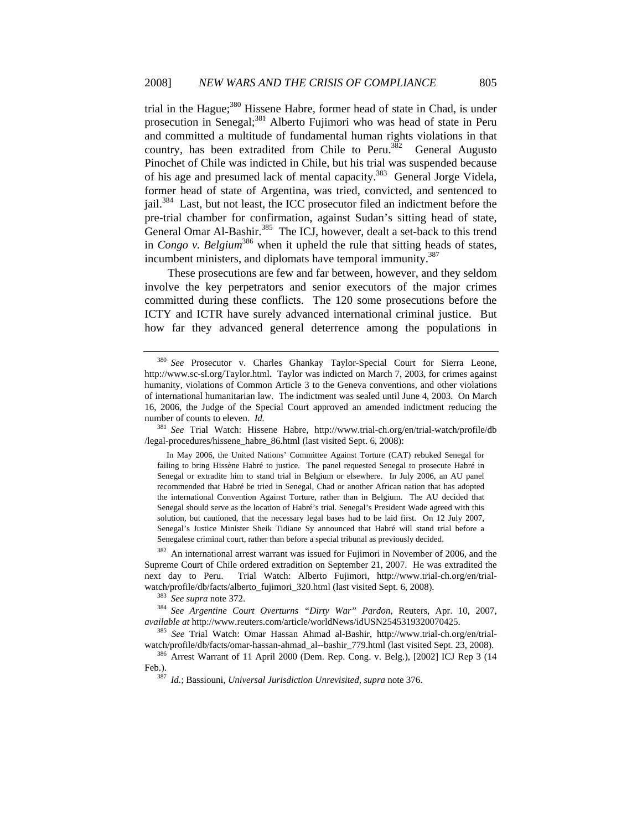trial in the Hague;<sup>380</sup> Hissene Habre, former head of state in Chad, is under prosecution in Senegal;<sup>381</sup> Alberto Fujimori who was head of state in Peru and committed a multitude of fundamental human rights violations in that country, has been extradited from Chile to Peru. $382$  General Augusto Pinochet of Chile was indicted in Chile, but his trial was suspended because of his age and presumed lack of mental capacity.<sup>383</sup> General Jorge Videla, former head of state of Argentina, was tried, convicted, and sentenced to jail.384 Last, but not least, the ICC prosecutor filed an indictment before the pre-trial chamber for confirmation, against Sudan's sitting head of state, General Omar Al-Bashir.<sup>385</sup> The ICJ, however, dealt a set-back to this trend in *Congo v. Belgium*<sup>386</sup> when it upheld the rule that sitting heads of states, incumbent ministers, and diplomats have temporal immunity.<sup>387</sup>

These prosecutions are few and far between, however, and they seldom involve the key perpetrators and senior executors of the major crimes committed during these conflicts. The 120 some prosecutions before the ICTY and ICTR have surely advanced international criminal justice. But how far they advanced general deterrence among the populations in

<sup>382</sup> An international arrest warrant was issued for Fujimori in November of 2006, and the Supreme Court of Chile ordered extradition on September 21, 2007. He was extradited the next day to Peru. Trial Watch: Alberto Fujimori, http://www.trial-ch.org/en/trial-

watch/profile/db/facts/alberto\_fujimori\_320.html (last visited Sept. 6, 2008).<br><sup>383</sup> *See supra* note 372.<br><sup>384</sup> *See Argentine Court Overturns "Dirty War" Pardon*, Reuters, Apr. 10, 2007,<br>*available at http://www.reuters.* 

<sup>385</sup> *See* Trial Watch: Omar Hassan Ahmad al-Bashir, http://www.trial-ch.org/en/trial-watch/profile/db/facts/omar-hassan-ahmad\_al--bashir\_779.html (last visited Sept. 23, 2008).

<sup>380</sup> *See* Prosecutor v. Charles Ghankay Taylor-Special Court for Sierra Leone, http://www.sc-sl.org/Taylor.html. Taylor was indicted on March 7, 2003, for crimes against humanity, violations of Common Article 3 to the Geneva conventions, and other violations of international humanitarian law. The indictment was sealed until June 4, 2003. On March 16, 2006, the Judge of the Special Court approved an amended indictment reducing the number of counts to eleven. *Id.*

<sup>381</sup> *See* Trial Watch: Hissene Habre, http://www.trial-ch.org/en/trial-watch/profile/db /legal-procedures/hissene\_habre\_86.html (last visited Sept. 6, 2008):

In May 2006, the United Nations' Committee Against Torture (CAT) rebuked Senegal for failing to bring Hissène Habré to justice. The panel requested Senegal to prosecute Habré in Senegal or extradite him to stand trial in Belgium or elsewhere. In July 2006, an AU panel recommended that Habré be tried in Senegal, Chad or another African nation that has adopted the international Convention Against Torture, rather than in Belgium. The AU decided that Senegal should serve as the location of Habré's trial. Senegal's President Wade agreed with this solution, but cautioned, that the necessary legal bases had to be laid first. On 12 July 2007, Senegal's Justice Minister Sheik Tidiane Sy announced that Habré will stand trial before a Senegalese criminal court, rather than before a special tribunal as previously decided.

<sup>386</sup> Arrest Warrant of 11 April 2000 (Dem. Rep. Cong. v. Belg.), [2002] ICJ Rep 3 (14 Feb.). 387 *Id.*; Bassiouni, *Universal Jurisdiction Unrevisited, supra* note 376.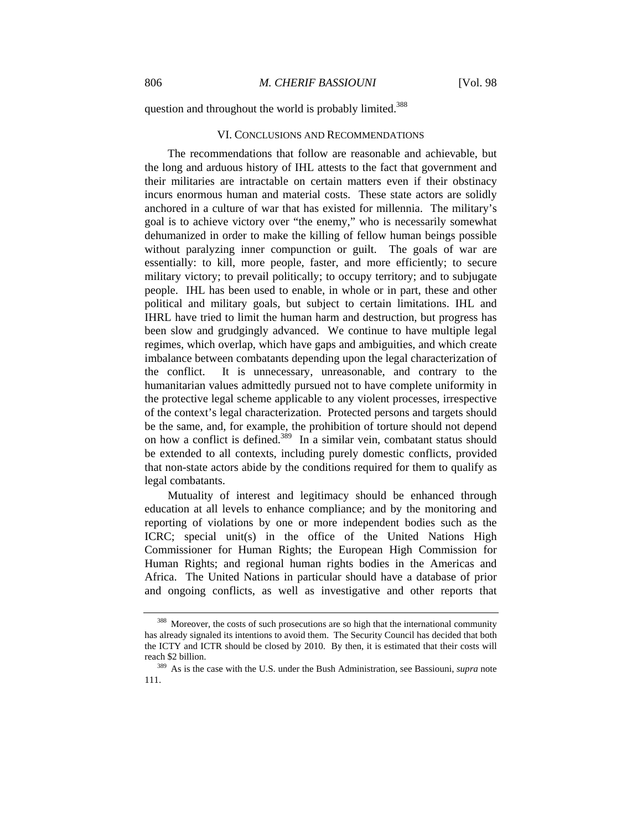question and throughout the world is probably limited.<sup>388</sup>

#### VI. CONCLUSIONS AND RECOMMENDATIONS

The recommendations that follow are reasonable and achievable, but the long and arduous history of IHL attests to the fact that government and their militaries are intractable on certain matters even if their obstinacy incurs enormous human and material costs. These state actors are solidly anchored in a culture of war that has existed for millennia. The military's goal is to achieve victory over "the enemy," who is necessarily somewhat dehumanized in order to make the killing of fellow human beings possible without paralyzing inner compunction or guilt. The goals of war are essentially: to kill, more people, faster, and more efficiently; to secure military victory; to prevail politically; to occupy territory; and to subjugate people. IHL has been used to enable, in whole or in part, these and other political and military goals, but subject to certain limitations. IHL and IHRL have tried to limit the human harm and destruction, but progress has been slow and grudgingly advanced. We continue to have multiple legal regimes, which overlap, which have gaps and ambiguities, and which create imbalance between combatants depending upon the legal characterization of the conflict. It is unnecessary, unreasonable, and contrary to the humanitarian values admittedly pursued not to have complete uniformity in the protective legal scheme applicable to any violent processes, irrespective of the context's legal characterization. Protected persons and targets should be the same, and, for example, the prohibition of torture should not depend on how a conflict is defined.389 In a similar vein, combatant status should be extended to all contexts, including purely domestic conflicts, provided that non-state actors abide by the conditions required for them to qualify as legal combatants.

Mutuality of interest and legitimacy should be enhanced through education at all levels to enhance compliance; and by the monitoring and reporting of violations by one or more independent bodies such as the ICRC; special unit(s) in the office of the United Nations High Commissioner for Human Rights; the European High Commission for Human Rights; and regional human rights bodies in the Americas and Africa. The United Nations in particular should have a database of prior and ongoing conflicts, as well as investigative and other reports that

<sup>388</sup> Moreover, the costs of such prosecutions are so high that the international community has already signaled its intentions to avoid them. The Security Council has decided that both the ICTY and ICTR should be closed by 2010. By then, it is estimated that their costs will reach \$2 billion. 389 As is the case with the U.S. under the Bush Administration, see Bassiouni, *supra* note

<sup>111.</sup>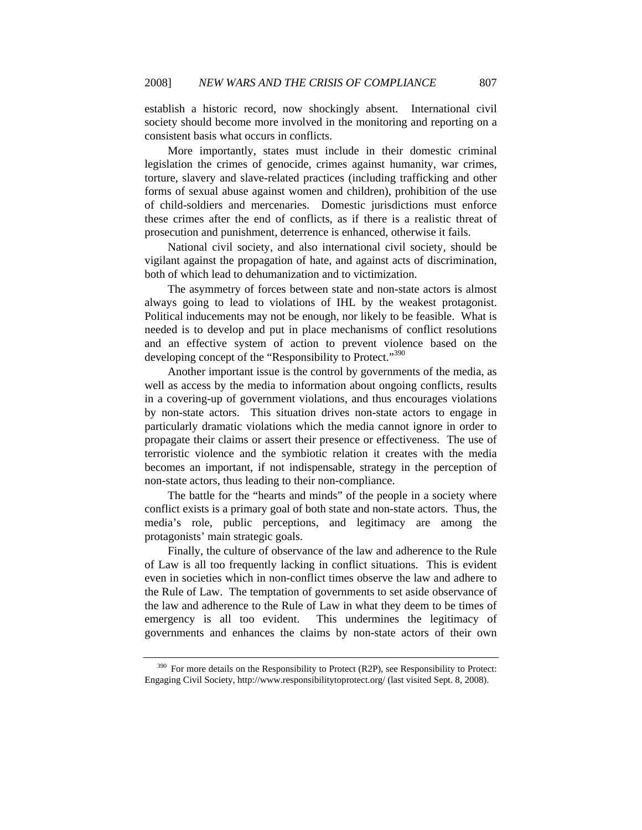establish a historic record, now shockingly absent. International civil society should become more involved in the monitoring and reporting on a consistent basis what occurs in conflicts.

More importantly, states must include in their domestic criminal legislation the crimes of genocide, crimes against humanity, war crimes, torture, slavery and slave-related practices (including trafficking and other forms of sexual abuse against women and children), prohibition of the use of child-soldiers and mercenaries. Domestic jurisdictions must enforce these crimes after the end of conflicts, as if there is a realistic threat of prosecution and punishment, deterrence is enhanced, otherwise it fails.

National civil society, and also international civil society, should be vigilant against the propagation of hate, and against acts of discrimination, both of which lead to dehumanization and to victimization.

The asymmetry of forces between state and non-state actors is almost always going to lead to violations of IHL by the weakest protagonist. Political inducements may not be enough, nor likely to be feasible. What is needed is to develop and put in place mechanisms of conflict resolutions and an effective system of action to prevent violence based on the developing concept of the "Responsibility to Protect."<sup>390</sup>

 Another important issue is the control by governments of the media, as well as access by the media to information about ongoing conflicts, results in a covering-up of government violations, and thus encourages violations by non-state actors. This situation drives non-state actors to engage in particularly dramatic violations which the media cannot ignore in order to propagate their claims or assert their presence or effectiveness. The use of terroristic violence and the symbiotic relation it creates with the media becomes an important, if not indispensable, strategy in the perception of non-state actors, thus leading to their non-compliance.

The battle for the "hearts and minds" of the people in a society where conflict exists is a primary goal of both state and non-state actors. Thus, the media's role, public perceptions, and legitimacy are among the protagonists' main strategic goals.

Finally, the culture of observance of the law and adherence to the Rule of Law is all too frequently lacking in conflict situations. This is evident even in societies which in non-conflict times observe the law and adhere to the Rule of Law. The temptation of governments to set aside observance of the law and adherence to the Rule of Law in what they deem to be times of emergency is all too evident. This undermines the legitimacy of governments and enhances the claims by non-state actors of their own

 $390$  For more details on the Responsibility to Protect (R2P), see Responsibility to Protect: Engaging Civil Society, http://www.responsibilitytoprotect.org/ (last visited Sept. 8, 2008).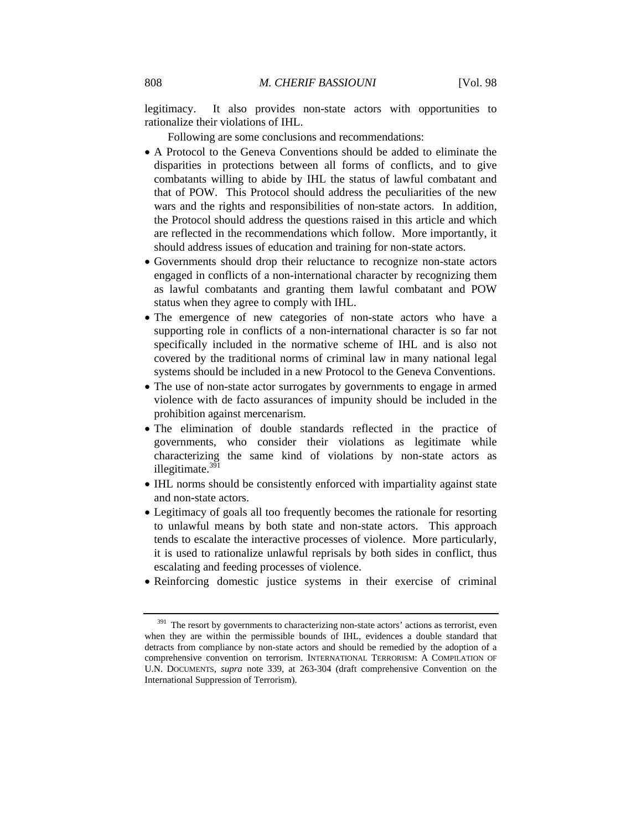legitimacy. It also provides non-state actors with opportunities to rationalize their violations of IHL.

Following are some conclusions and recommendations:

- A Protocol to the Geneva Conventions should be added to eliminate the disparities in protections between all forms of conflicts, and to give combatants willing to abide by IHL the status of lawful combatant and that of POW. This Protocol should address the peculiarities of the new wars and the rights and responsibilities of non-state actors. In addition, the Protocol should address the questions raised in this article and which are reflected in the recommendations which follow. More importantly, it should address issues of education and training for non-state actors.
- Governments should drop their reluctance to recognize non-state actors engaged in conflicts of a non-international character by recognizing them as lawful combatants and granting them lawful combatant and POW status when they agree to comply with IHL.
- The emergence of new categories of non-state actors who have a supporting role in conflicts of a non-international character is so far not specifically included in the normative scheme of IHL and is also not covered by the traditional norms of criminal law in many national legal systems should be included in a new Protocol to the Geneva Conventions.
- The use of non-state actor surrogates by governments to engage in armed violence with de facto assurances of impunity should be included in the prohibition against mercenarism.
- The elimination of double standards reflected in the practice of governments, who consider their violations as legitimate while characterizing the same kind of violations by non-state actors as illegitimate. $391$
- IHL norms should be consistently enforced with impartiality against state and non-state actors.
- Legitimacy of goals all too frequently becomes the rationale for resorting to unlawful means by both state and non-state actors. This approach tends to escalate the interactive processes of violence. More particularly, it is used to rationalize unlawful reprisals by both sides in conflict, thus escalating and feeding processes of violence.
- Reinforcing domestic justice systems in their exercise of criminal

<sup>&</sup>lt;sup>391</sup> The resort by governments to characterizing non-state actors' actions as terrorist, even when they are within the permissible bounds of IHL, evidences a double standard that detracts from compliance by non-state actors and should be remedied by the adoption of a comprehensive convention on terrorism. INTERNATIONAL TERRORISM: A COMPILATION OF U.N. DOCUMENTS, *supra* note 339, at 263-304 (draft comprehensive Convention on the International Suppression of Terrorism).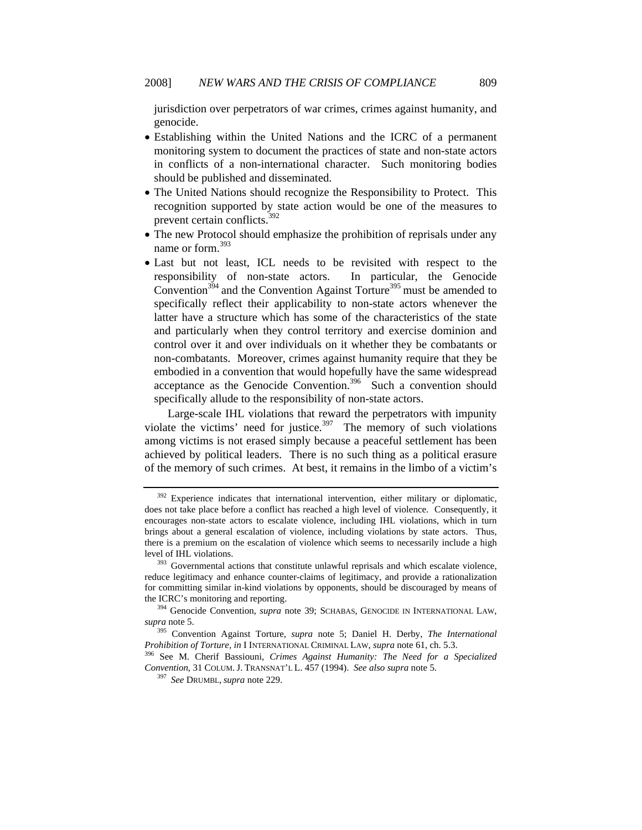jurisdiction over perpetrators of war crimes, crimes against humanity, and genocide.

- Establishing within the United Nations and the ICRC of a permanent monitoring system to document the practices of state and non-state actors in conflicts of a non-international character. Such monitoring bodies should be published and disseminated.
- The United Nations should recognize the Responsibility to Protect. This recognition supported by state action would be one of the measures to prevent certain conflicts.392
- The new Protocol should emphasize the prohibition of reprisals under any name or form.<sup>393</sup>
- Last but not least, ICL needs to be revisited with respect to the responsibility of non-state actors. In particular, the Genocide Convention<sup>394</sup> and the Convention Against Torture<sup>395</sup> must be amended to specifically reflect their applicability to non-state actors whenever the latter have a structure which has some of the characteristics of the state and particularly when they control territory and exercise dominion and control over it and over individuals on it whether they be combatants or non-combatants. Moreover, crimes against humanity require that they be embodied in a convention that would hopefully have the same widespread acceptance as the Genocide Convention.<sup>396</sup> Such a convention should specifically allude to the responsibility of non-state actors.

Large-scale IHL violations that reward the perpetrators with impunity violate the victims' need for justice.<sup>397</sup> The memory of such violations among victims is not erased simply because a peaceful settlement has been achieved by political leaders. There is no such thing as a political erasure of the memory of such crimes. At best, it remains in the limbo of a victim's

 $392$  Experience indicates that international intervention, either military or diplomatic, does not take place before a conflict has reached a high level of violence. Consequently, it encourages non-state actors to escalate violence, including IHL violations, which in turn brings about a general escalation of violence, including violations by state actors. Thus, there is a premium on the escalation of violence which seems to necessarily include a high level of IHL violations.<br><sup>393</sup> Governmental actions that constitute unlawful reprisals and which escalate violence,

reduce legitimacy and enhance counter-claims of legitimacy, and provide a rationalization for committing similar in-kind violations by opponents, should be discouraged by means of the ICRC's monitoring and reporting.<br><sup>394</sup> Genocide Convention, *supra* note 39; SCHABAS, GENOCIDE IN INTERNATIONAL LAW,

*supra* note 5. 395 Convention Against Torture, *supra* note 5; Daniel H. Derby, *The International* 

*Prohibition of Torture, in* I INTERNATIONAL CRIMINAL LAW, *supra* note 61, ch. 5.3. 396 See M. Cherif Bassiouni, *Crimes Against Humanity: The Need for a Specialized* 

*Convention*, 31 COLUM. J. TRANSNAT'L L. 457 (1994). *See also supra* note 5. 397 *See* DRUMBL, *supra* note 229.